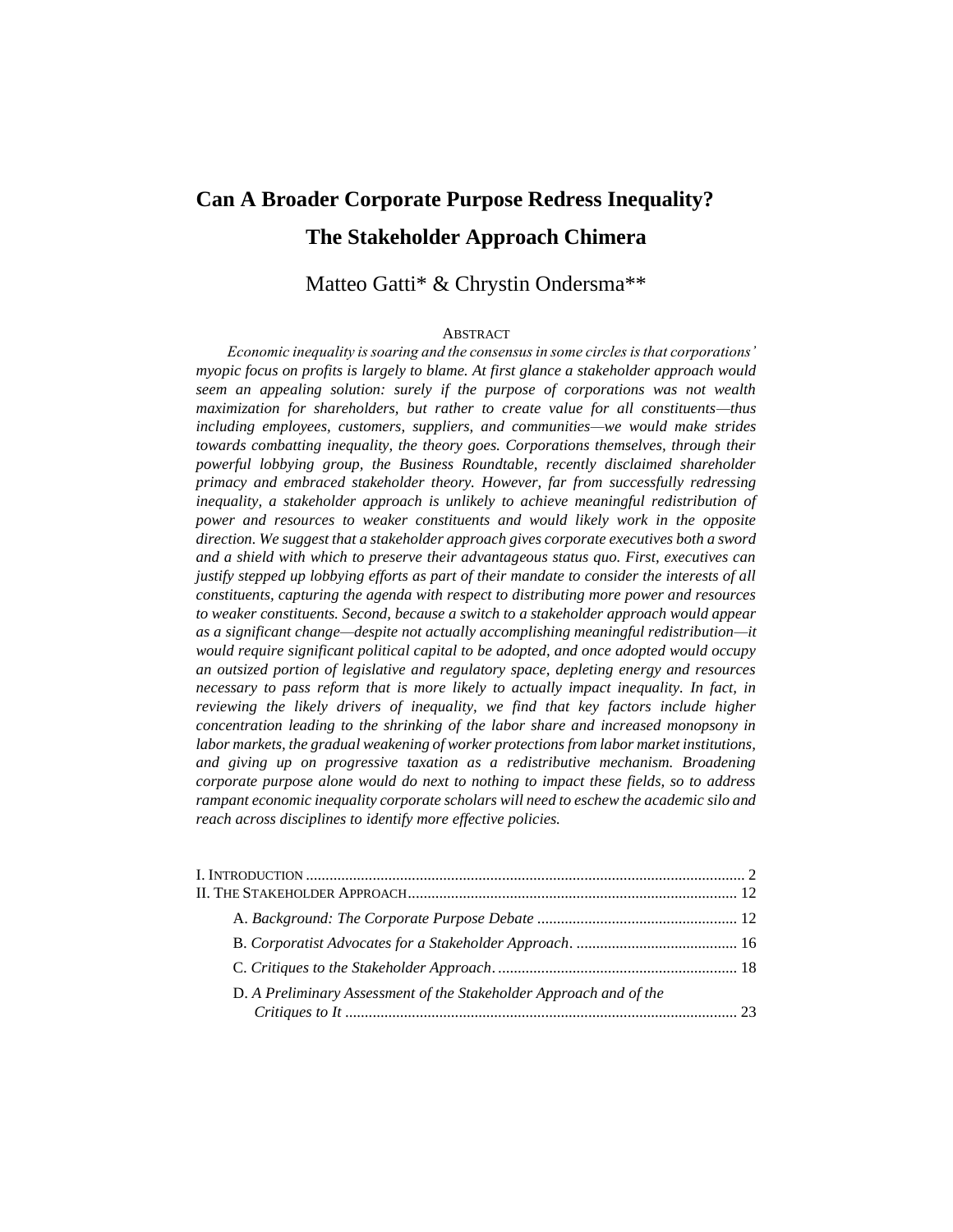# **Can A Broader Corporate Purpose Redress Inequality? The Stakeholder Approach Chimera**

Matteo Gatti\* & Chrystin Ondersma\*\*

# ABSTRACT

*Economic inequality is soaring and the consensus in some circles is that corporations' myopic focus on profits is largely to blame. At first glance a stakeholder approach would seem an appealing solution: surely if the purpose of corporations was not wealth maximization for shareholders, but rather to create value for all constituents—thus including employees, customers, suppliers, and communities—we would make strides towards combatting inequality, the theory goes. Corporations themselves, through their powerful lobbying group, the Business Roundtable, recently disclaimed shareholder primacy and embraced stakeholder theory. However, far from successfully redressing inequality, a stakeholder approach is unlikely to achieve meaningful redistribution of power and resources to weaker constituents and would likely work in the opposite direction. We suggest that a stakeholder approach gives corporate executives both a sword and a shield with which to preserve their advantageous status quo. First, executives can justify stepped up lobbying efforts as part of their mandate to consider the interests of all constituents, capturing the agenda with respect to distributing more power and resources to weaker constituents. Second, because a switch to a stakeholder approach would appear as a significant change—despite not actually accomplishing meaningful redistribution—it would require significant political capital to be adopted, and once adopted would occupy an outsized portion of legislative and regulatory space, depleting energy and resources necessary to pass reform that is more likely to actually impact inequality. In fact, in reviewing the likely drivers of inequality, we find that key factors include higher concentration leading to the shrinking of the labor share and increased monopsony in labor markets, the gradual weakening of worker protections from labor market institutions, and giving up on progressive taxation as a redistributive mechanism. Broadening corporate purpose alone would do next to nothing to impact these fields, so to address rampant economic inequality corporate scholars will need to eschew the academic silo and reach across disciplines to identify more effective policies.*

| D. A Preliminary Assessment of the Stakeholder Approach and of the |  |
|--------------------------------------------------------------------|--|
|                                                                    |  |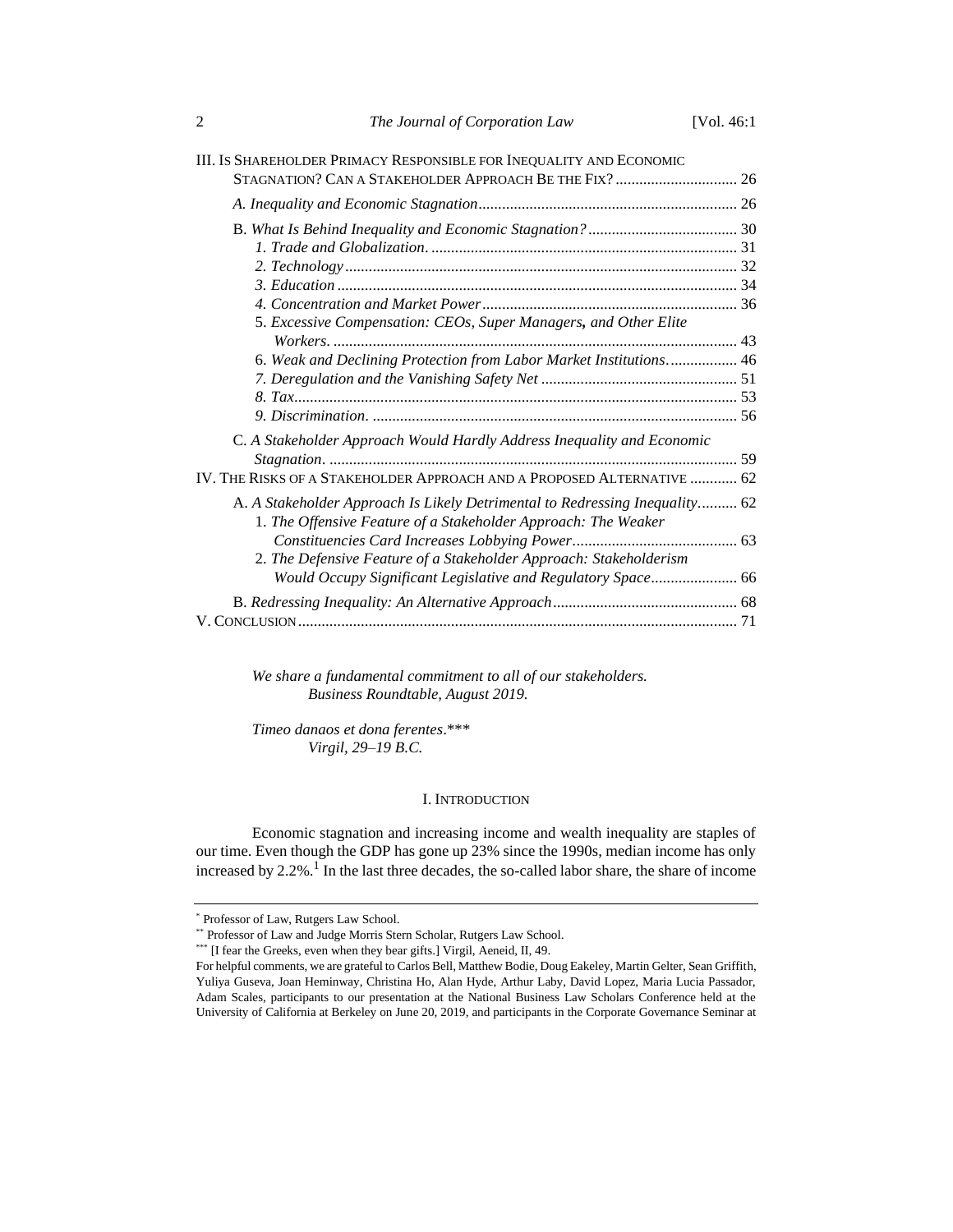| III. IS SHAREHOLDER PRIMACY RESPONSIBLE FOR INEQUALITY AND ECONOMIC                                                                           |  |
|-----------------------------------------------------------------------------------------------------------------------------------------------|--|
| STAGNATION? CAN A STAKEHOLDER APPROACH BE THE FIX?  26                                                                                        |  |
|                                                                                                                                               |  |
|                                                                                                                                               |  |
|                                                                                                                                               |  |
|                                                                                                                                               |  |
|                                                                                                                                               |  |
|                                                                                                                                               |  |
| 5. Excessive Compensation: CEOs, Super Managers, and Other Elite                                                                              |  |
|                                                                                                                                               |  |
| 6. Weak and Declining Protection from Labor Market Institutions 46                                                                            |  |
|                                                                                                                                               |  |
|                                                                                                                                               |  |
|                                                                                                                                               |  |
| C. A Stakeholder Approach Would Hardly Address Inequality and Economic                                                                        |  |
|                                                                                                                                               |  |
| IV. THE RISKS OF A STAKEHOLDER APPROACH AND A PROPOSED ALTERNATIVE  62                                                                        |  |
| A. A Stakeholder Approach Is Likely Detrimental to Redressing Inequality 62<br>1. The Offensive Feature of a Stakeholder Approach: The Weaker |  |
| 2. The Defensive Feature of a Stakeholder Approach: Stakeholderism                                                                            |  |
| Would Occupy Significant Legislative and Regulatory Space 66                                                                                  |  |
|                                                                                                                                               |  |
|                                                                                                                                               |  |

*We share a fundamental commitment to all of our stakeholders. Business Roundtable, August 2019.*

*Timeo danaos et dona ferentes*.\*\*\* *Virgil, 29–19 B.C.*

## I. INTRODUCTION

<span id="page-1-0"></span>Economic stagnation and increasing income and wealth inequality are staples of our time. Even though the GDP has gone up 23% since the 1990s, median income has only increased by  $2.2\%$ .<sup>1</sup> In the last three decades, the so-called labor share, the share of income

<sup>\*</sup> Professor of Law, Rutgers Law School.

<sup>\*\*</sup> Professor of Law and Judge Morris Stern Scholar, Rutgers Law School.

<sup>&</sup>lt;sup>\*\*\*</sup> [I fear the Greeks, even when they bear gifts.] Virgil, Aeneid, II, 49.

For helpful comments, we are grateful to Carlos Bell, Matthew Bodie, Doug Eakeley, Martin Gelter, Sean Griffith, Yuliya Guseva, Joan Heminway, Christina Ho, Alan Hyde, Arthur Laby, David Lopez, Maria Lucia Passador, Adam Scales, participants to our presentation at the National Business Law Scholars Conference held at the University of California at Berkeley on June 20, 2019, and participants in the Corporate Governance Seminar at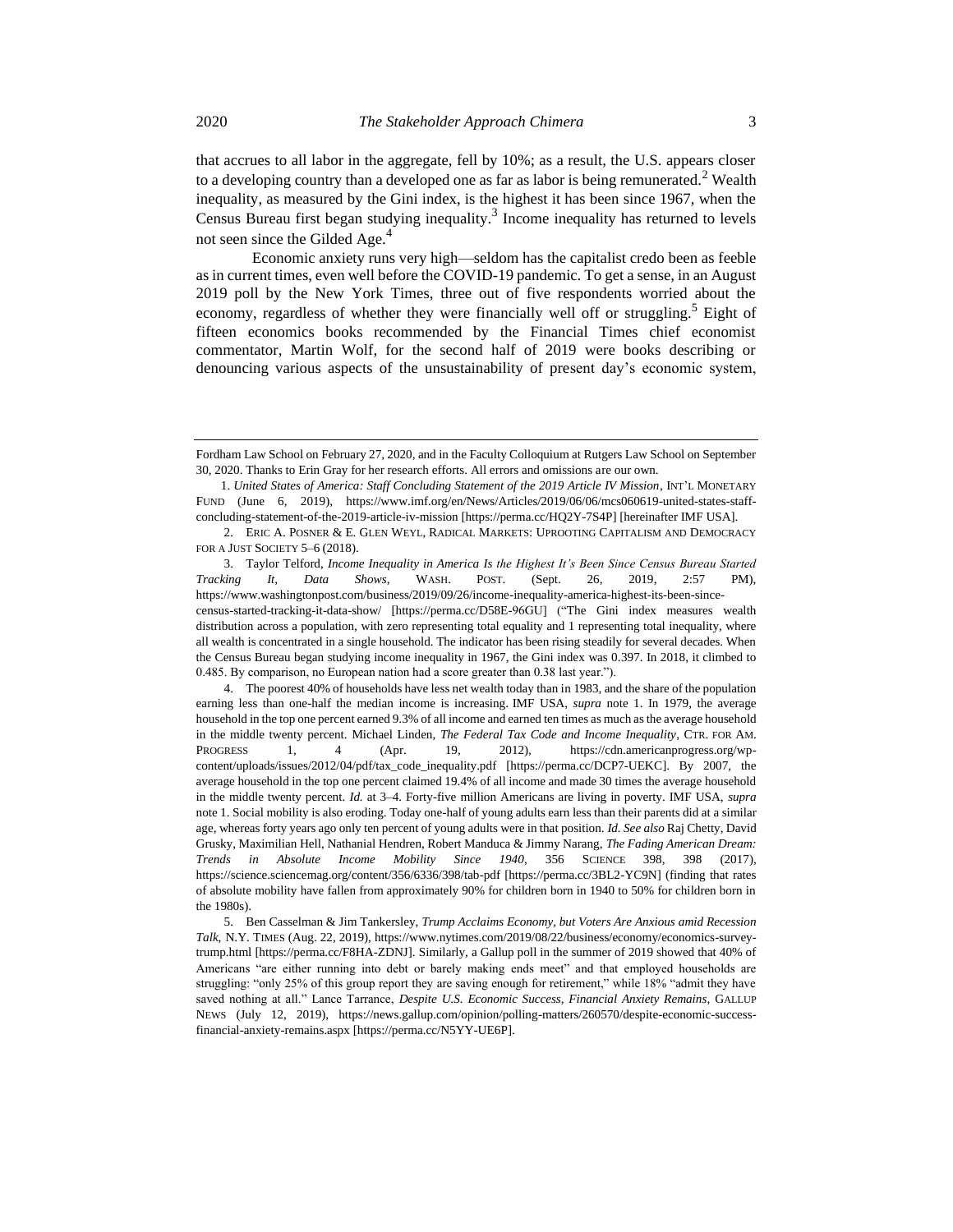<span id="page-2-0"></span>that accrues to all labor in the aggregate, fell by 10%; as a result, the U.S. appears closer to a developing country than a developed one as far as labor is being remunerated.<sup>2</sup> Wealth inequality, as measured by the Gini index, is the highest it has been since 1967, when the Census Bureau first began studying inequality.<sup>3</sup> Income inequality has returned to levels not seen since the Gilded Age. $^{4}$ 

<span id="page-2-1"></span>Economic anxiety runs very high—seldom has the capitalist credo been as feeble as in current times, even well before the COVID-19 pandemic. To get a sense, in an August 2019 poll by the New York Times, three out of five respondents worried about the economy, regardless of whether they were financially well off or struggling.<sup>5</sup> Eight of fifteen economics books recommended by the Financial Times chief economist commentator, Martin Wolf, for the second half of 2019 were books describing or denouncing various aspects of the unsustainability of present day's economic system,

Fordham Law School on February 27, 2020, and in the Faculty Colloquium at Rutgers Law School on September 30, 2020. Thanks to Erin Gray for her research efforts. All errors and omissions are our own.

 <sup>1.</sup> *United States of America: Staff Concluding Statement of the 2019 Article IV Mission*, INT'L MONETARY FUND (June 6, 2019), https://www.imf.org/en/News/Articles/2019/06/06/mcs060619-united-states-staffconcluding-statement-of-the-2019-article-iv-mission [https://perma.cc/HQ2Y-7S4P] [hereinafter IMF USA].

<sup>2.</sup> ERIC A. POSNER & E. GLEN WEYL, RADICAL MARKETS: UPROOTING CAPITALISM AND DEMOCRACY FOR A JUST SOCIETY 5-6 (2018).

<sup>3.</sup> Taylor Telford, *Income Inequality in America Is the Highest It's Been Since Census Bureau Started Tracking It, Data Shows*, WASH. POST. (Sept. 26, 2019, 2:57 PM), https://www.washingtonpost.com/business/2019/09/26/income-inequality-america-highest-its-been-sincecensus-started-tracking-it-data-show/ [https://perma.cc/D58E-96GU] ("The Gini index measures wealth distribution across a population, with zero representing total equality and 1 representing total inequality, where all wealth is concentrated in a single household. The indicator has been rising steadily for several decades. When the Census Bureau began studying income inequality in 1967, the Gini index was 0.397. In 2018, it climbed to 0.485. By comparison, no European nation had a score greater than 0.38 last year.").

<sup>4.</sup> The poorest 40% of households have less net wealth today than in 1983, and the share of the population earning less than one-half the median income is increasing. IMF USA, *supra* note [1.](#page-1-0) In 1979, the average household in the top one percent earned 9.3% of all income and earned ten times as much as the average household in the middle twenty percent. Michael Linden, *The Federal Tax Code and Income Inequality*, CTR. FOR AM. PROGRESS 1, 4 (Apr. 19, 2012), https://cdn.americanprogress.org/wpcontent/uploads/issues/2012/04/pdf/tax\_code\_inequality.pdf [https://perma.cc/DCP7-UEKC]. By 2007, the average household in the top one percent claimed 19.4% of all income and made 30 times the average household in the middle twenty percent. *Id.* at 3–4. Forty-five million Americans are living in poverty. IMF USA, *supra*  not[e 1.](#page-1-0) Social mobility is also eroding. Today one-half of young adults earn less than their parents did at a similar age, whereas forty years ago only ten percent of young adults were in that position. *Id. See also* Raj Chetty, David Grusky, Maximilian Hell, Nathanial Hendren, Robert Manduca & Jimmy Narang, *The Fading American Dream: Trends in Absolute Income Mobility Since 1940*, 356 SCIENCE 398, 398 (2017), https://science.sciencemag.org/content/356/6336/398/tab-pdf [https://perma.cc/3BL2-YC9N] (finding that rates of absolute mobility have fallen from approximately 90% for children born in 1940 to 50% for children born in the 1980s).

<sup>5.</sup> Ben Casselman & Jim Tankersley, *Trump Acclaims Economy, but Voters Are Anxious amid Recession Talk*, N.Y. TIMES (Aug. 22, 2019), https://www.nytimes.com/2019/08/22/business/economy/economics-surveytrump.html [https://perma.cc/F8HA-ZDNJ]. Similarly, a Gallup poll in the summer of 2019 showed that 40% of Americans "are either running into debt or barely making ends meet" and that employed households are struggling: "only 25% of this group report they are saving enough for retirement," while 18% "admit they have saved nothing at all." Lance Tarrance, *Despite U.S. Economic Success, Financial Anxiety Remains*, GALLUP NEWS (July 12, 2019), https://news.gallup.com/opinion/polling-matters/260570/despite-economic-successfinancial-anxiety-remains.aspx [https://perma.cc/N5YY-UE6P].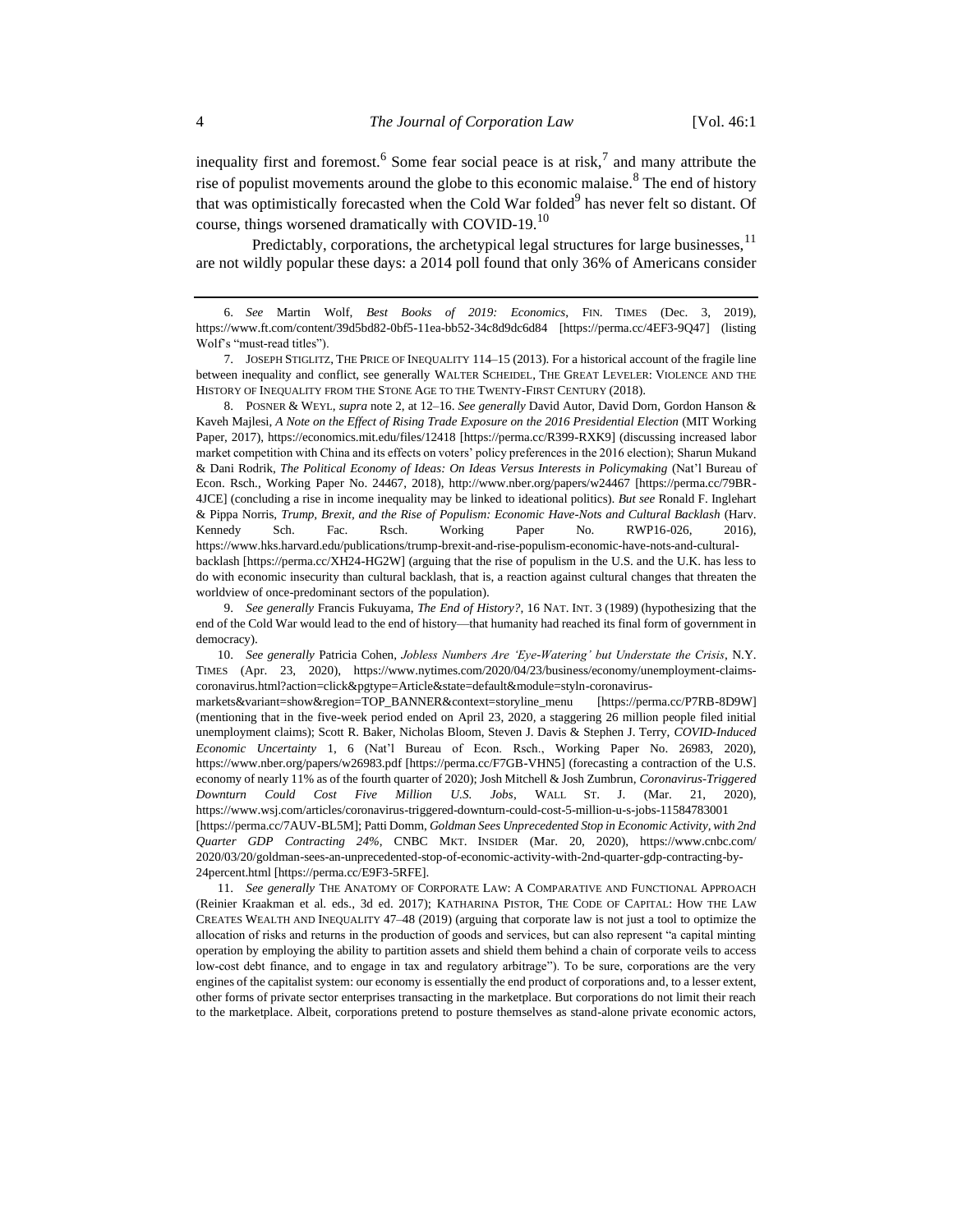inequality first and foremost.<sup>6</sup> Some fear social peace is at risk,<sup>7</sup> and many attribute the rise of populist movements around the globe to this economic malaise.<sup>8</sup> The end of history that was optimistically forecasted when the Cold War folded $9$  has never felt so distant. Of course, things worsened dramatically with COVID-19.<sup>10</sup>

<span id="page-3-0"></span>Predictably, corporations, the archetypical legal structures for large businesses,  $<sup>11</sup>$ </sup> are not wildly popular these days: a 2014 poll found that only 36% of Americans consider

8. POSNER & WEYL, *supra* not[e 2,](#page-2-0) at 12–16. *See generally* David Autor, David Dorn, Gordon Hanson & Kaveh Majlesi, *A Note on the Effect of Rising Trade Exposure on the 2016 Presidential Election* (MIT Working Paper, 2017), https://economics.mit.edu/files/12418 [https://perma.cc/R399-RXK9] (discussing increased labor market competition with China and its effects on voters' policy preferences in the 2016 election); Sharun Mukand & Dani Rodrik, *The Political Economy of Ideas: On Ideas Versus Interests in Policymaking* (Nat'l Bureau of Econ. Rsch., Working Paper No. 24467, 2018), http://www.nber.org/papers/w24467 [https://perma.cc/79BR-4JCE] (concluding a rise in income inequality may be linked to ideational politics). *But see* Ronald F. Inglehart & Pippa Norris, *Trump, Brexit, and the Rise of Populism: Economic Have-Nots and Cultural Backlash* (Harv. Kennedy Sch. Fac. Rsch. Working Paper No. RWP16-026, 2016), https://www.hks.harvard.edu/publications/trump-brexit-and-rise-populism-economic-have-nots-and-culturalbacklash [https://perma.cc/XH24-HG2W] (arguing that the rise of populism in the U.S. and the U.K. has less to do with economic insecurity than cultural backlash, that is, a reaction against cultural changes that threaten the worldview of once-predominant sectors of the population).

9. *See generally* Francis Fukuyama, *The End of History?*, 16 NAT. INT. 3 (1989) (hypothesizing that the end of the Cold War would lead to the end of history—that humanity had reached its final form of government in democracy).

10. *See generally* Patricia Cohen, *Jobless Numbers Are 'Eye-Watering' but Understate the Crisis*, N.Y. TIMES (Apr. 23, 2020), https://www.nytimes.com/2020/04/23/business/economy/unemployment-claimscoronavirus.html?action=click&pgtype=Article&state=default&module=styln-coronavirusmarkets&variant=show&region=TOP\_BANNER&context=storyline\_menu [https://perma.cc/P7RB-8D9W]

(mentioning that in the five-week period ended on April 23, 2020, a staggering 26 million people filed initial unemployment claims); Scott R. Baker, Nicholas Bloom, Steven J. Davis & Stephen J. Terry, *COVID-Induced Economic Uncertainty* 1, 6 (Nat'l Bureau of Econ. Rsch., Working Paper No. 26983, 2020), https://www.nber.org/papers/w26983.pdf [https://perma.cc/F7GB-VHN5] (forecasting a contraction of the U.S. economy of nearly 11% as of the fourth quarter of 2020); Josh Mitchell & Josh Zumbrun, *Coronavirus-Triggered Downturn Could Cost Five Million U.S. Jobs*, WALL ST. J. (Mar. 21, 2020), https://www.wsj.com/articles/coronavirus-triggered-downturn-could-cost-5-million-u-s-jobs-11584783001 [https://perma.cc/7AUV-BL5M]; Patti Domm, *Goldman Sees Unprecedented Stop in Economic Activity, with 2nd Quarter GDP Contracting 24%*, CNBC MKT. INSIDER (Mar. 20, 2020), https://www.cnbc.com/ 2020/03/20/goldman-sees-an-unprecedented-stop-of-economic-activity-with-2nd-quarter-gdp-contracting-by-24percent.html [https://perma.cc/E9F3-5RFE].

11. *See generally* THE ANATOMY OF CORPORATE LAW: A COMPARATIVE AND FUNCTIONAL APPROACH (Reinier Kraakman et al. eds., 3d ed. 2017); KATHARINA PISTOR, THE CODE OF CAPITAL: HOW THE LAW CREATES WEALTH AND INEQUALITY 47–48 (2019) (arguing that corporate law is not just a tool to optimize the allocation of risks and returns in the production of goods and services, but can also represent "a capital minting operation by employing the ability to partition assets and shield them behind a chain of corporate veils to access low-cost debt finance, and to engage in tax and regulatory arbitrage"). To be sure, corporations are the very engines of the capitalist system: our economy is essentially the end product of corporations and, to a lesser extent, other forms of private sector enterprises transacting in the marketplace. But corporations do not limit their reach to the marketplace. Albeit, corporations pretend to posture themselves as stand-alone private economic actors,

<sup>6.</sup> *See* Martin Wolf, *Best Books of 2019: Economics*, FIN. TIMES (Dec. 3, 2019), https://www.ft.com/content/39d5bd82-0bf5-11ea-bb52-34c8d9dc6d84 [https://perma.cc/4EF3-9Q47] (listing Wolf's "must-read titles").

<sup>7.</sup> JOSEPH STIGLITZ, THE PRICE OF INEQUALITY 114–15 (2013). For a historical account of the fragile line between inequality and conflict, see generally WALTER SCHEIDEL, THE GREAT LEVELER: VIOLENCE AND THE HISTORY OF INEQUALITY FROM THE STONE AGE TO THE TWENTY-FIRST CENTURY (2018).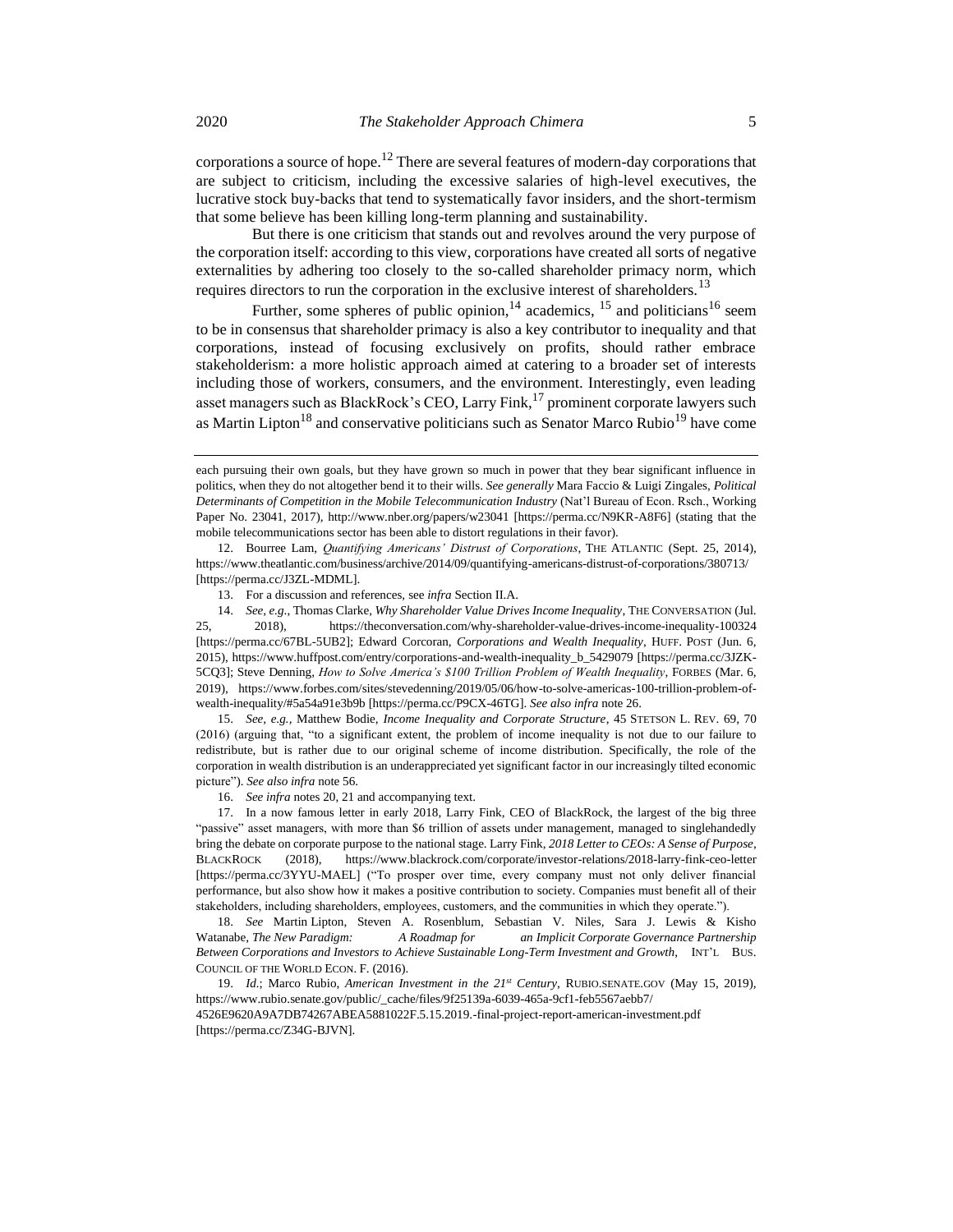corporations a source of hope.<sup>12</sup> There are several features of modern-day corporations that are subject to criticism, including the excessive salaries of high-level executives, the lucrative stock buy-backs that tend to systematically favor insiders, and the short-termism that some believe has been killing long-term planning and sustainability.

But there is one criticism that stands out and revolves around the very purpose of the corporation itself: according to this view, corporations have created all sorts of negative externalities by adhering too closely to the so-called shareholder primacy norm, which requires directors to run the corporation in the exclusive interest of shareholders.<sup>13</sup>

<span id="page-4-2"></span><span id="page-4-1"></span><span id="page-4-0"></span>Further, some spheres of public opinion,<sup>14</sup> academics, <sup>15</sup> and politicians<sup>16</sup> seem to be in consensus that shareholder primacy is also a key contributor to inequality and that corporations, instead of focusing exclusively on profits, should rather embrace stakeholderism: a more holistic approach aimed at catering to a broader set of interests including those of workers, consumers, and the environment. Interestingly, even leading asset managers such as BlackRock's CEO, Larry Fink, $^{17}$  prominent corporate lawyers such as Martin Lipton<sup>18</sup> and conservative politicians such as Senator Marco Rubio<sup>19</sup> have come

15. *See, e.g.,* Matthew Bodie, *Income Inequality and Corporate Structure*, 45 STETSON L. REV. 69, 70 (2016) (arguing that, "to a significant extent, the problem of income inequality is not due to our failure to redistribute, but is rather due to our original scheme of income distribution. Specifically, the role of the corporation in wealth distribution is an underappreciated yet significant factor in our increasingly tilted economic picture"). *See also infra* not[e 56.](#page-13-0)

16. *See infra* note[s 20,](#page-5-0) [21](#page-5-1) and accompanying text.

17. In a now famous letter in early 2018, Larry Fink, CEO of BlackRock, the largest of the big three "passive" asset managers, with more than \$6 trillion of assets under management, managed to singlehandedly bring the debate on corporate purpose to the national stage. Larry Fink, *2018 Letter to CEOs: A Sense of Purpose*, BLACKROCK (2018), https://www.blackrock.com/corporate/investor-relations/2018-larry-fink-ceo-letter [https://perma.cc/3YYU-MAEL] ("To prosper over time, every company must not only deliver financial performance, but also show how it makes a positive contribution to society. Companies must benefit all of their stakeholders, including shareholders, employees, customers, and the communities in which they operate.").

18. *See* Martin Lipton, Steven A. Rosenblum, Sebastian V. Niles, Sara J. Lewis & Kisho Watanabe, *The New Paradigm: A Roadmap for an Implicit Corporate Governance Partnership Between Corporations and Investors to Achieve Sustainable Long-Term Investment and Growth*, INT'L BUS. COUNCIL OF THE WORLD ECON. F. (2016).

19. *Id.*; Marco Rubio, *American Investment in the 21st Century*, RUBIO.SENATE.GOV (May 15, 2019), https://www.rubio.senate.gov/public/\_cache/files/9f25139a-6039-465a-9cf1-feb5567aebb7/ 4526E9620A9A7DB74267ABEA5881022F.5.15.2019.-final-project-report-american-investment.pdf [https://perma.cc/Z34G-BJVN].

<span id="page-4-3"></span>each pursuing their own goals, but they have grown so much in power that they bear significant influence in politics, when they do not altogether bend it to their wills. *See generally* Mara Faccio & Luigi Zingales, *Political Determinants of Competition in the Mobile Telecommunication Industry* (Nat'l Bureau of Econ. Rsch., Working Paper No. 23041, 2017), http://www.nber.org/papers/w23041 [https://perma.cc/N9KR-A8F6] (stating that the mobile telecommunications sector has been able to distort regulations in their favor).

<sup>12.</sup> Bourree Lam, *Quantifying Americans' Distrust of Corporations*, THE ATLANTIC (Sept. 25, 2014), https://www.theatlantic.com/business/archive/2014/09/quantifying-americans-distrust-of-corporations/380713/ [https://perma.cc/J3ZL-MDML].

<sup>13.</sup> For a discussion and references, see *infra* Section II.A.

<sup>14.</sup> *See, e.g*., Thomas Clarke, *Why Shareholder Value Drives Income Inequality*, THE CONVERSATION (Jul. 25, 2018), https://theconversation.com/why-shareholder-value-drives-income-inequality-100324 [https://perma.cc/67BL-5UB2]; Edward Corcoran, *Corporations and Wealth Inequality*, HUFF. POST (Jun. 6, 2015), https://www.huffpost.com/entry/corporations-and-wealth-inequality\_b\_5429079 [https://perma.cc/3JZK-5CQ3]; Steve Denning, *How to Solve America's \$100 Trillion Problem of Wealth Inequality*, FORBES (Mar. 6, 2019), https://www.forbes.com/sites/stevedenning/2019/05/06/how-to-solve-americas-100-trillion-problem-ofwealth-inequality/#5a54a91e3b9b [https://perma.cc/P9CX-46TG]. *See also infra* not[e 26.](#page-6-0)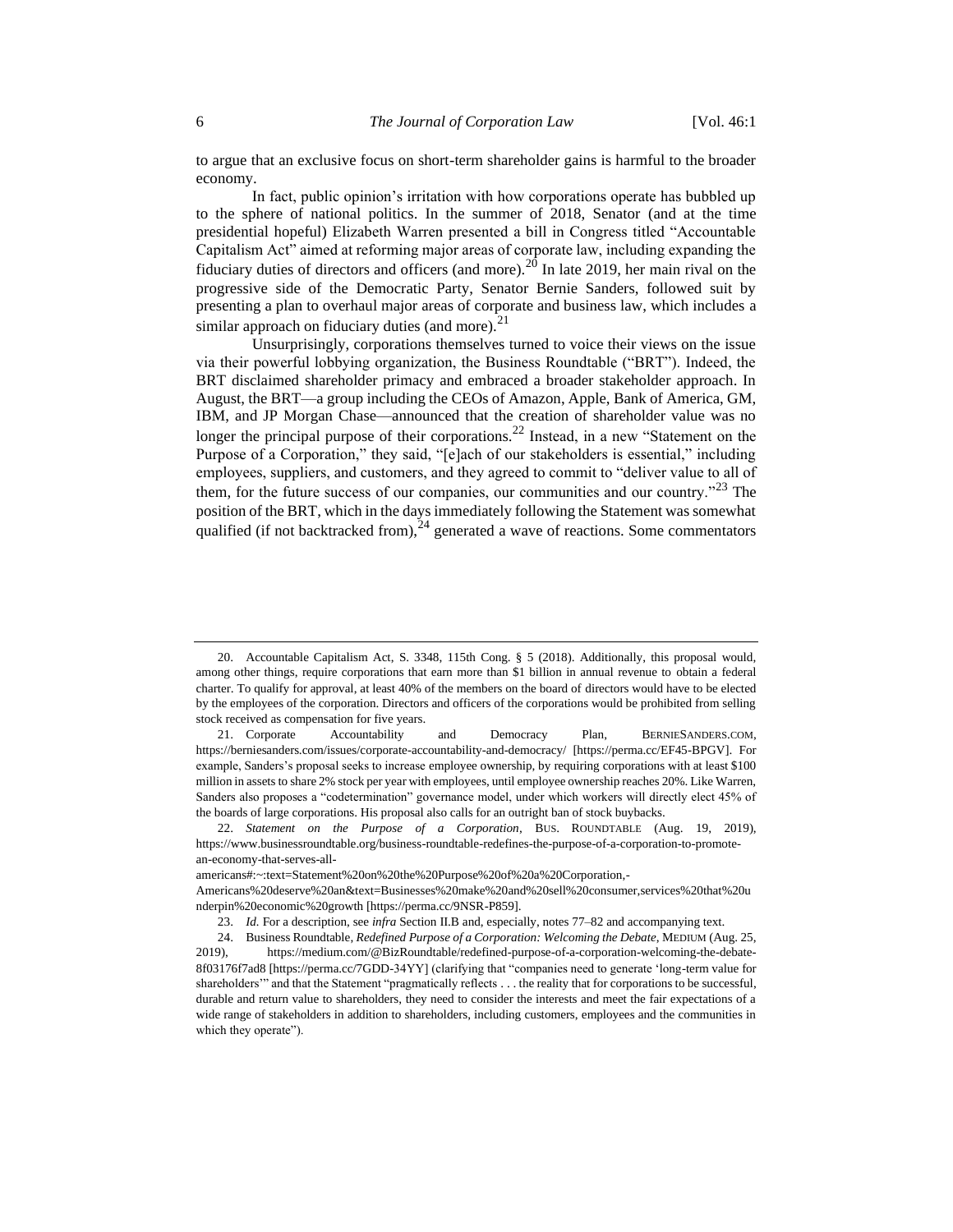to argue that an exclusive focus on short-term shareholder gains is harmful to the broader economy.

<span id="page-5-0"></span>In fact, public opinion's irritation with how corporations operate has bubbled up to the sphere of national politics. In the summer of 2018, Senator (and at the time presidential hopeful) Elizabeth Warren presented a bill in Congress titled "Accountable Capitalism Act" aimed at reforming major areas of corporate law, including expanding the fiduciary duties of directors and officers (and more).<sup>20</sup> In late 2019, her main rival on the progressive side of the Democratic Party, Senator Bernie Sanders, followed suit by presenting a plan to overhaul major areas of corporate and business law, which includes a similar approach on fiduciary duties (and more). $21$ 

<span id="page-5-1"></span>Unsurprisingly, corporations themselves turned to voice their views on the issue via their powerful lobbying organization, the Business Roundtable ("BRT"). Indeed, the BRT disclaimed shareholder primacy and embraced a broader stakeholder approach. In August, the BRT—a group including the CEOs of Amazon, Apple, Bank of America, GM, IBM, and JP Morgan Chase—announced that the creation of shareholder value was no longer the principal purpose of their corporations.<sup>22</sup> Instead, in a new "Statement on the Purpose of a Corporation," they said, "[e]ach of our stakeholders is essential," including employees, suppliers, and customers, and they agreed to commit to "deliver value to all of them, for the future success of our companies, our communities and our country."<sup>23</sup> The position of the BRT, which in the days immediately following the Statement was somewhat qualified (if not backtracked from),  $24$  generated a wave of reactions. Some commentators

<span id="page-5-2"></span><sup>20.</sup> Accountable Capitalism Act, S. 3348, 115th Cong. § 5 (2018). Additionally, this proposal would, among other things, require corporations that earn more than \$1 billion in annual revenue to obtain a federal charter. To qualify for approval, at least 40% of the members on the board of directors would have to be elected by the employees of the corporation. Directors and officers of the corporations would be prohibited from selling stock received as compensation for five years.

<sup>21.</sup> Corporate Accountability and Democracy Plan, BERNIESANDERS.COM, https://berniesanders.com/issues/corporate-accountability-and-democracy/ [https://perma.cc/EF45-BPGV]. For example, Sanders's proposal seeks to increase employee ownership, by requiring corporations with at least \$100 million in assets to share 2% stock per year with employees, until employee ownership reaches 20%. Like Warren, Sanders also proposes a "codetermination" governance model, under which workers will directly elect 45% of the boards of large corporations. His proposal also calls for an outright ban of stock buybacks.

<sup>22.</sup> *Statement on the Purpose of a Corporation*, BUS. ROUNDTABLE (Aug. 19, 2019), https://www.businessroundtable.org/business-roundtable-redefines-the-purpose-of-a-corporation-to-promotean-economy-that-serves-all-

americans#:~:text=Statement%20on%20the%20Purpose%20of%20a%20Corporation,-

Americans%20deserve%20an&text=Businesses%20make%20and%20sell%20consumer,services%20that%20u nderpin%20economic%20growth [https://perma.cc/9NSR-P859].

<sup>23.</sup> *Id.* For a description, see *infra* Section II.B and, especially, note[s 77](#page-16-0)[–82](#page-17-0) and accompanying text.

<sup>24.</sup> Business Roundtable, *Redefined Purpose of a Corporation: Welcoming the Debate*, MEDIUM (Aug. 25,

<sup>2019),</sup> https://medium.com/@BizRoundtable/redefined-purpose-of-a-corporation-welcoming-the-debate-8f03176f7ad8 [https://perma.cc/7GDD-34YY] (clarifying that "companies need to generate 'long-term value for shareholders'" and that the Statement "pragmatically reflects . . . the reality that for corporations to be successful, durable and return value to shareholders, they need to consider the interests and meet the fair expectations of a wide range of stakeholders in addition to shareholders, including customers, employees and the communities in which they operate").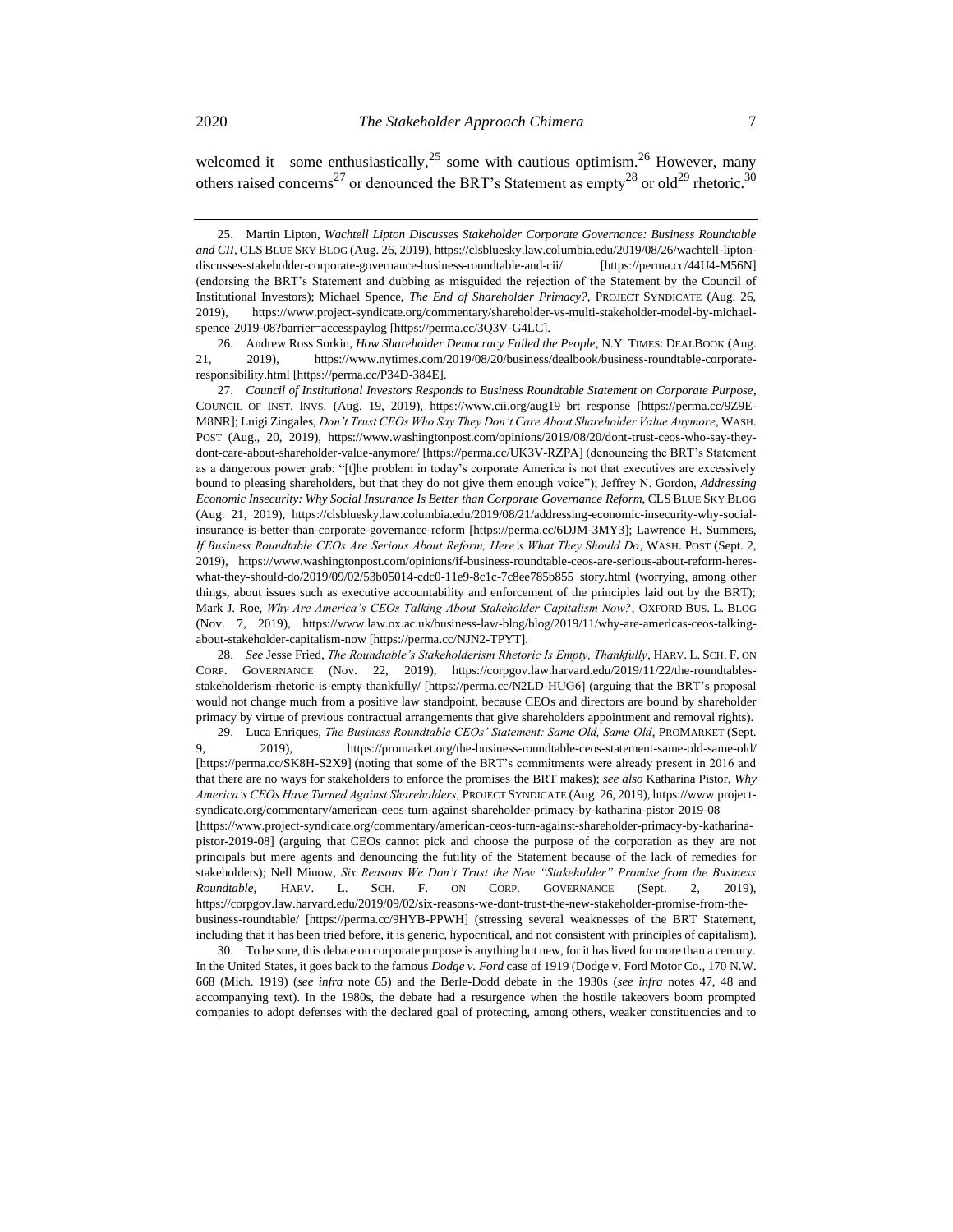26. Andrew Ross Sorkin, *How Shareholder Democracy Failed the People*, N.Y. TIMES: DEALBOOK (Aug. 21, 2019), https://www.nytimes.com/2019/08/20/business/dealbook/business-roundtable-corporateresponsibility.html [https://perma.cc/P34D-384E].

27. *Council of Institutional Investors Responds to Business Roundtable Statement on Corporate Purpose*, COUNCIL OF INST. INVS. (Aug. 19, 2019), https://www.cii.org/aug19\_brt\_response [https://perma.cc/9Z9E-M8NR]; Luigi Zingales, *Don't Trust CEOs Who Say They Don't Care About Shareholder Value Anymore*, WASH. POST (Aug., 20, 2019), https://www.washingtonpost.com/opinions/2019/08/20/dont-trust-ceos-who-say-theydont-care-about-shareholder-value-anymore/ [https://perma.cc/UK3V-RZPA] (denouncing the BRT's Statement as a dangerous power grab: "[t]he problem in today's corporate America is not that executives are excessively bound to pleasing shareholders, but that they do not give them enough voice"); Jeffrey N. Gordon, *Addressing Economic Insecurity: Why Social Insurance Is Better than Corporate Governance Reform*, CLS BLUE SKY BLOG (Aug. 21, 2019), https://clsbluesky.law.columbia.edu/2019/08/21/addressing-economic-insecurity-why-socialinsurance-is-better-than-corporate-governance-reform [https://perma.cc/6DJM-3MY3]; Lawrence H. Summers, *If Business Roundtable CEOs Are Serious About Reform, Here's What They Should Do*, WASH. POST (Sept. 2, 2019), https://www.washingtonpost.com/opinions/if-business-roundtable-ceos-are-serious-about-reform-hereswhat-they-should-do/2019/09/02/53b05014-cdc0-11e9-8c1c-7c8ee785b855\_story.html (worrying, among other things, about issues such as executive accountability and enforcement of the principles laid out by the BRT); Mark J. Roe, *Why Are America's CEOs Talking About Stakeholder Capitalism Now?*, OXFORD BUS. L. BLOG (Nov. 7, 2019), https://www.law.ox.ac.uk/business-law-blog/blog/2019/11/why-are-americas-ceos-talkingabout-stakeholder-capitalism-now [https://perma.cc/NJN2-TPYT].

28. *See* Jesse Fried, *The Roundtable's Stakeholderism Rhetoric Is Empty, Thankfully*, HARV. L. SCH. F. ON CORP. GOVERNANCE (Nov. 22, 2019), https://corpgov.law.harvard.edu/2019/11/22/the-roundtablesstakeholderism-rhetoric-is-empty-thankfully/ [https://perma.cc/N2LD-HUG6] (arguing that the BRT's proposal would not change much from a positive law standpoint, because CEOs and directors are bound by shareholder primacy by virtue of previous contractual arrangements that give shareholders appointment and removal rights).

29. Luca Enriques, *The Business Roundtable CEOs' Statement: Same Old, Same Old*, PROMARKET (Sept. 9, 2019), https://promarket.org/the-business-roundtable-ceos-statement-same-old-same-old/ [https://perma.cc/SK8H-S2X9] (noting that some of the BRT's commitments were already present in 2016 and that there are no ways for stakeholders to enforce the promises the BRT makes); *see also* Katharina Pistor, *Why America's CEOs Have Turned Against Shareholders*, PROJECT SYNDICATE (Aug. 26, 2019), https://www.projectsyndicate.org/commentary/american-ceos-turn-against-shareholder-primacy-by-katharina-pistor-2019-08 [https://www.project-syndicate.org/commentary/american-ceos-turn-against-shareholder-primacy-by-katharinapistor-2019-08] (arguing that CEOs cannot pick and choose the purpose of the corporation as they are not principals but mere agents and denouncing the futility of the Statement because of the lack of remedies for stakeholders); Nell Minow, *Six Reasons We Don't Trust the New "Stakeholder" Promise from the Business Roundtable*, HARV. L. SCH. F. ON CORP. GOVERNANCE (Sept. 2, 2019), https://corpgov.law.harvard.edu/2019/09/02/six-reasons-we-dont-trust-the-new-stakeholder-promise-from-thebusiness-roundtable/ [https://perma.cc/9HYB-PPWH] (stressing several weaknesses of the BRT Statement, including that it has been tried before, it is generic, hypocritical, and not consistent with principles of capitalism).

30. To be sure, this debate on corporate purpose is anything but new, for it has lived for more than a century. In the United States, it goes back to the famous *Dodge v. Ford* case of 1919 (Dodge v. Ford Motor Co., 170 N.W. 668 (Mich. 1919) (*see infra* note [65\)](#page-15-0) and the Berle-Dodd debate in the 1930s (*see infra* notes [47,](#page-11-0) [48](#page-11-1) and accompanying text). In the 1980s, the debate had a resurgence when the hostile takeovers boom prompted companies to adopt defenses with the declared goal of protecting, among others, weaker constituencies and to

<span id="page-6-4"></span><span id="page-6-3"></span><span id="page-6-2"></span><span id="page-6-1"></span><span id="page-6-0"></span><sup>25.</sup> Martin Lipton, *Wachtell Lipton Discusses Stakeholder Corporate Governance: Business Roundtable and CII*, CLSBLUE SKY BLOG (Aug. 26, 2019), https://clsbluesky.law.columbia.edu/2019/08/26/wachtell-liptondiscusses-stakeholder-corporate-governance-business-roundtable-and-cii/ [https://perma.cc/44U4-M56N] (endorsing the BRT's Statement and dubbing as misguided the rejection of the Statement by the Council of Institutional Investors); Michael Spence, *The End of Shareholder Primacy?*, PROJECT SYNDICATE (Aug. 26, 2019), https://www.project-syndicate.org/commentary/shareholder-vs-multi-stakeholder-model-by-michaelspence-2019-08?barrier=accesspaylog [https://perma.cc/3Q3V-G4LC].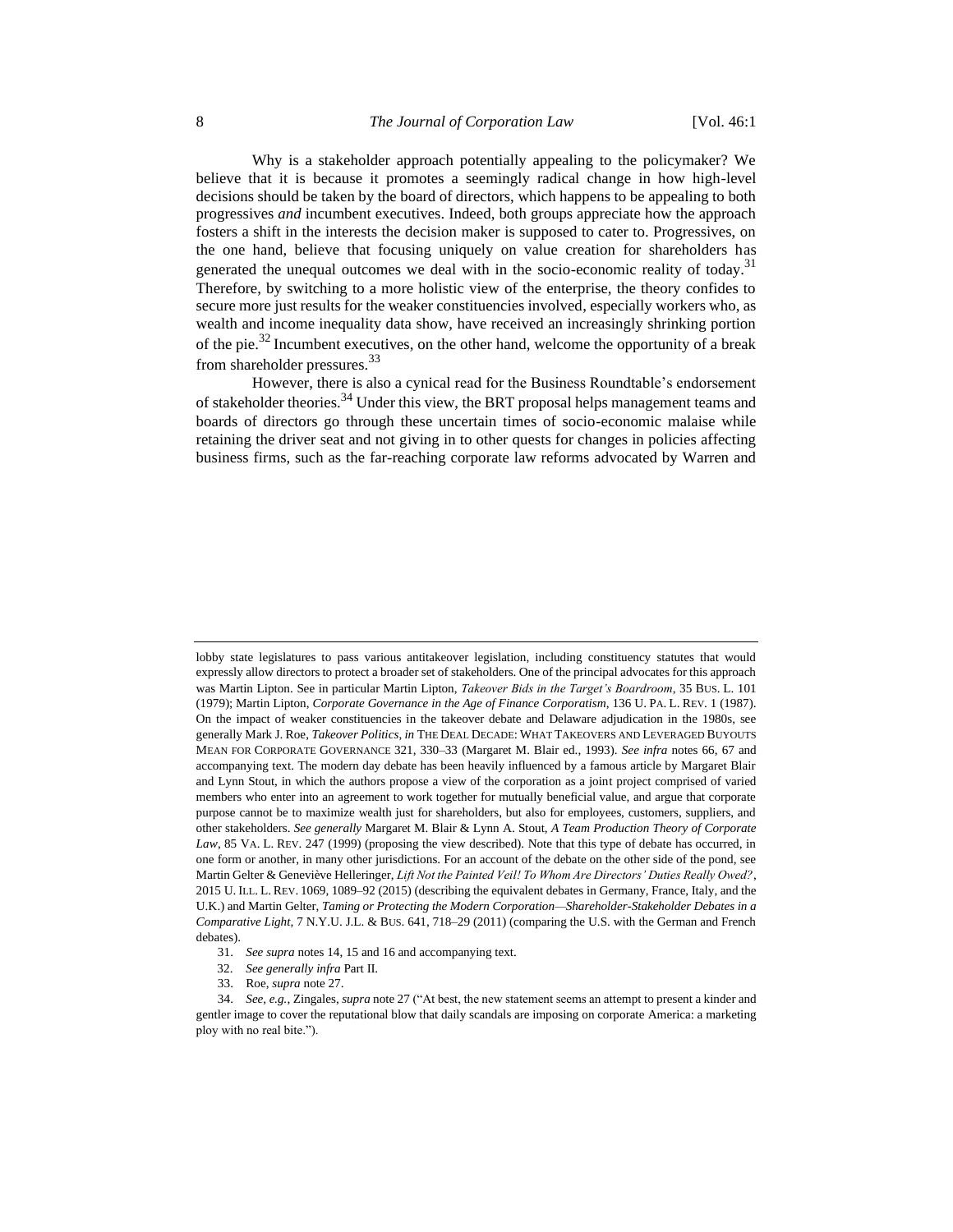Why is a stakeholder approach potentially appealing to the policymaker? We believe that it is because it promotes a seemingly radical change in how high-level decisions should be taken by the board of directors, which happens to be appealing to both progressives *and* incumbent executives. Indeed, both groups appreciate how the approach fosters a shift in the interests the decision maker is supposed to cater to. Progressives, on the one hand, believe that focusing uniquely on value creation for shareholders has generated the unequal outcomes we deal with in the socio-economic reality of today.<sup>31</sup> Therefore, by switching to a more holistic view of the enterprise, the theory confides to secure more just results for the weaker constituencies involved, especially workers who, as wealth and income inequality data show, have received an increasingly shrinking portion of the pie. $32$  Incumbent executives, on the other hand, welcome the opportunity of a break from shareholder pressures.<sup>33</sup>

However, there is also a cynical read for the Business Roundtable's endorsement of stakeholder theories.<sup>34</sup> Under this view, the BRT proposal helps management teams and boards of directors go through these uncertain times of socio-economic malaise while retaining the driver seat and not giving in to other quests for changes in policies affecting business firms, such as the far-reaching corporate law reforms advocated by Warren and

lobby state legislatures to pass various antitakeover legislation, including constituency statutes that would expressly allow directors to protect a broader set of stakeholders. One of the principal advocates for this approach was Martin Lipton. See in particular Martin Lipton, *Takeover Bids in the Target's Boardroom*, 35 BUS. L. 101 (1979); Martin Lipton, *Corporate Governance in the Age of Finance Corporatism*, 136 U. PA. L. REV. 1 (1987). On the impact of weaker constituencies in the takeover debate and Delaware adjudication in the 1980s, see generally Mark J. Roe, *Takeover Politics*, *in* THE DEAL DECADE: WHAT TAKEOVERS AND LEVERAGED BUYOUTS MEAN FOR CORPORATE GOVERNANCE 321, 330–33 (Margaret M. Blair ed., 1993). *See infra* notes [66,](#page-15-1) [67](#page-15-2) and accompanying text. The modern day debate has been heavily influenced by a famous article by Margaret Blair and Lynn Stout, in which the authors propose a view of the corporation as a joint project comprised of varied members who enter into an agreement to work together for mutually beneficial value, and argue that corporate purpose cannot be to maximize wealth just for shareholders, but also for employees, customers, suppliers, and other stakeholders. *See generally* Margaret M. Blair & Lynn A. Stout, *A Team Production Theory of Corporate Law*, 85 VA. L. REV. 247 (1999) (proposing the view described). Note that this type of debate has occurred, in one form or another, in many other jurisdictions. For an account of the debate on the other side of the pond, see Martin Gelter & Geneviève Helleringer, *Lift Not the Painted Veil! To Whom Are Directors' Duties Really Owed?*, 2015 U. ILL. L. REV. 1069, 1089–92 (2015) (describing the equivalent debates in Germany, France, Italy, and the U.K.) and Martin Gelter, *Taming or Protecting the Modern Corporation—Shareholder-Stakeholder Debates in a Comparative Light*, 7 N.Y.U. J.L. & BUS. 641, 718–29 (2011) (comparing the U.S. with the German and French debates).

<sup>31.</sup> *See supra* note[s 14,](#page-4-0) [15](#page-4-1) and [16](#page-4-2) and accompanying text.

<sup>32.</sup> *See generally infra* Part II.

<sup>33.</sup> Roe, *supra* not[e 27.](#page-6-1)

<sup>34.</sup> *See, e.g.*, Zingales, *supra* not[e 27](#page-6-1) ("At best, the new statement seems an attempt to present a kinder and gentler image to cover the reputational blow that daily scandals are imposing on corporate America: a marketing ploy with no real bite.").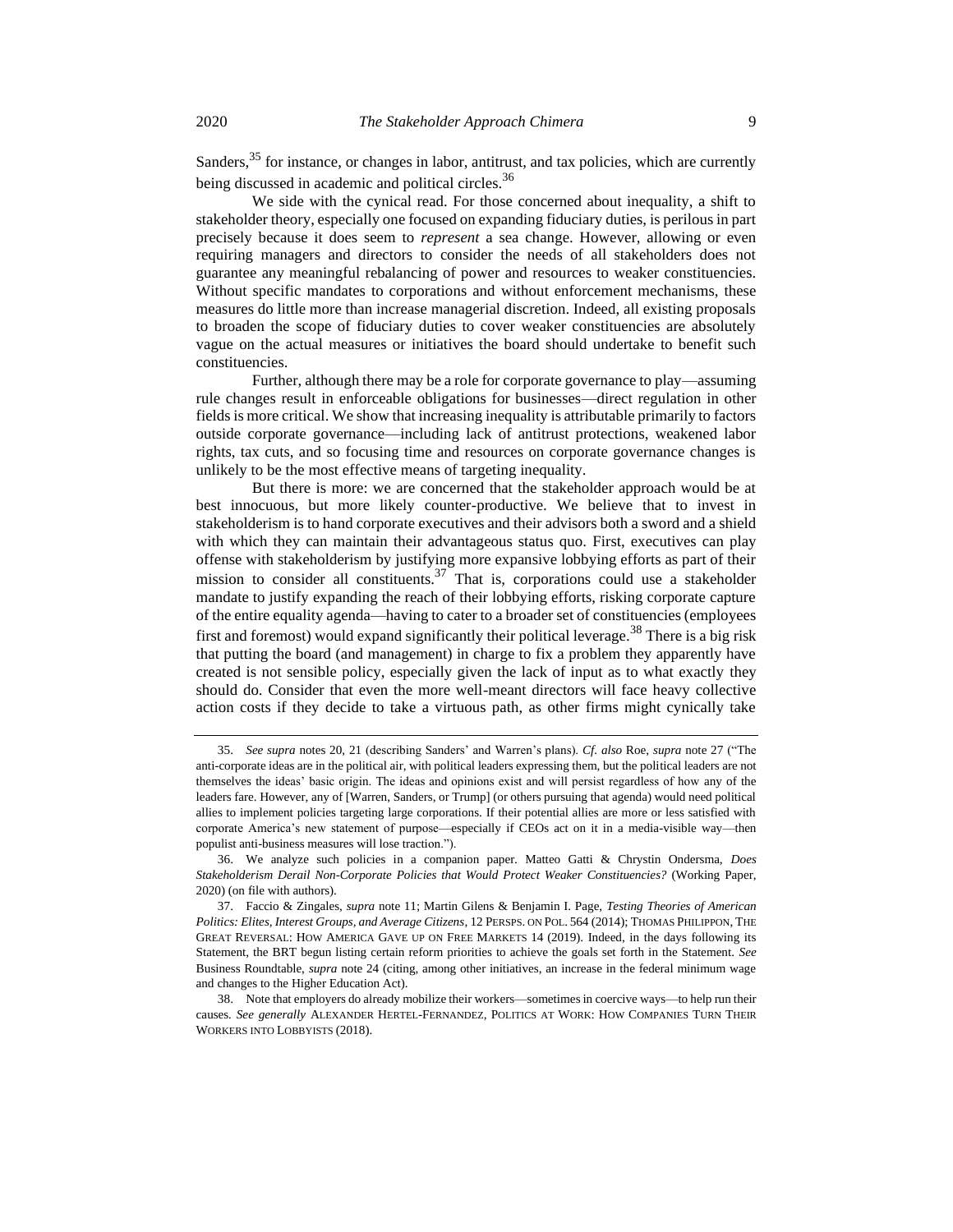<span id="page-8-0"></span>Sanders,  $35$  for instance, or changes in labor, antitrust, and tax policies, which are currently being discussed in academic and political circles.<sup>36</sup>

We side with the cynical read. For those concerned about inequality, a shift to stakeholder theory, especially one focused on expanding fiduciary duties, is perilous in part precisely because it does seem to *represent* a sea change. However, allowing or even requiring managers and directors to consider the needs of all stakeholders does not guarantee any meaningful rebalancing of power and resources to weaker constituencies. Without specific mandates to corporations and without enforcement mechanisms, these measures do little more than increase managerial discretion. Indeed, all existing proposals to broaden the scope of fiduciary duties to cover weaker constituencies are absolutely vague on the actual measures or initiatives the board should undertake to benefit such constituencies.

Further, although there may be a role for corporate governance to play—assuming rule changes result in enforceable obligations for businesses—direct regulation in other fields is more critical. We show that increasing inequality is attributable primarily to factors outside corporate governance—including lack of antitrust protections, weakened labor rights, tax cuts, and so focusing time and resources on corporate governance changes is unlikely to be the most effective means of targeting inequality.

<span id="page-8-1"></span>But there is more: we are concerned that the stakeholder approach would be at best innocuous, but more likely counter-productive. We believe that to invest in stakeholderism is to hand corporate executives and their advisors both a sword and a shield with which they can maintain their advantageous status quo. First, executives can play offense with stakeholderism by justifying more expansive lobbying efforts as part of their mission to consider all constituents.  $37$  That is, corporations could use a stakeholder mandate to justify expanding the reach of their lobbying efforts, risking corporate capture of the entire equality agenda—having to cater to a broader set of constituencies (employees first and foremost) would expand significantly their political leverage.<sup>38</sup> There is a big risk that putting the board (and management) in charge to fix a problem they apparently have created is not sensible policy, especially given the lack of input as to what exactly they should do. Consider that even the more well-meant directors will face heavy collective action costs if they decide to take a virtuous path, as other firms might cynically take

<sup>35.</sup> *See supra* notes [20,](#page-5-0) [21](#page-5-1) (describing Sanders' and Warren's plans). *Cf. also* Roe, *supra* note [27](#page-6-1) ("The anti-corporate ideas are in the political air, with political leaders expressing them, but the political leaders are not themselves the ideas' basic origin. The ideas and opinions exist and will persist regardless of how any of the leaders fare. However, any of [Warren, Sanders, or Trump] (or others pursuing that agenda) would need political allies to implement policies targeting large corporations. If their potential allies are more or less satisfied with corporate America's new statement of purpose—especially if CEOs act on it in a media-visible way—then populist anti-business measures will lose traction.").

<sup>36.</sup> We analyze such policies in a companion paper. Matteo Gatti & Chrystin Ondersma, *Does Stakeholderism Derail Non-Corporate Policies that Would Protect Weaker Constituencies?* (Working Paper, 2020) (on file with authors).

<sup>37.</sup> Faccio & Zingales, *supra* not[e 11;](#page-3-0) Martin Gilens & Benjamin I. Page, *Testing Theories of American Politics: Elites, Interest Groups, and Average Citizens*, 12 PERSPS. ON POL. 564 (2014); THOMAS PHILIPPON, THE GREAT REVERSAL: HOW AMERICA GAVE UP ON FREE MARKETS 14 (2019). Indeed, in the days following its Statement, the BRT begun listing certain reform priorities to achieve the goals set forth in the Statement. *See*  Business Roundtable, *supra* not[e 24](#page-5-2) (citing, among other initiatives, an increase in the federal minimum wage and changes to the Higher Education Act).

<sup>38.</sup> Note that employers do already mobilize their workers—sometimes in coercive ways—to help run their causes*. See generally* ALEXANDER HERTEL-FERNANDEZ, POLITICS AT WORK: HOW COMPANIES TURN THEIR WORKERS INTO LOBBYISTS (2018).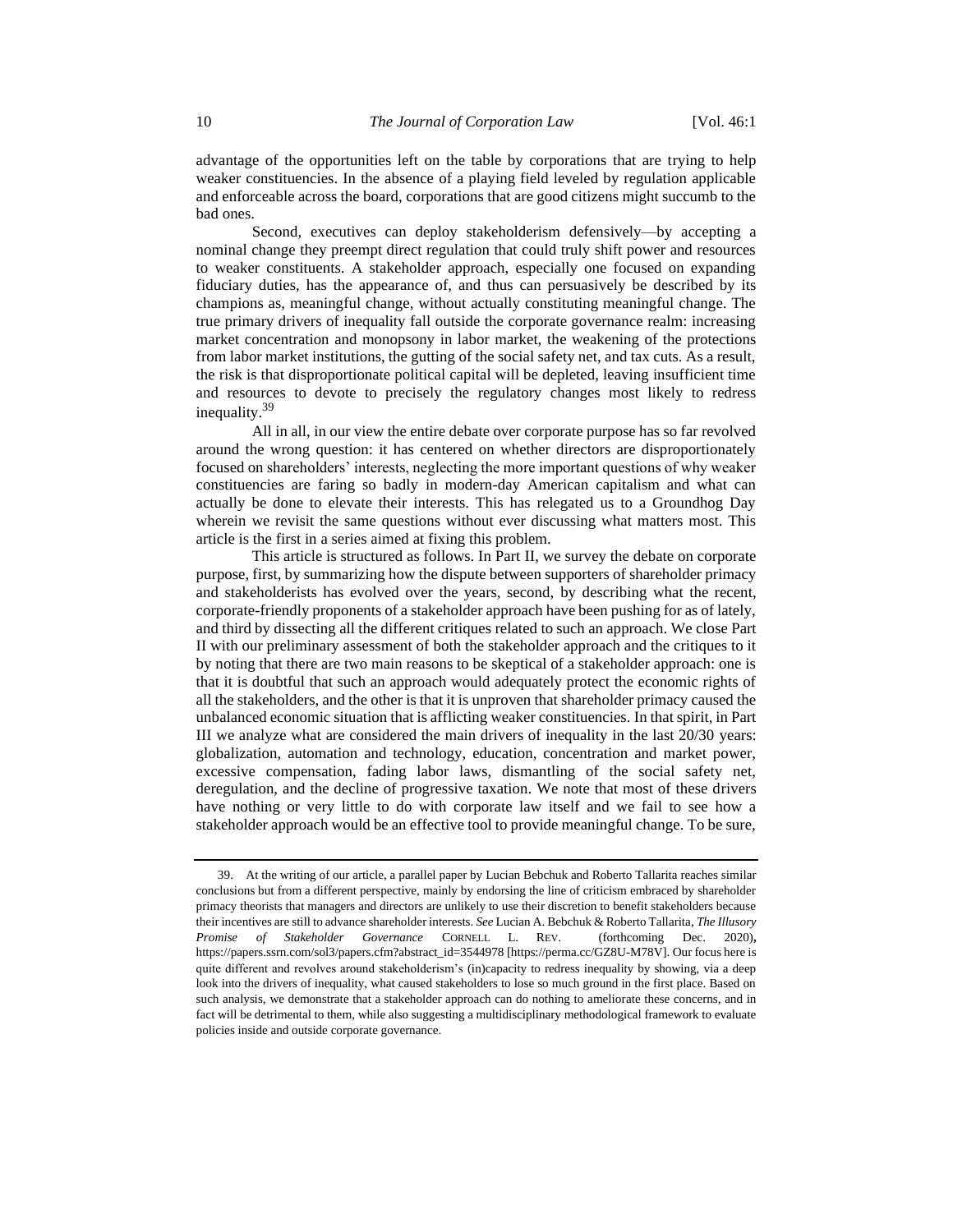advantage of the opportunities left on the table by corporations that are trying to help weaker constituencies. In the absence of a playing field leveled by regulation applicable and enforceable across the board, corporations that are good citizens might succumb to the bad ones.

Second, executives can deploy stakeholderism defensively—by accepting a nominal change they preempt direct regulation that could truly shift power and resources to weaker constituents. A stakeholder approach, especially one focused on expanding fiduciary duties, has the appearance of, and thus can persuasively be described by its champions as, meaningful change, without actually constituting meaningful change. The true primary drivers of inequality fall outside the corporate governance realm: increasing market concentration and monopsony in labor market, the weakening of the protections from labor market institutions, the gutting of the social safety net, and tax cuts. As a result, the risk is that disproportionate political capital will be depleted, leaving insufficient time and resources to devote to precisely the regulatory changes most likely to redress inequality.<sup>39</sup>

<span id="page-9-0"></span>All in all, in our view the entire debate over corporate purpose has so far revolved around the wrong question: it has centered on whether directors are disproportionately focused on shareholders' interests, neglecting the more important questions of why weaker constituencies are faring so badly in modern-day American capitalism and what can actually be done to elevate their interests. This has relegated us to a Groundhog Day wherein we revisit the same questions without ever discussing what matters most. This article is the first in a series aimed at fixing this problem.

This article is structured as follows. In Part II, we survey the debate on corporate purpose, first, by summarizing how the dispute between supporters of shareholder primacy and stakeholderists has evolved over the years, second, by describing what the recent, corporate-friendly proponents of a stakeholder approach have been pushing for as of lately, and third by dissecting all the different critiques related to such an approach. We close Part II with our preliminary assessment of both the stakeholder approach and the critiques to it by noting that there are two main reasons to be skeptical of a stakeholder approach: one is that it is doubtful that such an approach would adequately protect the economic rights of all the stakeholders, and the other is that it is unproven that shareholder primacy caused the unbalanced economic situation that is afflicting weaker constituencies. In that spirit, in Part III we analyze what are considered the main drivers of inequality in the last 20/30 years: globalization, automation and technology, education, concentration and market power, excessive compensation, fading labor laws, dismantling of the social safety net, deregulation, and the decline of progressive taxation. We note that most of these drivers have nothing or very little to do with corporate law itself and we fail to see how a stakeholder approach would be an effective tool to provide meaningful change. To be sure,

<sup>39.</sup> At the writing of our article, a parallel paper by Lucian Bebchuk and Roberto Tallarita reaches similar conclusions but from a different perspective, mainly by endorsing the line of criticism embraced by shareholder primacy theorists that managers and directors are unlikely to use their discretion to benefit stakeholders because their incentives are still to advance shareholder interests. *See* Lucian A. Bebchuk & Roberto Tallarita, *The Illusory Promise of Stakeholder Governance* CORNELL L. REV. (forthcoming Dec. 2020)**,**  https://papers.ssrn.com/sol3/papers.cfm?abstract\_id=3544978 [https://perma.cc/GZ8U-M78V]. Our focus here is quite different and revolves around stakeholderism's (in)capacity to redress inequality by showing, via a deep look into the drivers of inequality, what caused stakeholders to lose so much ground in the first place. Based on such analysis, we demonstrate that a stakeholder approach can do nothing to ameliorate these concerns, and in fact will be detrimental to them, while also suggesting a multidisciplinary methodological framework to evaluate policies inside and outside corporate governance.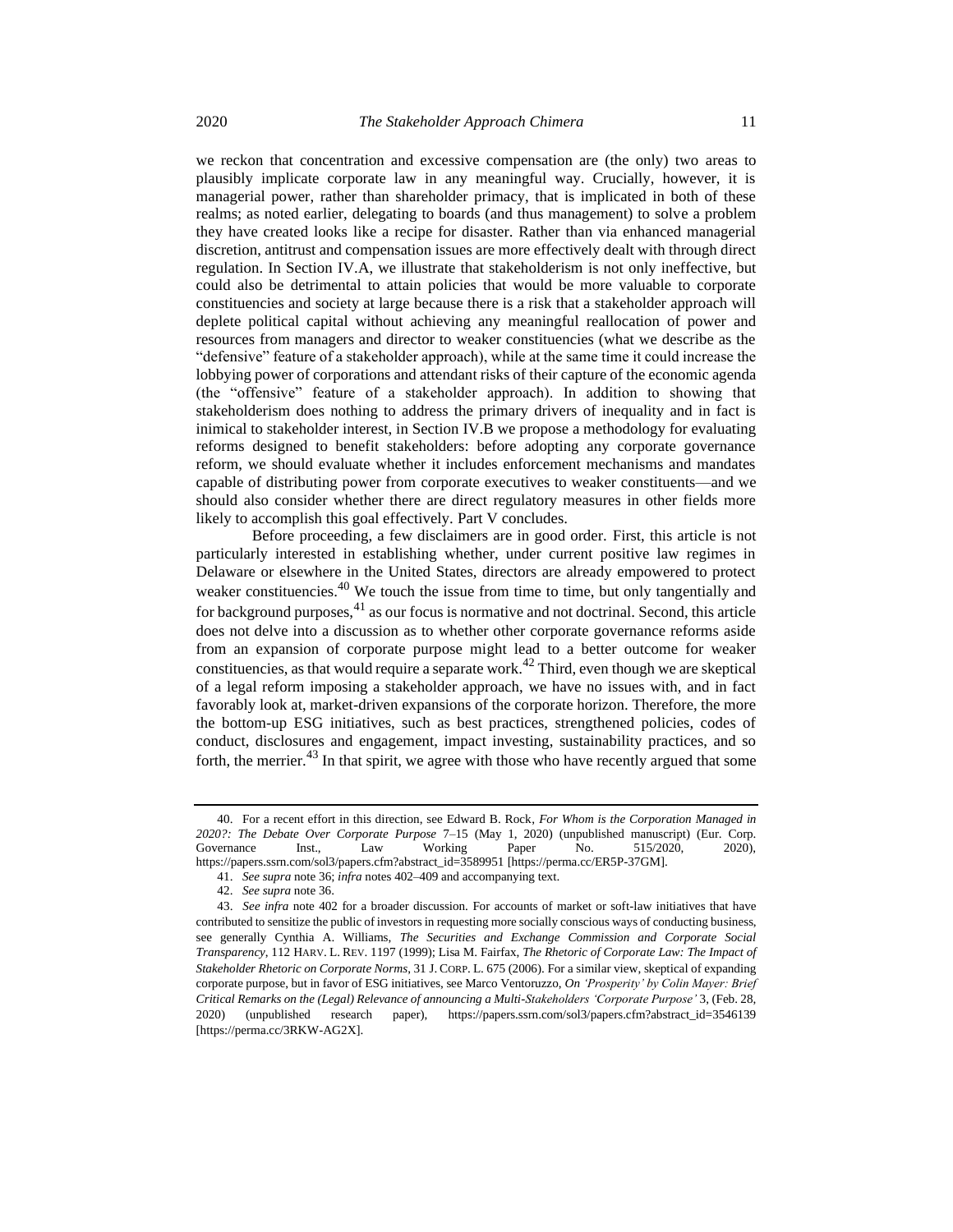we reckon that concentration and excessive compensation are (the only) two areas to plausibly implicate corporate law in any meaningful way. Crucially, however, it is managerial power, rather than shareholder primacy, that is implicated in both of these realms; as noted earlier, delegating to boards (and thus management) to solve a problem they have created looks like a recipe for disaster. Rather than via enhanced managerial discretion, antitrust and compensation issues are more effectively dealt with through direct regulation. In Section IV.A, we illustrate that stakeholderism is not only ineffective, but could also be detrimental to attain policies that would be more valuable to corporate constituencies and society at large because there is a risk that a stakeholder approach will deplete political capital without achieving any meaningful reallocation of power and resources from managers and director to weaker constituencies (what we describe as the "defensive" feature of a stakeholder approach), while at the same time it could increase the lobbying power of corporations and attendant risks of their capture of the economic agenda (the "offensive" feature of a stakeholder approach). In addition to showing that stakeholderism does nothing to address the primary drivers of inequality and in fact is inimical to stakeholder interest, in Section IV.B we propose a methodology for evaluating reforms designed to benefit stakeholders: before adopting any corporate governance reform, we should evaluate whether it includes enforcement mechanisms and mandates capable of distributing power from corporate executives to weaker constituents—and we should also consider whether there are direct regulatory measures in other fields more likely to accomplish this goal effectively. Part V concludes.

<span id="page-10-1"></span>Before proceeding, a few disclaimers are in good order. First, this article is not particularly interested in establishing whether, under current positive law regimes in Delaware or elsewhere in the United States, directors are already empowered to protect weaker constituencies.<sup>40</sup> We touch the issue from time to time, but only tangentially and for background purposes,  $41$  as our focus is normative and not doctrinal. Second, this article does not delve into a discussion as to whether other corporate governance reforms aside from an expansion of corporate purpose might lead to a better outcome for weaker constituencies, as that would require a separate work.<sup>42</sup> Third, even though we are skeptical of a legal reform imposing a stakeholder approach, we have no issues with, and in fact favorably look at, market-driven expansions of the corporate horizon. Therefore, the more the bottom-up ESG initiatives, such as best practices, strengthened policies, codes of conduct, disclosures and engagement, impact investing, sustainability practices, and so forth, the merrier. $43$  In that spirit, we agree with those who have recently argued that some

<span id="page-10-0"></span><sup>40.</sup> For a recent effort in this direction, see Edward B. Rock, *For Whom is the Corporation Managed in 2020?: The Debate Over Corporate Purpose* 7–15 (May 1, 2020) (unpublished manuscript) (Eur. Corp. Governance Inst., Law Working Paper No. 515/2020, 2020), https://papers.ssrn.com/sol3/papers.cfm?abstract\_id=3589951 [https://perma.cc/ER5P-37GM].

<sup>41.</sup> *See supra* not[e 36;](#page-8-0) *infra* note[s 402](#page-68-0)[–409](#page-69-0) and accompanying text.

<sup>42.</sup> *See supra* not[e 36.](#page-8-0)

<sup>43.</sup> *See infra* note [402](#page-68-0) for a broader discussion. For accounts of market or soft-law initiatives that have contributed to sensitize the public of investors in requesting more socially conscious ways of conducting business, see generally Cynthia A. Williams, *The Securities and Exchange Commission and Corporate Social Transparency*, 112 HARV. L. REV. 1197 (1999); Lisa M. Fairfax, *The Rhetoric of Corporate Law: The Impact of Stakeholder Rhetoric on Corporate Norms*, 31 J. CORP. L. 675 (2006). For a similar view, skeptical of expanding corporate purpose, but in favor of ESG initiatives, see Marco Ventoruzzo, *On 'Prosperity' by Colin Mayer: Brief Critical Remarks on the (Legal) Relevance of announcing a Multi-Stakeholders 'Corporate Purpose'* 3, (Feb. 28, 2020) (unpublished research paper), https://papers.ssrn.com/sol3/papers.cfm?abstract\_id=3546139 [https://perma.cc/3RKW-AG2X].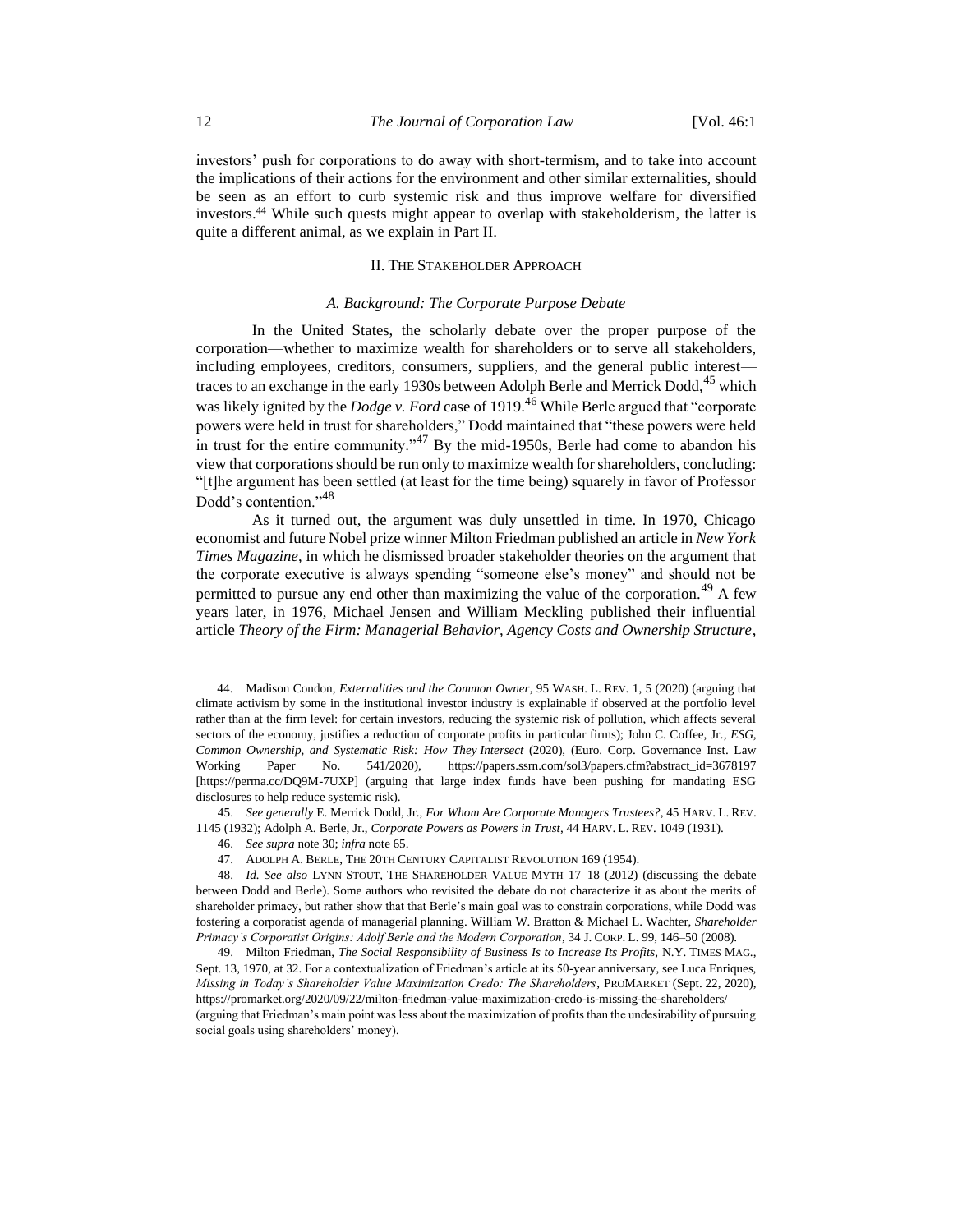investors' push for corporations to do away with short-termism, and to take into account the implications of their actions for the environment and other similar externalities, should be seen as an effort to curb systemic risk and thus improve welfare for diversified investors. <sup>44</sup> While such quests might appear to overlap with stakeholderism, the latter is quite a different animal, as we explain in Part II.

## <span id="page-11-2"></span>II. THE STAKEHOLDER APPROACH

#### <span id="page-11-0"></span>*A. Background: The Corporate Purpose Debate*

In the United States, the scholarly debate over the proper purpose of the corporation—whether to maximize wealth for shareholders or to serve all stakeholders, including employees, creditors, consumers, suppliers, and the general public interest traces to an exchange in the early 1930s between Adolph Berle and Merrick Dodd,<sup>45</sup> which was likely ignited by the *Dodge v. Ford* case of 1919.<sup>46</sup> While Berle argued that "corporate" powers were held in trust for shareholders," Dodd maintained that "these powers were held in trust for the entire community."<sup>47</sup> By the mid-1950s, Berle had come to abandon his view that corporations should be run only to maximize wealth for shareholders, concluding: "[t]he argument has been settled (at least for the time being) squarely in favor of Professor Dodd's contention."<sup>48</sup>

<span id="page-11-1"></span>As it turned out, the argument was duly unsettled in time. In 1970, Chicago economist and future Nobel prize winner Milton Friedman published an article in *New York Times Magazine*, in which he dismissed broader stakeholder theories on the argument that the corporate executive is always spending "someone else's money" and should not be permitted to pursue any end other than maximizing the value of the corporation.<sup>49</sup> A few years later, in 1976, Michael Jensen and William Meckling published their influential article *Theory of the Firm: Managerial Behavior, Agency Costs and Ownership Structure*,

45. *See generally* E. Merrick Dodd, Jr., *For Whom Are Corporate Managers Trustees?*, 45 HARV. L. REV. 1145 (1932); Adolph A. Berle, Jr., *Corporate Powers as Powers in Trust*, 44 HARV. L. REV. 1049 (1931).

<sup>44.</sup> Madison Condon, *Externalities and the Common Owner*, 95 WASH. L. REV. 1, 5 (2020) (arguing that climate activism by some in the institutional investor industry is explainable if observed at the portfolio level rather than at the firm level: for certain investors, reducing the systemic risk of pollution, which affects several sectors of the economy, justifies a reduction of corporate profits in particular firms); John C. Coffee, Jr*., ESG, Common Ownership, and Systematic Risk: How They Intersect* (2020), (Euro. Corp. Governance Inst. Law Working Paper No. 541/2020), https://papers.ssrn.com/sol3/papers.cfm?abstract\_id=3678197 [https://perma.cc/DQ9M-7UXP] (arguing that large index funds have been pushing for mandating ESG disclosures to help reduce systemic risk).

<sup>46.</sup> *See supra* not[e 30;](#page-6-2) *infra* not[e 65.](#page-15-0)

<sup>47.</sup> ADOLPH A. BERLE, THE 20TH CENTURY CAPITALIST REVOLUTION 169 (1954).

<sup>48.</sup> *Id. See also* LYNN STOUT, THE SHAREHOLDER VALUE MYTH 17–18 (2012) (discussing the debate between Dodd and Berle). Some authors who revisited the debate do not characterize it as about the merits of shareholder primacy, but rather show that that Berle's main goal was to constrain corporations, while Dodd was fostering a corporatist agenda of managerial planning. William W. Bratton & Michael L. Wachter, *Shareholder Primacy's Corporatist Origins: Adolf Berle and the Modern Corporation*, 34 J. CORP. L. 99, 146–50 (2008).

<sup>49.</sup> Milton Friedman, *The Social Responsibility of Business Is to Increase Its Profits*, N.Y. TIMES MAG., Sept. 13, 1970, at 32. For a contextualization of Friedman's article at its 50-year anniversary, see Luca Enriques, *Missing in Today's Shareholder Value Maximization Credo: The Shareholders*, PROMARKET (Sept. 22, 2020), https://promarket.org/2020/09/22/milton-friedman-value-maximization-credo-is-missing-the-shareholders/ (arguing that Friedman's main point was less about the maximization of profits than the undesirability of pursuing social goals using shareholders' money).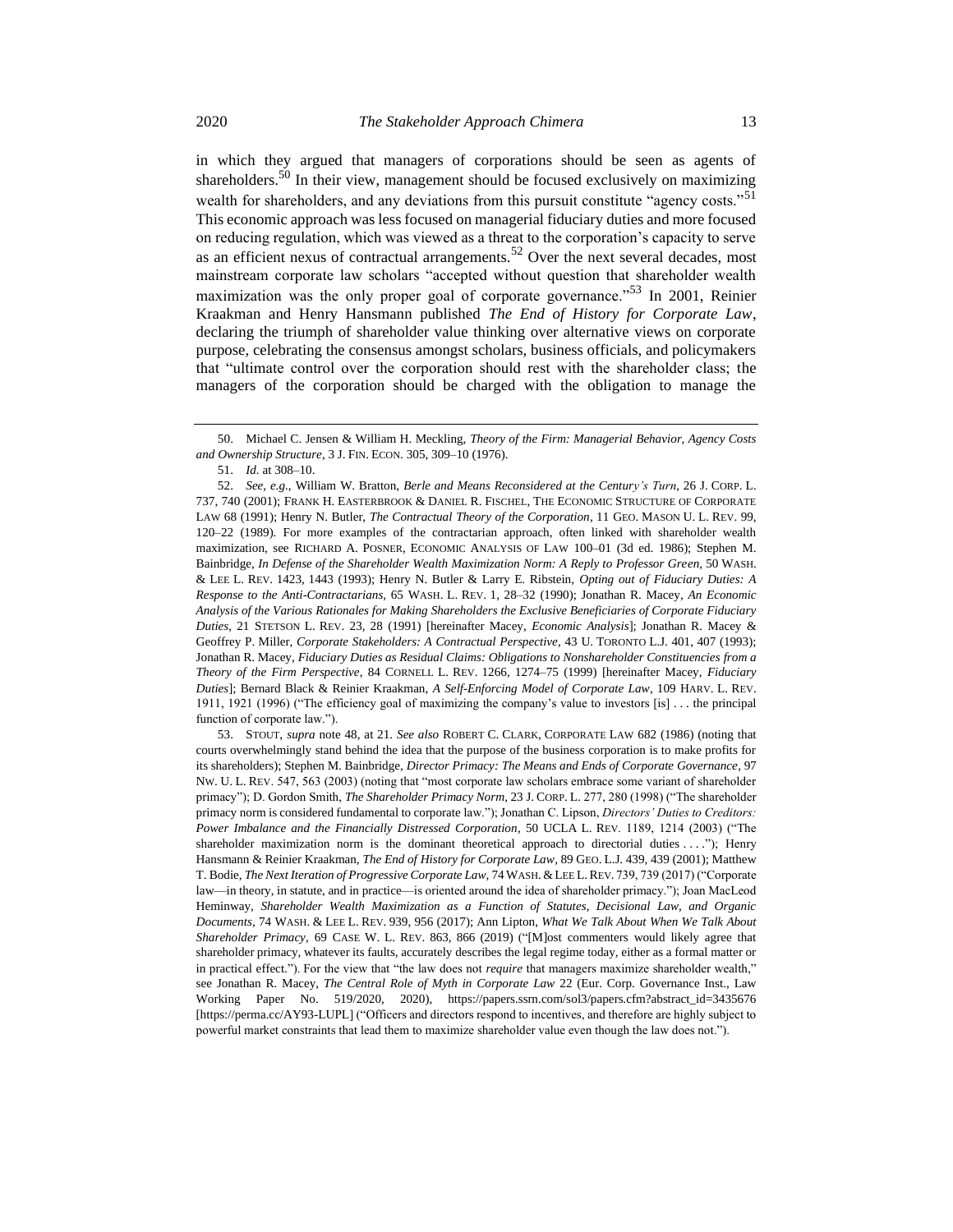<span id="page-12-1"></span><span id="page-12-0"></span>in which they argued that managers of corporations should be seen as agents of shareholders.<sup>50</sup> In their view, management should be focused exclusively on maximizing wealth for shareholders, and any deviations from this pursuit constitute "agency costs."<sup>51</sup> This economic approach was less focused on managerial fiduciary duties and more focused on reducing regulation, which was viewed as a threat to the corporation's capacity to serve as an efficient nexus of contractual arrangements.<sup>52</sup> Over the next several decades, most mainstream corporate law scholars "accepted without question that shareholder wealth maximization was the only proper goal of corporate governance.<sup> $53$ </sup> In 2001, Reinier Kraakman and Henry Hansmann published *The End of History for Corporate Law*, declaring the triumph of shareholder value thinking over alternative views on corporate purpose, celebrating the consensus amongst scholars, business officials, and policymakers that "ultimate control over the corporation should rest with the shareholder class; the managers of the corporation should be charged with the obligation to manage the

<sup>50.</sup> Michael C. Jensen & William H. Meckling, *Theory of the Firm: Managerial Behavior, Agency Costs and Ownership Structure*, 3 J. FIN. ECON. 305, 309–10 (1976).

<sup>51.</sup> *Id.* at 308–10.

<sup>52.</sup> *See*, *e.g.*, William W. Bratton, *Berle and Means Reconsidered at the Century's Turn*, 26 J. CORP. L. 737, 740 (2001); FRANK H. EASTERBROOK & DANIEL R. FISCHEL, THE ECONOMIC STRUCTURE OF CORPORATE LAW 68 (1991); Henry N. Butler, *The Contractual Theory of the Corporation*, 11 GEO. MASON U. L. REV. 99, 120–22 (1989). For more examples of the contractarian approach, often linked with shareholder wealth maximization, see RICHARD A. POSNER, ECONOMIC ANALYSIS OF LAW 100–01 (3d ed. 1986); Stephen M. Bainbridge, *In Defense of the Shareholder Wealth Maximization Norm: A Reply to Professor Green*, 50 WASH. & LEE L. REV. 1423, 1443 (1993); Henry N. Butler & Larry E. Ribstein, *Opting out of Fiduciary Duties: A Response to the Anti-Contractarians*, 65 WASH. L. REV. 1, 28–32 (1990); Jonathan R. Macey, *An Economic Analysis of the Various Rationales for Making Shareholders the Exclusive Beneficiaries of Corporate Fiduciary Duties*, 21 STETSON L. REV. 23, 28 (1991) [hereinafter Macey, *Economic Analysis*]; Jonathan R. Macey & Geoffrey P. Miller, *Corporate Stakeholders: A Contractual Perspective*, 43 U. TORONTO L.J. 401, 407 (1993); Jonathan R. Macey, *Fiduciary Duties as Residual Claims: Obligations to Nonshareholder Constituencies from a Theory of the Firm Perspective*, 84 CORNELL L. REV. 1266, 1274–75 (1999) [hereinafter Macey, *Fiduciary Duties*]; Bernard Black & Reinier Kraakman, *A Self-Enforcing Model of Corporate Law*, 109 HARV. L. REV. 1911, 1921 (1996) ("The efficiency goal of maximizing the company's value to investors [is] . . . the principal function of corporate law.").

<sup>53.</sup> STOUT, *supra* not[e 48,](#page-11-1) at 21. *See also* ROBERT C. CLARK, CORPORATE LAW 682 (1986) (noting that courts overwhelmingly stand behind the idea that the purpose of the business corporation is to make profits for its shareholders); Stephen M. Bainbridge, *Director Primacy: The Means and Ends of Corporate Governance*, 97 NW. U. L. REV. 547, 563 (2003) (noting that "most corporate law scholars embrace some variant of shareholder primacy"); D. Gordon Smith, *The Shareholder Primacy Norm*, 23 J. CORP. L. 277, 280 (1998) ("The shareholder primacy norm is considered fundamental to corporate law."); Jonathan C. Lipson, *Directors' Duties to Creditors: Power Imbalance and the Financially Distressed Corporation*, 50 UCLA L. REV. 1189, 1214 (2003) ("The shareholder maximization norm is the dominant theoretical approach to directorial duties . . . ."); Henry Hansmann & Reinier Kraakman, *The End of History for Corporate Law*, 89 GEO. L.J. 439, 439 (2001); Matthew T. Bodie, *The Next Iteration of Progressive Corporate Law,* 74WASH.&LEE L.REV. 739, 739 (2017) ("Corporate law—in theory, in statute, and in practice—is oriented around the idea of shareholder primacy."); Joan MacLeod Heminway, *Shareholder Wealth Maximization as a Function of Statutes, Decisional Law, and Organic Documents*, 74 WASH. & LEE L. REV. 939, 956 (2017); Ann Lipton, *What We Talk About When We Talk About Shareholder Primacy*, 69 CASE W. L. REV. 863, 866 (2019) ("[M]ost commenters would likely agree that shareholder primacy, whatever its faults, accurately describes the legal regime today, either as a formal matter or in practical effect."). For the view that "the law does not *require* that managers maximize shareholder wealth," see Jonathan R. Macey, *The Central Role of Myth in Corporate Law* 22 (Eur. Corp. Governance Inst., Law Working Paper No. 519/2020, 2020), https://papers.ssrn.com/sol3/papers.cfm?abstract\_id=3435676 [https://perma.cc/AY93-LUPL] ("Officers and directors respond to incentives, and therefore are highly subject to powerful market constraints that lead them to maximize shareholder value even though the law does not.").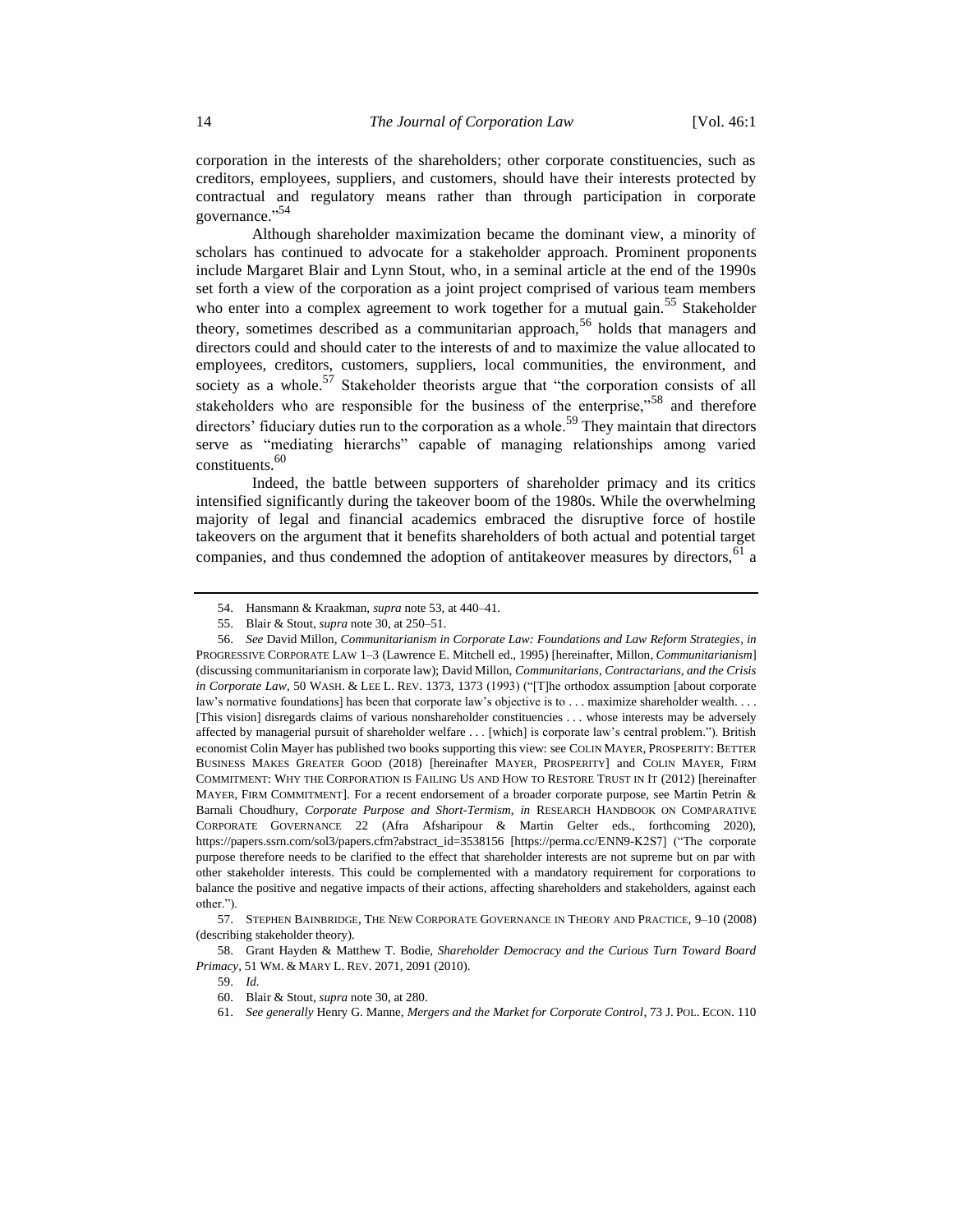corporation in the interests of the shareholders; other corporate constituencies, such as creditors, employees, suppliers, and customers, should have their interests protected by contractual and regulatory means rather than through participation in corporate governance."
<sup>54</sup>

<span id="page-13-0"></span>Although shareholder maximization became the dominant view, a minority of scholars has continued to advocate for a stakeholder approach. Prominent proponents include Margaret Blair and Lynn Stout, who, in a seminal article at the end of the 1990s set forth a view of the corporation as a joint project comprised of various team members who enter into a complex agreement to work together for a mutual gain.<sup>55</sup> Stakeholder theory, sometimes described as a communitarian approach,  $56$  holds that managers and directors could and should cater to the interests of and to maximize the value allocated to employees, creditors, customers, suppliers, local communities, the environment, and society as a whole.<sup>57</sup> Stakeholder theorists argue that "the corporation consists of all stakeholders who are responsible for the business of the enterprise,  $58^{\circ}$  and therefore directors' fiduciary duties run to the corporation as a whole.<sup>59</sup> They maintain that directors serve as "mediating hierarchs" capable of managing relationships among varied constituents.<sup>60</sup>

Indeed, the battle between supporters of shareholder primacy and its critics intensified significantly during the takeover boom of the 1980s. While the overwhelming majority of legal and financial academics embraced the disruptive force of hostile takeovers on the argument that it benefits shareholders of both actual and potential target companies, and thus condemned the adoption of antitakeover measures by directors, <sup>61</sup> a

<sup>54.</sup> Hansmann & Kraakman, *supra* note [53,](#page-12-0) at 440–41.

<sup>55.</sup> Blair & Stout, *supra* not[e 30,](#page-6-2) at 250–51.

<sup>56.</sup> *See* David Millon, *Communitarianism in Corporate Law: Foundations and Law Reform Strategies*, *in* PROGRESSIVE CORPORATE LAW 1–3 (Lawrence E. Mitchell ed., 1995) [hereinafter, Millon, *Communitarianism*] (discussing communitarianism in corporate law); David Millon, *Communitarians*, *Contractarians, and the Crisis in Corporate Law*, 50 WASH. & LEE L. REV. 1373, 1373 (1993) ("[T]he orthodox assumption [about corporate law's normative foundations] has been that corporate law's objective is to . . . maximize shareholder wealth. . . . [This vision] disregards claims of various nonshareholder constituencies . . . whose interests may be adversely affected by managerial pursuit of shareholder welfare . . . [which] is corporate law's central problem."). British economist Colin Mayer has published two books supporting this view: see COLIN MAYER, PROSPERITY: BETTER BUSINESS MAKES GREATER GOOD (2018) [hereinafter MAYER, PROSPERITY] and COLIN MAYER, FIRM COMMITMENT: WHY THE CORPORATION IS FAILING US AND HOW TO RESTORE TRUST IN IT (2012) [hereinafter MAYER, FIRM COMMITMENT]. For a recent endorsement of a broader corporate purpose, see Martin Petrin & Barnali Choudhury, *Corporate Purpose and Short-Termism*, *in* RESEARCH HANDBOOK ON COMPARATIVE CORPORATE GOVERNANCE 22 (Afra Afsharipour & Martin Gelter eds., forthcoming 2020), https://papers.ssrn.com/sol3/papers.cfm?abstract\_id=3538156 [https://perma.cc/ENN9-K2S7] ("The corporate purpose therefore needs to be clarified to the effect that shareholder interests are not supreme but on par with other stakeholder interests. This could be complemented with a mandatory requirement for corporations to balance the positive and negative impacts of their actions, affecting shareholders and stakeholders, against each other.").

<sup>57.</sup> STEPHEN BAINBRIDGE, THE NEW CORPORATE GOVERNANCE IN THEORY AND PRACTICE, 9–10 (2008) (describing stakeholder theory).

<sup>58.</sup> Grant Hayden & Matthew T. Bodie, *Shareholder Democracy and the Curious Turn Toward Board Primacy*, 51 WM. & MARY L. REV. 2071, 2091 (2010).

<sup>59.</sup> *Id.*

<sup>60.</sup> Blair & Stout, *supra* not[e 30,](#page-6-2) at 280.

<sup>61.</sup> *See generally* Henry G. Manne, *Mergers and the Market for Corporate Control*, 73 J. POL. ECON. 110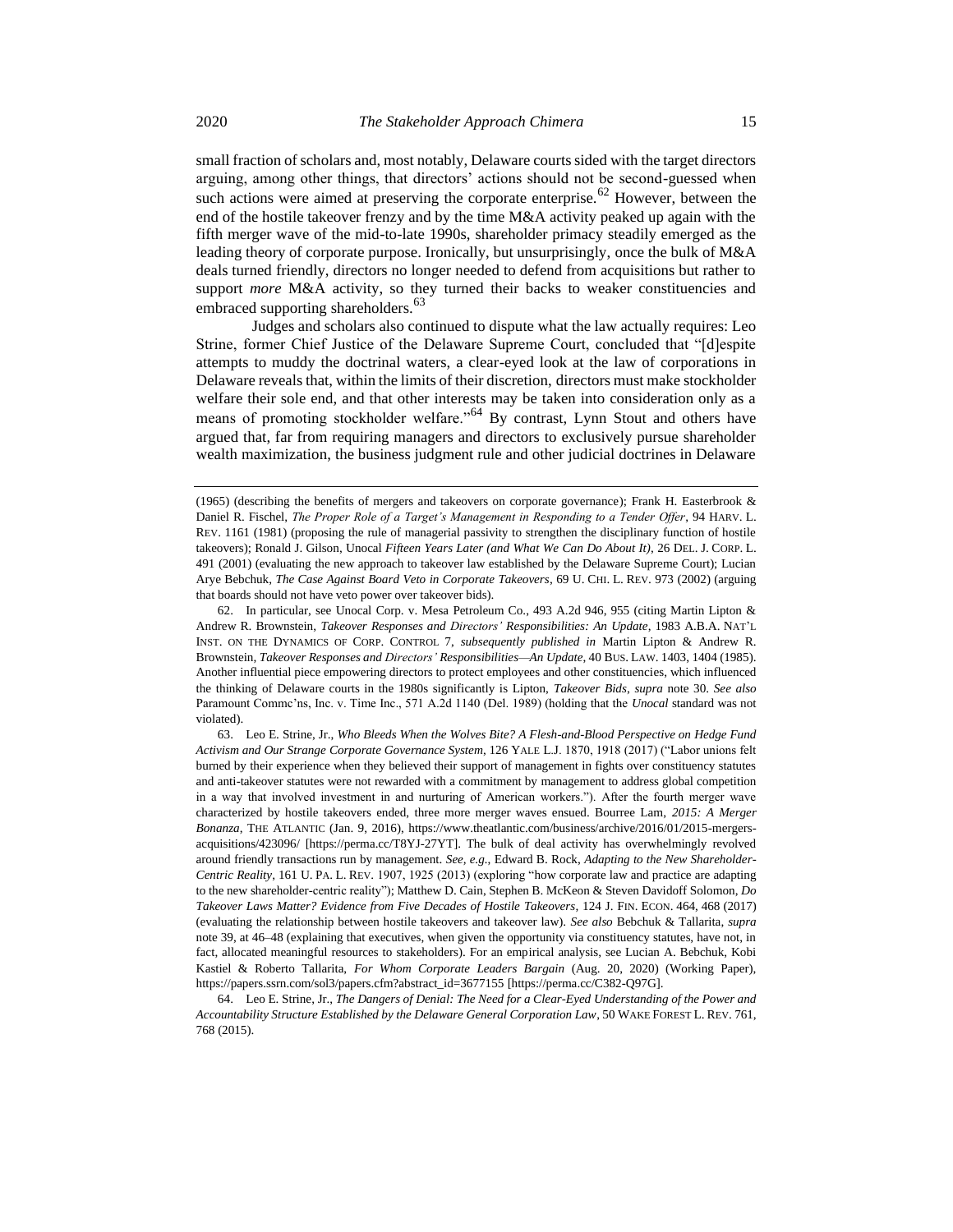<span id="page-14-0"></span>small fraction of scholars and, most notably, Delaware courts sided with the target directors arguing, among other things, that directors' actions should not be second-guessed when such actions were aimed at preserving the corporate enterprise.<sup>62</sup> However, between the end of the hostile takeover frenzy and by the time M&A activity peaked up again with the fifth merger wave of the mid-to-late 1990s, shareholder primacy steadily emerged as the leading theory of corporate purpose. Ironically, but unsurprisingly, once the bulk of M&A deals turned friendly, directors no longer needed to defend from acquisitions but rather to support *more* M&A activity, so they turned their backs to weaker constituencies and embraced supporting shareholders.<sup>63</sup>

<span id="page-14-2"></span><span id="page-14-1"></span>Judges and scholars also continued to dispute what the law actually requires: Leo Strine, former Chief Justice of the Delaware Supreme Court, concluded that "[d]espite attempts to muddy the doctrinal waters, a clear-eyed look at the law of corporations in Delaware reveals that, within the limits of their discretion, directors must make stockholder welfare their sole end, and that other interests may be taken into consideration only as a means of promoting stockholder welfare."<sup>64</sup> By contrast, Lynn Stout and others have argued that, far from requiring managers and directors to exclusively pursue shareholder wealth maximization, the business judgment rule and other judicial doctrines in Delaware

62. In particular, see Unocal Corp. v. Mesa Petroleum Co., 493 A.2d 946, 955 (citing Martin Lipton & Andrew R. Brownstein, *Takeover Responses and Directors' Responsibilities: An Update*, 1983 A.B.A. NAT'L INST. ON THE DYNAMICS OF CORP. CONTROL 7, *subsequently published in* Martin Lipton & Andrew R. Brownstein, *Takeover Responses and Directors' Responsibilities—An Update*, 40 BUS. LAW. 1403, 1404 (1985). Another influential piece empowering directors to protect employees and other constituencies, which influenced the thinking of Delaware courts in the 1980s significantly is Lipton, *Takeover Bids*, *supra* note [30.](#page-6-2) *See also* Paramount Commc'ns, Inc. v. Time Inc., 571 A.2d 1140 (Del. 1989) (holding that the *Unocal* standard was not violated).

63. Leo E. Strine, Jr., *Who Bleeds When the Wolves Bite? A Flesh-and-Blood Perspective on Hedge Fund Activism and Our Strange Corporate Governance System*, 126 YALE L.J. 1870, 1918 (2017) ("Labor unions felt burned by their experience when they believed their support of management in fights over constituency statutes and anti-takeover statutes were not rewarded with a commitment by management to address global competition in a way that involved investment in and nurturing of American workers."). After the fourth merger wave characterized by hostile takeovers ended, three more merger waves ensued. Bourree Lam, *2015: A Merger Bonanza*, THE ATLANTIC (Jan. 9, 2016), https://www.theatlantic.com/business/archive/2016/01/2015-mergersacquisitions/423096/ [https://perma.cc/T8YJ-27YT]. The bulk of deal activity has overwhelmingly revolved around friendly transactions run by management. *See, e.g.*, Edward B. Rock, *Adapting to the New Shareholder-Centric Reality*, 161 U. PA. L. REV. 1907, 1925 (2013) (exploring "how corporate law and practice are adapting to the new shareholder-centric reality"); Matthew D. Cain, Stephen B. McKeon & Steven Davidoff Solomon, *Do Takeover Laws Matter? Evidence from Five Decades of Hostile Takeovers*, 124 J. FIN. ECON. 464, 468 (2017) (evaluating the relationship between hostile takeovers and takeover law). *See also* Bebchuk & Tallarita, *supra* note [39,](#page-9-0) at 46–48 (explaining that executives, when given the opportunity via constituency statutes, have not, in fact, allocated meaningful resources to stakeholders). For an empirical analysis, see Lucian A. Bebchuk, Kobi Kastiel & Roberto Tallarita, *For Whom Corporate Leaders Bargain* (Aug. 20, 2020) (Working Paper), https://papers.ssrn.com/sol3/papers.cfm?abstract\_id=3677155 [https://perma.cc/C382-Q97G].

64. Leo E. Strine, Jr., *The Dangers of Denial: The Need for a Clear-Eyed Understanding of the Power and Accountability Structure Established by the Delaware General Corporation Law*, 50 WAKE FOREST L. REV. 761, 768 (2015).

<sup>(1965) (</sup>describing the benefits of mergers and takeovers on corporate governance); Frank H. Easterbrook & Daniel R. Fischel, *The Proper Role of a Target's Management in Responding to a Tender Offer*, 94 HARV. L. REV. 1161 (1981) (proposing the rule of managerial passivity to strengthen the disciplinary function of hostile takeovers); Ronald J. Gilson, Unocal *Fifteen Years Later (and What We Can Do About It)*, 26 DEL. J. CORP. L. 491 (2001) (evaluating the new approach to takeover law established by the Delaware Supreme Court); Lucian Arye Bebchuk, *The Case Against Board Veto in Corporate Takeovers*, 69 U. CHI. L. REV. 973 (2002) (arguing that boards should not have veto power over takeover bids).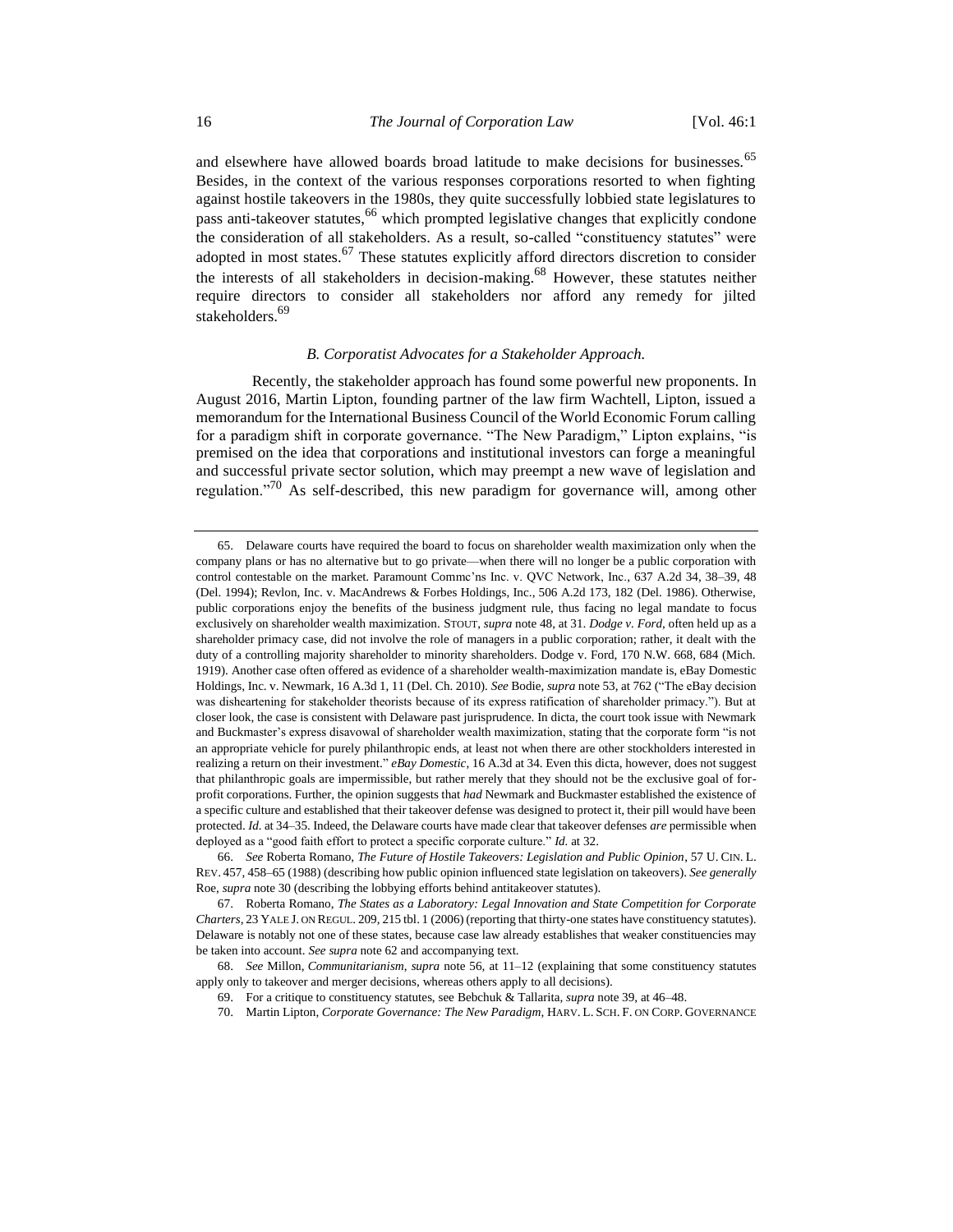and elsewhere have allowed boards broad latitude to make decisions for businesses.<sup>65</sup> Besides, in the context of the various responses corporations resorted to when fighting against hostile takeovers in the 1980s, they quite successfully lobbied state legislatures to pass anti-takeover statutes,<sup>66</sup> which prompted legislative changes that explicitly condone the consideration of all stakeholders. As a result, so-called "constituency statutes" were adopted in most states. $67$  These statutes explicitly afford directors discretion to consider the interests of all stakeholders in decision-making.<sup>68</sup> However, these statutes neither require directors to consider all stakeholders nor afford any remedy for jilted stakeholders.<sup>69</sup>

## <span id="page-15-2"></span><span id="page-15-1"></span><span id="page-15-0"></span>*B. Corporatist Advocates for a Stakeholder Approach.*

Recently, the stakeholder approach has found some powerful new proponents. In August 2016, Martin Lipton, founding partner of the law firm Wachtell, Lipton, issued a memorandum for the International Business Council of the World Economic Forum calling for a paradigm shift in corporate governance. "The New Paradigm," Lipton explains, "is premised on the idea that corporations and institutional investors can forge a meaningful and successful private sector solution, which may preempt a new wave of legislation and regulation."<sup>70</sup> As self-described, this new paradigm for governance will, among other

68. *See* Millon, *Communitarianism*, *supra* not[e 56,](#page-13-0) at 11–12 (explaining that some constituency statutes apply only to takeover and merger decisions, whereas others apply to all decisions).

<span id="page-15-3"></span><sup>65.</sup> Delaware courts have required the board to focus on shareholder wealth maximization only when the company plans or has no alternative but to go private—when there will no longer be a public corporation with control contestable on the market. Paramount Commc'ns Inc. v. QVC Network, Inc.*,* 637 A.2d 34, 38–39, 48 (Del. 1994); Revlon, Inc. v. MacAndrews & Forbes Holdings, Inc., 506 A.2d 173, 182 (Del. 1986). Otherwise, public corporations enjoy the benefits of the business judgment rule, thus facing no legal mandate to focus exclusively on shareholder wealth maximization. STOUT, *supra* not[e 48,](#page-11-1) at 31. *Dodge v. Ford*, often held up as a shareholder primacy case, did not involve the role of managers in a public corporation; rather, it dealt with the duty of a controlling majority shareholder to minority shareholders. Dodge v. Ford, 170 N.W. 668, 684 (Mich. 1919). Another case often offered as evidence of a shareholder wealth-maximization mandate is, eBay Domestic Holdings, Inc. v. Newmark, 16 A.3d 1, 11 (Del. Ch. 2010). *See* Bodie, *supra* not[e 53,](#page-12-0) at 762 ("The eBay decision was disheartening for stakeholder theorists because of its express ratification of shareholder primacy."). But at closer look, the case is consistent with Delaware past jurisprudence. In dicta, the court took issue with Newmark and Buckmaster's express disavowal of shareholder wealth maximization, stating that the corporate form "is not an appropriate vehicle for purely philanthropic ends, at least not when there are other stockholders interested in realizing a return on their investment." *eBay Domestic*, 16 A.3d at 34. Even this dicta, however, does not suggest that philanthropic goals are impermissible, but rather merely that they should not be the exclusive goal of forprofit corporations. Further, the opinion suggests that *had* Newmark and Buckmaster established the existence of a specific culture and established that their takeover defense was designed to protect it, their pill would have been protected. *Id.* at 34–35. Indeed, the Delaware courts have made clear that takeover defenses *are* permissible when deployed as a "good faith effort to protect a specific corporate culture." *Id.* at 32.

<sup>66.</sup> *See* Roberta Romano, *The Future of Hostile Takeovers: Legislation and Public Opinion*, 57 U. CIN. L. REV. 457, 458–65 (1988) (describing how public opinion influenced state legislation on takeovers). *See generally*  Roe, *supra* note [30](#page-6-2) (describing the lobbying efforts behind antitakeover statutes).

<sup>67.</sup> Roberta Romano, *The States as a Laboratory: Legal Innovation and State Competition for Corporate Charters*, 23 YALE J. ON REGUL. 209, 215 tbl. 1 (2006) (reporting that thirty-one states have constituency statutes). Delaware is notably not one of these states, because case law already establishes that weaker constituencies may be taken into account. *See supra* not[e 62](#page-14-0) and accompanying text.

<sup>69.</sup> For a critique to constituency statutes, see Bebchuk & Tallarita, *supra* not[e 39,](#page-9-0) at 46–48.

<sup>70.</sup> Martin Lipton, *Corporate Governance: The New Paradigm*, HARV. L. SCH. F. ON CORP. GOVERNANCE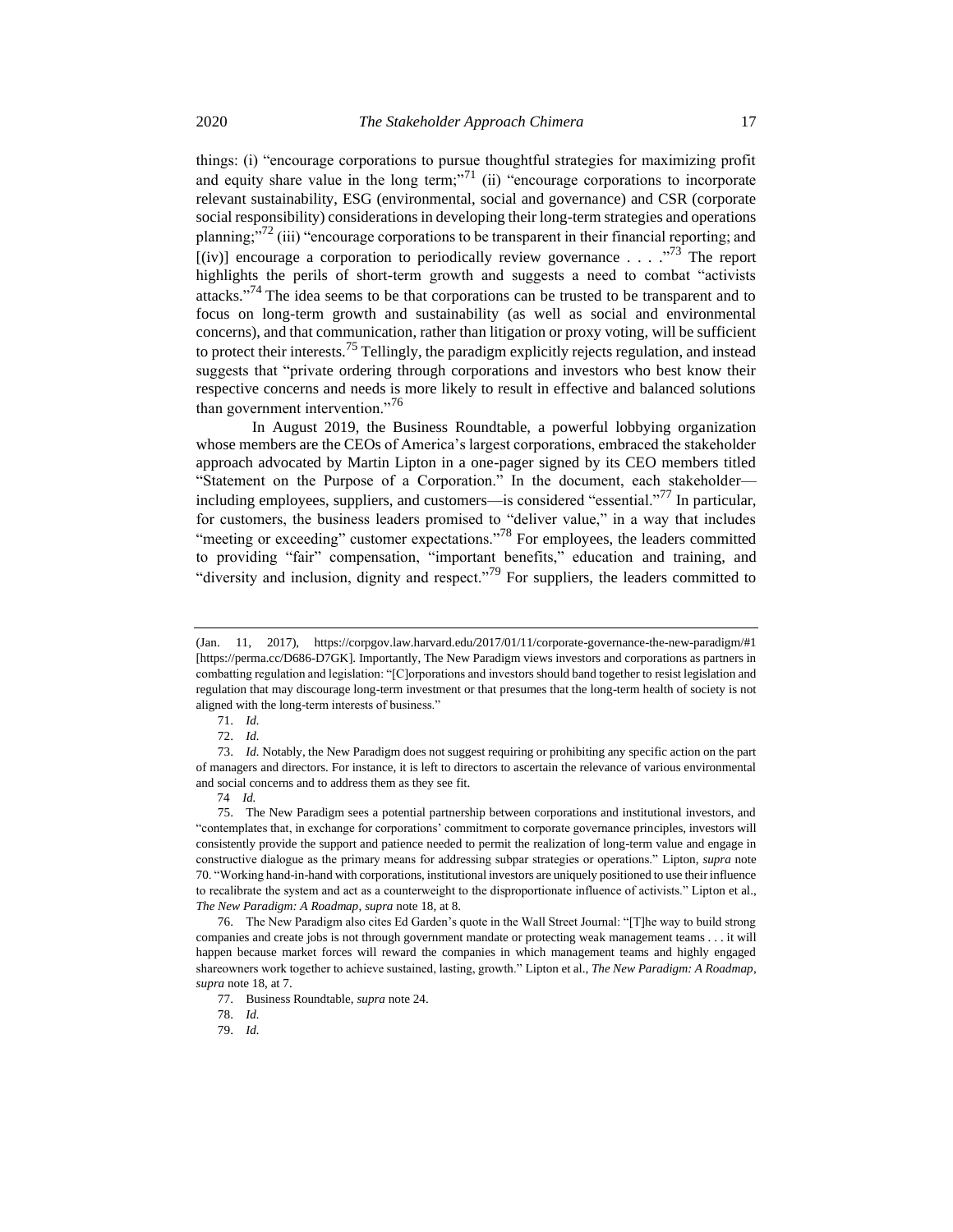things: (i) "encourage corporations to pursue thoughtful strategies for maximizing profit and equity share value in the long term;<sup>"71</sup> (ii) "encourage corporations to incorporate relevant sustainability, ESG (environmental, social and governance) and CSR (corporate social responsibility) considerations in developing their long-term strategies and operations planning;"<sup>72</sup> (iii) "encourage corporations to be transparent in their financial reporting; and [(iv)] encourage a corporation to periodically review governance . . . .<sup>73</sup> The report highlights the perils of short-term growth and suggests a need to combat "activists attacks."<sup>74</sup> The idea seems to be that corporations can be trusted to be transparent and to focus on long-term growth and sustainability (as well as social and environmental

concerns), and that communication, rather than litigation or proxy voting, will be sufficient to protect their interests.<sup>75</sup> Tellingly, the paradigm explicitly rejects regulation, and instead suggests that "private ordering through corporations and investors who best know their respective concerns and needs is more likely to result in effective and balanced solutions than government intervention."<sup>76</sup>

<span id="page-16-0"></span>In August 2019, the Business Roundtable, a powerful lobbying organization whose members are the CEOs of America's largest corporations, embraced the stakeholder approach advocated by Martin Lipton in a one-pager signed by its CEO members titled "Statement on the Purpose of a Corporation." In the document, each stakeholder including employees, suppliers, and customers—is considered "essential. $177$  In particular, for customers, the business leaders promised to "deliver value," in a way that includes "meeting or exceeding" customer expectations."<sup>78</sup> For employees, the leaders committed to providing "fair" compensation, "important benefits," education and training, and "diversity and inclusion, dignity and respect."<sup>79</sup> For suppliers, the leaders committed to

<sup>(</sup>Jan. 11, 2017), https://corpgov.law.harvard.edu/2017/01/11/corporate-governance-the-new-paradigm/#1 [https://perma.cc/D686-D7GK]. Importantly, The New Paradigm views investors and corporations as partners in combatting regulation and legislation: "[C]orporations and investors should band together to resist legislation and regulation that may discourage long-term investment or that presumes that the long-term health of society is not aligned with the long-term interests of business."

<sup>71.</sup> *Id.*

<sup>72.</sup> *Id.*

<sup>73.</sup> *Id.* Notably, the New Paradigm does not suggest requiring or prohibiting any specific action on the part of managers and directors. For instance, it is left to directors to ascertain the relevance of various environmental and social concerns and to address them as they see fit.

<sup>74</sup> *Id.*

<sup>75.</sup> The New Paradigm sees a potential partnership between corporations and institutional investors, and "contemplates that, in exchange for corporations' commitment to corporate governance principles, investors will consistently provide the support and patience needed to permit the realization of long-term value and engage in constructive dialogue as the primary means for addressing subpar strategies or operations." Lipton, *supra* note [70.](#page-15-3) "Working hand-in-hand with corporations, institutional investors are uniquely positioned to use their influence to recalibrate the system and act as a counterweight to the disproportionate influence of activists." Lipton et al., *The New Paradigm: A Roadmap*, *supra* not[e 18,](#page-4-3) at 8.

<sup>76.</sup> The New Paradigm also cites Ed Garden's quote in the Wall Street Journal: "[T]he way to build strong companies and create jobs is not through government mandate or protecting weak management teams . . . it will happen because market forces will reward the companies in which management teams and highly engaged shareowners work together to achieve sustained, lasting, growth." Lipton et al., *The New Paradigm: A Roadmap*, *supra* not[e 18,](#page-4-3) at 7.

<sup>77.</sup> Business Roundtable, *supra* not[e 24.](#page-5-2)

<sup>78.</sup> *Id.*

<sup>79.</sup> *Id.*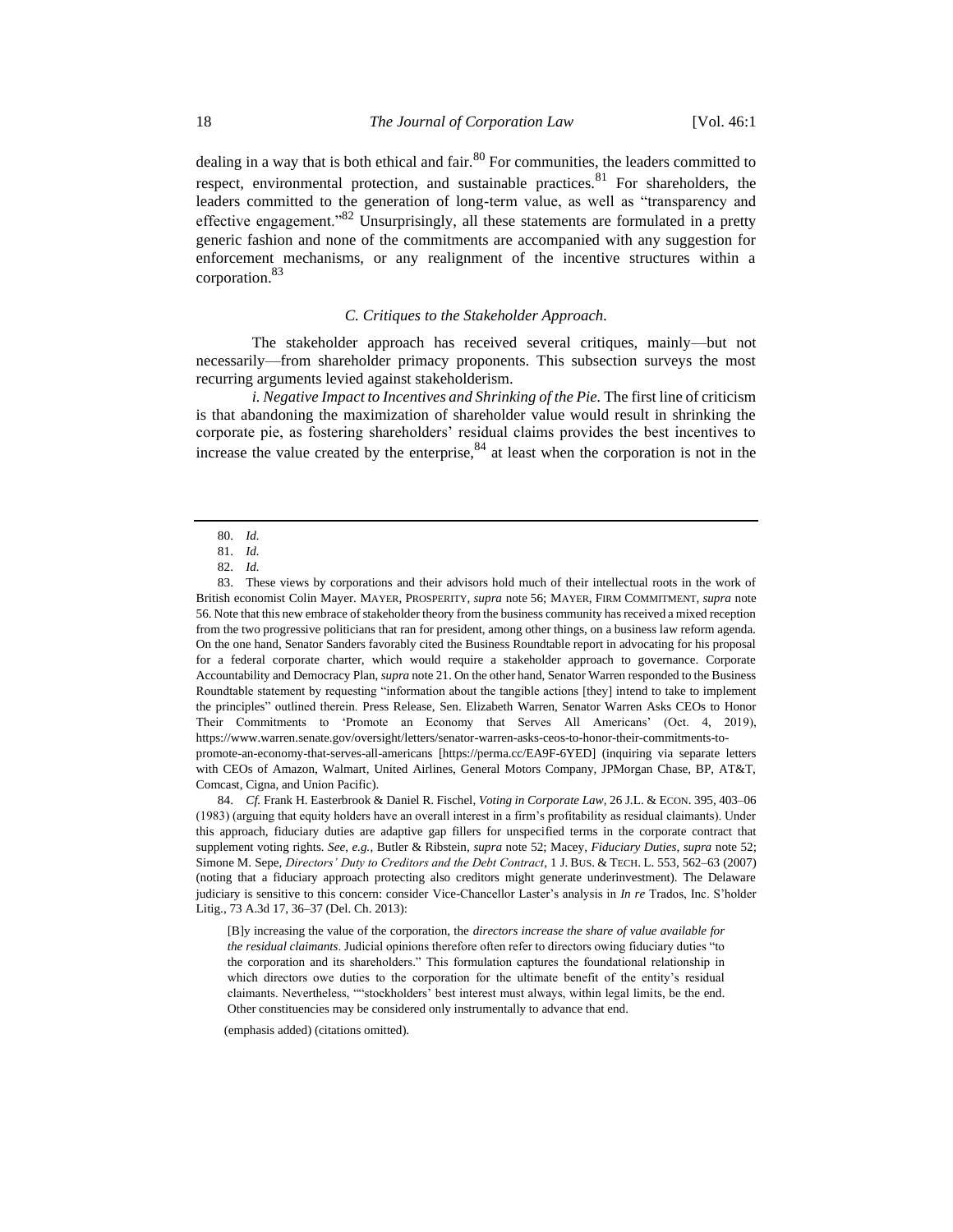dealing in a way that is both ethical and fair.<sup>80</sup> For communities, the leaders committed to respect, environmental protection, and sustainable practices.  $81$  For shareholders, the leaders committed to the generation of long-term value, as well as "transparency and effective engagement."<sup>82</sup> Unsurprisingly, all these statements are formulated in a pretty generic fashion and none of the commitments are accompanied with any suggestion for enforcement mechanisms, or any realignment of the incentive structures within a corporation.<sup>83</sup>

## <span id="page-17-1"></span><span id="page-17-0"></span>*C. Critiques to the Stakeholder Approach.*

The stakeholder approach has received several critiques, mainly—but not necessarily—from shareholder primacy proponents. This subsection surveys the most recurring arguments levied against stakeholderism.

*i. Negative Impact to Incentives and Shrinking of the Pie.* The first line of criticism is that abandoning the maximization of shareholder value would result in shrinking the corporate pie, as fostering shareholders' residual claims provides the best incentives to increase the value created by the enterprise,  $84$  at least when the corporation is not in the

84. *Cf.* Frank H. Easterbrook & Daniel R. Fischel, *Voting in Corporate Law*, 26 J.L. & ECON. 395, 403–06 (1983) (arguing that equity holders have an overall interest in a firm's profitability as residual claimants). Under this approach, fiduciary duties are adaptive gap fillers for unspecified terms in the corporate contract that supplement voting rights. *See, e.g.*, Butler & Ribstein, *supra* note [52;](#page-12-1) Macey, *Fiduciary Duties*, *supra* note [52;](#page-12-1) Simone M. Sepe, *Directors' Duty to Creditors and the Debt Contract*, 1 J. BUS. & TECH. L. 553, 562–63 (2007) (noting that a fiduciary approach protecting also creditors might generate underinvestment). The Delaware judiciary is sensitive to this concern: consider Vice-Chancellor Laster's analysis in *In re* Trados, Inc. S'holder Litig., 73 A.3d 17, 36–37 (Del. Ch. 2013):

[B]y increasing the value of the corporation, the *directors increase the share of value available for the residual claimants*. Judicial opinions therefore often refer to directors owing fiduciary duties "to the corporation and its shareholders." This formulation captures the foundational relationship in which directors owe duties to the corporation for the ultimate benefit of the entity's residual claimants. Nevertheless, ""stockholders' best interest must always, within legal limits, be the end. Other constituencies may be considered only instrumentally to advance that end.

(emphasis added) (citations omitted).

<sup>80.</sup> *Id.*

<sup>81.</sup> *Id.*

<sup>82.</sup> *Id.*

<sup>83.</sup> These views by corporations and their advisors hold much of their intellectual roots in the work of British economist Colin Mayer. MAYER, PROSPERITY, *supra* note [56;](#page-13-0) MAYER, FIRM COMMITMENT, *supra* note [56.](#page-13-0) Note that this new embrace of stakeholder theory from the business community has received a mixed reception from the two progressive politicians that ran for president, among other things, on a business law reform agenda. On the one hand, Senator Sanders favorably cited the Business Roundtable report in advocating for his proposal for a federal corporate charter, which would require a stakeholder approach to governance. Corporate Accountability and Democracy Plan, *supra* not[e 21.](#page-5-1) On the other hand, Senator Warren responded to the Business Roundtable statement by requesting "information about the tangible actions [they] intend to take to implement the principles" outlined therein. Press Release, Sen. Elizabeth Warren, Senator Warren Asks CEOs to Honor Their Commitments to 'Promote an Economy that Serves All Americans' (Oct. 4, 2019), https://www.warren.senate.gov/oversight/letters/senator-warren-asks-ceos-to-honor-their-commitments-topromote-an-economy-that-serves-all-americans [https://perma.cc/EA9F-6YED] (inquiring via separate letters with CEOs of Amazon, Walmart, United Airlines, General Motors Company, JPMorgan Chase, BP, AT&T, Comcast, Cigna, and Union Pacific).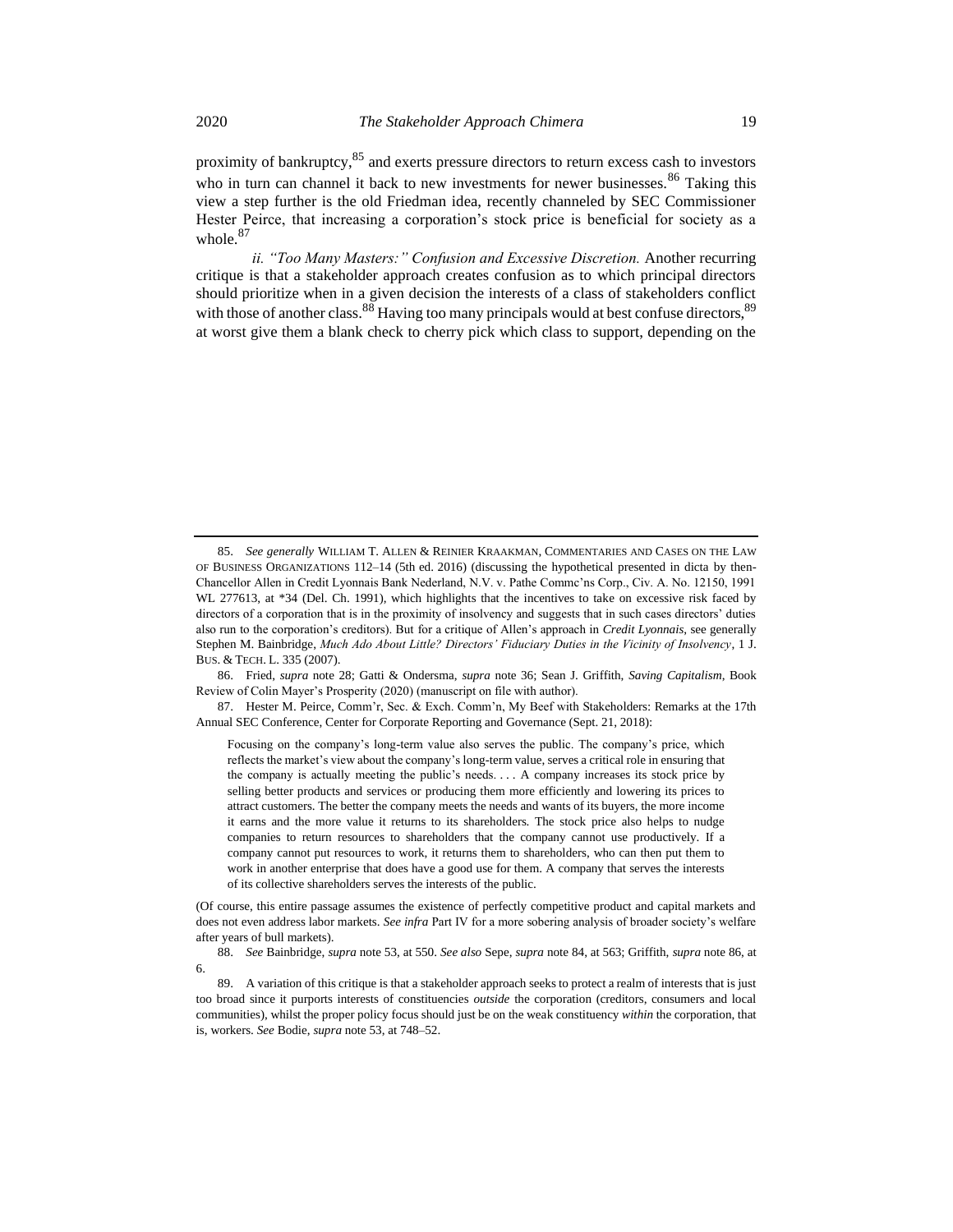<span id="page-18-0"></span>proximity of bankruptcy, $85$  and exerts pressure directors to return excess cash to investors who in turn can channel it back to new investments for newer businesses.<sup>86</sup> Taking this view a step further is the old Friedman idea, recently channeled by SEC Commissioner Hester Peirce, that increasing a corporation's stock price is beneficial for society as a whole.<sup>87</sup>

<span id="page-18-2"></span><span id="page-18-1"></span>*ii. "Too Many Masters:" Confusion and Excessive Discretion.* Another recurring critique is that a stakeholder approach creates confusion as to which principal directors should prioritize when in a given decision the interests of a class of stakeholders conflict with those of another class.<sup>88</sup> Having too many principals would at best confuse directors,<sup>89</sup> at worst give them a blank check to cherry pick which class to support, depending on the

87. Hester M. Peirce, Comm'r, Sec. & Exch. Comm'n, My Beef with Stakeholders: Remarks at the 17th Annual SEC Conference, Center for Corporate Reporting and Governance (Sept. 21, 2018):

Focusing on the company's long-term value also serves the public. The company's price, which reflects the market's view about the company's long-term value, serves a critical role in ensuring that the company is actually meeting the public's needs. . . . A company increases its stock price by selling better products and services or producing them more efficiently and lowering its prices to attract customers. The better the company meets the needs and wants of its buyers, the more income it earns and the more value it returns to its shareholders. The stock price also helps to nudge companies to return resources to shareholders that the company cannot use productively. If a company cannot put resources to work, it returns them to shareholders, who can then put them to work in another enterprise that does have a good use for them. A company that serves the interests of its collective shareholders serves the interests of the public.

(Of course, this entire passage assumes the existence of perfectly competitive product and capital markets and does not even address labor markets. *See infra* Part IV for a more sobering analysis of broader society's welfare after years of bull markets).

88. *See* Bainbridge, *supra* not[e 53,](#page-12-0) at 550. *See also* Sepe, *supra* not[e 84,](#page-17-1) at 563; Griffith, *supra* not[e 86,](#page-18-0) at 6.

<sup>85.</sup> *See generally* WILLIAM T. ALLEN & REINIER KRAAKMAN, COMMENTARIES AND CASES ON THE LAW OF BUSINESS ORGANIZATIONS 112–14 (5th ed. 2016) (discussing the hypothetical presented in dicta by then-Chancellor Allen in Credit Lyonnais Bank Nederland, N.V. v. Pathe Commc'ns Corp., Civ. A. No. 12150, 1991 WL 277613, at  $*34$  (Del. Ch. 1991), which highlights that the incentives to take on excessive risk faced by directors of a corporation that is in the proximity of insolvency and suggests that in such cases directors' duties also run to the corporation's creditors). But for a critique of Allen's approach in *Credit Lyonnais*, see generally Stephen M. Bainbridge, *Much Ado About Little? Directors' Fiduciary Duties in the Vicinity of Insolvency*, 1 J. BUS. & TECH. L. 335 (2007).

<sup>86.</sup> Fried, *supra* note [28;](#page-6-3) Gatti & Ondersma, *supra* note [36;](#page-8-0) Sean J. Griffith, *Saving Capitalism*, Book Review of Colin Mayer's Prosperity (2020) (manuscript on file with author).

<sup>89.</sup> A variation of this critique is that a stakeholder approach seeks to protect a realm of interests that is just too broad since it purports interests of constituencies *outside* the corporation (creditors, consumers and local communities), whilst the proper policy focus should just be on the weak constituency *within* the corporation, that is, workers. *See* Bodie, *supra* not[e 53,](#page-12-0) at 748–52.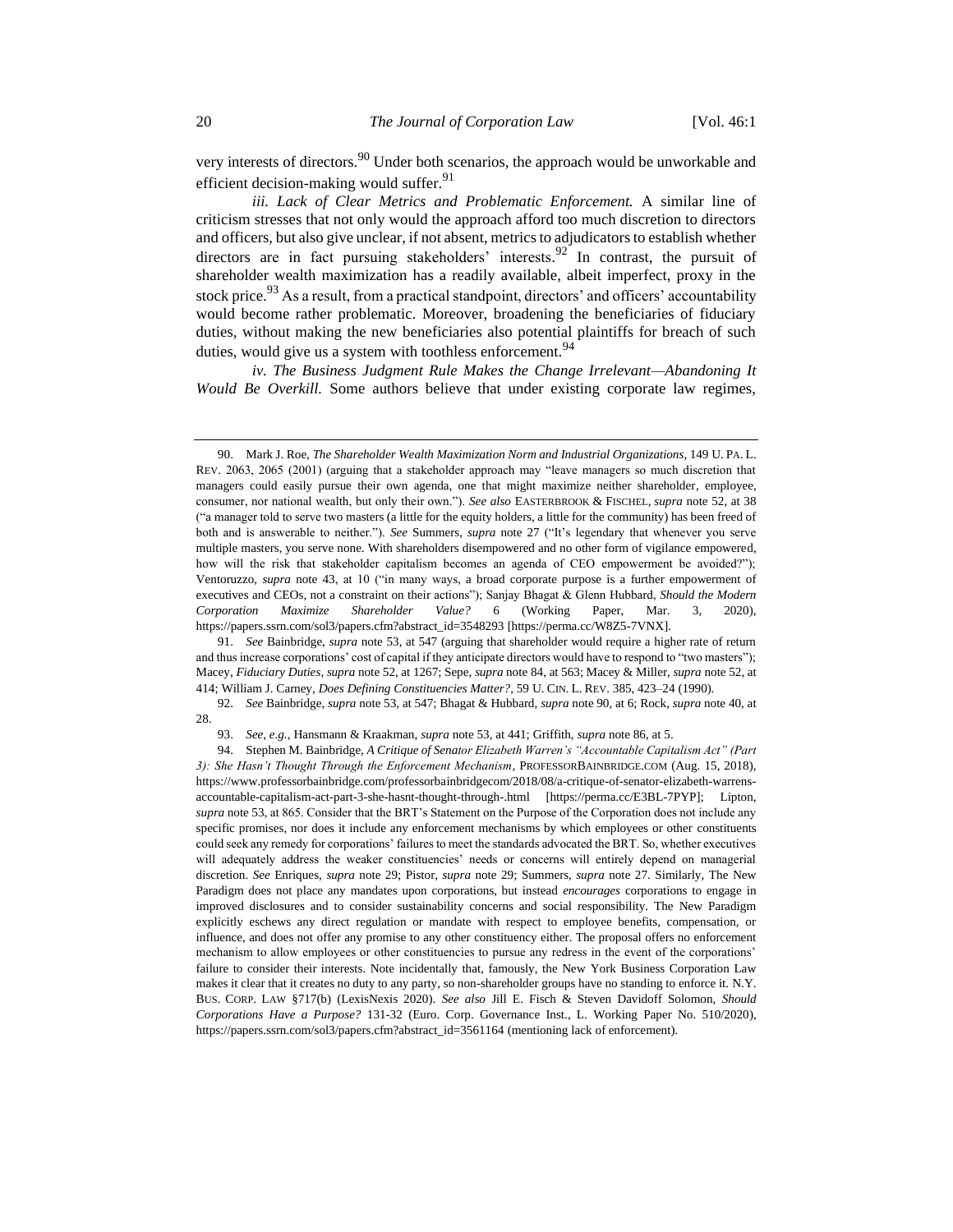<span id="page-19-0"></span>very interests of directors.<sup>90</sup> Under both scenarios, the approach would be unworkable and efficient decision-making would suffer. $91$ 

*iii. Lack of Clear Metrics and Problematic Enforcement.* A similar line of criticism stresses that not only would the approach afford too much discretion to directors and officers, but also give unclear, if not absent, metrics to adjudicators to establish whether directors are in fact pursuing stakeholders' interests.<sup>92</sup> In contrast, the pursuit of shareholder wealth maximization has a readily available, albeit imperfect, proxy in the stock price.<sup>93</sup> As a result, from a practical standpoint, directors' and officers' accountability would become rather problematic. Moreover, broadening the beneficiaries of fiduciary duties, without making the new beneficiaries also potential plaintiffs for breach of such duties, would give us a system with toothless enforcement.<sup>94</sup>

<span id="page-19-1"></span>*iv. The Business Judgment Rule Makes the Change Irrelevant—Abandoning It Would Be Overkill.* Some authors believe that under existing corporate law regimes,

91. *See* Bainbridge, *supra* not[e 53,](#page-12-0) at 547 (arguing that shareholder would require a higher rate of return and thus increase corporations' cost of capital if they anticipate directors would have to respond to "two masters"); Macey, *Fiduciary Duties*, *supra* not[e 52,](#page-12-1) at 1267; Sepe, *supra* not[e 84,](#page-17-1) at 563; Macey & Miller, *supra* note [52,](#page-12-1) at 414; William J. Carney, *Does Defining Constituencies Matter?*, 59 U. CIN. L. REV. 385, 423–24 (1990).

92. *See* Bainbridge, *supra* not[e 53,](#page-12-0) at 547; Bhagat & Hubbard, *supra* not[e 90,](#page-19-0) at 6; Rock, *supra* not[e 40,](#page-10-1) at 28.

93. *See, e.g.*, Hansmann & Kraakman, *supra* not[e 53,](#page-12-0) at 441; Griffith, *supra* not[e 86,](#page-18-0) at 5.

<sup>90.</sup> Mark J. Roe, *The Shareholder Wealth Maximization Norm and Industrial Organizations*, 149 U. PA. L. REV. 2063, 2065 (2001) (arguing that a stakeholder approach may "leave managers so much discretion that managers could easily pursue their own agenda, one that might maximize neither shareholder, employee, consumer, nor national wealth, but only their own."). *See also* EASTERBROOK & FISCHEL, *supra* note [52,](#page-12-1) at 38 ("a manager told to serve two masters (a little for the equity holders, a little for the community) has been freed of both and is answerable to neither."). *See* Summers, *supra* note [27](#page-6-1) ("It's legendary that whenever you serve multiple masters, you serve none. With shareholders disempowered and no other form of vigilance empowered, how will the risk that stakeholder capitalism becomes an agenda of CEO empowerment be avoided?"); Ventoruzzo, *supra* note [43,](#page-10-0) at 10 ("in many ways, a broad corporate purpose is a further empowerment of executives and CEOs, not a constraint on their actions"); Sanjay Bhagat & Glenn Hubbard, *Should the Modern Corporation Maximize Shareholder Value?* 6 (Working Paper, Mar. 3, 2020), https://papers.ssrn.com/sol3/papers.cfm?abstract\_id=3548293 [https://perma.cc/W8Z5-7VNX].

<sup>94.</sup> Stephen M. Bainbridge, *A Critique of Senator Elizabeth Warren's "Accountable Capitalism Act" (Part 3): She Hasn't Thought Through the Enforcement Mechanism*, PROFESSORBAINBRIDGE.COM (Aug. 15, 2018), https://www.professorbainbridge.com/professorbainbridgecom/2018/08/a-critique-of-senator-elizabeth-warrensaccountable-capitalism-act-part-3-she-hasnt-thought-through-.html [https://perma.cc/E3BL-7PYP]; Lipton, *supra* note [53,](#page-12-0) at 865. Consider that the BRT's Statement on the Purpose of the Corporation does not include any specific promises, nor does it include any enforcement mechanisms by which employees or other constituents could seek any remedy for corporations' failures to meet the standards advocated the BRT. So, whether executives will adequately address the weaker constituencies' needs or concerns will entirely depend on managerial discretion. *See* Enriques, *supra* note [29;](#page-6-4) Pistor, *supra* note [29;](#page-6-4) Summers, *supra* note [27.](#page-6-1) Similarly, The New Paradigm does not place any mandates upon corporations, but instead *encourages* corporations to engage in improved disclosures and to consider sustainability concerns and social responsibility. The New Paradigm explicitly eschews any direct regulation or mandate with respect to employee benefits, compensation, or influence, and does not offer any promise to any other constituency either. The proposal offers no enforcement mechanism to allow employees or other constituencies to pursue any redress in the event of the corporations' failure to consider their interests. Note incidentally that, famously, the New York Business Corporation Law makes it clear that it creates no duty to any party, so non-shareholder groups have no standing to enforce it. N.Y. BUS. CORP. LAW §717(b) (LexisNexis 2020). *See also* Jill E. Fisch & Steven Davidoff Solomon, *Should Corporations Have a Purpose?* 131-32 (Euro. Corp. Governance Inst., L. Working Paper No. 510/2020), https://papers.ssrn.com/sol3/papers.cfm?abstract\_id=3561164 (mentioning lack of enforcement).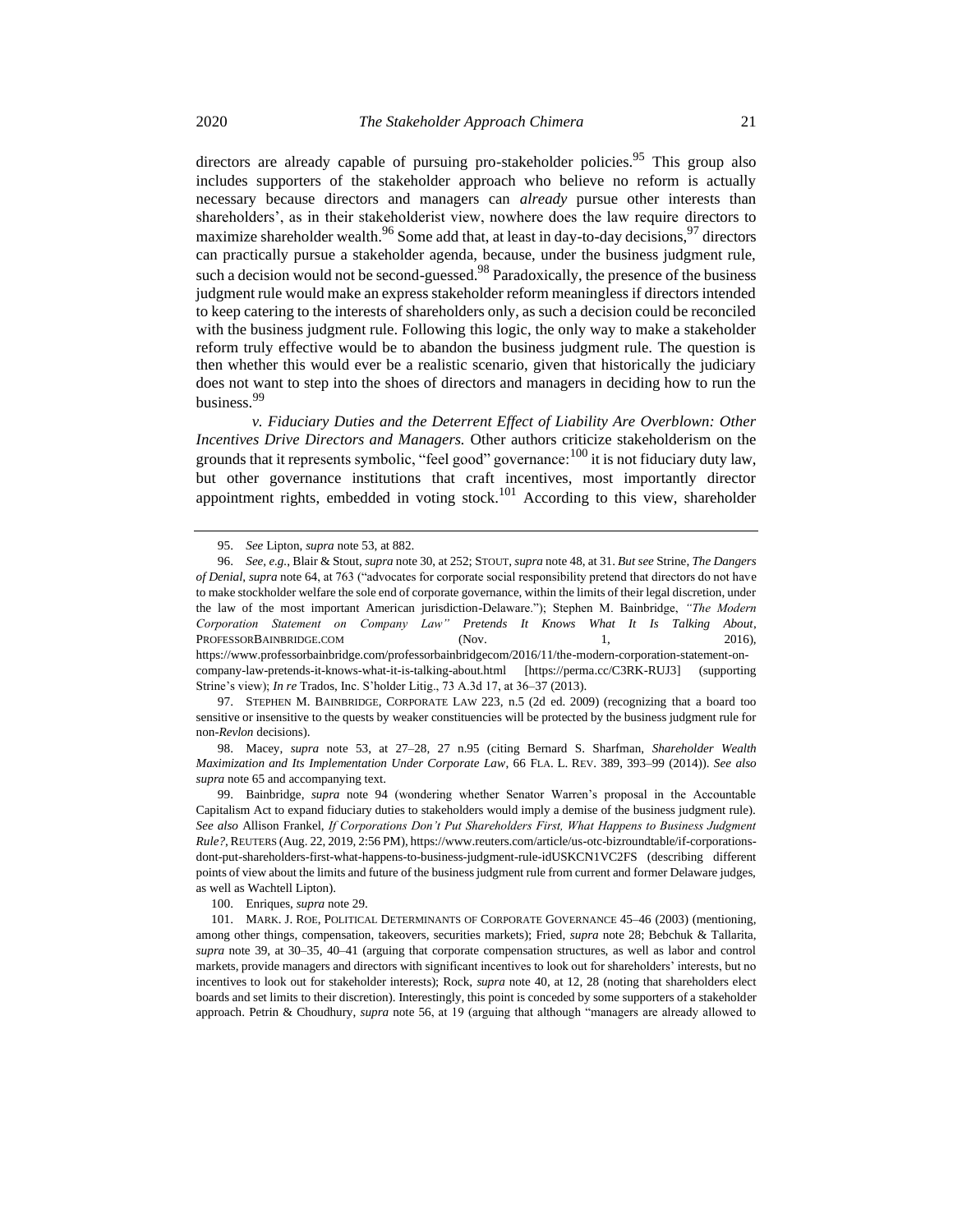directors are already capable of pursuing pro-stakeholder policies.<sup>95</sup> This group also includes supporters of the stakeholder approach who believe no reform is actually necessary because directors and managers can *already* pursue other interests than shareholders', as in their stakeholderist view, nowhere does the law require directors to maximize shareholder wealth.<sup>96</sup> Some add that, at least in day-to-day decisions,  $97$  directors can practically pursue a stakeholder agenda, because, under the business judgment rule, such a decision would not be second-guessed.<sup>98</sup> Paradoxically, the presence of the business judgment rule would make an express stakeholder reform meaningless if directors intended to keep catering to the interests of shareholders only, as such a decision could be reconciled with the business judgment rule. Following this logic, the only way to make a stakeholder reform truly effective would be to abandon the business judgment rule. The question is then whether this would ever be a realistic scenario, given that historically the judiciary does not want to step into the shoes of directors and managers in deciding how to run the business.<sup>99</sup>

*v. Fiduciary Duties and the Deterrent Effect of Liability Are Overblown: Other Incentives Drive Directors and Managers.* Other authors criticize stakeholderism on the grounds that it represents symbolic, "feel good" governance:<sup>100</sup> it is not fiduciary duty law, but other governance institutions that craft incentives, most importantly director appointment rights, embedded in voting stock.<sup>101</sup> According to this view, shareholder

97. STEPHEN M. BAINBRIDGE, CORPORATE LAW 223, n.5 (2d ed. 2009) (recognizing that a board too sensitive or insensitive to the quests by weaker constituencies will be protected by the business judgment rule for non-*Revlon* decisions).

98. Macey, *supra* note [53,](#page-12-0) at 27–28, 27 n.95 (citing Bernard S. Sharfman, *Shareholder Wealth Maximization and Its Implementation Under Corporate Law*, 66 FLA. L. REV. 389, 393–99 (2014)). *See also supra* not[e 65](#page-15-0) and accompanying text.

99. Bainbridge, *supra* note [94](#page-19-1) (wondering whether Senator Warren's proposal in the Accountable Capitalism Act to expand fiduciary duties to stakeholders would imply a demise of the business judgment rule). *See also* Allison Frankel, *If Corporations Don't Put Shareholders First, What Happens to Business Judgment Rule?*, REUTERS (Aug. 22, 2019, 2:56 PM), https://www.reuters.com/article/us-otc-bizroundtable/if-corporationsdont-put-shareholders-first-what-happens-to-business-judgment-rule-idUSKCN1VC2FS (describing different points of view about the limits and future of the business judgment rule from current and former Delaware judges, as well as Wachtell Lipton).

100. Enriques, *supra* not[e 29.](#page-6-4)

101. MARK. J. ROE, POLITICAL DETERMINANTS OF CORPORATE GOVERNANCE 45–46 (2003) (mentioning, among other things, compensation, takeovers, securities markets); Fried, *supra* note [28;](#page-6-3) Bebchuk & Tallarita, *supra* note [39,](#page-9-0) at 30–35, 40–41 (arguing that corporate compensation structures, as well as labor and control markets, provide managers and directors with significant incentives to look out for shareholders' interests, but no incentives to look out for stakeholder interests); Rock, *supra* not[e 40,](#page-10-1) at 12, 28 (noting that shareholders elect boards and set limits to their discretion). Interestingly, this point is conceded by some supporters of a stakeholder approach. Petrin & Choudhury, *supra* note [56,](#page-13-0) at 19 (arguing that although "managers are already allowed to

<span id="page-20-0"></span><sup>95.</sup> *See* Lipton, *supra* not[e 53,](#page-12-0) at 882.

<sup>96.</sup> *See, e.g.*, Blair & Stout, *supra* not[e 30,](#page-6-2) at 252; STOUT, *supra* not[e 48,](#page-11-1) at 31. *But see* Strine, *The Dangers of Denial*, *supra* not[e 64,](#page-14-1) at 763 ("advocates for corporate social responsibility pretend that directors do not have to make stockholder welfare the sole end of corporate governance, within the limits of their legal discretion, under the law of the most important American jurisdiction-Delaware."); Stephen M. Bainbridge, *"The Modern Corporation Statement on Company Law" Pretends It Knows What It Is Talking About*, PROFESSORBAINBRIDGE.COM (Nov. 1, 2016), https://www.professorbainbridge.com/professorbainbridgecom/2016/11/the-modern-corporation-statement-oncompany-law-pretends-it-knows-what-it-is-talking-about.html [https://perma.cc/C3RK-RUJ3] (supporting Strine's view); *In re* Trados, Inc. S'holder Litig., 73 A.3d 17, at 36–37 (2013).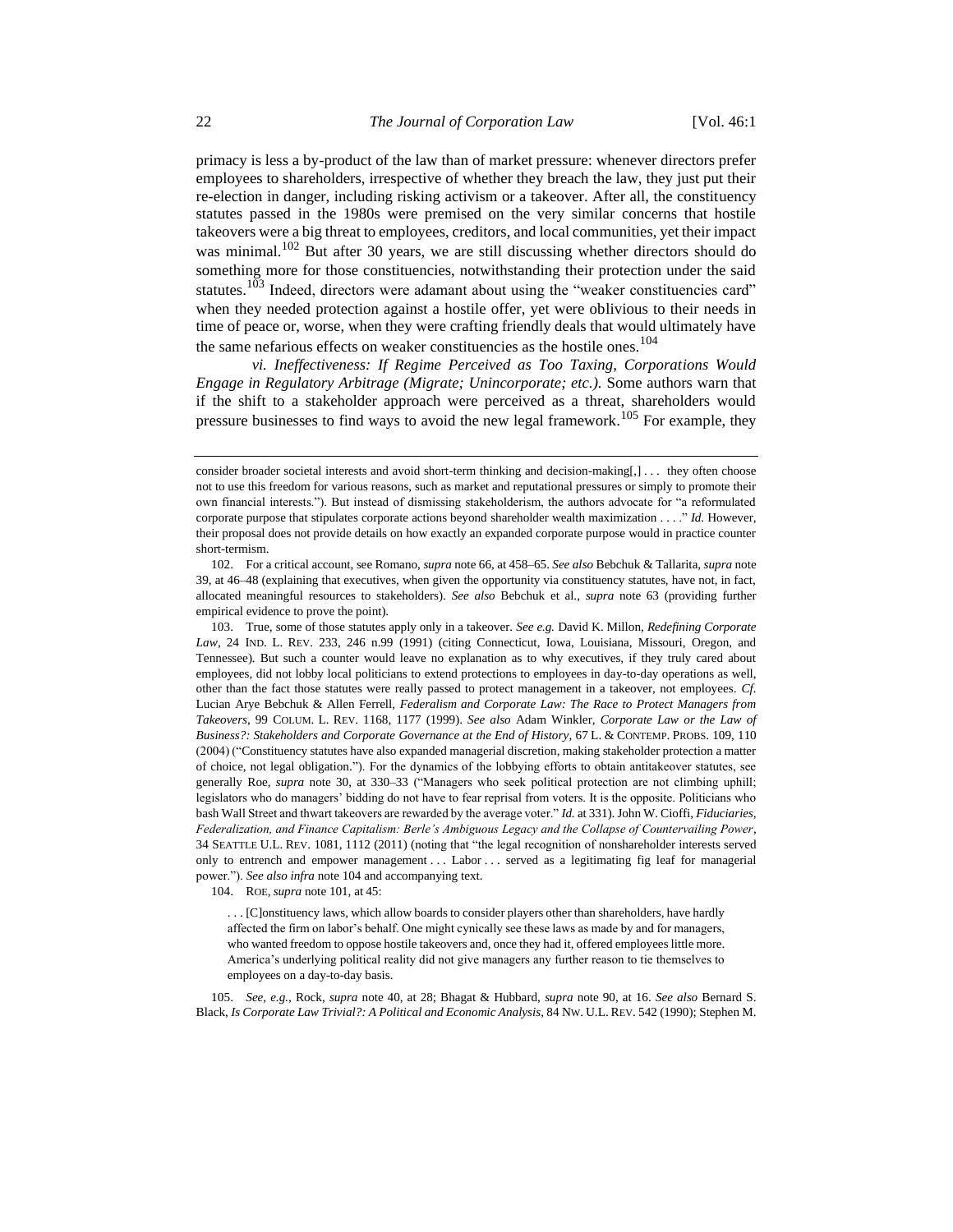primacy is less a by-product of the law than of market pressure: whenever directors prefer employees to shareholders, irrespective of whether they breach the law, they just put their re-election in danger, including risking activism or a takeover. After all, the constituency statutes passed in the 1980s were premised on the very similar concerns that hostile takeovers were a big threat to employees, creditors, and local communities, yet their impact was minimal.<sup>102</sup> But after 30 years, we are still discussing whether directors should do something more for those constituencies, notwithstanding their protection under the said statutes.<sup>103</sup> Indeed, directors were adamant about using the "weaker constituencies card" when they needed protection against a hostile offer, yet were oblivious to their needs in time of peace or, worse, when they were crafting friendly deals that would ultimately have the same nefarious effects on weaker constituencies as the hostile ones.<sup>104</sup>

<span id="page-21-1"></span><span id="page-21-0"></span>*vi. Ineffectiveness: If Regime Perceived as Too Taxing, Corporations Would Engage in Regulatory Arbitrage (Migrate; Unincorporate; etc.).* Some authors warn that if the shift to a stakeholder approach were perceived as a threat, shareholders would pressure businesses to find ways to avoid the new legal framework.<sup>105</sup> For example, they

104. ROE, *supra* not[e 101,](#page-20-0) at 45:

. . . [C]onstituency laws, which allow boards to consider players other than shareholders, have hardly affected the firm on labor's behalf. One might cynically see these laws as made by and for managers, who wanted freedom to oppose hostile takeovers and, once they had it, offered employees little more. America's underlying political reality did not give managers any further reason to tie themselves to employees on a day-to-day basis.

105. *See, e.g.*, Rock, *supra* note [40,](#page-10-1) at 28; Bhagat & Hubbard, *supra* note [90,](#page-19-0) at 16. *See also* Bernard S. Black, *Is Corporate Law Trivial?: A Political and Economic Analysis*, 84 NW. U.L. REV. 542 (1990); Stephen M.

consider broader societal interests and avoid short-term thinking and decision-making[,] . . . they often choose not to use this freedom for various reasons, such as market and reputational pressures or simply to promote their own financial interests."). But instead of dismissing stakeholderism, the authors advocate for "a reformulated corporate purpose that stipulates corporate actions beyond shareholder wealth maximization . . . ." *Id.* However, their proposal does not provide details on how exactly an expanded corporate purpose would in practice counter short-termism.

<sup>102.</sup> For a critical account, see Romano, *supra* not[e 66,](#page-15-1) at 458–65. *See also* Bebchuk & Tallarita, *supra* note [39,](#page-9-0) at 46–48 (explaining that executives, when given the opportunity via constituency statutes, have not, in fact, allocated meaningful resources to stakeholders). *See also* Bebchuk et al.*, supra* note [63](#page-14-2) (providing further empirical evidence to prove the point).

<sup>103.</sup> True, some of those statutes apply only in a takeover. *See e.g.* David K. Millon*, Redefining Corporate*  Law, 24 IND. L. REV. 233, 246 n.99 (1991) (citing Connecticut, Iowa, Louisiana, Missouri, Oregon, and Tennessee)*.* But such a counter would leave no explanation as to why executives, if they truly cared about employees, did not lobby local politicians to extend protections to employees in day-to-day operations as well, other than the fact those statutes were really passed to protect management in a takeover, not employees. *Cf.*  Lucian Arye Bebchuk & Allen Ferrell, *Federalism and Corporate Law: The Race to Protect Managers from Takeovers*, 99 COLUM. L. REV. 1168, 1177 (1999). *See also* Adam Winkler, *Corporate Law or the Law of Business?: Stakeholders and Corporate Governance at the End of History*, 67 L. & CONTEMP. PROBS. 109, 110 (2004) ("Constituency statutes have also expanded managerial discretion, making stakeholder protection a matter of choice, not legal obligation."). For the dynamics of the lobbying efforts to obtain antitakeover statutes, see generally Roe, *supra* note [30,](#page-6-2) at 330–33 ("Managers who seek political protection are not climbing uphill; legislators who do managers' bidding do not have to fear reprisal from voters. It is the opposite. Politicians who bash Wall Street and thwart takeovers are rewarded by the average voter." *Id.* at 331). John W. Cioffi, *Fiduciaries, Federalization, and Finance Capitalism: Berle's Ambiguous Legacy and the Collapse of Countervailing Power*, 34 SEATTLE U.L. REV. 1081, 1112 (2011) (noting that "the legal recognition of nonshareholder interests served only to entrench and empower management . . . Labor . . . served as a legitimating fig leaf for managerial power."). *See also infra* not[e 104](#page-21-0) and accompanying text.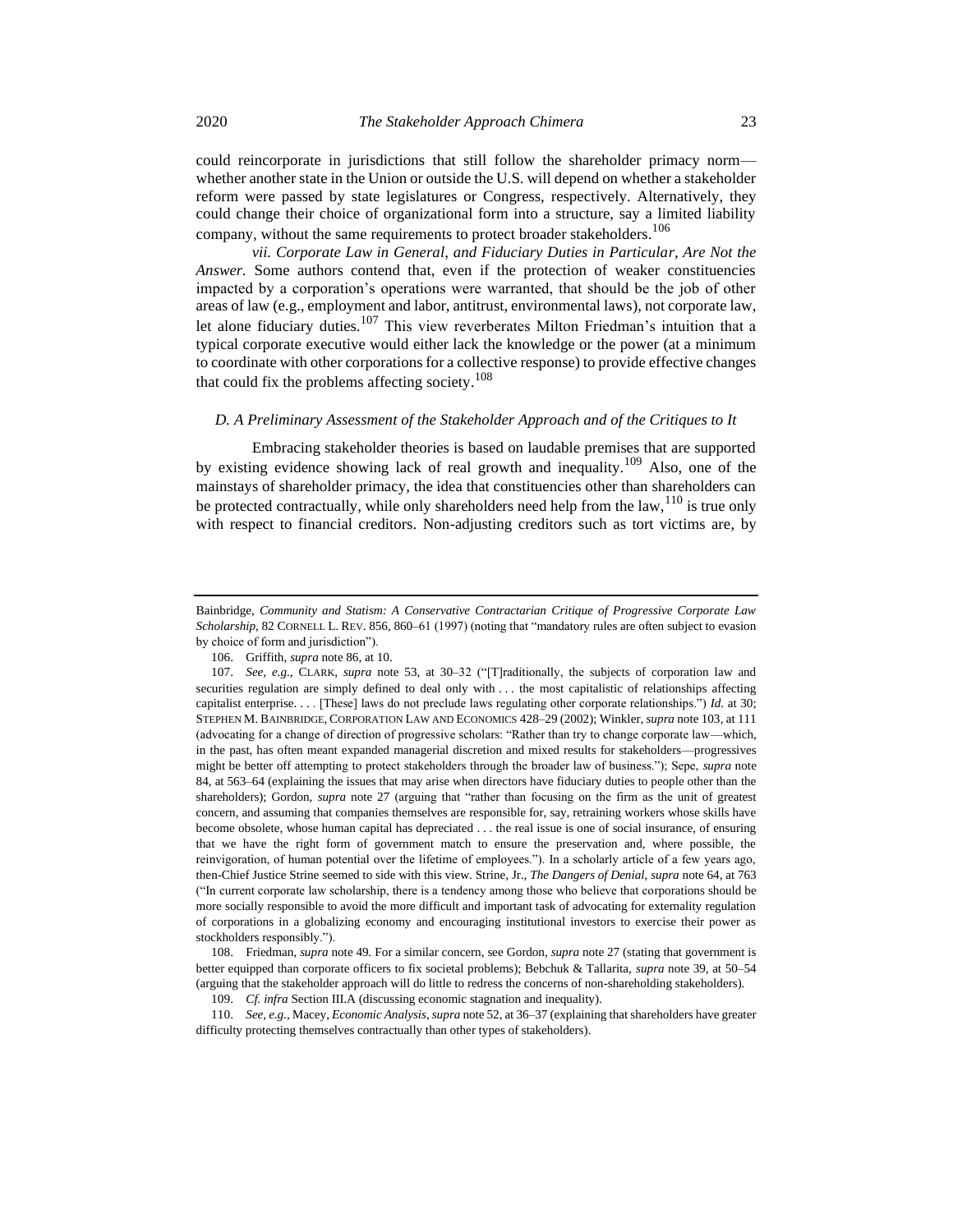could reincorporate in jurisdictions that still follow the shareholder primacy norm whether another state in the Union or outside the U.S. will depend on whether a stakeholder reform were passed by state legislatures or Congress, respectively. Alternatively, they could change their choice of organizational form into a structure, say a limited liability company, without the same requirements to protect broader stakeholders.<sup>106</sup>

*vii. Corporate Law in General, and Fiduciary Duties in Particular, Are Not the Answer.* Some authors contend that, even if the protection of weaker constituencies impacted by a corporation's operations were warranted, that should be the job of other areas of law (e.g., employment and labor, antitrust, environmental laws), not corporate law, let alone fiduciary duties.<sup>107</sup> This view reverberates Milton Friedman's intuition that a typical corporate executive would either lack the knowledge or the power (at a minimum to coordinate with other corporations for a collective response) to provide effective changes that could fix the problems affecting society.<sup>108</sup>

## <span id="page-22-0"></span>*D. A Preliminary Assessment of the Stakeholder Approach and of the Critiques to It*

Embracing stakeholder theories is based on laudable premises that are supported by existing evidence showing lack of real growth and inequality.<sup>109</sup> Also, one of the mainstays of shareholder primacy, the idea that constituencies other than shareholders can be protected contractually, while only shareholders need help from the law,  $110$  is true only with respect to financial creditors. Non-adjusting creditors such as tort victims are, by

106. Griffith, *supra* not[e 86,](#page-18-0) at 10.

109. *Cf. infra* Section III.A (discussing economic stagnation and inequality).

110. *See, e.g.*, Macey, *Economic Analysis*, *supra* not[e 52,](#page-12-1) at 36–37 (explaining that shareholders have greater difficulty protecting themselves contractually than other types of stakeholders).

Bainbridge, *Community and Statism: A Conservative Contractarian Critique of Progressive Corporate Law Scholarship*, 82 CORNELL L. REV. 856, 860–61 (1997) (noting that "mandatory rules are often subject to evasion by choice of form and jurisdiction").

<sup>107.</sup> *See, e.g.*, CLARK, *supra* note [53,](#page-12-0) at 30–32 ("[T]raditionally, the subjects of corporation law and securities regulation are simply defined to deal only with . . . the most capitalistic of relationships affecting capitalist enterprise. . . . [These] laws do not preclude laws regulating other corporate relationships.") *Id.* at 30; STEPHEN M. BAINBRIDGE, CORPORATION LAW AND ECONOMICS 428–29 (2002); Winkler, *supra* not[e 103,](#page-21-1) at 111 (advocating for a change of direction of progressive scholars: "Rather than try to change corporate law—which, in the past, has often meant expanded managerial discretion and mixed results for stakeholders—progressives might be better off attempting to protect stakeholders through the broader law of business."); Sepe, *supra* note [84,](#page-17-1) at 563–64 (explaining the issues that may arise when directors have fiduciary duties to people other than the shareholders); Gordon, *supra* note [27](#page-6-1) (arguing that "rather than focusing on the firm as the unit of greatest concern, and assuming that companies themselves are responsible for, say, retraining workers whose skills have become obsolete, whose human capital has depreciated . . . the real issue is one of social insurance, of ensuring that we have the right form of government match to ensure the preservation and, where possible, the reinvigoration, of human potential over the lifetime of employees."). In a scholarly article of a few years ago, then-Chief Justice Strine seemed to side with this view. Strine, Jr., *The Dangers of Denial*, *supra* not[e 64,](#page-14-1) at 763 ("In current corporate law scholarship, there is a tendency among those who believe that corporations should be more socially responsible to avoid the more difficult and important task of advocating for externality regulation of corporations in a globalizing economy and encouraging institutional investors to exercise their power as stockholders responsibly.").

<sup>108.</sup> Friedman, *supra* note [49](#page-11-2)*.* For a similar concern, see Gordon, *supra* not[e 27](#page-6-1) (stating that government is better equipped than corporate officers to fix societal problems); Bebchuk & Tallarita, *supra* not[e 39,](#page-9-0) at 50–54 (arguing that the stakeholder approach will do little to redress the concerns of non-shareholding stakeholders).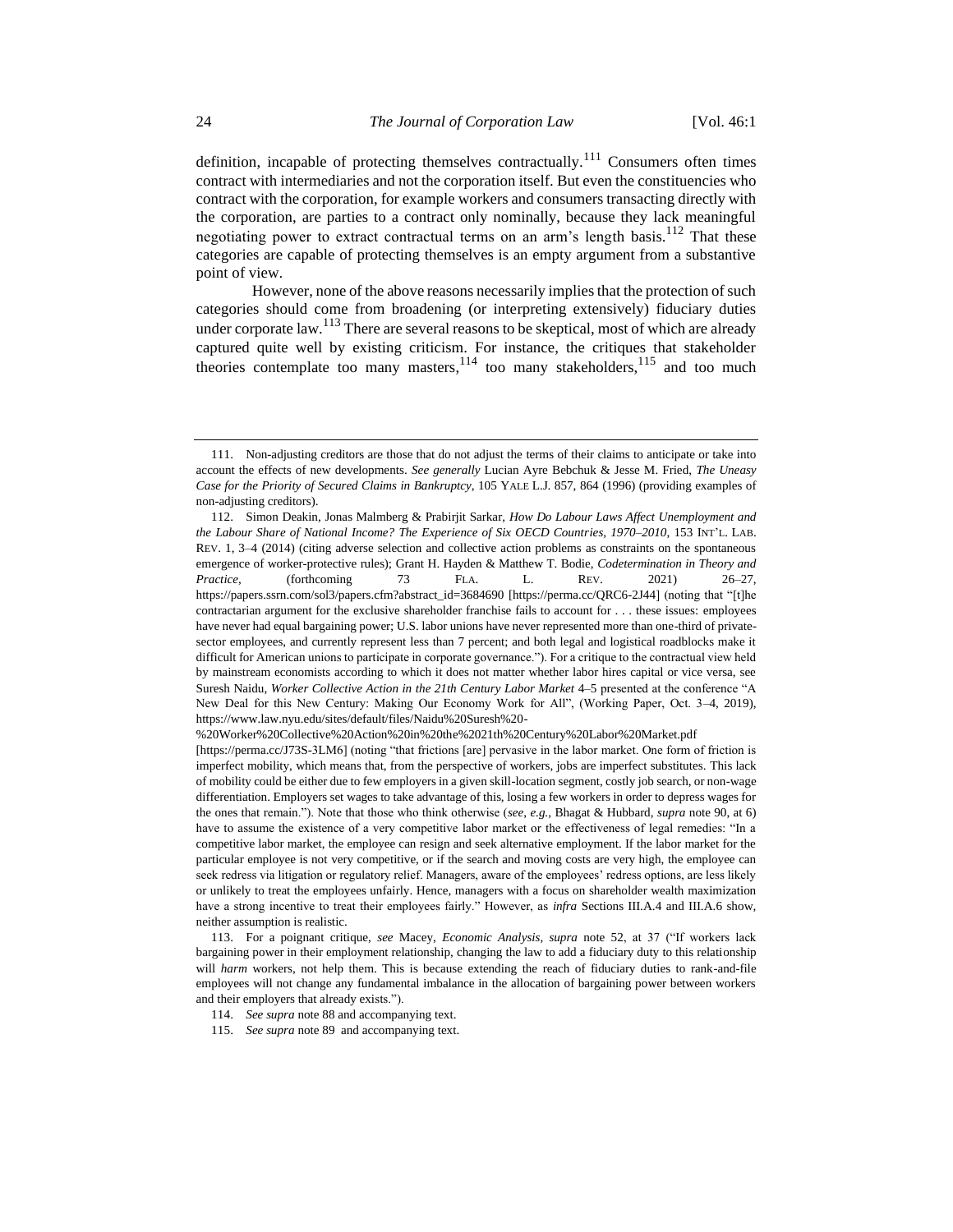definition, incapable of protecting themselves contractually.<sup>111</sup> Consumers often times contract with intermediaries and not the corporation itself. But even the constituencies who contract with the corporation, for example workers and consumers transacting directly with the corporation, are parties to a contract only nominally, because they lack meaningful negotiating power to extract contractual terms on an arm's length basis.<sup>112</sup> That these categories are capable of protecting themselves is an empty argument from a substantive point of view.

<span id="page-23-0"></span>However, none of the above reasons necessarily implies that the protection of such categories should come from broadening (or interpreting extensively) fiduciary duties under corporate law.<sup>113</sup> There are several reasons to be skeptical, most of which are already captured quite well by existing criticism. For instance, the critiques that stakeholder theories contemplate too many masters,  $114$  too many stakeholders,  $115$  and too much

<sup>111.</sup> Non-adjusting creditors are those that do not adjust the terms of their claims to anticipate or take into account the effects of new developments. *See generally* Lucian Ayre Bebchuk & Jesse M. Fried, *The Uneasy Case for the Priority of Secured Claims in Bankruptcy*, 105 YALE L.J. 857, 864 (1996) (providing examples of non-adjusting creditors).

<sup>112.</sup> Simon Deakin, Jonas Malmberg & Prabirjit Sarkar, *How Do Labour Laws Affect Unemployment and the Labour Share of National Income? The Experience of Six OECD Countries, 1970–2010*, 153 INT'L. LAB. REV. 1, 3–4 (2014) (citing adverse selection and collective action problems as constraints on the spontaneous emergence of worker-protective rules); Grant H. Hayden & Matthew T. Bodie, *Codetermination in Theory and Practice*, (forthcoming 73 FLA. L. REV. 2021) 26–27, https://papers.ssrn.com/sol3/papers.cfm?abstract\_id=3684690 [https://perma.cc/QRC6-2J44] (noting that "[t]he contractarian argument for the exclusive shareholder franchise fails to account for . . . these issues: employees have never had equal bargaining power; U.S. labor unions have never represented more than one-third of privatesector employees, and currently represent less than 7 percent; and both legal and logistical roadblocks make it difficult for American unions to participate in corporate governance."). For a critique to the contractual view held by mainstream economists according to which it does not matter whether labor hires capital or vice versa, see Suresh Naidu, *Worker Collective Action in the 21th Century Labor Market* 4–5 presented at the conference "A New Deal for this New Century: Making Our Economy Work for All", (Working Paper, Oct. 3–4, 2019), https://www.law.nyu.edu/sites/default/files/Naidu%20Suresh%20-

<sup>%20</sup>Worker%20Collective%20Action%20in%20the%2021th%20Century%20Labor%20Market.pdf

<sup>[</sup>https://perma.cc/J73S-3LM6] (noting "that frictions [are] pervasive in the labor market. One form of friction is imperfect mobility, which means that, from the perspective of workers, jobs are imperfect substitutes. This lack of mobility could be either due to few employers in a given skill-location segment, costly job search, or non-wage differentiation. Employers set wages to take advantage of this, losing a few workers in order to depress wages for the ones that remain."). Note that those who think otherwise (*see*, *e.g.*, Bhagat & Hubbard, *supra* note [90,](#page-19-0) at 6) have to assume the existence of a very competitive labor market or the effectiveness of legal remedies: "In a competitive labor market, the employee can resign and seek alternative employment. If the labor market for the particular employee is not very competitive, or if the search and moving costs are very high, the employee can seek redress via litigation or regulatory relief. Managers, aware of the employees' redress options, are less likely or unlikely to treat the employees unfairly. Hence, managers with a focus on shareholder wealth maximization have a strong incentive to treat their employees fairly." However, as *infra* Sections III.A.4 and III.A.6 show, neither assumption is realistic.

<sup>113.</sup> For a poignant critique, *see* Macey, *Economic Analysis, supra* note [52,](#page-12-1) at 37 ("If workers lack bargaining power in their employment relationship, changing the law to add a fiduciary duty to this relationship will *harm* workers, not help them. This is because extending the reach of fiduciary duties to rank-and-file employees will not change any fundamental imbalance in the allocation of bargaining power between workers and their employers that already exists.").

<sup>114.</sup> *See supra* not[e 88](#page-18-1) and accompanying text.

<sup>115.</sup> *See supra* not[e 89](#page-18-2) and accompanying text.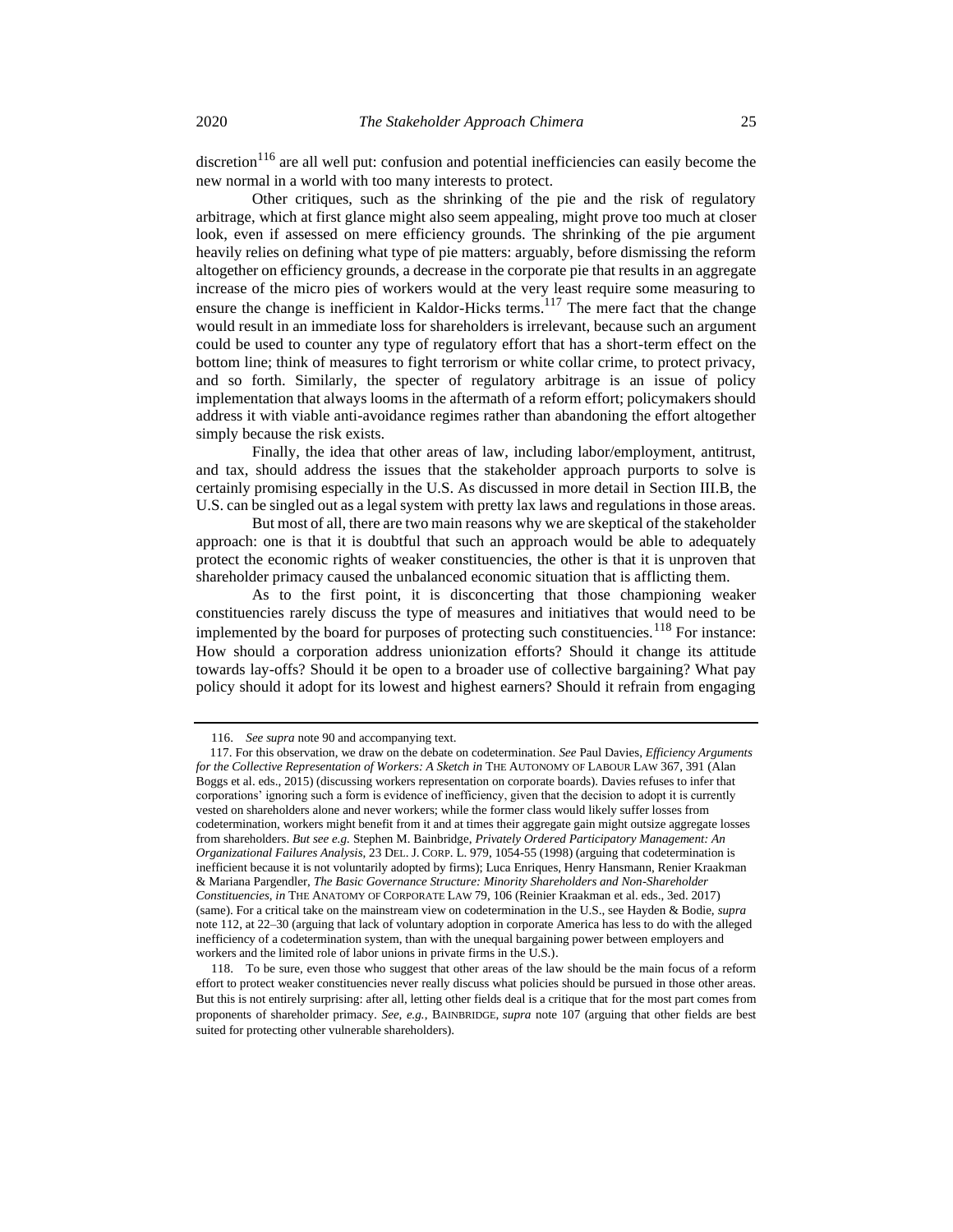discretion<sup>116</sup> are all well put: confusion and potential inefficiencies can easily become the new normal in a world with too many interests to protect.

Other critiques, such as the shrinking of the pie and the risk of regulatory arbitrage, which at first glance might also seem appealing, might prove too much at closer look, even if assessed on mere efficiency grounds. The shrinking of the pie argument heavily relies on defining what type of pie matters: arguably, before dismissing the reform altogether on efficiency grounds, a decrease in the corporate pie that results in an aggregate increase of the micro pies of workers would at the very least require some measuring to ensure the change is inefficient in Kaldor-Hicks terms.<sup>117</sup> The mere fact that the change would result in an immediate loss for shareholders is irrelevant, because such an argument could be used to counter any type of regulatory effort that has a short-term effect on the bottom line; think of measures to fight terrorism or white collar crime, to protect privacy, and so forth. Similarly, the specter of regulatory arbitrage is an issue of policy implementation that always looms in the aftermath of a reform effort; policymakers should address it with viable anti-avoidance regimes rather than abandoning the effort altogether simply because the risk exists.

Finally, the idea that other areas of law, including labor/employment, antitrust, and tax, should address the issues that the stakeholder approach purports to solve is certainly promising especially in the U.S. As discussed in more detail in Section III.B, the U.S. can be singled out as a legal system with pretty lax laws and regulations in those areas.

But most of all, there are two main reasons why we are skeptical of the stakeholder approach: one is that it is doubtful that such an approach would be able to adequately protect the economic rights of weaker constituencies, the other is that it is unproven that shareholder primacy caused the unbalanced economic situation that is afflicting them.

As to the first point, it is disconcerting that those championing weaker constituencies rarely discuss the type of measures and initiatives that would need to be implemented by the board for purposes of protecting such constituencies.<sup>118</sup> For instance: How should a corporation address unionization efforts? Should it change its attitude towards lay-offs? Should it be open to a broader use of collective bargaining? What pay policy should it adopt for its lowest and highest earners? Should it refrain from engaging

<sup>116.</sup> *See supra* not[e 90](#page-19-0) and accompanying text.

<sup>117.</sup> For this observation, we draw on the debate on codetermination. *See* Paul Davies, *Efficiency Arguments for the Collective Representation of Workers: A Sketch in* THE AUTONOMY OF LABOUR LAW 367, 391 (Alan Boggs et al. eds., 2015) (discussing workers representation on corporate boards). Davies refuses to infer that corporations' ignoring such a form is evidence of inefficiency, given that the decision to adopt it is currently vested on shareholders alone and never workers; while the former class would likely suffer losses from codetermination, workers might benefit from it and at times their aggregate gain might outsize aggregate losses from shareholders. *But see e.g.* Stephen M. Bainbridge, *Privately Ordered Participatory Management: An Organizational Failures Analysis*, 23 DEL. J. CORP. L. 979, 1054-55 (1998) (arguing that codetermination is inefficient because it is not voluntarily adopted by firms); Luca Enriques, Henry Hansmann, Renier Kraakman & Mariana Pargendler, *The Basic Governance Structure: Minority Shareholders and Non-Shareholder Constituencies*, *in* THE ANATOMY OF CORPORATE LAW 79, 106 (Reinier Kraakman et al. eds., 3ed. 2017) (same). For a critical take on the mainstream view on codetermination in the U.S., see Hayden & Bodie, *supra*  note [112,](#page-23-0) at 22–30 (arguing that lack of voluntary adoption in corporate America has less to do with the alleged inefficiency of a codetermination system, than with the unequal bargaining power between employers and workers and the limited role of labor unions in private firms in the U.S.).

<sup>118.</sup> To be sure, even those who suggest that other areas of the law should be the main focus of a reform effort to protect weaker constituencies never really discuss what policies should be pursued in those other areas. But this is not entirely surprising: after all, letting other fields deal is a critique that for the most part comes from proponents of shareholder primacy. *See, e.g.*, BAINBRIDGE, *supra* note [107](#page-22-0) (arguing that other fields are best suited for protecting other vulnerable shareholders).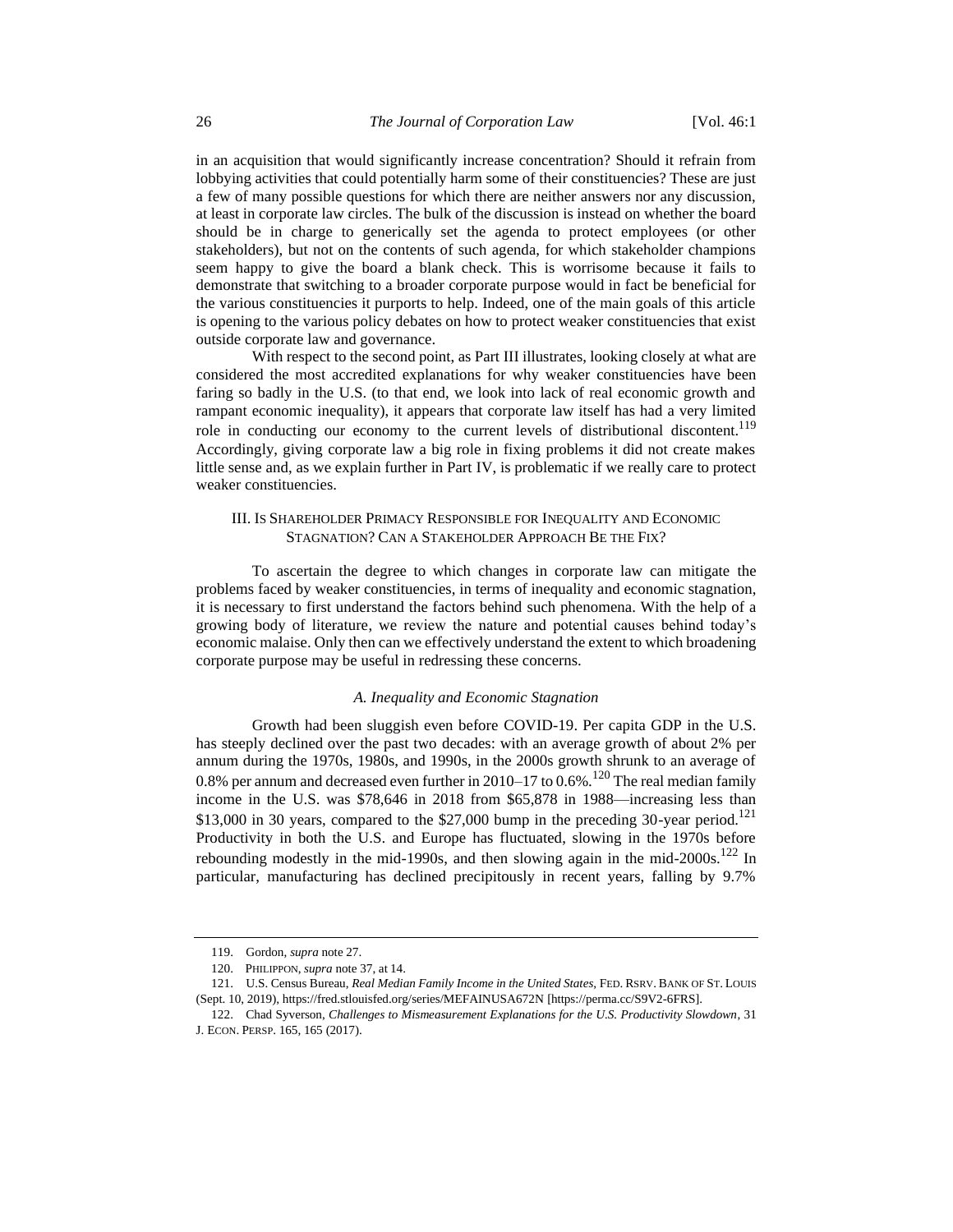in an acquisition that would significantly increase concentration? Should it refrain from lobbying activities that could potentially harm some of their constituencies? These are just a few of many possible questions for which there are neither answers nor any discussion, at least in corporate law circles. The bulk of the discussion is instead on whether the board should be in charge to generically set the agenda to protect employees (or other stakeholders), but not on the contents of such agenda, for which stakeholder champions seem happy to give the board a blank check. This is worrisome because it fails to demonstrate that switching to a broader corporate purpose would in fact be beneficial for the various constituencies it purports to help. Indeed, one of the main goals of this article is opening to the various policy debates on how to protect weaker constituencies that exist outside corporate law and governance.

With respect to the second point, as Part III illustrates, looking closely at what are considered the most accredited explanations for why weaker constituencies have been faring so badly in the U.S. (to that end, we look into lack of real economic growth and rampant economic inequality), it appears that corporate law itself has had a very limited role in conducting our economy to the current levels of distributional discontent.<sup>119</sup> Accordingly, giving corporate law a big role in fixing problems it did not create makes little sense and, as we explain further in Part IV, is problematic if we really care to protect weaker constituencies.

# III. IS SHAREHOLDER PRIMACY RESPONSIBLE FOR INEQUALITY AND ECONOMIC STAGNATION? CAN A STAKEHOLDER APPROACH BE THE FIX?

To ascertain the degree to which changes in corporate law can mitigate the problems faced by weaker constituencies, in terms of inequality and economic stagnation, it is necessary to first understand the factors behind such phenomena. With the help of a growing body of literature, we review the nature and potential causes behind today's economic malaise. Only then can we effectively understand the extent to which broadening corporate purpose may be useful in redressing these concerns.

#### *A. Inequality and Economic Stagnation*

Growth had been sluggish even before COVID-19. Per capita GDP in the U.S. has steeply declined over the past two decades: with an average growth of about 2% per annum during the 1970s, 1980s, and 1990s, in the 2000s growth shrunk to an average of 0.8% per annum and decreased even further in 2010–17 to  $0.6\%$ .<sup>120</sup> The real median family income in the U.S. was \$78,646 in 2018 from \$65,878 in 1988—increasing less than \$13,000 in 30 years, compared to the \$27,000 bump in the preceding 30-year period.<sup>121</sup> Productivity in both the U.S. and Europe has fluctuated, slowing in the 1970s before rebounding modestly in the mid-1990s, and then slowing again in the mid-2000s.<sup>122</sup> In particular, manufacturing has declined precipitously in recent years, falling by 9.7%

<sup>119.</sup> Gordon, *supra* not[e 27.](#page-6-1)

<sup>120.</sup> PHILIPPON, *supra* note [37,](#page-8-1) at 14.

<sup>121.</sup> U.S. Census Bureau, *Real Median Family Income in the United States*, FED. RSRV. BANK OF ST. LOUIS (Sept. 10, 2019), https://fred.stlouisfed.org/series/MEFAINUSA672N [https://perma.cc/S9V2-6FRS].

<sup>122.</sup> Chad Syverson, *Challenges to Mismeasurement Explanations for the U.S. Productivity Slowdown*, 31 J. ECON. PERSP. 165, 165 (2017).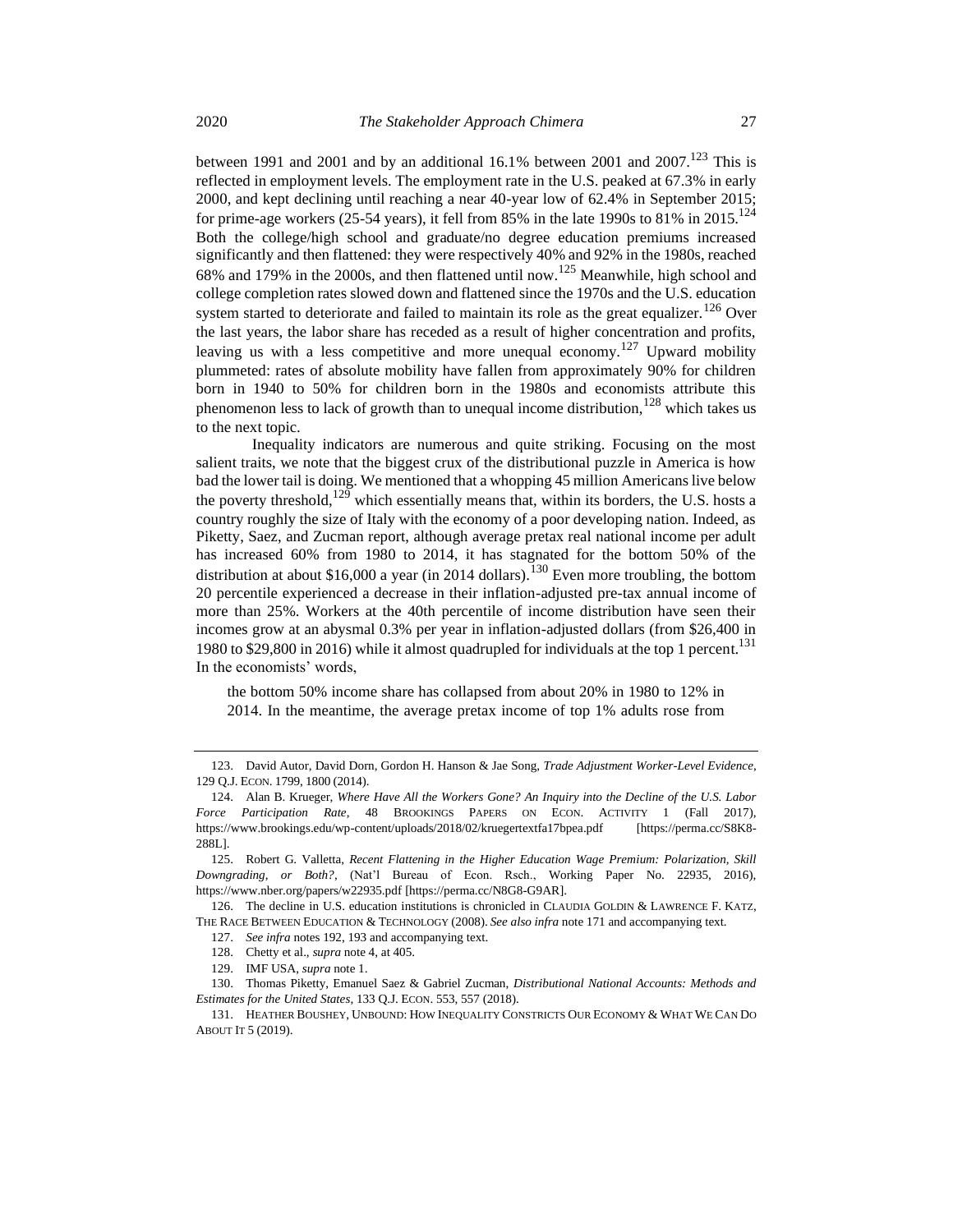<span id="page-26-1"></span>between 1991 and 2001 and by an additional 16.1% between 2001 and  $2007$ .<sup>123</sup> This is reflected in employment levels. The employment rate in the U.S. peaked at 67.3% in early 2000, and kept declining until reaching a near 40-year low of 62.4% in September 2015; for prime-age workers (25-54 years), it fell from 85% in the late 1990s to 81% in 2015.<sup>124</sup> Both the college/high school and graduate/no degree education premiums increased significantly and then flattened: they were respectively 40% and 92% in the 1980s, reached 68% and 179% in the 2000s, and then flattened until now.<sup>125</sup> Meanwhile, high school and college completion rates slowed down and flattened since the 1970s and the U.S. education system started to deteriorate and failed to maintain its role as the great equalizer.<sup>126</sup> Over the last years, the labor share has receded as a result of higher concentration and profits, leaving us with a less competitive and more unequal economy.<sup>127</sup> Upward mobility plummeted: rates of absolute mobility have fallen from approximately 90% for children born in 1940 to 50% for children born in the 1980s and economists attribute this phenomenon less to lack of growth than to unequal income distribution.<sup>128</sup> which takes us to the next topic.

<span id="page-26-2"></span>Inequality indicators are numerous and quite striking. Focusing on the most salient traits, we note that the biggest crux of the distributional puzzle in America is how bad the lower tail is doing. We mentioned that a whopping 45 million Americans live below the poverty threshold,  $129$  which essentially means that, within its borders, the U.S. hosts a country roughly the size of Italy with the economy of a poor developing nation. Indeed, as Piketty, Saez, and Zucman report, although average pretax real national income per adult has increased 60% from 1980 to 2014, it has stagnated for the bottom 50% of the distribution at about \$16,000 a year (in 2014 dollars).<sup>130</sup> Even more troubling, the bottom 20 percentile experienced a decrease in their inflation-adjusted pre-tax annual income of more than 25%. Workers at the 40th percentile of income distribution have seen their incomes grow at an abysmal 0.3% per year in inflation-adjusted dollars (from \$26,400 in 1980 to \$29,800 in 2016) while it almost quadrupled for individuals at the top 1 percent.<sup>131</sup> In the economists' words,

<span id="page-26-0"></span>the bottom 50% income share has collapsed from about 20% in 1980 to 12% in 2014. In the meantime, the average pretax income of top 1% adults rose from

<sup>123.</sup> David Autor, David Dorn, Gordon H. Hanson & Jae Song, *Trade Adjustment Worker-Level Evidence*, 129 Q.J. ECON. 1799, 1800 (2014).

<sup>124.</sup> Alan B. Krueger, *Where Have All the Workers Gone? An Inquiry into the Decline of the U.S. Labor Force Participation Rate*, 48 BROOKINGS PAPERS ON ECON. ACTIVITY 1 (Fall 2017), https://www.brookings.edu/wp-content/uploads/2018/02/kruegertextfa17bpea.pdf [https://perma.cc/S8K8- 288L].

<sup>125.</sup> Robert G. Valletta, *Recent Flattening in the Higher Education Wage Premium: Polarization, Skill Downgrading, or Both?*, (Nat'l Bureau of Econ. Rsch., Working Paper No. 22935, 2016), https://www.nber.org/papers/w22935.pdf [https://perma.cc/N8G8-G9AR].

<sup>126.</sup> The decline in U.S. education institutions is chronicled in CLAUDIA GOLDIN & LAWRENCE F. KATZ, THE RACE BETWEEN EDUCATION & TECHNOLOGY (2008). *See also infra* not[e 171](#page-33-0) and accompanying text.

<sup>127.</sup> *See infra* note[s 192,](#page-37-0) [193](#page-37-1) and accompanying text.

<sup>128.</sup> Chetty et al., *supra* note [4,](#page-2-1) at 405.

<sup>129.</sup> IMF USA, *supra* not[e 1.](#page-1-0)

<sup>130.</sup> Thomas Piketty, Emanuel Saez & Gabriel Zucman, *Distributional National Accounts: Methods and Estimates for the United States*, 133 Q.J. ECON. 553, 557 (2018).

<sup>131.</sup> HEATHER BOUSHEY, UNBOUND: HOW INEQUALITY CONSTRICTS OUR ECONOMY & WHAT WE CAN DO ABOUT IT 5 (2019).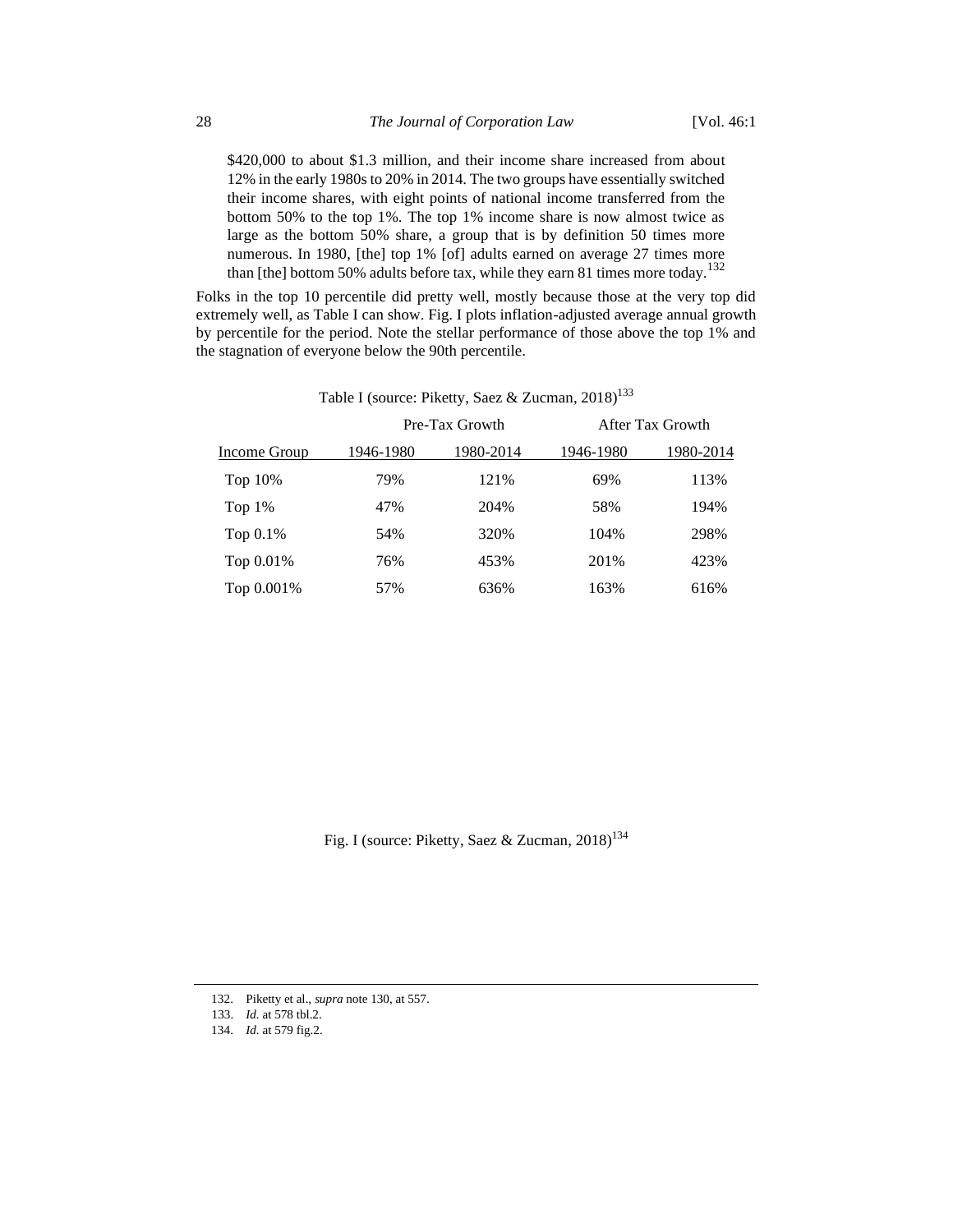\$420,000 to about \$1.3 million, and their income share increased from about 12% in the early 1980s to 20% in 2014. The two groups have essentially switched their income shares, with eight points of national income transferred from the bottom 50% to the top 1%. The top 1% income share is now almost twice as large as the bottom 50% share, a group that is by definition 50 times more numerous. In 1980, [the] top 1% [of] adults earned on average 27 times more than [the] bottom 50% adults before tax, while they earn 81 times more today.<sup>132</sup>

Folks in the top 10 percentile did pretty well, mostly because those at the very top did extremely well, as Table I can show. Fig. I plots inflation-adjusted average annual growth by percentile for the period. Note the stellar performance of those above the top 1% and the stagnation of everyone below the 90th percentile.

| Income Group | Pre-Tax Growth |           | After Tax Growth |           |
|--------------|----------------|-----------|------------------|-----------|
|              | 1946-1980      | 1980-2014 | 1946-1980        | 1980-2014 |
| Top $10\%$   | 79%            | 121%      | 69%              | 113%      |
| Top $1\%$    | 47%            | 204%      | 58%              | 194%      |
| Top $0.1\%$  | 54%            | 320%      | 104%             | 298%      |
| Top 0.01%    | 76%            | 453%      | 201\%            | 423%      |
| Top 0.001\%  | 57%            | 636%      | 163%             | 616%      |
|              |                |           |                  |           |

# Table I (source: Piketty, Saez & Zucman,  $2018$ )<sup>133</sup>

Fig. I (source: Piketty, Saez & Zucman, 2018)<sup>134</sup>

132. Piketty et al., *supra* not[e 130,](#page-26-0) at 557.

133. *Id.* at 578 tbl.2.

<sup>134.</sup> *Id.* at 579 fig.2.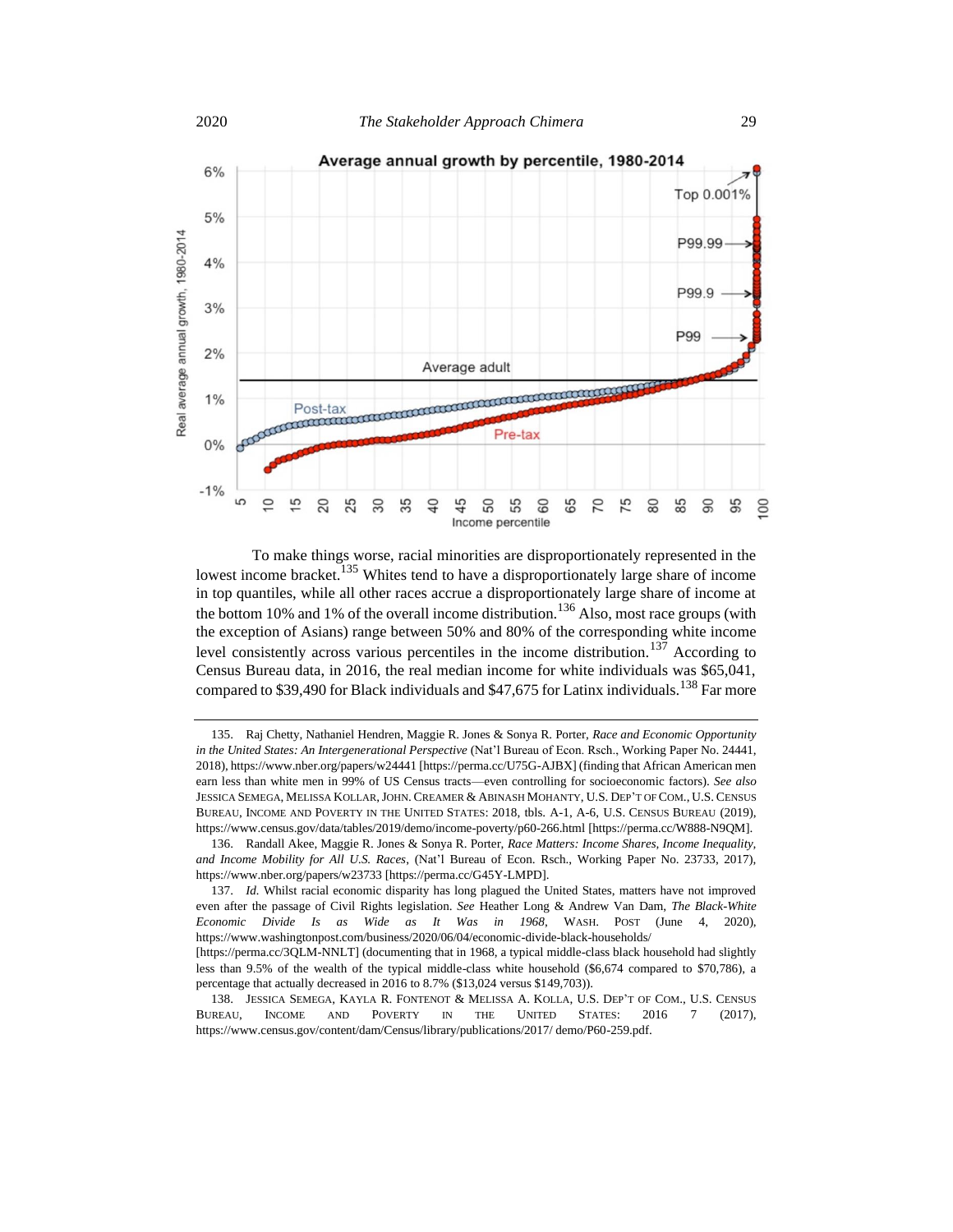

<span id="page-28-0"></span>To make things worse, racial minorities are disproportionately represented in the lowest income bracket.<sup>135</sup> Whites tend to have a disproportionately large share of income in top quantiles, while all other races accrue a disproportionately large share of income at the bottom 10% and 1% of the overall income distribution.<sup>136</sup> Also, most race groups (with the exception of Asians) range between 50% and 80% of the corresponding white income level consistently across various percentiles in the income distribution.<sup>137</sup> According to Census Bureau data, in 2016, the real median income for white individuals was \$65,041, compared to \$39,490 for Black individuals and \$47,675 for Latinx individuals.<sup>138</sup> Far more

<span id="page-28-1"></span><sup>135.</sup> Raj Chetty, Nathaniel Hendren, Maggie R. Jones & Sonya R. Porter, *Race and Economic Opportunity in the United States: An Intergenerational Perspective* (Nat'l Bureau of Econ. Rsch., Working Paper No. 24441, 2018), https://www.nber.org/papers/w24441 [https://perma.cc/U75G-AJBX] (finding that African American men earn less than white men in 99% of US Census tracts—even controlling for socioeconomic factors). *See also* JESSICA SEMEGA, MELISSA KOLLAR,JOHN. CREAMER & ABINASH MOHANTY, U.S. DEP'T OF COM., U.S. CENSUS BUREAU, INCOME AND POVERTY IN THE UNITED STATES: 2018, tbls. A-1, A-6, U.S. CENSUS BUREAU (2019), https://www.census.gov/data/tables/2019/demo/income-poverty/p60-266.html [https://perma.cc/W888-N9QM].

<sup>136.</sup> Randall Akee, Maggie R. Jones & Sonya R. Porter, *Race Matters: Income Shares, Income Inequality, and Income Mobility for All U.S. Races*, (Nat'l Bureau of Econ. Rsch., Working Paper No. 23733, 2017), https://www.nber.org/papers/w23733 [https://perma.cc/G45Y-LMPD].

<sup>137.</sup> *Id.* Whilst racial economic disparity has long plagued the United States, matters have not improved even after the passage of Civil Rights legislation. *See* Heather Long & Andrew Van Dam, *The Black-White Economic Divide Is as Wide as It Was in 1968*, WASH. POST (June 4, 2020), https://www.washingtonpost.com/business/2020/06/04/economic-divide-black-households/ [https://perma.cc/3QLM-NNLT] (documenting that in 1968, a typical middle-class black household had slightly

less than 9.5% of the wealth of the typical middle-class white household (\$6,674 compared to \$70,786), a percentage that actually decreased in 2016 to 8.7% (\$13,024 versus \$149,703)).

<sup>138.</sup> JESSICA SEMEGA, KAYLA R. FONTENOT & MELISSA A. KOLLA, U.S. DEP'T OF COM., U.S. CENSUS BUREAU, INCOME AND POVERTY IN THE UNITED STATES: 2016 7 (2017), https://www.census.gov/content/dam/Census/library/publications/2017/ demo/P60-259.pdf.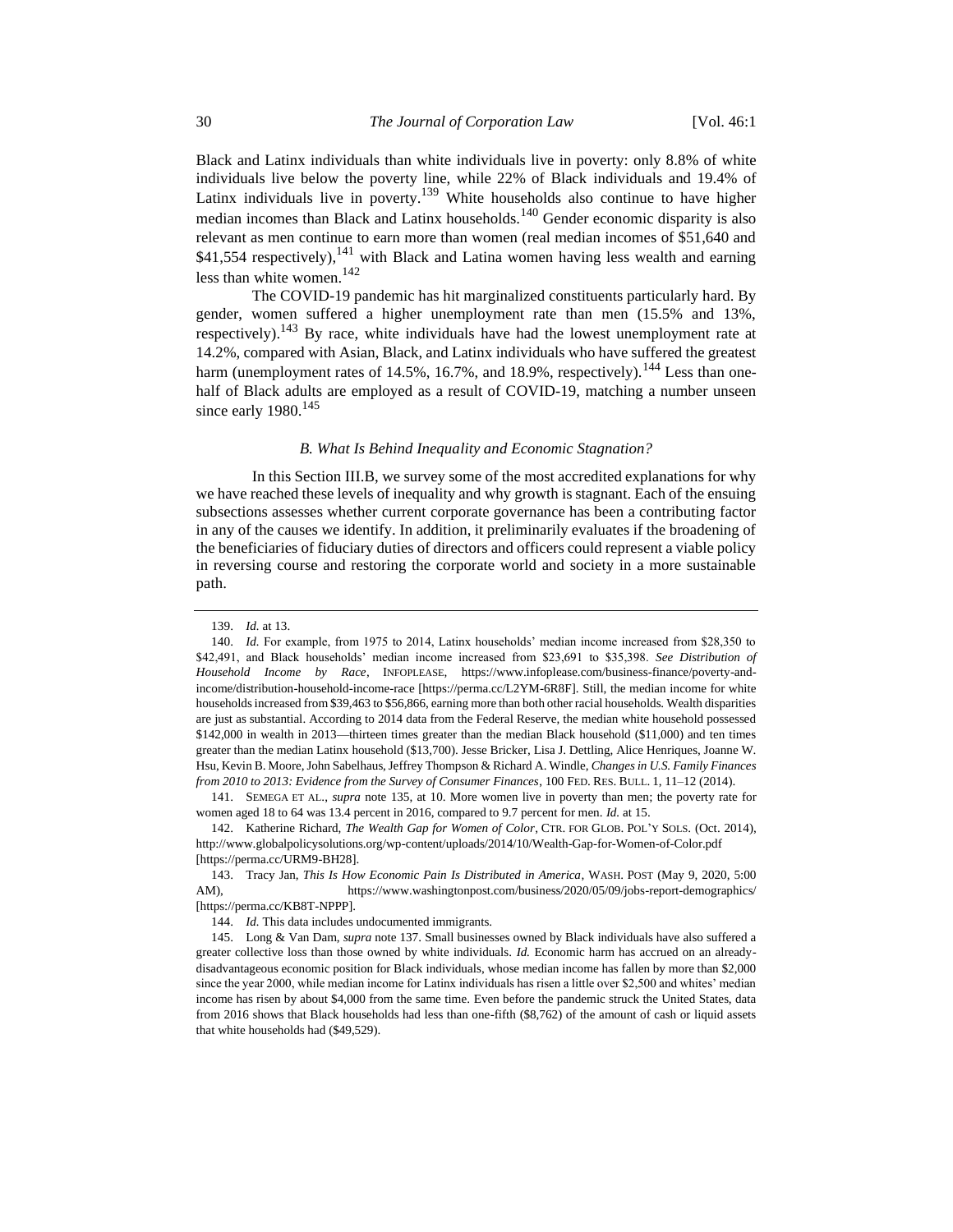Black and Latinx individuals than white individuals live in poverty: only 8.8% of white individuals live below the poverty line, while 22% of Black individuals and 19.4% of Latinx individuals live in poverty.<sup>139</sup> White households also continue to have higher median incomes than Black and Latinx households.<sup>140</sup> Gender economic disparity is also relevant as men continue to earn more than women (real median incomes of \$51,640 and  $$41,554$  respectively),<sup>141</sup> with Black and Latina women having less wealth and earning less than white women.<sup>142</sup>

The COVID-19 pandemic has hit marginalized constituents particularly hard. By gender, women suffered a higher unemployment rate than men (15.5% and 13%, respectively).<sup>143</sup> By race, white individuals have had the lowest unemployment rate at 14.2%, compared with Asian, Black, and Latinx individuals who have suffered the greatest harm (unemployment rates of 14.5%, 16.7%, and 18.9%, respectively).<sup>144</sup> Less than onehalf of Black adults are employed as a result of COVID-19, matching a number unseen since early  $1980.<sup>145</sup>$ 

## *B. What Is Behind Inequality and Economic Stagnation?*

In this Section III.B, we survey some of the most accredited explanations for why we have reached these levels of inequality and why growth is stagnant. Each of the ensuing subsections assesses whether current corporate governance has been a contributing factor in any of the causes we identify. In addition, it preliminarily evaluates if the broadening of the beneficiaries of fiduciary duties of directors and officers could represent a viable policy in reversing course and restoring the corporate world and society in a more sustainable path.

141. SEMEGA ET AL., *supra* note [135,](#page-28-0) at 10. More women live in poverty than men; the poverty rate for women aged 18 to 64 was 13.4 percent in 2016, compared to 9.7 percent for men. *Id.* at 15.

142. Katherine Richard, *The Wealth Gap for Women of Color*, CTR. FOR GLOB. POL'Y SOLS. (Oct. 2014), http://www.globalpolicysolutions.org/wp-content/uploads/2014/10/Wealth-Gap-for-Women-of-Color.pdf [https://perma.cc/URM9-BH28].

143. Tracy Jan, *This Is How Economic Pain Is Distributed in America*, WASH. POST (May 9, 2020, 5:00 AM), https://www.washingtonpost.com/business/2020/05/09/jobs-report-demographics/ [https://perma.cc/KB8T-NPPP].

144. *Id.* This data includes undocumented immigrants.

145. Long & Van Dam, *supra* note [137.](#page-28-1) Small businesses owned by Black individuals have also suffered a greater collective loss than those owned by white individuals. *Id.* Economic harm has accrued on an alreadydisadvantageous economic position for Black individuals, whose median income has fallen by more than \$2,000 since the year 2000, while median income for Latinx individuals has risen a little over \$2,500 and whites' median income has risen by about \$4,000 from the same time. Even before the pandemic struck the United States, data from 2016 shows that Black households had less than one-fifth (\$8,762) of the amount of cash or liquid assets that white households had (\$49,529).

<sup>139.</sup> *Id.* at 13.

<sup>140.</sup> *Id.* For example, from 1975 to 2014, Latinx households' median income increased from \$28,350 to \$42,491, and Black households' median income increased from \$23,691 to \$35,398. *See Distribution of Household Income by Race*, INFOPLEASE, https://www.infoplease.com/business-finance/poverty-andincome/distribution-household-income-race [https://perma.cc/L2YM-6R8F]. Still, the median income for white households increased from \$39,463 to \$56,866, earning more than both other racial households. Wealth disparities are just as substantial. According to 2014 data from the Federal Reserve, the median white household possessed \$142,000 in wealth in 2013—thirteen times greater than the median Black household (\$11,000) and ten times greater than the median Latinx household (\$13,700). Jesse Bricker, Lisa J. Dettling, Alice Henriques, Joanne W. Hsu, Kevin B. Moore, John Sabelhaus, Jeffrey Thompson & Richard A. Windle, *Changes in U.S. Family Finances from 2010 to 2013: Evidence from the Survey of Consumer Finances*, 100 FED. RES. BULL. 1, 11–12 (2014).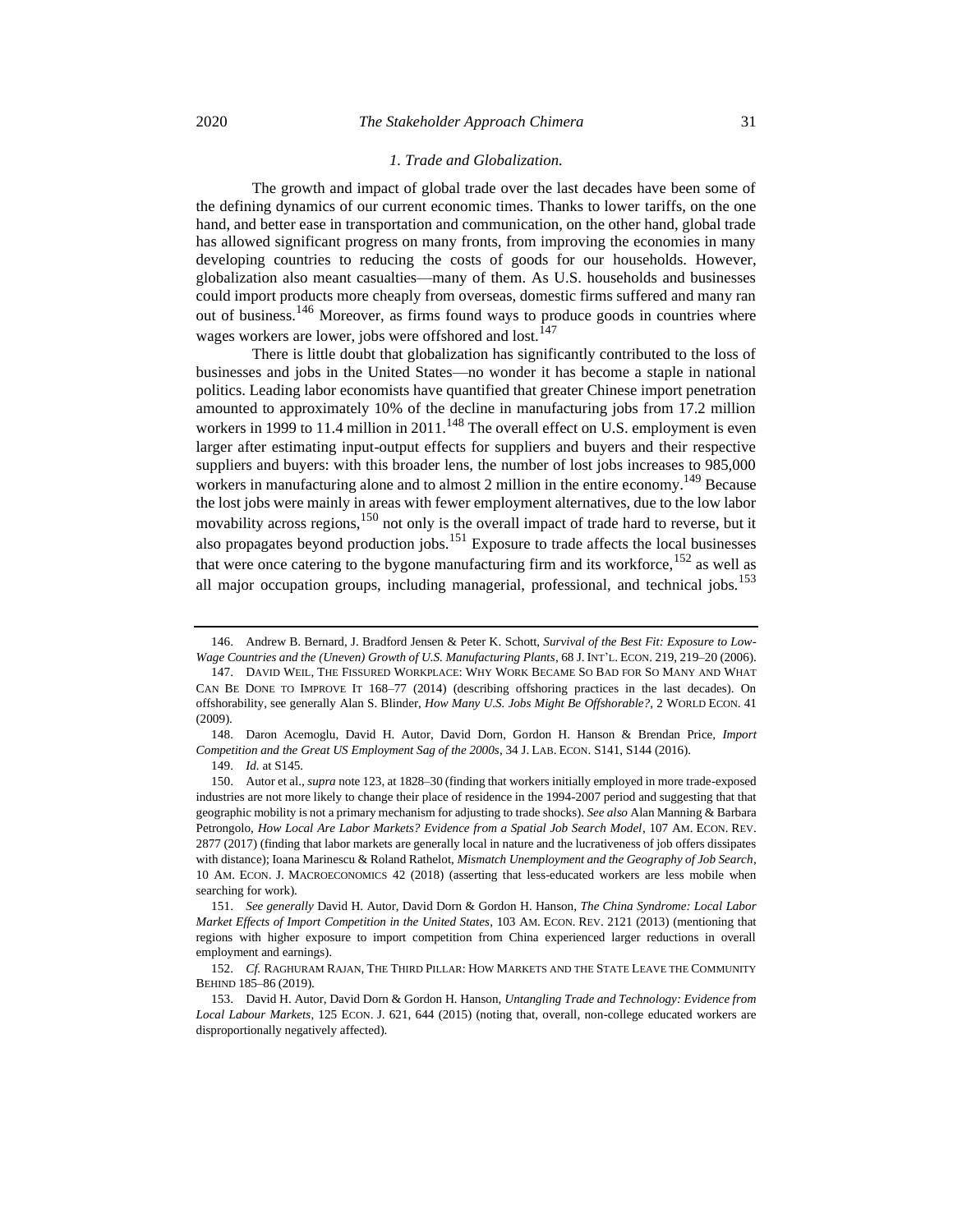#### *1. Trade and Globalization.*

The growth and impact of global trade over the last decades have been some of the defining dynamics of our current economic times. Thanks to lower tariffs, on the one hand, and better ease in transportation and communication, on the other hand, global trade has allowed significant progress on many fronts, from improving the economies in many developing countries to reducing the costs of goods for our households. However, globalization also meant casualties—many of them. As U.S. households and businesses could import products more cheaply from overseas, domestic firms suffered and many ran out of business.<sup>146</sup> Moreover, as firms found ways to produce goods in countries where wages workers are lower, jobs were offshored and lost.<sup>147</sup>

There is little doubt that globalization has significantly contributed to the loss of businesses and jobs in the United States—no wonder it has become a staple in national politics. Leading labor economists have quantified that greater Chinese import penetration amounted to approximately 10% of the decline in manufacturing jobs from 17.2 million workers in 1999 to 11.4 million in  $2011$ .<sup>148</sup> The overall effect on U.S. employment is even larger after estimating input-output effects for suppliers and buyers and their respective suppliers and buyers: with this broader lens, the number of lost jobs increases to 985,000 workers in manufacturing alone and to almost 2 million in the entire economy.<sup>149</sup> Because the lost jobs were mainly in areas with fewer employment alternatives, due to the low labor movability across regions,<sup>150</sup> not only is the overall impact of trade hard to reverse, but it also propagates beyond production jobs.<sup>151</sup> Exposure to trade affects the local businesses that were once catering to the bygone manufacturing firm and its workforce,  $152$  as well as all major occupation groups, including managerial, professional, and technical jobs.<sup>153</sup>

<span id="page-30-0"></span><sup>146.</sup> Andrew B. Bernard, J. Bradford Jensen & Peter K. Schott, *Survival of the Best Fit: Exposure to Low-Wage Countries and the (Uneven) Growth of U.S. Manufacturing Plants*, 68 J. INT'L. ECON. 219, 219–20 (2006).

<sup>147.</sup> DAVID WEIL, THE FISSURED WORKPLACE: WHY WORK BECAME SO BAD FOR SO MANY AND WHAT CAN BE DONE TO IMPROVE IT 168–77 (2014) (describing offshoring practices in the last decades). On offshorability, see generally Alan S. Blinder, *How Many U.S. Jobs Might Be Offshorable?*, 2 WORLD ECON. 41 (2009).

<sup>148.</sup> Daron Acemoglu, David H. Autor, David Dorn, Gordon H. Hanson & Brendan Price, *Import Competition and the Great US Employment Sag of the 2000s*, 34 J. LAB. ECON. S141, S144 (2016).

<sup>149.</sup> *Id.* at S145.

<sup>150.</sup> Autor et al., *supra* not[e 123,](#page-26-1) at 1828–30 (finding that workers initially employed in more trade-exposed industries are not more likely to change their place of residence in the 1994-2007 period and suggesting that that geographic mobility is not a primary mechanism for adjusting to trade shocks). *See also* Alan Manning & Barbara Petrongolo, *How Local Are Labor Markets? Evidence from a Spatial Job Search Model*, 107 AM. ECON. REV. 2877 (2017) (finding that labor markets are generally local in nature and the lucrativeness of job offers dissipates with distance); Ioana Marinescu & Roland Rathelot, *Mismatch Unemployment and the Geography of Job Search*, 10 AM. ECON. J. MACROECONOMICS 42 (2018) (asserting that less-educated workers are less mobile when searching for work).

<sup>151.</sup> *See generally* David H. Autor, David Dorn & Gordon H. Hanson, *The China Syndrome: Local Labor Market Effects of Import Competition in the United States*, 103 AM. ECON. REV. 2121 (2013) (mentioning that regions with higher exposure to import competition from China experienced larger reductions in overall employment and earnings).

<sup>152.</sup> *Cf.* RAGHURAM RAJAN, THE THIRD PILLAR: HOW MARKETS AND THE STATE LEAVE THE COMMUNITY BEHIND 185–86 (2019).

<sup>153.</sup> David H. Autor, David Dorn & Gordon H. Hanson, *Untangling Trade and Technology: Evidence from Local Labour Markets*, 125 ECON. J. 621, 644 (2015) (noting that, overall, non-college educated workers are disproportionally negatively affected).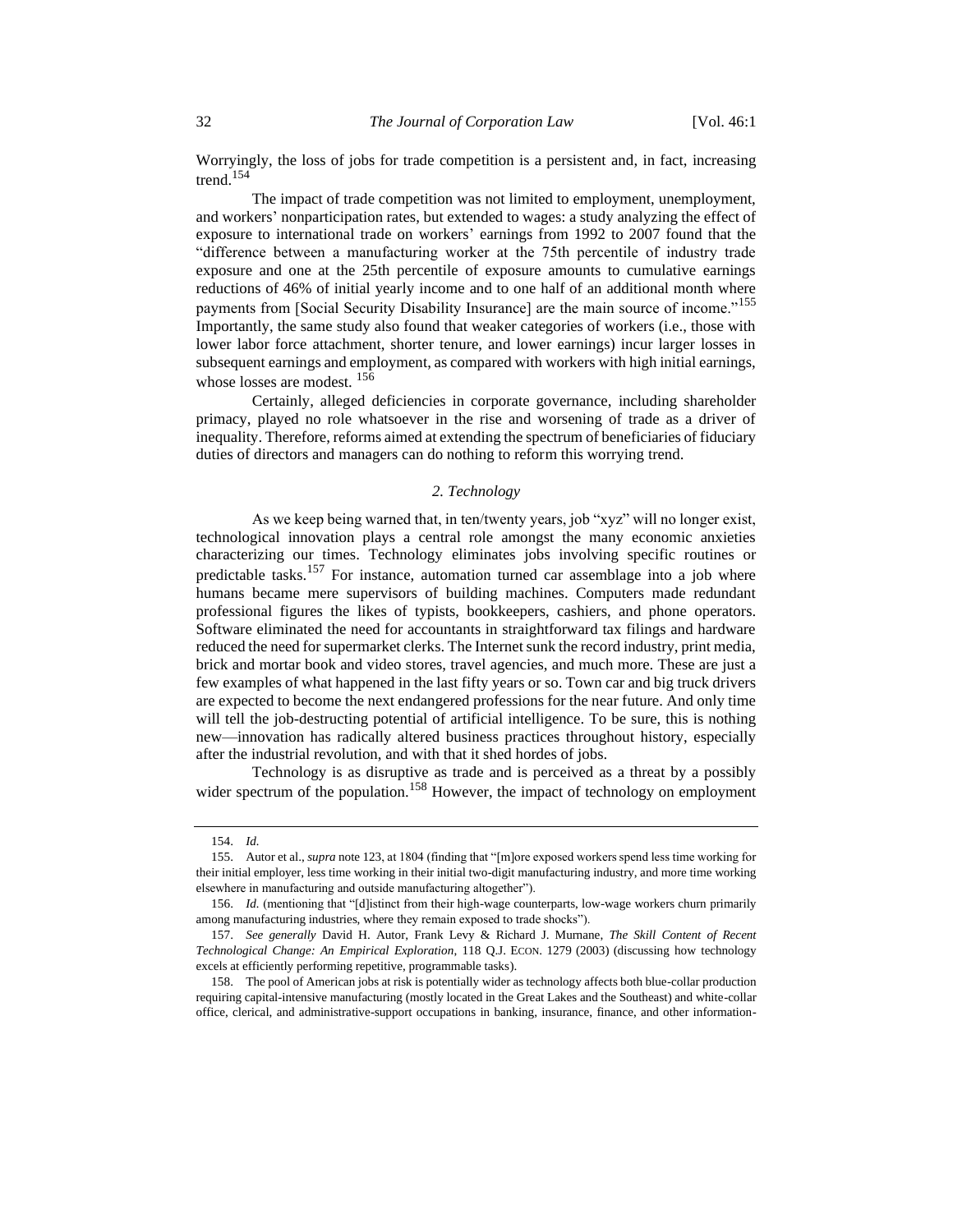Worryingly, the loss of jobs for trade competition is a persistent and, in fact, increasing trend.<sup>154</sup>

The impact of trade competition was not limited to employment, unemployment, and workers' nonparticipation rates, but extended to wages: a study analyzing the effect of exposure to international trade on workers' earnings from 1992 to 2007 found that the "difference between a manufacturing worker at the 75th percentile of industry trade exposure and one at the 25th percentile of exposure amounts to cumulative earnings reductions of 46% of initial yearly income and to one half of an additional month where payments from [Social Security Disability Insurance] are the main source of income."<sup>155</sup> Importantly, the same study also found that weaker categories of workers (i.e., those with lower labor force attachment, shorter tenure, and lower earnings) incur larger losses in subsequent earnings and employment, as compared with workers with high initial earnings, whose losses are modest. <sup>156</sup>

Certainly, alleged deficiencies in corporate governance, including shareholder primacy, played no role whatsoever in the rise and worsening of trade as a driver of inequality. Therefore, reforms aimed at extending the spectrum of beneficiaries of fiduciary duties of directors and managers can do nothing to reform this worrying trend.

## *2. Technology*

As we keep being warned that, in ten/twenty years, job "xyz" will no longer exist, technological innovation plays a central role amongst the many economic anxieties characterizing our times. Technology eliminates jobs involving specific routines or predictable tasks.<sup>157</sup> For instance, automation turned car assemblage into a job where humans became mere supervisors of building machines. Computers made redundant professional figures the likes of typists, bookkeepers, cashiers, and phone operators. Software eliminated the need for accountants in straightforward tax filings and hardware reduced the need for supermarket clerks. The Internet sunk the record industry, print media, brick and mortar book and video stores, travel agencies, and much more. These are just a few examples of what happened in the last fifty years or so. Town car and big truck drivers are expected to become the next endangered professions for the near future. And only time will tell the job-destructing potential of artificial intelligence. To be sure, this is nothing new—innovation has radically altered business practices throughout history, especially after the industrial revolution, and with that it shed hordes of jobs.

Technology is as disruptive as trade and is perceived as a threat by a possibly wider spectrum of the population.<sup>158</sup> However, the impact of technology on employment

<sup>154.</sup> *Id.*

<sup>155.</sup> Autor et al., *supra* not[e 123,](#page-26-1) at 1804 (finding that "[m]ore exposed workers spend less time working for their initial employer, less time working in their initial two-digit manufacturing industry, and more time working elsewhere in manufacturing and outside manufacturing altogether").

<sup>156.</sup> *Id.* (mentioning that "[d]istinct from their high-wage counterparts, low-wage workers churn primarily among manufacturing industries, where they remain exposed to trade shocks").

<sup>157.</sup> *See generally* David H. Autor, Frank Levy & Richard J. Murnane, *The Skill Content of Recent Technological Change: An Empirical Exploration*, 118 Q.J. ECON. 1279 (2003) (discussing how technology excels at efficiently performing repetitive, programmable tasks).

<sup>158.</sup> The pool of American jobs at risk is potentially wider as technology affects both blue-collar production requiring capital-intensive manufacturing (mostly located in the Great Lakes and the Southeast) and white-collar office, clerical, and administrative-support occupations in banking, insurance, finance, and other information-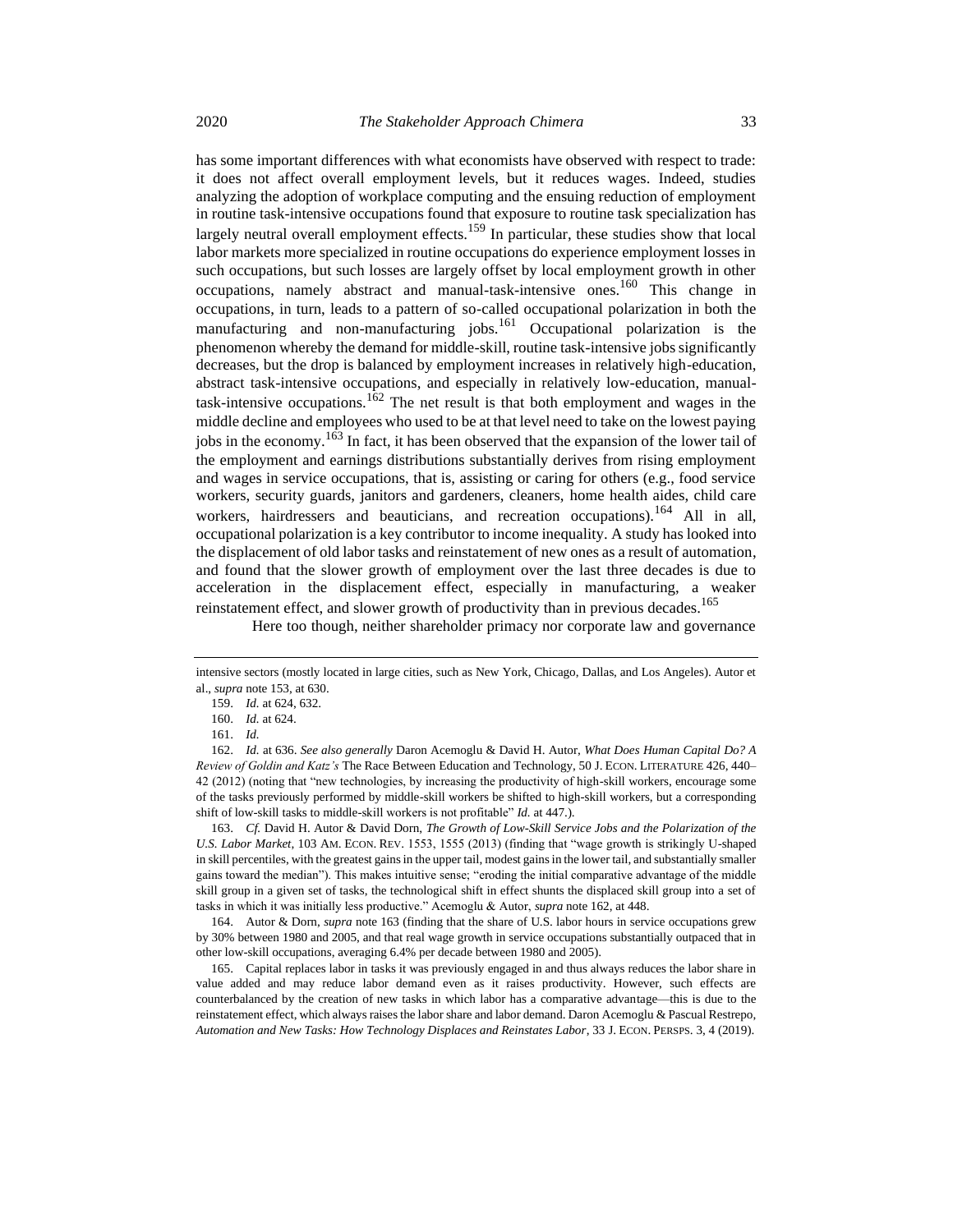has some important differences with what economists have observed with respect to trade: it does not affect overall employment levels, but it reduces wages. Indeed, studies analyzing the adoption of workplace computing and the ensuing reduction of employment in routine task-intensive occupations found that exposure to routine task specialization has largely neutral overall employment effects.<sup>159</sup> In particular, these studies show that local labor markets more specialized in routine occupations do experience employment losses in such occupations, but such losses are largely offset by local employment growth in other occupations, namely abstract and manual-task-intensive ones.<sup>160</sup> This change in occupations, in turn, leads to a pattern of so-called occupational polarization in both the manufacturing and non-manufacturing jobs.<sup>161</sup> Occupational polarization is the phenomenon whereby the demand for middle-skill, routine task-intensive jobs significantly decreases, but the drop is balanced by employment increases in relatively high-education, abstract task-intensive occupations, and especially in relatively low-education, manualtask-intensive occupations.<sup>162</sup> The net result is that both employment and wages in the middle decline and employees who used to be at that level need to take on the lowest paying iobs in the economy.<sup>163</sup> In fact, it has been observed that the expansion of the lower tail of the employment and earnings distributions substantially derives from rising employment and wages in service occupations, that is, assisting or caring for others (e.g., food service workers, security guards, janitors and gardeners, cleaners, home health aides, child care workers, hairdressers and beauticians, and recreation occupations).<sup>164</sup> All in all, occupational polarization is a key contributor to income inequality. A study has looked into the displacement of old labor tasks and reinstatement of new ones as a result of automation, and found that the slower growth of employment over the last three decades is due to acceleration in the displacement effect, especially in manufacturing, a weaker

<span id="page-32-1"></span><span id="page-32-0"></span>reinstatement effect, and slower growth of productivity than in previous decades.<sup>165</sup> Here too though, neither shareholder primacy nor corporate law and governance

162. *Id.* at 636. *See also generally* Daron Acemoglu & David H. Autor, *What Does Human Capital Do? A Review of Goldin and Katz's* The Race Between Education and Technology, 50 J. ECON. LITERATURE 426, 440– 42 (2012) (noting that "new technologies, by increasing the productivity of high-skill workers, encourage some of the tasks previously performed by middle-skill workers be shifted to high-skill workers, but a corresponding shift of low-skill tasks to middle-skill workers is not profitable" *Id.* at 447.).

163. *Cf.* David H. Autor & David Dorn, *The Growth of Low-Skill Service Jobs and the Polarization of the U.S. Labor Market*, 103 AM. ECON. REV. 1553, 1555 (2013) (finding that "wage growth is strikingly U-shaped in skill percentiles, with the greatest gains in the upper tail, modest gains in the lower tail, and substantially smaller gains toward the median"). This makes intuitive sense; "eroding the initial comparative advantage of the middle skill group in a given set of tasks, the technological shift in effect shunts the displaced skill group into a set of tasks in which it was initially less productive." Acemoglu & Autor, *supra* not[e 162,](#page-32-0) at 448.

164. Autor & Dorn, *supra* not[e 163](#page-32-1) (finding that the share of U.S. labor hours in service occupations grew by 30% between 1980 and 2005, and that real wage growth in service occupations substantially outpaced that in other low-skill occupations, averaging 6.4% per decade between 1980 and 2005).

165. Capital replaces labor in tasks it was previously engaged in and thus always reduces the labor share in value added and may reduce labor demand even as it raises productivity. However, such effects are counterbalanced by the creation of new tasks in which labor has a comparative advantage—this is due to the reinstatement effect, which always raises the labor share and labor demand. Daron Acemoglu & Pascual Restrepo, *Automation and New Tasks: How Technology Displaces and Reinstates Labor*, 33 J. ECON. PERSPS. 3, 4 (2019).

intensive sectors (mostly located in large cities, such as New York, Chicago, Dallas, and Los Angeles). Autor et al., *supra* note [153,](#page-30-0) at 630.

<sup>159.</sup> *Id.* at 624, 632.

<sup>160.</sup> *Id.* at 624.

<sup>161.</sup> *Id.*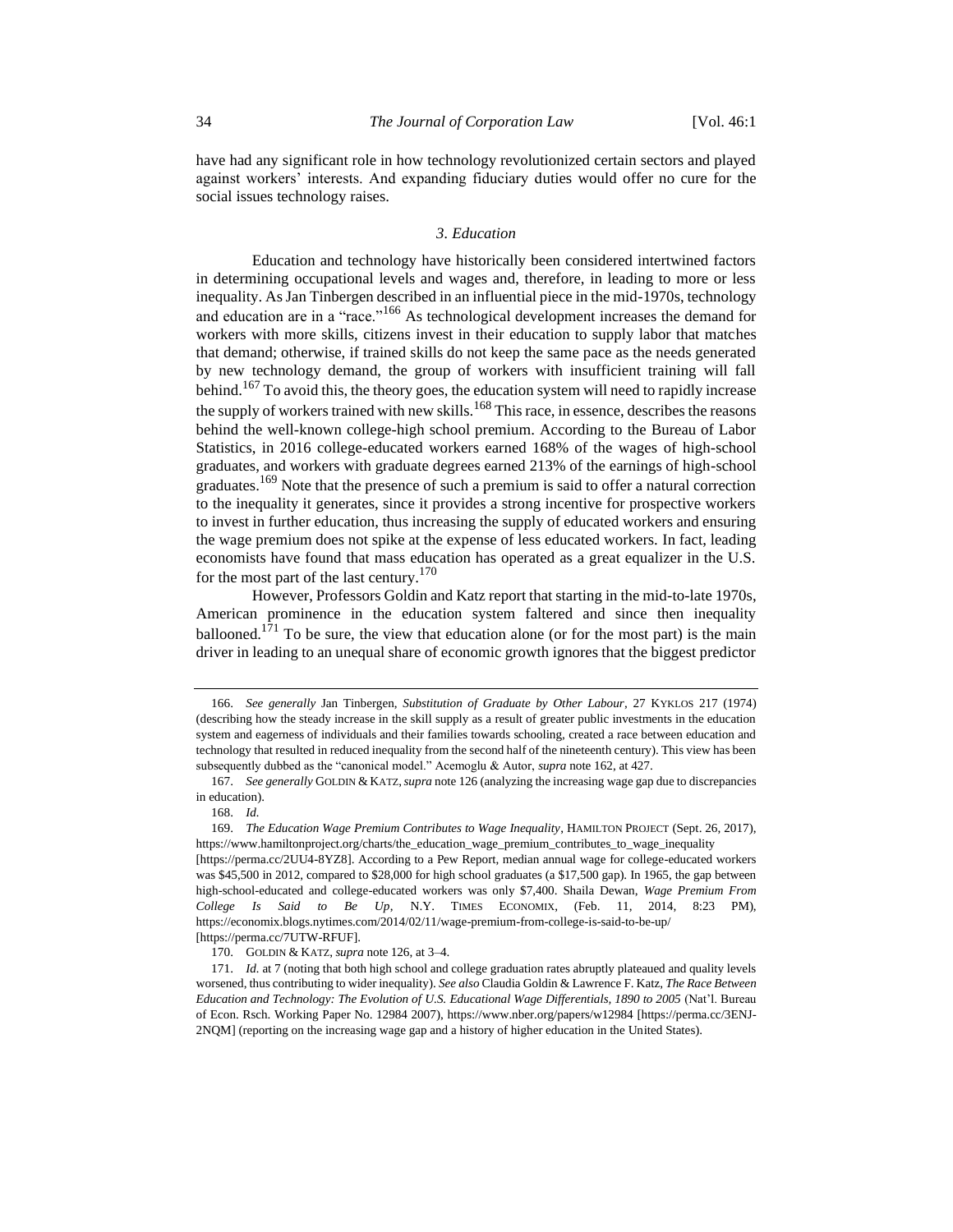have had any significant role in how technology revolutionized certain sectors and played against workers' interests. And expanding fiduciary duties would offer no cure for the social issues technology raises.

## *3. Education*

Education and technology have historically been considered intertwined factors in determining occupational levels and wages and, therefore, in leading to more or less inequality. As Jan Tinbergen described in an influential piece in the mid-1970s, technology and education are in a "race."<sup>166</sup> As technological development increases the demand for workers with more skills, citizens invest in their education to supply labor that matches that demand; otherwise, if trained skills do not keep the same pace as the needs generated by new technology demand, the group of workers with insufficient training will fall behind.<sup>167</sup> To avoid this, the theory goes, the education system will need to rapidly increase the supply of workers trained with new skills.<sup>168</sup> This race, in essence, describes the reasons behind the well-known college-high school premium. According to the Bureau of Labor Statistics, in 2016 college-educated workers earned 168% of the wages of high-school graduates, and workers with graduate degrees earned 213% of the earnings of high-school graduates.<sup>169</sup> Note that the presence of such a premium is said to offer a natural correction to the inequality it generates, since it provides a strong incentive for prospective workers to invest in further education, thus increasing the supply of educated workers and ensuring the wage premium does not spike at the expense of less educated workers. In fact, leading economists have found that mass education has operated as a great equalizer in the U.S. for the most part of the last century.<sup>170</sup>

<span id="page-33-0"></span>However, Professors Goldin and Katz report that starting in the mid-to-late 1970s, American prominence in the education system faltered and since then inequality ballooned.<sup>171</sup> To be sure, the view that education alone (or for the most part) is the main driver in leading to an unequal share of economic growth ignores that the biggest predictor

<sup>166.</sup> *See generally* Jan Tinbergen, *Substitution of Graduate by Other Labour*, 27 KYKLOS 217 (1974) (describing how the steady increase in the skill supply as a result of greater public investments in the education system and eagerness of individuals and their families towards schooling, created a race between education and technology that resulted in reduced inequality from the second half of the nineteenth century). This view has been subsequently dubbed as the "canonical model." Acemoglu & Autor, *supra* not[e 162,](#page-32-0) at 427.

<sup>167.</sup> *See generally* GOLDIN & KATZ,*supra* not[e 126](#page-26-2) (analyzing the increasing wage gap due to discrepancies in education).

<sup>168.</sup> *Id.* 

<sup>169.</sup> *The Education Wage Premium Contributes to Wage Inequality*, HAMILTON PROJECT (Sept. 26, 2017), https://www.hamiltonproject.org/charts/the\_education\_wage\_premium\_contributes\_to\_wage\_inequality

<sup>[</sup>https://perma.cc/2UU4-8YZ8]. According to a Pew Report, median annual wage for college-educated workers was \$45,500 in 2012, compared to \$28,000 for high school graduates (a \$17,500 gap). In 1965, the gap between high-school-educated and college-educated workers was only \$7,400. Shaila Dewan, *Wage Premium From College Is Said to Be Up*, N.Y. TIMES ECONOMIX, (Feb. 11, 2014, 8:23 PM), https://economix.blogs.nytimes.com/2014/02/11/wage-premium-from-college-is-said-to-be-up/ [https://perma.cc/7UTW-RFUF].

<sup>170.</sup> GOLDIN & KATZ, *supra* note [126,](#page-26-2) at 3–4.

<sup>171.</sup> *Id.* at 7 (noting that both high school and college graduation rates abruptly plateaued and quality levels worsened, thus contributing to wider inequality). *See also* Claudia Goldin & Lawrence F. Katz, *The Race Between Education and Technology: The Evolution of U.S. Educational Wage Differentials, 1890 to 2005* (Nat'l. Bureau of Econ. Rsch. Working Paper No. 12984 2007), https://www.nber.org/papers/w12984 [https://perma.cc/3ENJ-2NQM] (reporting on the increasing wage gap and a history of higher education in the United States).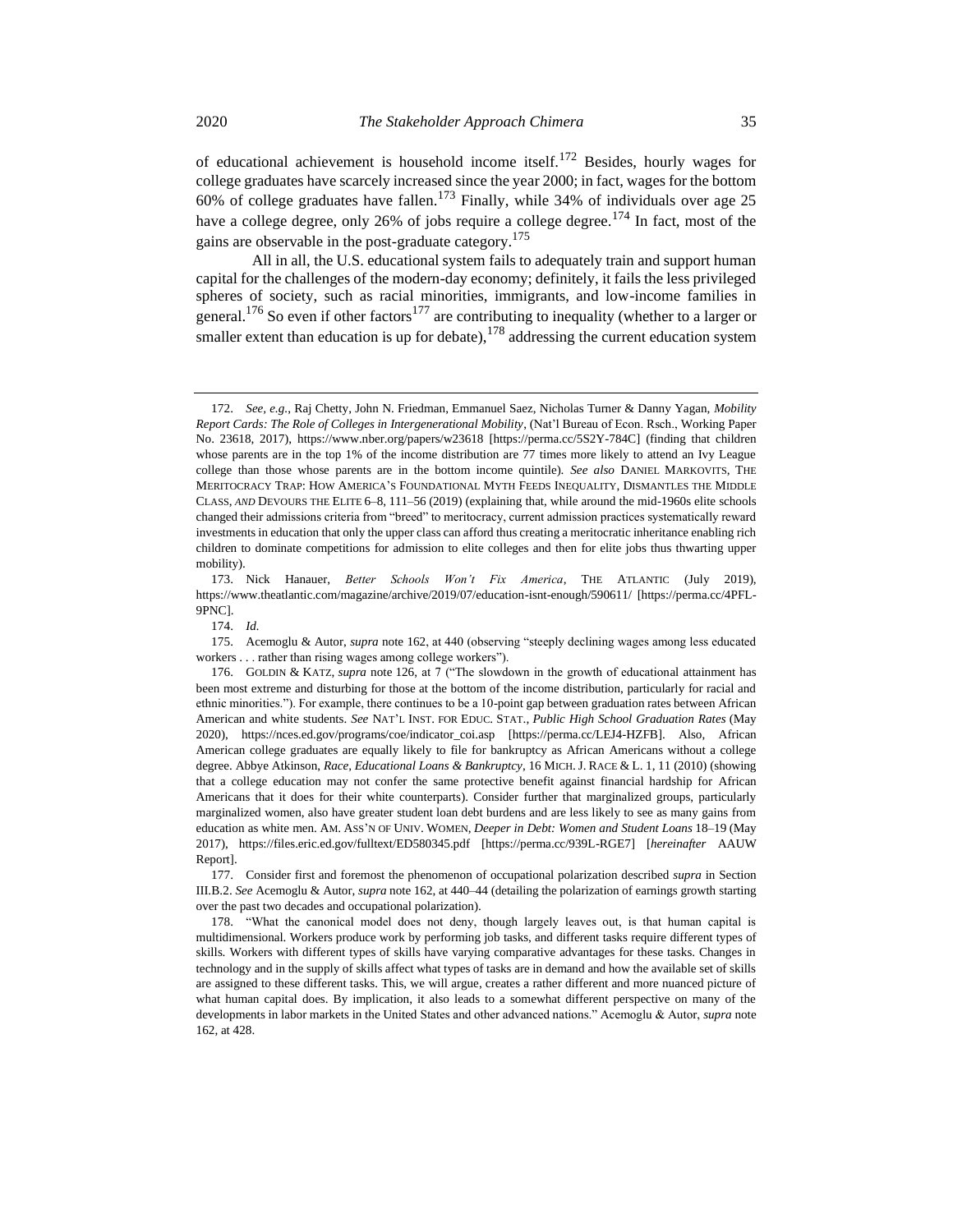of educational achievement is household income itself.<sup>172</sup> Besides, hourly wages for college graduates have scarcely increased since the year 2000; in fact, wages for the bottom 60% of college graduates have fallen.<sup>173</sup> Finally, while 34% of individuals over age 25 have a college degree, only 26% of jobs require a college degree.<sup>174</sup> In fact, most of the gains are observable in the post-graduate category.<sup>175</sup>

All in all, the U.S. educational system fails to adequately train and support human capital for the challenges of the modern-day economy; definitely, it fails the less privileged spheres of society, such as racial minorities, immigrants, and low-income families in general.<sup>176</sup> So even if other factors<sup>177</sup> are contributing to inequality (whether to a larger or smaller extent than education is up for debate),  $178$  addressing the current education system

<sup>172.</sup> *See, e.g.*, Raj Chetty, John N. Friedman, Emmanuel Saez, Nicholas Turner & Danny Yagan, *Mobility Report Cards: The Role of Colleges in Intergenerational Mobility*, (Nat'l Bureau of Econ. Rsch., Working Paper No. 23618, 2017), https://www.nber.org/papers/w23618 [https://perma.cc/5S2Y-784C] (finding that children whose parents are in the top 1% of the income distribution are 77 times more likely to attend an Ivy League college than those whose parents are in the bottom income quintile). *See also* DANIEL MARKOVITS, THE MERITOCRACY TRAP: HOW AMERICA'S FOUNDATIONAL MYTH FEEDS INEQUALITY, DISMANTLES THE MIDDLE CLASS, *AND* DEVOURS THE ELITE 6–8, 111–56 (2019) (explaining that, while around the mid-1960s elite schools changed their admissions criteria from "breed" to meritocracy, current admission practices systematically reward investments in education that only the upper class can afford thus creating a meritocratic inheritance enabling rich children to dominate competitions for admission to elite colleges and then for elite jobs thus thwarting upper mobility).

<sup>173.</sup> Nick Hanauer, *Better Schools Won't Fix America*, THE ATLANTIC (July 2019), https://www.theatlantic.com/magazine/archive/2019/07/education-isnt-enough/590611/ [https://perma.cc/4PFL-9PNC].

<sup>174.</sup> *Id.*

<sup>175.</sup> Acemoglu & Autor, *supra* not[e 162,](#page-32-0) at 440 (observing "steeply declining wages among less educated workers . . . rather than rising wages among college workers").

<sup>176.</sup> GOLDIN & KATZ, *supra* note [126,](#page-26-2) at 7 ("The slowdown in the growth of educational attainment has been most extreme and disturbing for those at the bottom of the income distribution, particularly for racial and ethnic minorities."). For example, there continues to be a 10-point gap between graduation rates between African American and white students. *See* NAT'L INST. FOR EDUC. STAT., *Public High School Graduation Rates* (May 2020), https://nces.ed.gov/programs/coe/indicator\_coi.asp [https://perma.cc/LEJ4-HZFB]. Also, African American college graduates are equally likely to file for bankruptcy as African Americans without a college degree. Abbye Atkinson, *Race, Educational Loans & Bankruptcy*, 16 MICH. J. RACE & L. 1, 11 (2010) (showing that a college education may not confer the same protective benefit against financial hardship for African Americans that it does for their white counterparts). Consider further that marginalized groups, particularly marginalized women, also have greater student loan debt burdens and are less likely to see as many gains from education as white men. AM. ASS'N OF UNIV. WOMEN, *Deeper in Debt: Women and Student Loans* 18–19 (May 2017), https://files.eric.ed.gov/fulltext/ED580345.pdf [https://perma.cc/939L-RGE7] [*hereinafter* AAUW Report].

<sup>177.</sup> Consider first and foremost the phenomenon of occupational polarization described *supra* in Section III.B.2. *See* Acemoglu & Autor, *supra* not[e 162,](#page-32-0) at 440–44 (detailing the polarization of earnings growth starting over the past two decades and occupational polarization).

<sup>178.</sup> "What the canonical model does not deny, though largely leaves out, is that human capital is multidimensional. Workers produce work by performing job tasks, and different tasks require different types of skills. Workers with different types of skills have varying comparative advantages for these tasks. Changes in technology and in the supply of skills affect what types of tasks are in demand and how the available set of skills are assigned to these different tasks. This, we will argue, creates a rather different and more nuanced picture of what human capital does. By implication, it also leads to a somewhat different perspective on many of the developments in labor markets in the United States and other advanced nations." Acemoglu & Autor, *supra* note [162,](#page-32-0) at 428.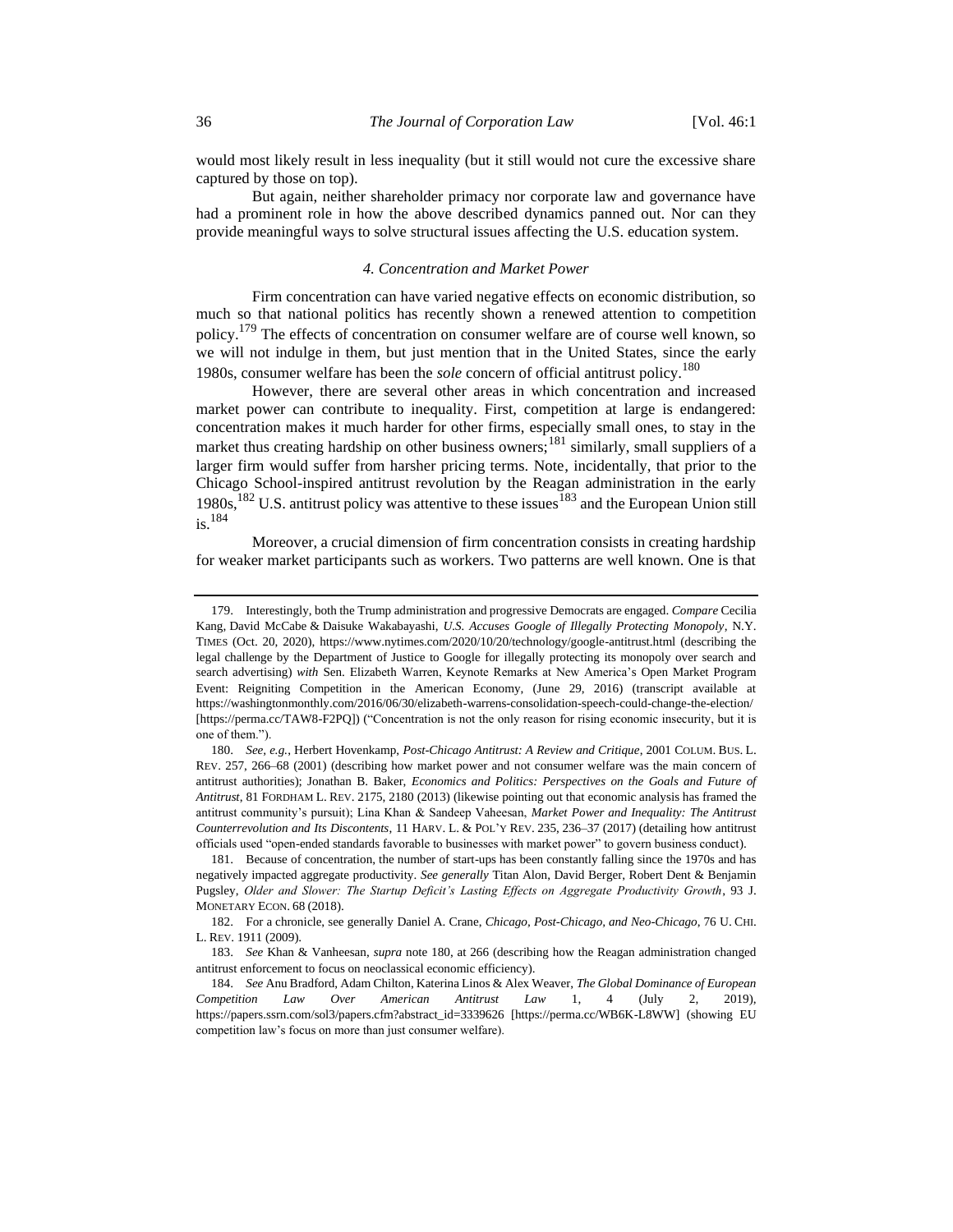would most likely result in less inequality (but it still would not cure the excessive share captured by those on top).

But again, neither shareholder primacy nor corporate law and governance have had a prominent role in how the above described dynamics panned out. Nor can they provide meaningful ways to solve structural issues affecting the U.S. education system.

#### <span id="page-35-0"></span>*4. Concentration and Market Power*

Firm concentration can have varied negative effects on economic distribution, so much so that national politics has recently shown a renewed attention to competition policy.<sup>179</sup> The effects of concentration on consumer welfare are of course well known, so we will not indulge in them, but just mention that in the United States, since the early 1980s, consumer welfare has been the *sole* concern of official antitrust policy.<sup>180</sup>

However, there are several other areas in which concentration and increased market power can contribute to inequality. First, competition at large is endangered: concentration makes it much harder for other firms, especially small ones, to stay in the market thus creating hardship on other business owners;<sup>181</sup> similarly, small suppliers of a larger firm would suffer from harsher pricing terms. Note, incidentally, that prior to the Chicago School-inspired antitrust revolution by the Reagan administration in the early  $1980s$ ,  $182$  U.S. antitrust policy was attentive to these issues  $183$  and the European Union still is.<sup>184</sup>

Moreover, a crucial dimension of firm concentration consists in creating hardship for weaker market participants such as workers. Two patterns are well known. One is that

<sup>179.</sup> Interestingly, both the Trump administration and progressive Democrats are engaged. *Compare* Cecilia Kang, David McCabe & Daisuke Wakabayashi, *U.S. Accuses Google of Illegally Protecting Monopoly*, N.Y. TIMES (Oct. 20, 2020), https://www.nytimes.com/2020/10/20/technology/google-antitrust.html (describing the legal challenge by the Department of Justice to Google for illegally protecting its monopoly over search and search advertising) *with* Sen. Elizabeth Warren, Keynote Remarks at New America's Open Market Program Event: Reigniting Competition in the American Economy, (June 29, 2016) (transcript available at https://washingtonmonthly.com/2016/06/30/elizabeth-warrens-consolidation-speech-could-change-the-election/ [https://perma.cc/TAW8-F2PQ]) ("Concentration is not the only reason for rising economic insecurity, but it is one of them.").

<sup>180.</sup> *See, e.g.*, Herbert Hovenkamp, *Post-Chicago Antitrust: A Review and Critique*, 2001 COLUM. BUS. L. REV. 257, 266–68 (2001) (describing how market power and not consumer welfare was the main concern of antitrust authorities); Jonathan B. Baker, *Economics and Politics: Perspectives on the Goals and Future of Antitrust*, 81 FORDHAM L. REV. 2175, 2180 (2013) (likewise pointing out that economic analysis has framed the antitrust community's pursuit); Lina Khan & Sandeep Vaheesan, *Market Power and Inequality: The Antitrust Counterrevolution and Its Discontents*, 11 HARV. L. & POL'Y REV. 235, 236–37 (2017) (detailing how antitrust officials used "open-ended standards favorable to businesses with market power" to govern business conduct).

<sup>181.</sup> Because of concentration, the number of start-ups has been constantly falling since the 1970s and has negatively impacted aggregate productivity. *See generally* Titan Alon, David Berger, Robert Dent & Benjamin Pugsley, *Older and Slower: The Startup Deficit's Lasting Effects on Aggregate Productivity Growth*, 93 J. MONETARY ECON. 68 (2018).

<sup>182.</sup> For a chronicle, see generally Daniel A. Crane, *Chicago, Post-Chicago, and Neo-Chicago*, 76 U. CHI. L. REV. 1911 (2009).

<sup>183.</sup> *See* Khan & Vanheesan, *supra* note [180,](#page-35-0) at 266 (describing how the Reagan administration changed antitrust enforcement to focus on neoclassical economic efficiency).

<sup>184.</sup> *See* Anu Bradford, Adam Chilton, Katerina Linos & Alex Weaver, *The Global Dominance of European Competition Law Over American Antitrust Law* 1, 4 (July 2, 2019), https://papers.ssrn.com/sol3/papers.cfm?abstract\_id=3339626 [https://perma.cc/WB6K-L8WW] (showing EU competition law's focus on more than just consumer welfare).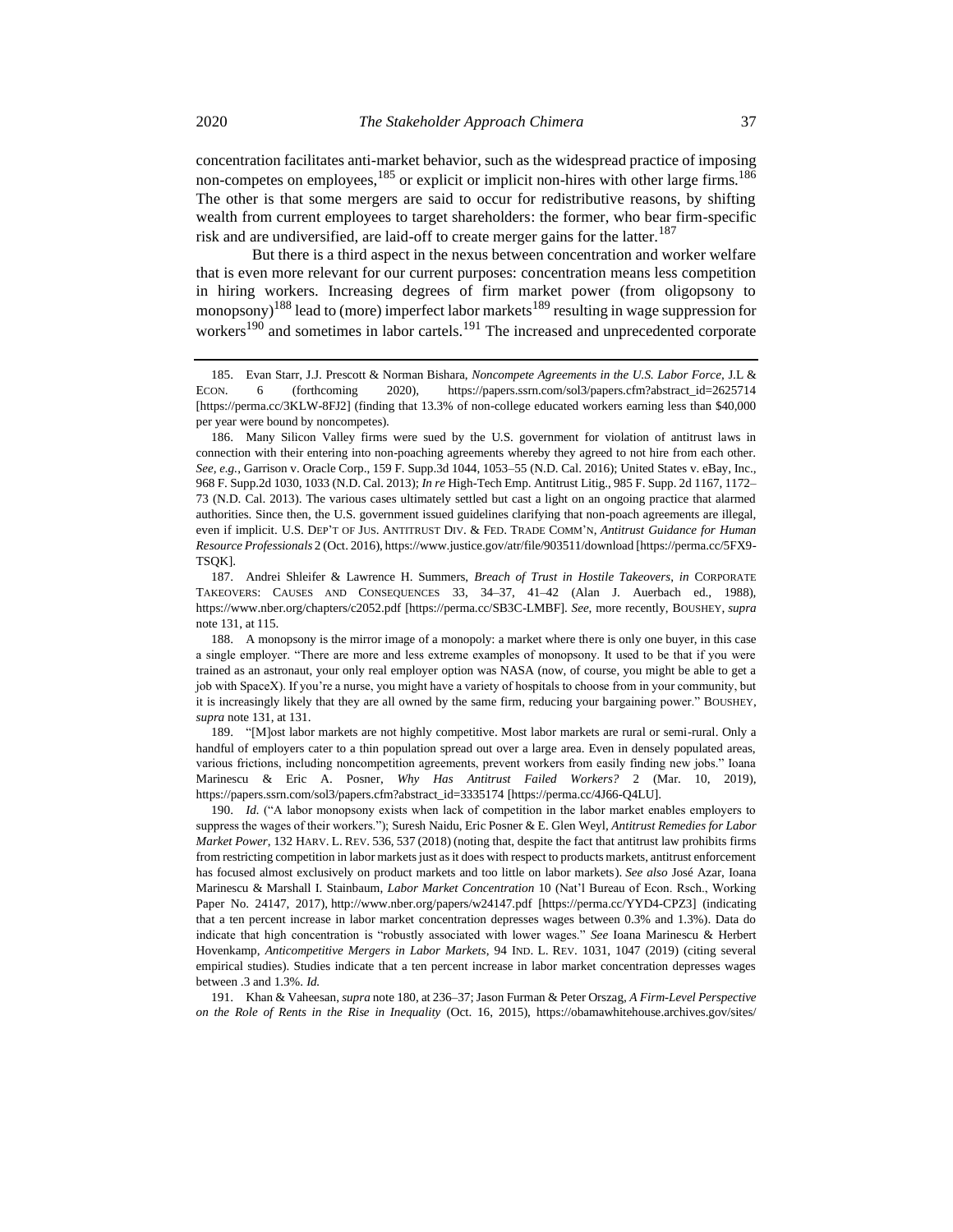concentration facilitates anti-market behavior, such as the widespread practice of imposing non-competes on employees,<sup>185</sup> or explicit or implicit non-hires with other large firms.<sup>186</sup> The other is that some mergers are said to occur for redistributive reasons, by shifting wealth from current employees to target shareholders: the former, who bear firm-specific risk and are undiversified, are laid-off to create merger gains for the latter.<sup>187</sup>

<span id="page-36-3"></span><span id="page-36-2"></span>But there is a third aspect in the nexus between concentration and worker welfare that is even more relevant for our current purposes: concentration means less competition in hiring workers. Increasing degrees of firm market power (from oligopsony to monopsony)<sup>188</sup> lead to (more) imperfect labor markets<sup>189</sup> resulting in wage suppression for workers<sup>190</sup> and sometimes in labor cartels.<sup>191</sup> The increased and unprecedented corporate

<span id="page-36-1"></span><span id="page-36-0"></span><sup>185.</sup> Evan Starr, J.J. Prescott & Norman Bishara, *Noncompete Agreements in the U.S. Labor Force*, J.L & ECON. 6 (forthcoming 2020), https://papers.ssrn.com/sol3/papers.cfm?abstract\_id=2625714 [https://perma.cc/3KLW-8FJ2] (finding that 13.3% of non-college educated workers earning less than \$40,000 per year were bound by noncompetes).

<sup>186.</sup> Many Silicon Valley firms were sued by the U.S. government for violation of antitrust laws in connection with their entering into non-poaching agreements whereby they agreed to not hire from each other. *See, e.g.*, Garrison v. Oracle Corp., 159 F. Supp.3d 1044, 1053–55 (N.D. Cal. 2016); United States v. eBay, Inc., 968 F. Supp.2d 1030, 1033 (N.D. Cal. 2013); *In re* High-Tech Emp. Antitrust Litig., 985 F. Supp. 2d 1167, 1172– 73 (N.D. Cal. 2013). The various cases ultimately settled but cast a light on an ongoing practice that alarmed authorities. Since then, the U.S. government issued guidelines clarifying that non-poach agreements are illegal, even if implicit. U.S. DEP'T OF JUS. ANTITRUST DIV. & FED. TRADE COMM'N, *Antitrust Guidance for Human Resource Professionals* 2 (Oct. 2016), https://www.justice.gov/atr/file/903511/download [https://perma.cc/5FX9- TSQK].

<sup>187.</sup> Andrei Shleifer & Lawrence H. Summers, *Breach of Trust in Hostile Takeovers*, *in* CORPORATE TAKEOVERS: CAUSES AND CONSEQUENCES 33, 34–37, 41–42 (Alan J. Auerbach ed., 1988), https://www.nber.org/chapters/c2052.pdf [https://perma.cc/SB3C-LMBF]. *See*, more recently, BOUSHEY, *supra*  note [131,](#page-26-0) at 115.

<sup>188.</sup> A monopsony is the mirror image of a monopoly: a market where there is only one buyer, in this case a single employer. "There are more and less extreme examples of monopsony. It used to be that if you were trained as an astronaut, your only real employer option was NASA (now, of course, you might be able to get a job with SpaceX). If you're a nurse, you might have a variety of hospitals to choose from in your community, but it is increasingly likely that they are all owned by the same firm, reducing your bargaining power." BOUSHEY, *supra* not[e 131,](#page-26-0) at 131.

<sup>189.</sup> "[M]ost labor markets are not highly competitive. Most labor markets are rural or semi-rural. Only a handful of employers cater to a thin population spread out over a large area. Even in densely populated areas, various frictions, including noncompetition agreements, prevent workers from easily finding new jobs." Ioana Marinescu & Eric A. Posner, *Why Has Antitrust Failed Workers?* 2 (Mar. 10, 2019), https://papers.ssrn.com/sol3/papers.cfm?abstract\_id=3335174 [https://perma.cc/4J66-Q4LU].

<sup>190.</sup> *Id.* ("A labor monopsony exists when lack of competition in the labor market enables employers to suppress the wages of their workers."); Suresh Naidu, Eric Posner & E. Glen Weyl*, Antitrust Remedies for Labor Market Power*, 132 HARV. L. REV. 536, 537 (2018) (noting that, despite the fact that antitrust law prohibits firms from restricting competition in labor markets just as it does with respect to products markets, antitrust enforcement has focused almost exclusively on product markets and too little on labor markets). *See also* José Azar, Ioana Marinescu & Marshall I. Stainbaum, *Labor Market Concentration* 10 (Nat'l Bureau of Econ. Rsch., Working Paper No. 24147, 2017), http://www.nber.org/papers/w24147.pdf [https://perma.cc/YYD4-CPZ3] (indicating that a ten percent increase in labor market concentration depresses wages between 0.3% and 1.3%). Data do indicate that high concentration is "robustly associated with lower wages." *See* Ioana Marinescu & Herbert Hovenkamp, *Anticompetitive Mergers in Labor Markets*, 94 IND. L. REV. 1031, 1047 (2019) (citing several empirical studies). Studies indicate that a ten percent increase in labor market concentration depresses wages between .3 and 1.3%. *Id.*

<sup>191.</sup> Khan & Vaheesan, *supra* not[e 180,](#page-35-0) at 236–37; Jason Furman & Peter Orszag, *A Firm-Level Perspective on the Role of Rents in the Rise in Inequality* (Oct. 16, 2015), https://obamawhitehouse.archives.gov/sites/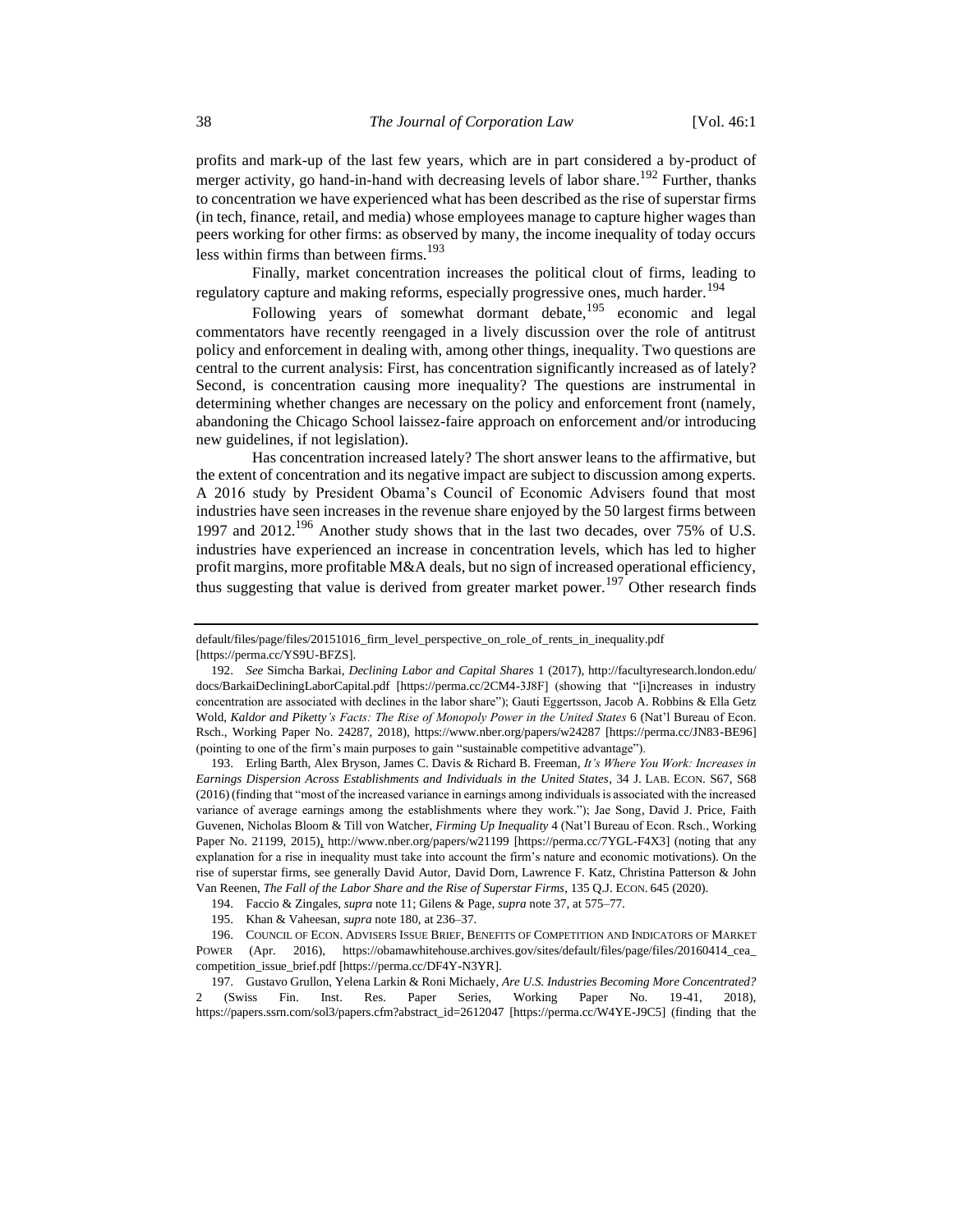profits and mark-up of the last few years, which are in part considered a by-product of merger activity, go hand-in-hand with decreasing levels of labor share.<sup>192</sup> Further, thanks to concentration we have experienced what has been described as the rise of superstar firms (in tech, finance, retail, and media) whose employees manage to capture higher wages than peers working for other firms: as observed by many, the income inequality of today occurs less within firms than between firms.<sup>193</sup>

<span id="page-37-0"></span>Finally, market concentration increases the political clout of firms, leading to regulatory capture and making reforms, especially progressive ones, much harder.<sup>194</sup>

Following years of somewhat dormant debate,<sup>195</sup> economic and legal commentators have recently reengaged in a lively discussion over the role of antitrust policy and enforcement in dealing with, among other things, inequality. Two questions are central to the current analysis: First, has concentration significantly increased as of lately? Second, is concentration causing more inequality? The questions are instrumental in determining whether changes are necessary on the policy and enforcement front (namely, abandoning the Chicago School laissez-faire approach on enforcement and/or introducing new guidelines, if not legislation).

Has concentration increased lately? The short answer leans to the affirmative, but the extent of concentration and its negative impact are subject to discussion among experts. A 2016 study by President Obama's Council of Economic Advisers found that most industries have seen increases in the revenue share enjoyed by the 50 largest firms between 1997 and 2012.<sup>196</sup> Another study shows that in the last two decades, over 75% of U.S. industries have experienced an increase in concentration levels, which has led to higher profit margins, more profitable M&A deals, but no sign of increased operational efficiency, thus suggesting that value is derived from greater market power.<sup>197</sup> Other research finds

194. Faccio & Zingales, *supra* not[e 11;](#page-3-0) Gilens & Page, *supra* not[e 37,](#page-8-0) at 575–77.

<span id="page-37-1"></span>default/files/page/files/20151016\_firm\_level\_perspective\_on\_role\_of\_rents\_in\_inequality.pdf [https://perma.cc/YS9U-BFZS].

<sup>192.</sup> *See* Simcha Barkai, *Declining Labor and Capital Shares* 1 (2017), http://facultyresearch.london.edu/ docs/BarkaiDecliningLaborCapital.pdf [https://perma.cc/2CM4-3J8F] (showing that "[i]ncreases in industry concentration are associated with declines in the labor share"); Gauti Eggertsson, Jacob A. Robbins & Ella Getz Wold, *Kaldor and Piketty's Facts: The Rise of Monopoly Power in the United States* 6 (Nat'l Bureau of Econ. Rsch., Working Paper No. 24287, 2018), https://www.nber.org/papers/w24287 [https://perma.cc/JN83-BE96] (pointing to one of the firm's main purposes to gain "sustainable competitive advantage").

<sup>193.</sup> Erling Barth, Alex Bryson, James C. Davis & Richard B. Freeman, *It's Where You Work: Increases in Earnings Dispersion Across Establishments and Individuals in the United States*, 34 J. LAB. ECON. S67, S68 (2016) (finding that "most of the increased variance in earnings among individuals is associated with the increased variance of average earnings among the establishments where they work."); Jae Song, David J. Price, Faith Guvenen, Nicholas Bloom & Till von Watcher, *Firming Up Inequality* 4 (Nat'l Bureau of Econ. Rsch., Working Paper No. 21199, 2015), http://www.nber.org/papers/w21199 [https://perma.cc/7YGL-F4X3] (noting that any explanation for a rise in inequality must take into account the firm's nature and economic motivations). On the rise of superstar firms, see generally David Autor, David Dorn, Lawrence F. Katz, Christina Patterson & John Van Reenen, *The Fall of the Labor Share and the Rise of Superstar Firms*, 135 Q.J. ECON. 645 (2020).

<sup>195.</sup> Khan & Vaheesan, *supra* not[e 180,](#page-35-0) at 236–37.

<sup>196.</sup> COUNCIL OF ECON. ADVISERS ISSUE BRIEF, BENEFITS OF COMPETITION AND INDICATORS OF MARKET POWER (Apr. 2016), https://obamawhitehouse.archives.gov/sites/default/files/page/files/20160414\_cea\_ competition\_issue\_brief.pdf [https://perma.cc/DF4Y-N3YR].

<sup>197.</sup> Gustavo Grullon, Yelena Larkin & Roni Michaely, *Are U.S. Industries Becoming More Concentrated?* 2 (Swiss Fin. Inst. Res. Paper Series, Working Paper No. 19-41, 2018), https://papers.ssrn.com/sol3/papers.cfm?abstract\_id=2612047 [https://perma.cc/W4YE-J9C5] (finding that the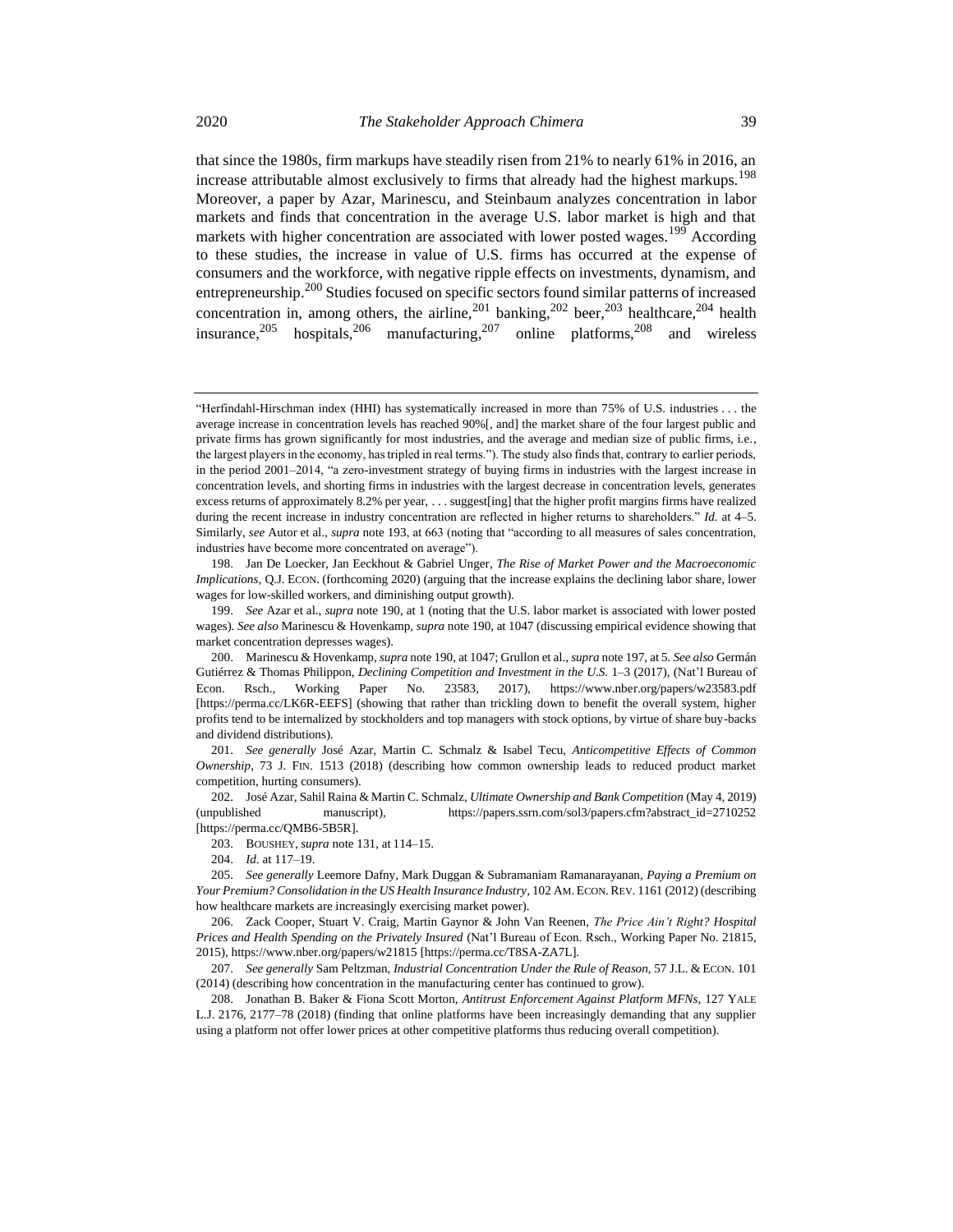that since the 1980s, firm markups have steadily risen from 21% to nearly 61% in 2016, an increase attributable almost exclusively to firms that already had the highest markups.<sup>198</sup> Moreover, a paper by Azar, Marinescu, and Steinbaum analyzes concentration in labor markets and finds that concentration in the average U.S. labor market is high and that markets with higher concentration are associated with lower posted wages.<sup>199</sup> According to these studies, the increase in value of U.S. firms has occurred at the expense of consumers and the workforce, with negative ripple effects on investments, dynamism, and entrepreneurship.<sup>200</sup> Studies focused on specific sectors found similar patterns of increased concentration in, among others, the airline,  $^{201}$  banking,  $^{202}$  beer,  $^{203}$  healthcare,  $^{204}$  health insurance,  $205$  hospitals,  $206$  manufacturing,  $207$  online platforms,  $208$  and wireless

204. *Id.* at 117–19.

205. *See generally* Leemore Dafny, Mark Duggan & Subramaniam Ramanarayanan, *Paying a Premium on Your Premium? Consolidation in the US Health Insurance Industry*, 102 AM. ECON.REV. 1161 (2012) (describing how healthcare markets are increasingly exercising market power).

206. Zack Cooper, Stuart V. Craig, Martin Gaynor & John Van Reenen, *The Price Ain't Right? Hospital Prices and Health Spending on the Privately Insured* (Nat'l Bureau of Econ. Rsch., Working Paper No. 21815, 2015), https://www.nber.org/papers/w21815 [https://perma.cc/T8SA-ZA7L].

207. *See generally* Sam Peltzman, *Industrial Concentration Under the Rule of Reason*, 57 J.L. & ECON. 101 (2014) (describing how concentration in the manufacturing center has continued to grow).

208. Jonathan B. Baker & Fiona Scott Morton, *Antitrust Enforcement Against Platform MFNs,* 127 YALE L.J. 2176, 2177–78 (2018) (finding that online platforms have been increasingly demanding that any supplier using a platform not offer lower prices at other competitive platforms thus reducing overall competition).

<span id="page-38-1"></span><span id="page-38-0"></span><sup>&</sup>quot;Herfindahl-Hirschman index (HHI) has systematically increased in more than 75% of U.S. industries . . . the average increase in concentration levels has reached 90%[, and] the market share of the four largest public and private firms has grown significantly for most industries, and the average and median size of public firms, i.e., the largest players in the economy, has tripled in real terms."). The study also finds that, contrary to earlier periods, in the period 2001–2014, "a zero-investment strategy of buying firms in industries with the largest increase in concentration levels, and shorting firms in industries with the largest decrease in concentration levels, generates excess returns of approximately 8.2% per year, . . . suggest[ing] that the higher profit margins firms have realized during the recent increase in industry concentration are reflected in higher returns to shareholders." *Id.* at 4–5. Similarly, *see* Autor et al., *supra* not[e 193,](#page-37-0) at 663 (noting that "according to all measures of sales concentration, industries have become more concentrated on average").

<sup>198.</sup> Jan De Loecker, Jan Eeckhout & Gabriel Unger, *The Rise of Market Power and the Macroeconomic Implications,* Q.J. ECON. (forthcoming 2020) (arguing that the increase explains the declining labor share, lower wages for low-skilled workers, and diminishing output growth).

<sup>199.</sup> *See* Azar et al., *supra* not[e 190,](#page-36-0) at 1 (noting that the U.S. labor market is associated with lower posted wages). *See also* Marinescu & Hovenkamp, *supra* not[e 190,](#page-36-0) at 1047 (discussing empirical evidence showing that market concentration depresses wages).

<sup>200.</sup> Marinescu & Hovenkamp, *supra* not[e 190,](#page-36-0) at 1047; Grullon et al., *supra* not[e 197,](#page-37-1) at 5*. See also* Germán Gutiérrez & Thomas Philippon, *Declining Competition and Investment in the U.S.* 1–3 (2017), (Nat'l Bureau of Econ. Rsch., Working Paper No. 23583, 2017), https://www.nber.org/papers/w23583.pdf [https://perma.cc/LK6R-EEFS] (showing that rather than trickling down to benefit the overall system, higher profits tend to be internalized by stockholders and top managers with stock options, by virtue of share buy-backs and dividend distributions).

<sup>201.</sup> *See generally* José Azar, Martin C. Schmalz & Isabel Tecu, *Anticompetitive Effects of Common Ownership*, 73 J. FIN. 1513 (2018) (describing how common ownership leads to reduced product market competition, hurting consumers).

<sup>202.</sup> José Azar, Sahil Raina & Martin C. Schmalz, *Ultimate Ownership and Bank Competition* (May 4, 2019) (unpublished manuscript), https://papers.ssrn.com/sol3/papers.cfm?abstract\_id=2710252 [https://perma.cc/QMB6-5B5R].

<sup>203.</sup> BOUSHEY, *supra* not[e 131,](#page-26-0) at 114–15.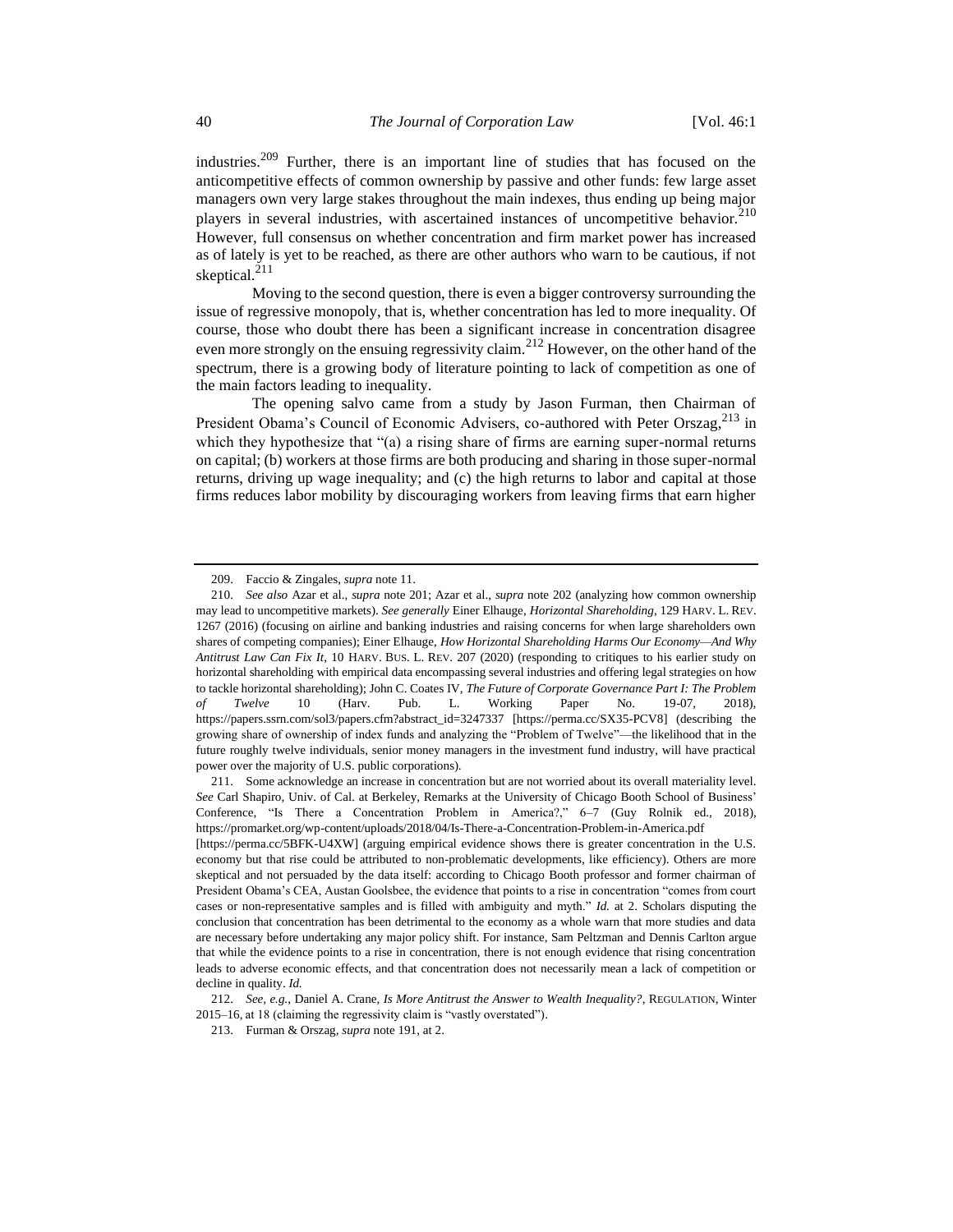industries.<sup>209</sup> Further, there is an important line of studies that has focused on the anticompetitive effects of common ownership by passive and other funds: few large asset managers own very large stakes throughout the main indexes, thus ending up being major players in several industries, with ascertained instances of uncompetitive behavior. $210$ However, full consensus on whether concentration and firm market power has increased as of lately is yet to be reached, as there are other authors who warn to be cautious, if not skeptical.<sup>211</sup>

Moving to the second question, there is even a bigger controversy surrounding the issue of regressive monopoly, that is, whether concentration has led to more inequality. Of course, those who doubt there has been a significant increase in concentration disagree even more strongly on the ensuing regressivity claim.<sup>212</sup> However, on the other hand of the spectrum, there is a growing body of literature pointing to lack of competition as one of the main factors leading to inequality.

The opening salvo came from a study by Jason Furman, then Chairman of President Obama's Council of Economic Advisers, co-authored with Peter Orszag.<sup>213</sup> in which they hypothesize that "(a) a rising share of firms are earning super-normal returns on capital; (b) workers at those firms are both producing and sharing in those super-normal returns, driving up wage inequality; and (c) the high returns to labor and capital at those firms reduces labor mobility by discouraging workers from leaving firms that earn higher

<sup>209.</sup> Faccio & Zingales, *supra* not[e 11.](#page-3-0)

<sup>210.</sup> *See also* Azar et al., *supra* note [201;](#page-38-0) Azar et al., *supra* note [202](#page-38-1) (analyzing how common ownership may lead to uncompetitive markets). *See generally* Einer Elhauge, *Horizontal Shareholding*, 129 HARV. L. REV. 1267 (2016) (focusing on airline and banking industries and raising concerns for when large shareholders own shares of competing companies); Einer Elhauge, *How Horizontal Shareholding Harms Our Economy—And Why Antitrust Law Can Fix It*, 10 HARV. BUS. L. REV. 207 (2020) (responding to critiques to his earlier study on horizontal shareholding with empirical data encompassing several industries and offering legal strategies on how to tackle horizontal shareholding); John C. Coates IV, *The Future of Corporate Governance Part I: The Problem of Twelve* 10 (Harv. Pub. L. Working Paper No. 19-07, 2018), https://papers.ssrn.com/sol3/papers.cfm?abstract\_id=3247337 [https://perma.cc/SX35-PCV8] (describing the growing share of ownership of index funds and analyzing the "Problem of Twelve"—the likelihood that in the future roughly twelve individuals, senior money managers in the investment fund industry, will have practical power over the majority of U.S. public corporations).

<sup>211.</sup> Some acknowledge an increase in concentration but are not worried about its overall materiality level. *See* Carl Shapiro, Univ. of Cal. at Berkeley, Remarks at the University of Chicago Booth School of Business' Conference, "Is There a Concentration Problem in America?," 6–7 (Guy Rolnik ed., 2018), https://promarket.org/wp-content/uploads/2018/04/Is-There-a-Concentration-Problem-in-America.pdf

<sup>[</sup>https://perma.cc/5BFK-U4XW] (arguing empirical evidence shows there is greater concentration in the U.S. economy but that rise could be attributed to non-problematic developments, like efficiency). Others are more skeptical and not persuaded by the data itself: according to Chicago Booth professor and former chairman of President Obama's CEA, Austan Goolsbee, the evidence that points to a rise in concentration "comes from court cases or non-representative samples and is filled with ambiguity and myth." *Id.* at 2. Scholars disputing the conclusion that concentration has been detrimental to the economy as a whole warn that more studies and data are necessary before undertaking any major policy shift. For instance, Sam Peltzman and Dennis Carlton argue that while the evidence points to a rise in concentration, there is not enough evidence that rising concentration leads to adverse economic effects, and that concentration does not necessarily mean a lack of competition or decline in quality. *Id.*

<sup>212.</sup> *See, e.g.*, Daniel A. Crane, *Is More Antitrust the Answer to Wealth Inequality?*, REGULATION, Winter 2015–16, at 18 (claiming the regressivity claim is "vastly overstated").

<sup>213.</sup> Furman & Orszag, *supra* note [191,](#page-36-1) at 2.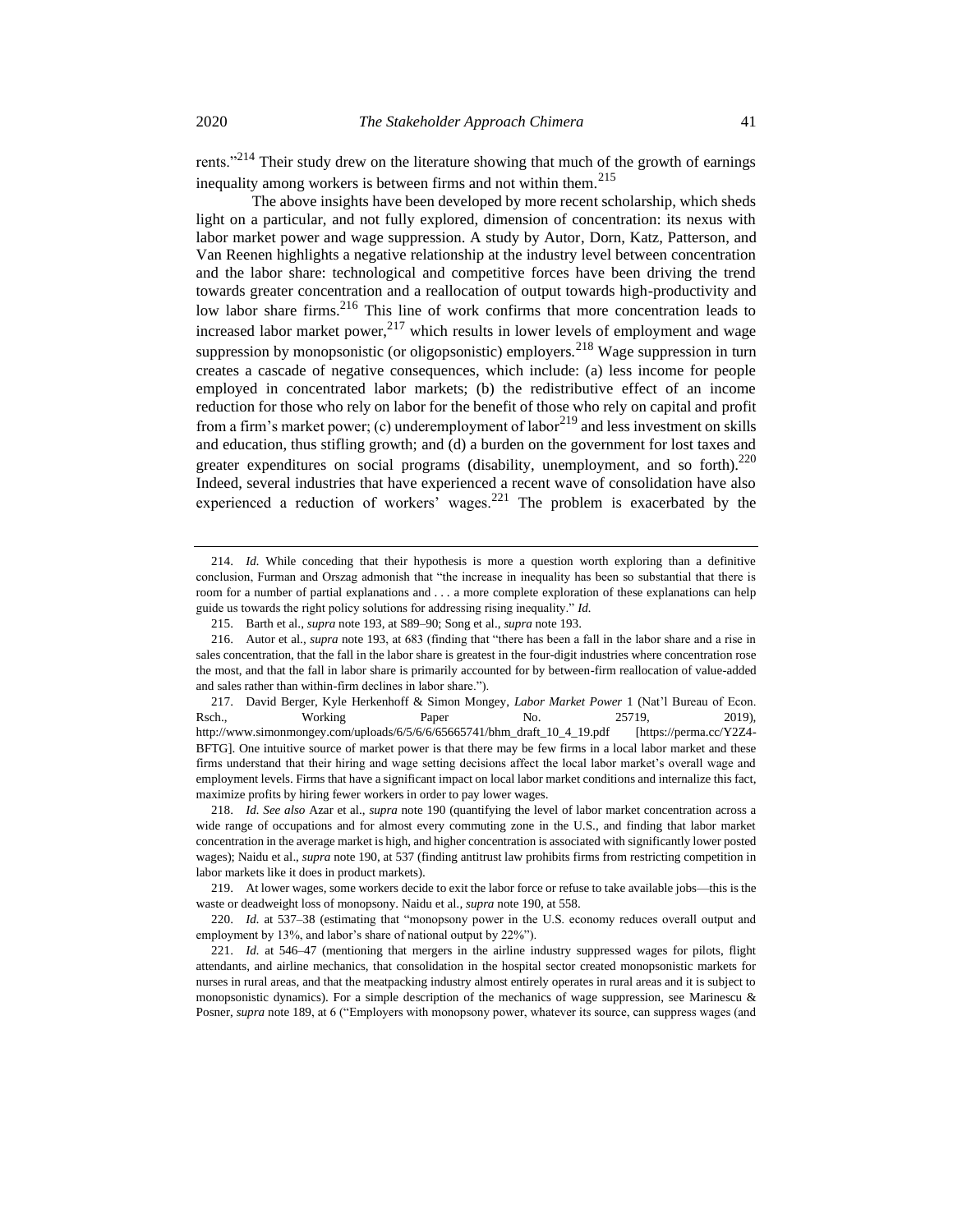rents."<sup>214</sup> Their study drew on the literature showing that much of the growth of earnings inequality among workers is between firms and not within them.<sup>215</sup>

The above insights have been developed by more recent scholarship, which sheds light on a particular, and not fully explored, dimension of concentration: its nexus with labor market power and wage suppression. A study by Autor, Dorn, Katz, Patterson, and Van Reenen highlights a negative relationship at the industry level between concentration and the labor share: technological and competitive forces have been driving the trend towards greater concentration and a reallocation of output towards high-productivity and low labor share firms.<sup>216</sup> This line of work confirms that more concentration leads to increased labor market power,  $2^{17}$  which results in lower levels of employment and wage suppression by monopsonistic (or oligopsonistic) employers.<sup>218</sup> Wage suppression in turn creates a cascade of negative consequences, which include: (a) less income for people employed in concentrated labor markets; (b) the redistributive effect of an income reduction for those who rely on labor for the benefit of those who rely on capital and profit from a firm's market power; (c) underemployment of labor<sup>219</sup> and less investment on skills and education, thus stifling growth; and (d) a burden on the government for lost taxes and greater expenditures on social programs (disability, unemployment, and so forth). $^{220}$ Indeed, several industries that have experienced a recent wave of consolidation have also experienced a reduction of workers<sup>7</sup> wages.<sup>221</sup> The problem is exacerbated by the

<sup>214.</sup> *Id.* While conceding that their hypothesis is more a question worth exploring than a definitive conclusion, Furman and Orszag admonish that "the increase in inequality has been so substantial that there is room for a number of partial explanations and . . . a more complete exploration of these explanations can help guide us towards the right policy solutions for addressing rising inequality." *Id.*

<sup>215.</sup> Barth et al., *supra* not[e 193,](#page-37-0) at S89–90; Song et al., *supra* note [193.](#page-37-0)

<sup>216.</sup> Autor et al., *supra* not[e 193,](#page-37-0) at 683 (finding that "there has been a fall in the labor share and a rise in sales concentration, that the fall in the labor share is greatest in the four-digit industries where concentration rose the most, and that the fall in labor share is primarily accounted for by between-firm reallocation of value-added and sales rather than within-firm declines in labor share.").

<sup>217.</sup> David Berger, Kyle Herkenhoff & Simon Mongey, *Labor Market Power* 1 (Nat'l Bureau of Econ. Rsch., Working Paper No. 25719, 2019), http://www.simonmongey.com/uploads/6/5/6/6/65665741/bhm\_draft\_10\_4\_19.pdf [https://perma.cc/Y2Z4- BFTG]. One intuitive source of market power is that there may be few firms in a local labor market and these firms understand that their hiring and wage setting decisions affect the local labor market's overall wage and employment levels. Firms that have a significant impact on local labor market conditions and internalize this fact, maximize profits by hiring fewer workers in order to pay lower wages.

<sup>218.</sup> *Id. See also* Azar et al., *supra* note [190](#page-36-0) (quantifying the level of labor market concentration across a wide range of occupations and for almost every commuting zone in the U.S., and finding that labor market concentration in the average market is high, and higher concentration is associated with significantly lower posted wages); Naidu et al., *supra* not[e 190,](#page-36-0) at 537 (finding antitrust law prohibits firms from restricting competition in labor markets like it does in product markets).

<sup>219.</sup> At lower wages, some workers decide to exit the labor force or refuse to take available jobs—this is the waste or deadweight loss of monopsony. Naidu et al*., supra* not[e 190,](#page-36-0) at 558.

<sup>220.</sup> *Id.* at 537–38 (estimating that "monopsony power in the U.S. economy reduces overall output and employment by 13%, and labor's share of national output by 22%").

<sup>221.</sup> *Id.* at 546–47 (mentioning that mergers in the airline industry suppressed wages for pilots, flight attendants, and airline mechanics, that consolidation in the hospital sector created monopsonistic markets for nurses in rural areas, and that the meatpacking industry almost entirely operates in rural areas and it is subject to monopsonistic dynamics). For a simple description of the mechanics of wage suppression, see Marinescu & Posner, *supra* not[e 189,](#page-36-2) at 6 ("Employers with monopsony power, whatever its source, can suppress wages (and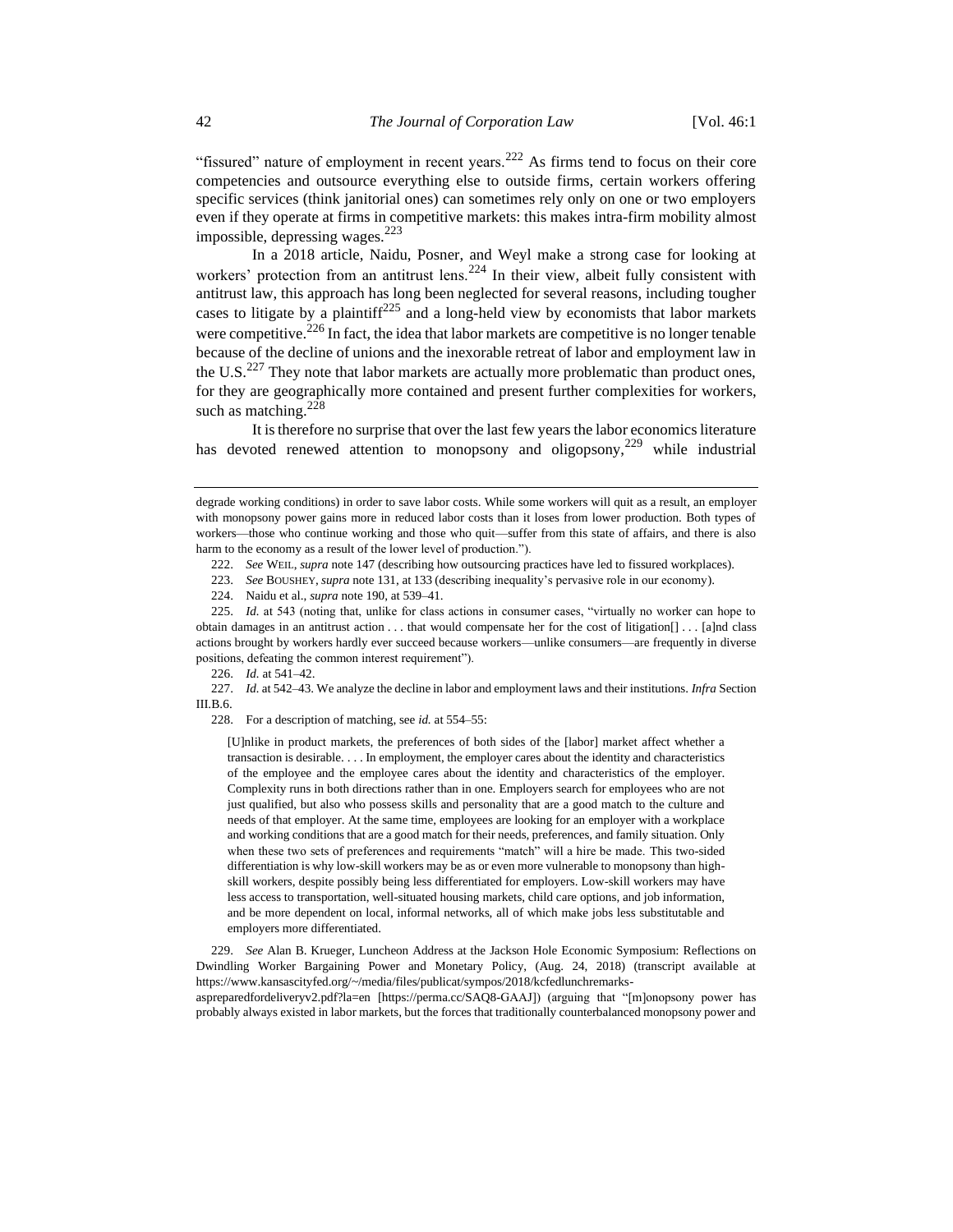"fissured" nature of employment in recent years.<sup>222</sup> As firms tend to focus on their core competencies and outsource everything else to outside firms, certain workers offering specific services (think janitorial ones) can sometimes rely only on one or two employers even if they operate at firms in competitive markets: this makes intra-firm mobility almost impossible, depressing wages. $^{223}$ 

In a 2018 article, Naidu, Posner, and Weyl make a strong case for looking at workers' protection from an antitrust lens.<sup>224</sup> In their view, albeit fully consistent with antitrust law, this approach has long been neglected for several reasons, including tougher cases to litigate by a plaintiff<sup>225</sup> and a long-held view by economists that labor markets were competitive.<sup>226</sup> In fact, the idea that labor markets are competitive is no longer tenable because of the decline of unions and the inexorable retreat of labor and employment law in the U.S.<sup>227</sup> They note that labor markets are actually more problematic than product ones, for they are geographically more contained and present further complexities for workers, such as matching. $228$ 

It is therefore no surprise that over the last few years the labor economics literature has devoted renewed attention to monopsony and oligopsony,  $229$  while industrial

222. *See* WEIL, *supra* note [147](#page-30-0) (describing how outsourcing practices have led to fissured workplaces).

224. Naidu et al., *supra* not[e 190,](#page-36-0) at 539–41.

228. For a description of matching, see *id.* at 554–55:

[U]nlike in product markets, the preferences of both sides of the [labor] market affect whether a transaction is desirable. . . . In employment, the employer cares about the identity and characteristics of the employee and the employee cares about the identity and characteristics of the employer. Complexity runs in both directions rather than in one. Employers search for employees who are not just qualified, but also who possess skills and personality that are a good match to the culture and needs of that employer. At the same time, employees are looking for an employer with a workplace and working conditions that are a good match for their needs, preferences, and family situation. Only when these two sets of preferences and requirements "match" will a hire be made. This two-sided differentiation is why low-skill workers may be as or even more vulnerable to monopsony than highskill workers, despite possibly being less differentiated for employers. Low-skill workers may have less access to transportation, well-situated housing markets, child care options, and job information, and be more dependent on local, informal networks, all of which make jobs less substitutable and employers more differentiated.

229. *See* Alan B. Krueger, Luncheon Address at the Jackson Hole Economic Symposium: Reflections on Dwindling Worker Bargaining Power and Monetary Policy, (Aug. 24, 2018) (transcript available at https://www.kansascityfed.org/~/media/files/publicat/sympos/2018/kcfedlunchremarks-

aspreparedfordeliveryv2.pdf?la=en [https://perma.cc/SAQ8-GAAJ]) (arguing that "[m]onopsony power has probably always existed in labor markets, but the forces that traditionally counterbalanced monopsony power and

degrade working conditions) in order to save labor costs. While some workers will quit as a result, an employer with monopsony power gains more in reduced labor costs than it loses from lower production. Both types of workers—those who continue working and those who quit—suffer from this state of affairs, and there is also harm to the economy as a result of the lower level of production.").

<sup>223.</sup> *See* BOUSHEY, *supra* not[e 131,](#page-26-0) at 133 (describing inequality's pervasive role in our economy).

<sup>225.</sup> *Id.* at 543 (noting that, unlike for class actions in consumer cases, "virtually no worker can hope to obtain damages in an antitrust action  $\dots$  that would compensate her for the cost of litigation $[] \dots [a]$ nd class actions brought by workers hardly ever succeed because workers—unlike consumers—are frequently in diverse positions, defeating the common interest requirement").

<sup>226.</sup> *Id.* at 541–42.

<sup>227.</sup> *Id.* at 542–43. We analyze the decline in labor and employment laws and their institutions. *Infra* Section III.B.6.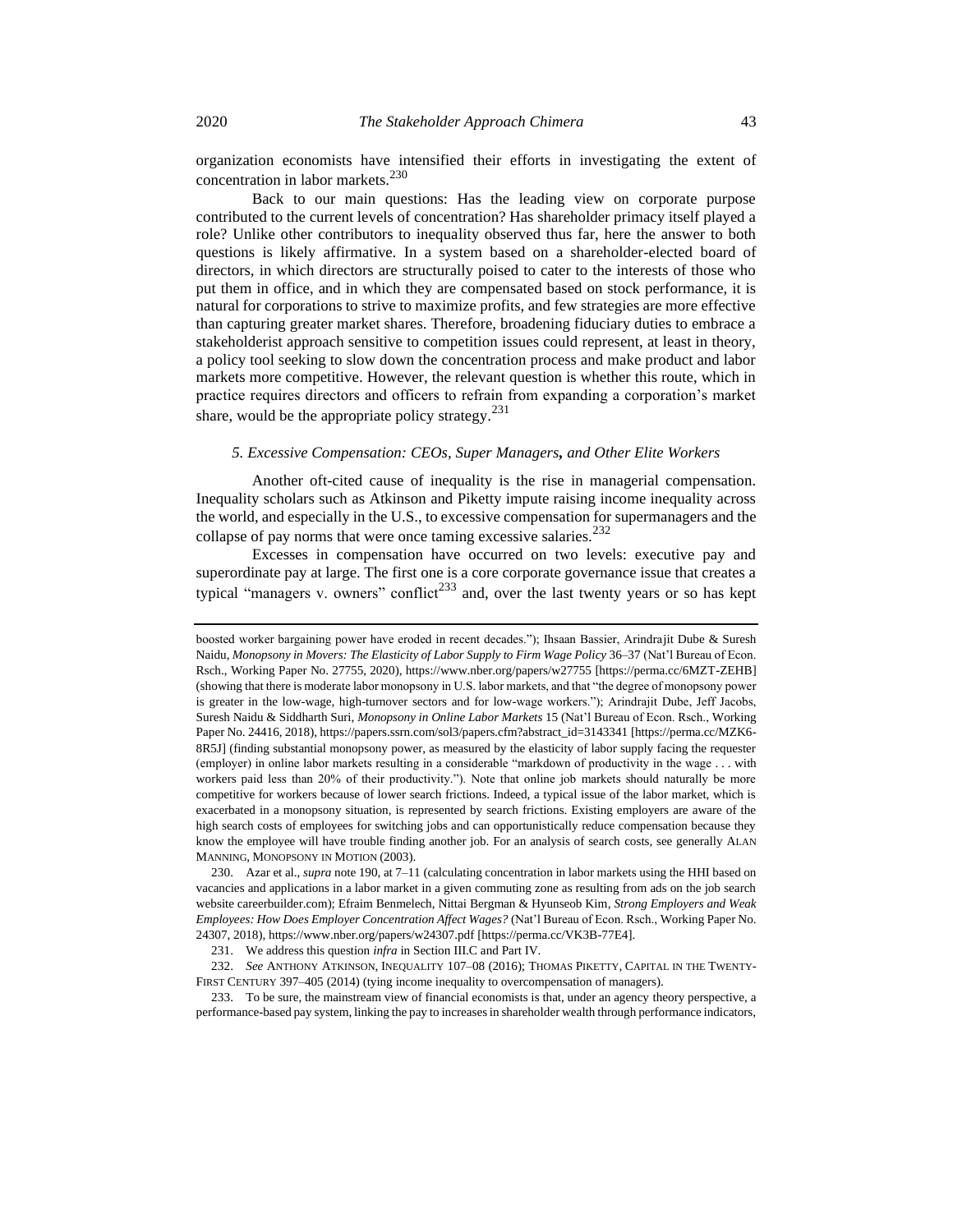organization economists have intensified their efforts in investigating the extent of concentration in labor markets.<sup>230</sup>

Back to our main questions: Has the leading view on corporate purpose contributed to the current levels of concentration? Has shareholder primacy itself played a role? Unlike other contributors to inequality observed thus far, here the answer to both questions is likely affirmative. In a system based on a shareholder-elected board of directors, in which directors are structurally poised to cater to the interests of those who put them in office, and in which they are compensated based on stock performance, it is natural for corporations to strive to maximize profits, and few strategies are more effective than capturing greater market shares. Therefore, broadening fiduciary duties to embrace a stakeholderist approach sensitive to competition issues could represent, at least in theory, a policy tool seeking to slow down the concentration process and make product and labor markets more competitive. However, the relevant question is whether this route, which in practice requires directors and officers to refrain from expanding a corporation's market share, would be the appropriate policy strategy.<sup>231</sup>

# <span id="page-42-1"></span>*5. Excessive Compensation: CEOs, Super Managers, and Other Elite Workers*

Another oft-cited cause of inequality is the rise in managerial compensation. Inequality scholars such as Atkinson and Piketty impute raising income inequality across the world, and especially in the U.S., to excessive compensation for supermanagers and the collapse of pay norms that were once taming excessive salaries. $^{232}$ 

<span id="page-42-0"></span>Excesses in compensation have occurred on two levels: executive pay and superordinate pay at large. The first one is a core corporate governance issue that creates a typical "managers v. owners" conflict<sup>233</sup> and, over the last twenty years or so has kept

boosted worker bargaining power have eroded in recent decades."); Ihsaan Bassier, Arindrajit Dube & Suresh Naidu, *Monopsony in Movers: The Elasticity of Labor Supply to Firm Wage Policy* 36–37 (Nat'l Bureau of Econ. Rsch., Working Paper No. 27755, 2020), https://www.nber.org/papers/w27755 [https://perma.cc/6MZT-ZEHB] (showing that there is moderate labor monopsony in U.S. labor markets, and that "the degree of monopsony power is greater in the low-wage, high-turnover sectors and for low-wage workers."); Arindrajit Dube, Jeff Jacobs, Suresh Naidu & Siddharth Suri, *Monopsony in Online Labor Markets* 15 (Nat'l Bureau of Econ. Rsch., Working Paper No. 24416, 2018), https://papers.ssrn.com/sol3/papers.cfm?abstract\_id=3143341 [https://perma.cc/MZK6- 8R5J] (finding substantial monopsony power, as measured by the elasticity of labor supply facing the requester (employer) in online labor markets resulting in a considerable "markdown of productivity in the wage . . . with workers paid less than 20% of their productivity."). Note that online job markets should naturally be more competitive for workers because of lower search frictions. Indeed, a typical issue of the labor market, which is exacerbated in a monopsony situation, is represented by search frictions. Existing employers are aware of the high search costs of employees for switching jobs and can opportunistically reduce compensation because they know the employee will have trouble finding another job. For an analysis of search costs, see generally ALAN MANNING, MONOPSONY IN MOTION (2003).

<sup>230.</sup> Azar et al., *supra* not[e 190,](#page-36-0) at 7–11 (calculating concentration in labor markets using the HHI based on vacancies and applications in a labor market in a given commuting zone as resulting from ads on the job search website careerbuilder.com); Efraim Benmelech, Nittai Bergman & Hyunseob Kim*, Strong Employers and Weak Employees: How Does Employer Concentration Affect Wages?* (Nat'l Bureau of Econ. Rsch., Working Paper No. 24307, 2018), https://www.nber.org/papers/w24307.pdf [https://perma.cc/VK3B-77E4].

<sup>231.</sup> We address this question *infra* in Section III.C and Part IV.

<sup>232.</sup> *See* ANTHONY ATKINSON, INEQUALITY 107–08 (2016); THOMAS PIKETTY, CAPITAL IN THE TWENTY-FIRST CENTURY 397–405 (2014) (tying income inequality to overcompensation of managers).

<sup>233.</sup> To be sure, the mainstream view of financial economists is that, under an agency theory perspective, a performance-based pay system, linking the pay to increases in shareholder wealth through performance indicators,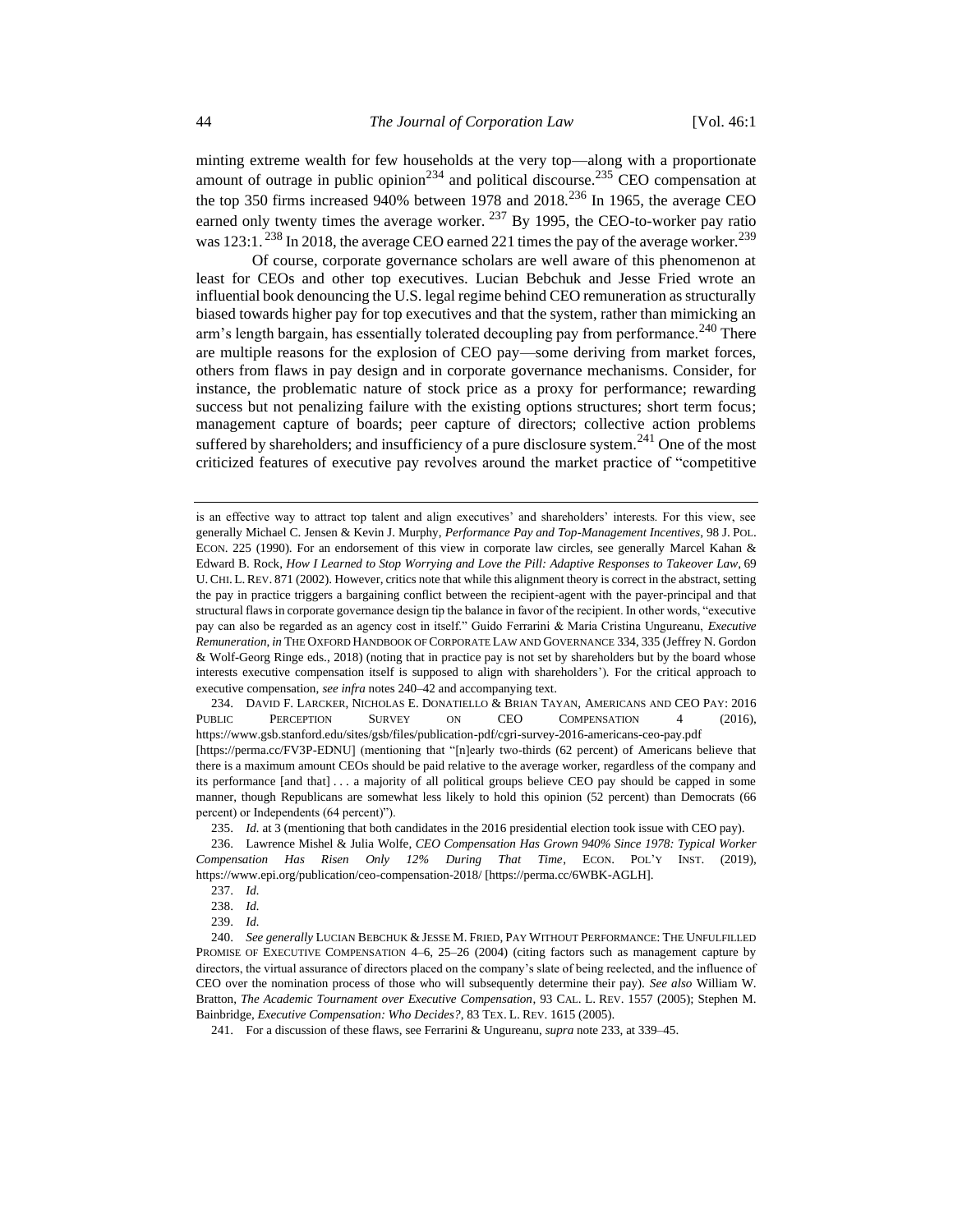minting extreme wealth for few households at the very top—along with a proportionate amount of outrage in public opinion<sup>234</sup> and political discourse.<sup>235</sup> CEO compensation at the top 350 firms increased 940% between 1978 and 2018.<sup>236</sup> In 1965, the average CEO earned only twenty times the average worker.  $^{237}$  By 1995, the CEO-to-worker pay ratio was  $123:1$ . <sup>238</sup> In 2018, the average CEO earned 221 times the pay of the average worker.<sup>239</sup>

<span id="page-43-0"></span>Of course, corporate governance scholars are well aware of this phenomenon at least for CEOs and other top executives. Lucian Bebchuk and Jesse Fried wrote an influential book denouncing the U.S. legal regime behind CEO remuneration as structurally biased towards higher pay for top executives and that the system, rather than mimicking an arm's length bargain, has essentially tolerated decoupling pay from performance.<sup>240</sup> There are multiple reasons for the explosion of CEO pay—some deriving from market forces, others from flaws in pay design and in corporate governance mechanisms. Consider, for instance, the problematic nature of stock price as a proxy for performance; rewarding success but not penalizing failure with the existing options structures; short term focus; management capture of boards; peer capture of directors; collective action problems suffered by shareholders; and insufficiency of a pure disclosure system.<sup>241</sup> One of the most criticized features of executive pay revolves around the market practice of "competitive

is an effective way to attract top talent and align executives' and shareholders' interests. For this view, see generally Michael C. Jensen & Kevin J. Murphy, *Performance Pay and Top-Management Incentives*, 98 J. POL. ECON. 225 (1990). For an endorsement of this view in corporate law circles, see generally Marcel Kahan & Edward B. Rock, *How I Learned to Stop Worrying and Love the Pill: Adaptive Responses to Takeover Law*, 69 U. CHI. L. REV. 871 (2002). However, critics note that while this alignment theory is correct in the abstract, setting the pay in practice triggers a bargaining conflict between the recipient-agent with the payer-principal and that structural flaws in corporate governance design tip the balance in favor of the recipient. In other words, "executive pay can also be regarded as an agency cost in itself." Guido Ferrarini & Maria Cristina Ungureanu, *Executive Remuneration*, *in* THE OXFORD HANDBOOK OF CORPORATE LAW AND GOVERNANCE 334, 335 (Jeffrey N. Gordon & Wolf-Georg Ringe eds., 2018) (noting that in practice pay is not set by shareholders but by the board whose interests executive compensation itself is supposed to align with shareholders')*.* For the critical approach to executive compensation, *see infra* note[s 240–](#page-43-0)42 and accompanying text.

<sup>234.</sup> DAVID F. LARCKER, NICHOLAS E. DONATIELLO & BRIAN TAYAN, AMERICANS AND CEO PAY: 2016 PUBLIC PERCEPTION SURVEY ON CEO COMPENSATION 4 (2016), https://www.gsb.stanford.edu/sites/gsb/files/publication-pdf/cgri-survey-2016-americans-ceo-pay.pdf [https://perma.cc/FV3P-EDNU] (mentioning that "[n]early two-thirds (62 percent) of Americans believe that there is a maximum amount CEOs should be paid relative to the average worker, regardless of the company and its performance [and that] . . . a majority of all political groups believe CEO pay should be capped in some manner, though Republicans are somewhat less likely to hold this opinion (52 percent) than Democrats (66 percent) or Independents (64 percent)").

<sup>235.</sup> *Id.* at 3 (mentioning that both candidates in the 2016 presidential election took issue with CEO pay).

<sup>236.</sup> Lawrence Mishel & Julia Wolfe, *CEO Compensation Has Grown 940% Since 1978: Typical Worker Compensation Has Risen Only 12% During That Time*, ECON. POL'Y INST. (2019), https://www.epi.org/publication/ceo-compensation-2018/ [https://perma.cc/6WBK-AGLH].

<sup>237.</sup> *Id.* 

<sup>238.</sup> *Id.* 

<sup>239.</sup> *Id.* 

<sup>240.</sup> *See generally* LUCIAN BEBCHUK & JESSE M. FRIED, PAY WITHOUT PERFORMANCE: THE UNFULFILLED PROMISE OF EXECUTIVE COMPENSATION 4–6, 25–26 (2004) (citing factors such as management capture by directors, the virtual assurance of directors placed on the company's slate of being reelected, and the influence of CEO over the nomination process of those who will subsequently determine their pay). *See also* William W. Bratton, *The Academic Tournament over Executive Compensation*, 93 CAL. L. REV. 1557 (2005); Stephen M. Bainbridge, *Executive Compensation: Who Decides?*, 83 TEX. L. REV. 1615 (2005).

<sup>241.</sup> For a discussion of these flaws, see Ferrarini & Ungureanu, *supra* not[e 233,](#page-42-0) at 339–45.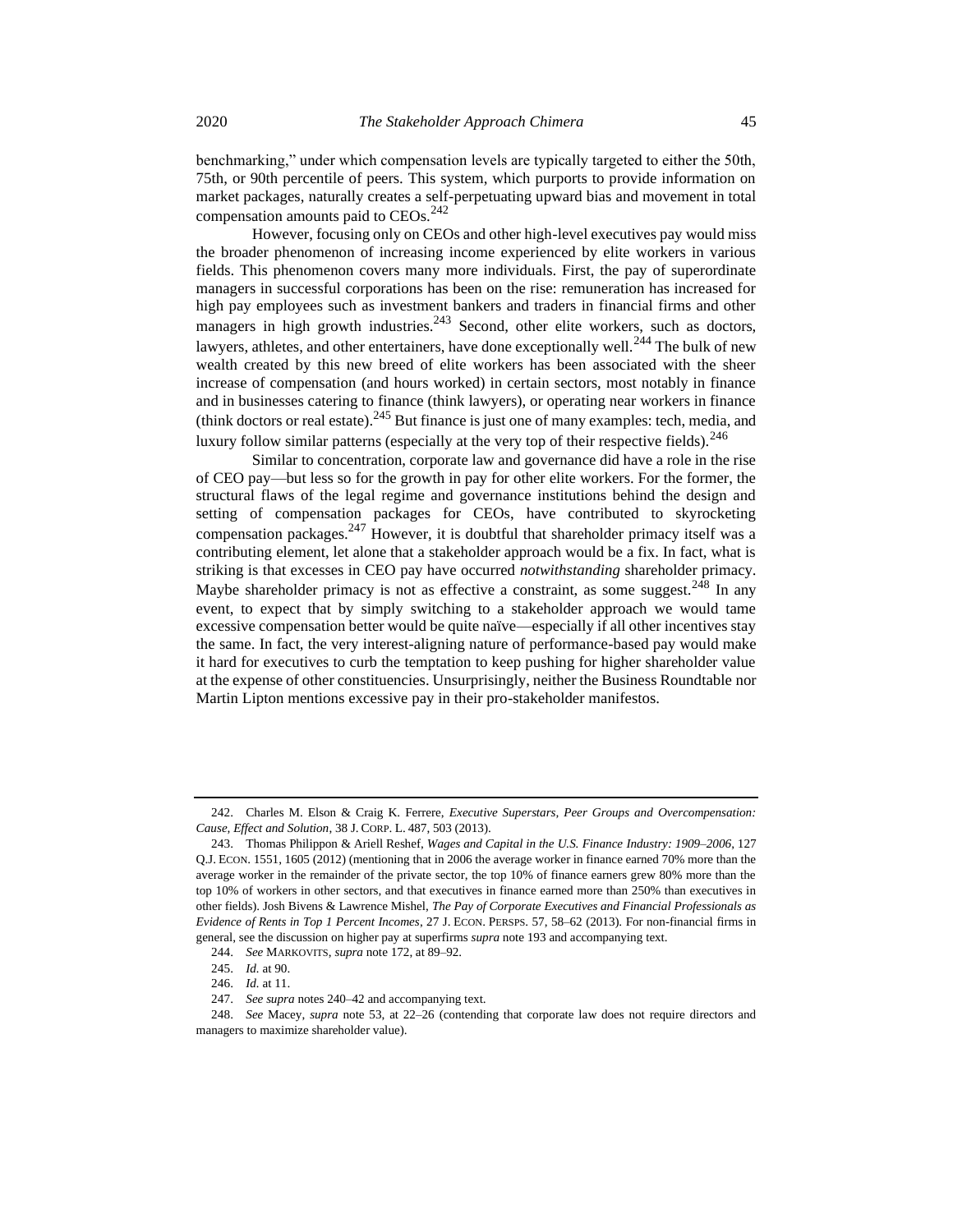benchmarking," under which compensation levels are typically targeted to either the 50th, 75th, or 90th percentile of peers. This system, which purports to provide information on market packages, naturally creates a self-perpetuating upward bias and movement in total compensation amounts paid to  $CEOs.<sup>242</sup>$ 

<span id="page-44-0"></span>However, focusing only on CEOs and other high-level executives pay would miss the broader phenomenon of increasing income experienced by elite workers in various fields. This phenomenon covers many more individuals. First, the pay of superordinate managers in successful corporations has been on the rise: remuneration has increased for high pay employees such as investment bankers and traders in financial firms and other managers in high growth industries.  $243$  Second, other elite workers, such as doctors, lawyers, athletes, and other entertainers, have done exceptionally well.<sup>244</sup> The bulk of new wealth created by this new breed of elite workers has been associated with the sheer increase of compensation (and hours worked) in certain sectors, most notably in finance and in businesses catering to finance (think lawyers), or operating near workers in finance (think doctors or real estate). <sup>245</sup> But finance is just one of many examples: tech, media, and luxury follow similar patterns (especially at the very top of their respective fields).<sup>246</sup>

Similar to concentration, corporate law and governance did have a role in the rise of CEO pay—but less so for the growth in pay for other elite workers. For the former, the structural flaws of the legal regime and governance institutions behind the design and setting of compensation packages for CEOs, have contributed to skyrocketing compensation packages.<sup>247</sup> However, it is doubtful that shareholder primacy itself was a contributing element, let alone that a stakeholder approach would be a fix. In fact, what is striking is that excesses in CEO pay have occurred *notwithstanding* shareholder primacy. Maybe shareholder primacy is not as effective a constraint, as some suggest.<sup>248</sup> In any event, to expect that by simply switching to a stakeholder approach we would tame excessive compensation better would be quite naïve—especially if all other incentives stay the same. In fact, the very interest-aligning nature of performance-based pay would make it hard for executives to curb the temptation to keep pushing for higher shareholder value at the expense of other constituencies. Unsurprisingly, neither the Business Roundtable nor Martin Lipton mentions excessive pay in their pro-stakeholder manifestos.

<sup>242.</sup> Charles M. Elson & Craig K. Ferrere, *Executive Superstars, Peer Groups and Overcompensation: Cause, Effect and Solution*, 38 J. CORP. L. 487, 503 (2013).

<sup>243.</sup> Thomas Philippon & Ariell Reshef, *Wages and Capital in the U.S. Finance Industry: 1909–2006*, 127 Q.J. ECON. 1551, 1605 (2012) (mentioning that in 2006 the average worker in finance earned 70% more than the average worker in the remainder of the private sector, the top 10% of finance earners grew 80% more than the top 10% of workers in other sectors, and that executives in finance earned more than 250% than executives in other fields). Josh Bivens & Lawrence Mishel, *The Pay of Corporate Executives and Financial Professionals as Evidence of Rents in Top 1 Percent Incomes*, 27 J. ECON. PERSPS. 57, 58–62 (2013). For non-financial firms in general, see the discussion on higher pay at superfirms *supra* note [193](#page-37-0) and accompanying text.

<sup>244.</sup> *See* MARKOVITS, *supra* not[e 172,](#page-34-0) at 89–92.

<sup>245.</sup> *Id.* at 90.

<sup>246.</sup> *Id.* at 11.

<sup>247.</sup> *See supra* note[s 240–](#page-43-0)42 and accompanying text.

<sup>248.</sup> *See* Macey, *supra* note [53,](#page-12-0) at 22–26 (contending that corporate law does not require directors and managers to maximize shareholder value).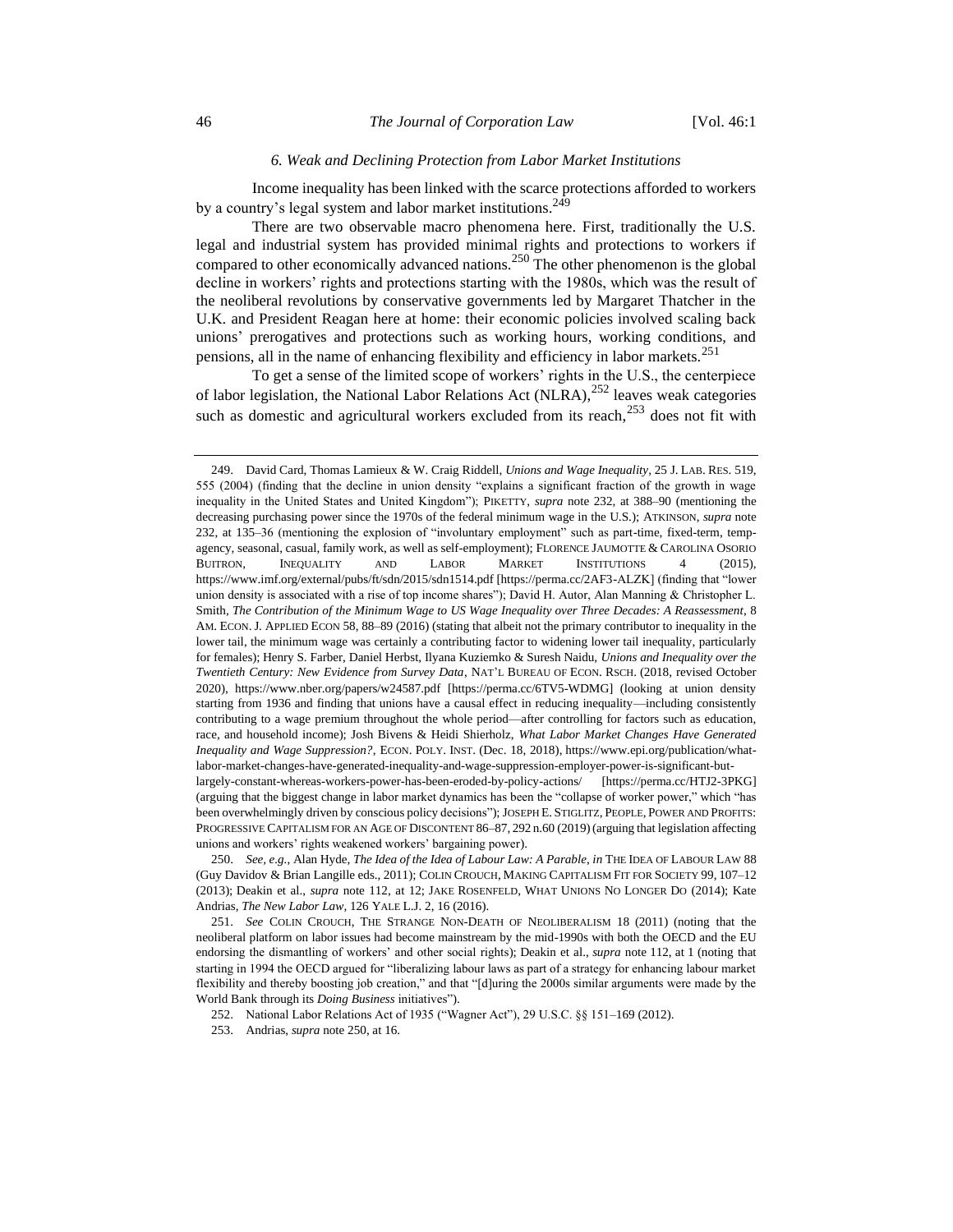# <span id="page-45-2"></span><span id="page-45-1"></span><span id="page-45-0"></span>*6. Weak and Declining Protection from Labor Market Institutions*

Income inequality has been linked with the scarce protections afforded to workers by a country's legal system and labor market institutions.<sup>249</sup>

There are two observable macro phenomena here. First, traditionally the U.S. legal and industrial system has provided minimal rights and protections to workers if compared to other economically advanced nations.<sup>250</sup> The other phenomenon is the global decline in workers' rights and protections starting with the 1980s, which was the result of the neoliberal revolutions by conservative governments led by Margaret Thatcher in the U.K. and President Reagan here at home: their economic policies involved scaling back unions' prerogatives and protections such as working hours, working conditions, and pensions, all in the name of enhancing flexibility and efficiency in labor markets.<sup>251</sup>

To get a sense of the limited scope of workers' rights in the U.S., the centerpiece of labor legislation, the National Labor Relations Act  $(NLRA)$ ,  $252$  leaves weak categories such as domestic and agricultural workers excluded from its reach, $253$  does not fit with

<sup>249.</sup> David Card, Thomas Lamieux & W. Craig Riddell, *Unions and Wage Inequality*, 25 J. LAB. RES. 519, 555 (2004) (finding that the decline in union density "explains a significant fraction of the growth in wage inequality in the United States and United Kingdom"); PIKETTY, *supra* note [232,](#page-42-1) at 388–90 (mentioning the decreasing purchasing power since the 1970s of the federal minimum wage in the U.S.); ATKINSON, *supra* note [232,](#page-42-1) at 135–36 (mentioning the explosion of "involuntary employment" such as part-time, fixed-term, tempagency, seasonal, casual, family work, as well as self-employment); FLORENCE JAUMOTTE & CAROLINA OSORIO BUITRON, INEQUALITY AND LABOR MARKET INSTITUTIONS 4 (2015), https://www.imf.org/external/pubs/ft/sdn/2015/sdn1514.pdf [https://perma.cc/2AF3-ALZK] (finding that "lower union density is associated with a rise of top income shares"); David H. Autor, Alan Manning & Christopher L. Smith, *The Contribution of the Minimum Wage to US Wage Inequality over Three Decades: A Reassessment*, 8 AM. ECON. J*.* APPLIED ECON 58, 88–89 (2016) (stating that albeit not the primary contributor to inequality in the lower tail, the minimum wage was certainly a contributing factor to widening lower tail inequality, particularly for females); Henry S. Farber, Daniel Herbst, Ilyana Kuziemko & Suresh Naidu, *Unions and Inequality over the Twentieth Century: New Evidence from Survey Data*, NAT'L BUREAU OF ECON. RSCH. (2018, revised October 2020), https://www.nber.org/papers/w24587.pdf [https://perma.cc/6TV5-WDMG] (looking at union density starting from 1936 and finding that unions have a causal effect in reducing inequality—including consistently contributing to a wage premium throughout the whole period—after controlling for factors such as education, race, and household income); Josh Bivens & Heidi Shierholz, *What Labor Market Changes Have Generated Inequality and Wage Suppression?*, ECON. POLY. INST. (Dec. 18, 2018), https://www.epi.org/publication/whatlabor-market-changes-have-generated-inequality-and-wage-suppression-employer-power-is-significant-butlargely-constant-whereas-workers-power-has-been-eroded-by-policy-actions/ [https://perma.cc/HTJ2-3PKG] (arguing that the biggest change in labor market dynamics has been the "collapse of worker power," which "has

been overwhelmingly driven by conscious policy decisions"); JOSEPH E. STIGLITZ, PEOPLE, POWER AND PROFITS: PROGRESSIVE CAPITALISM FOR AN AGE OF DISCONTENT 86–87, 292 n.60 (2019)(arguing that legislation affecting unions and workers' rights weakened workers' bargaining power).

<sup>250.</sup> *See, e.g.*, Alan Hyde, *The Idea of the Idea of Labour Law: A Parable*, *in* THE IDEA OF LABOUR LAW 88 (Guy Davidov & Brian Langille eds., 2011); COLIN CROUCH, MAKING CAPITALISM FIT FOR SOCIETY 99, 107–12 (2013); Deakin et al., *supra* note [112,](#page-23-0) at 12; JAKE ROSENFELD, WHAT UNIONS NO LONGER DO (2014); Kate Andrias, *The New Labor Law*, 126 YALE L.J. 2, 16 (2016).

<sup>251.</sup> *See* COLIN CROUCH, THE STRANGE NON-DEATH OF NEOLIBERALISM 18 (2011) (noting that the neoliberal platform on labor issues had become mainstream by the mid-1990s with both the OECD and the EU endorsing the dismantling of workers' and other social rights); Deakin et al., *supra* note [112,](#page-23-0) at 1 (noting that starting in 1994 the OECD argued for "liberalizing labour laws as part of a strategy for enhancing labour market flexibility and thereby boosting job creation," and that "[d]uring the 2000s similar arguments were made by the World Bank through its *Doing Business* initiatives").

<sup>252.</sup> National Labor Relations Act of 1935 ("Wagner Act"), 29 U.S.C. §§ 151–169 (2012).

<sup>253.</sup> Andrias, *supra* not[e 250,](#page-45-0) at 16.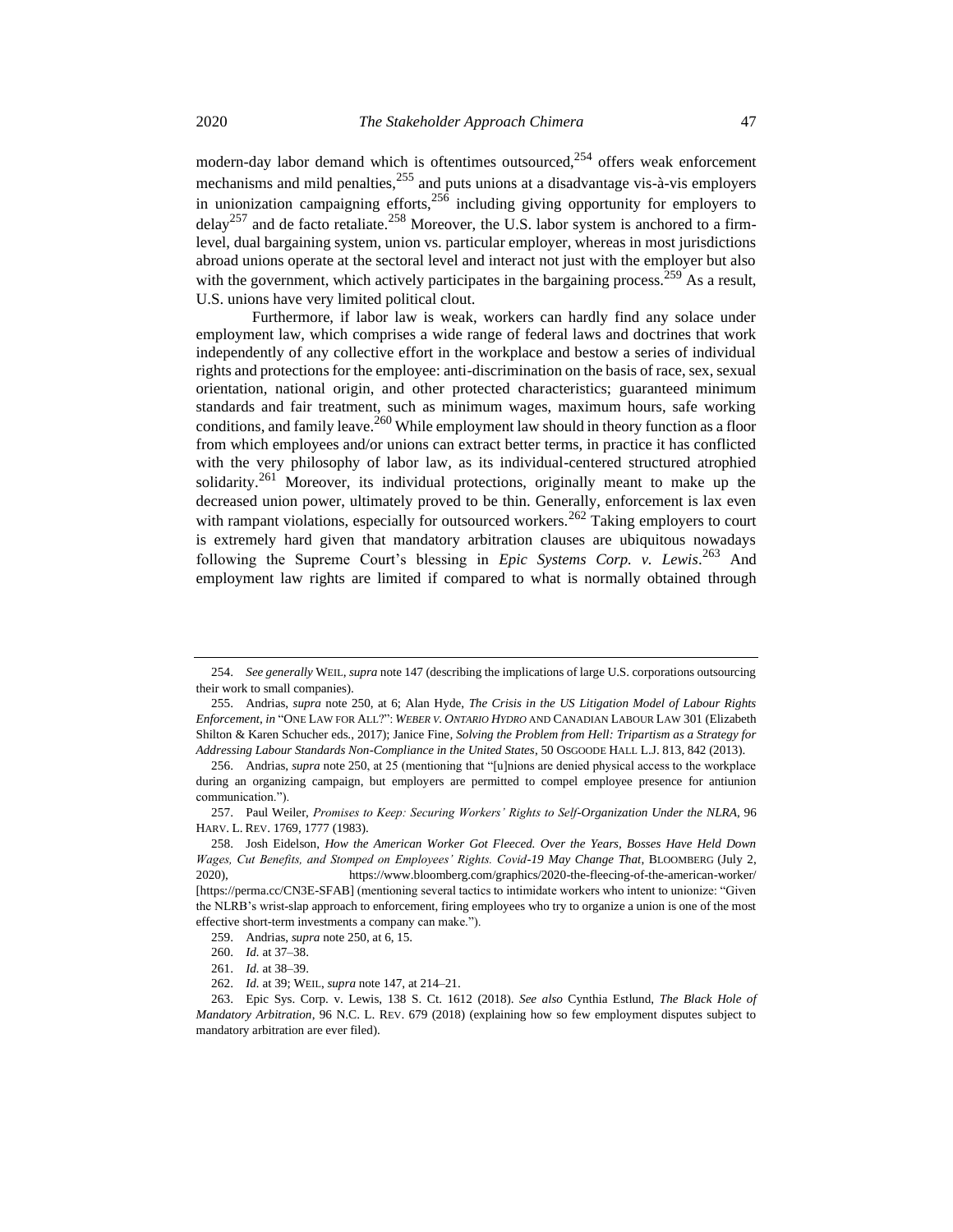<span id="page-46-1"></span><span id="page-46-0"></span>modern-day labor demand which is oftentimes outsourced, $254$  offers weak enforcement mechanisms and mild penalties,  $255$  and puts unions at a disadvantage vis-à-vis employers in unionization campaigning efforts,<sup>256</sup> including giving opportunity for employers to delay<sup>257</sup> and de facto retaliate.<sup>258</sup> Moreover, the U.S. labor system is anchored to a firmlevel, dual bargaining system, union vs. particular employer, whereas in most jurisdictions abroad unions operate at the sectoral level and interact not just with the employer but also with the government, which actively participates in the bargaining process.<sup>259</sup> As a result, U.S. unions have very limited political clout.

Furthermore, if labor law is weak, workers can hardly find any solace under employment law, which comprises a wide range of federal laws and doctrines that work independently of any collective effort in the workplace and bestow a series of individual rights and protections for the employee: anti-discrimination on the basis of race, sex, sexual orientation, national origin, and other protected characteristics; guaranteed minimum standards and fair treatment, such as minimum wages, maximum hours, safe working conditions, and family leave.<sup>260</sup> While employment law should in theory function as a floor from which employees and/or unions can extract better terms, in practice it has conflicted with the very philosophy of labor law, as its individual-centered structured atrophied solidarity.<sup>261</sup> Moreover, its individual protections, originally meant to make up the decreased union power, ultimately proved to be thin. Generally, enforcement is lax even with rampant violations, especially for outsourced workers.<sup>262</sup> Taking employers to court is extremely hard given that mandatory arbitration clauses are ubiquitous nowadays following the Supreme Court's blessing in *Epic Systems Corp. v. Lewis*. <sup>263</sup> And employment law rights are limited if compared to what is normally obtained through

<span id="page-46-2"></span><sup>254.</sup> *See generally* WEIL, *supra* not[e 147](#page-30-0) (describing the implications of large U.S. corporations outsourcing their work to small companies).

<sup>255.</sup> Andrias, *supra* note [250,](#page-45-0) at 6; Alan Hyde, *The Crisis in the US Litigation Model of Labour Rights Enforcement*, *in* "ONE LAW FOR ALL?": *WEBER V. ONTARIO HYDRO* AND CANADIAN LABOUR LAW 301 (Elizabeth Shilton & Karen Schucher eds., 2017); Janice Fine*, Solving the Problem from Hell: Tripartism as a Strategy for Addressing Labour Standards Non-Compliance in the United States*, 50 OSGOODE HALL L.J. 813, 842 (2013).

<sup>256.</sup> Andrias, *supra* note [250,](#page-45-0) at 25 (mentioning that "[u]nions are denied physical access to the workplace during an organizing campaign, but employers are permitted to compel employee presence for antiunion communication.").

<sup>257.</sup> Paul Weiler, *Promises to Keep: Securing Workers' Rights to Self-Organization Under the NLRA*, 96 HARV. L. REV. 1769, 1777 (1983).

<sup>258.</sup> Josh Eidelson, *How the American Worker Got Fleeced. Over the Years, Bosses Have Held Down Wages, Cut Benefits, and Stomped on Employees' Rights. Covid-19 May Change That*, BLOOMBERG (July 2, 2020), https://www.bloomberg.com/graphics/2020-the-fleecing-of-the-american-worker/ [https://perma.cc/CN3E-SFAB] (mentioning several tactics to intimidate workers who intent to unionize: "Given the NLRB's wrist-slap approach to enforcement, firing employees who try to organize a union is one of the most effective short-term investments a company can make.").

<sup>259.</sup> Andrias, *supra* not[e 250,](#page-45-0) at 6, 15.

<sup>260.</sup> *Id.* at 37–38.

<sup>261.</sup> *Id.* at 38–39.

<sup>262.</sup> *Id.* at 39; WEIL, *supra* not[e 147,](#page-30-0) at 214–21.

<sup>263.</sup> Epic Sys. Corp. v. Lewis, 138 S. Ct. 1612 (2018). *See also* Cynthia Estlund, *The Black Hole of Mandatory Arbitration*, 96 N.C. L. REV. 679 (2018) (explaining how so few employment disputes subject to mandatory arbitration are ever filed).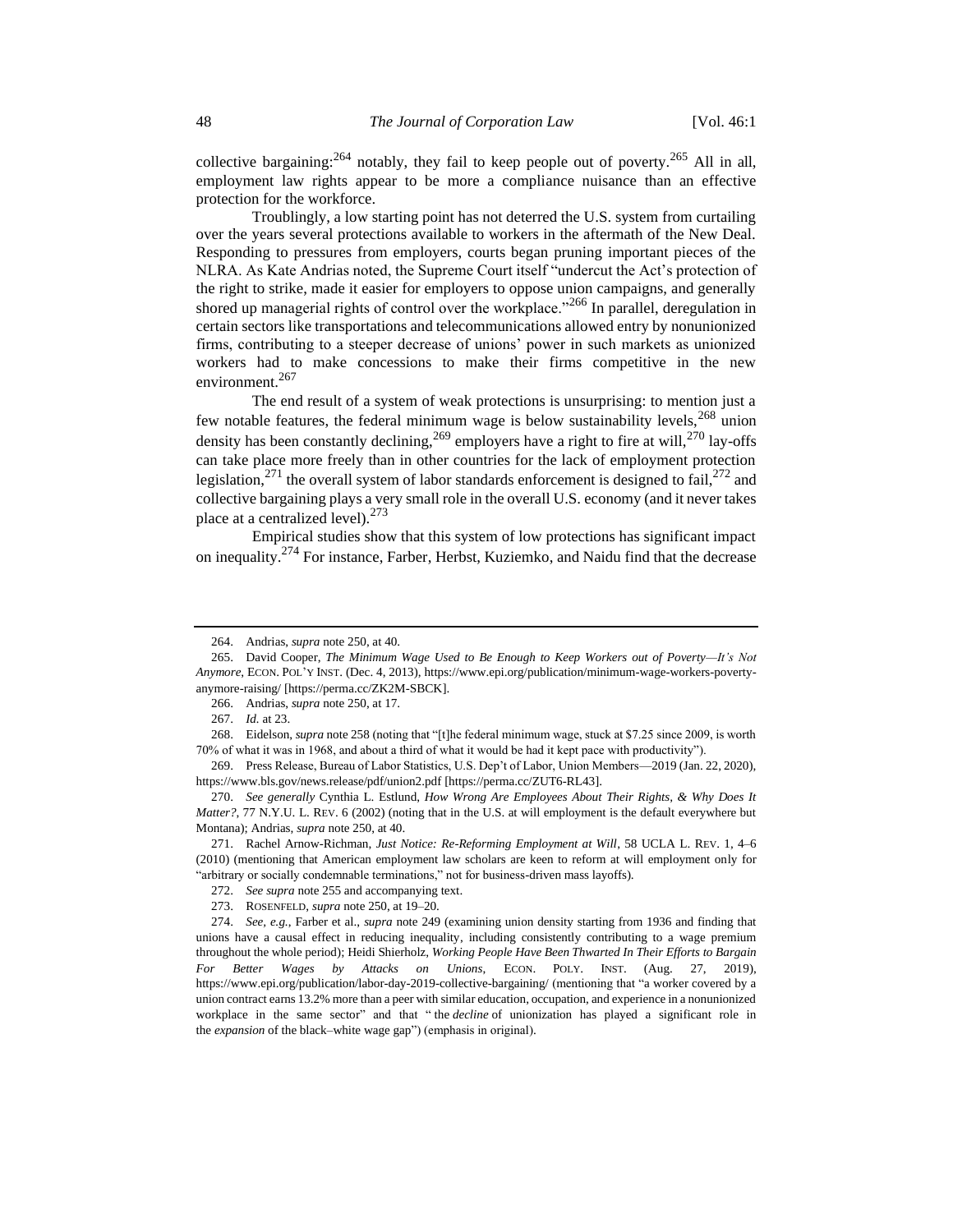collective bargaining:  $264$  notably, they fail to keep people out of poverty.  $265$  All in all, employment law rights appear to be more a compliance nuisance than an effective protection for the workforce.

Troublingly, a low starting point has not deterred the U.S. system from curtailing over the years several protections available to workers in the aftermath of the New Deal. Responding to pressures from employers, courts began pruning important pieces of the NLRA. As Kate Andrias noted, the Supreme Court itself "undercut the Act's protection of the right to strike, made it easier for employers to oppose union campaigns, and generally shored up managerial rights of control over the workplace."<sup>266</sup> In parallel, deregulation in certain sectors like transportations and telecommunications allowed entry by nonunionized firms, contributing to a steeper decrease of unions' power in such markets as unionized workers had to make concessions to make their firms competitive in the new environment.<sup>267</sup>

The end result of a system of weak protections is unsurprising: to mention just a few notable features, the federal minimum wage is below sustainability levels,<sup>268</sup> union density has been constantly declining,  $^{269}$  employers have a right to fire at will,  $^{270}$  lay-offs can take place more freely than in other countries for the lack of employment protection legislation,<sup>271</sup> the overall system of labor standards enforcement is designed to fail,<sup>272</sup> and collective bargaining plays a very small role in the overall U.S. economy (and it never takes place at a centralized level).<sup>273</sup>

<span id="page-47-0"></span>Empirical studies show that this system of low protections has significant impact on inequality.<sup>274</sup> For instance, Farber, Herbst, Kuziemko, and Naidu find that the decrease

<sup>264.</sup> Andrias, *supra* not[e 250,](#page-45-0) at 40.

<sup>265.</sup> David Cooper, *The Minimum Wage Used to Be Enough to Keep Workers out of Poverty—It's Not Anymore*, ECON. POL'Y INST. (Dec. 4, 2013), https://www.epi.org/publication/minimum-wage-workers-povertyanymore-raising/ [https://perma.cc/ZK2M-SBCK].

<sup>266.</sup> Andrias, *supra* not[e 250,](#page-45-0) at 17.

<sup>267.</sup> *Id.* at 23.

<sup>268.</sup> Eidelson, *supra* not[e 258](#page-46-0) (noting that "[t]he federal minimum wage, stuck at \$7.25 since 2009, is worth 70% of what it was in 1968, and about a third of what it would be had it kept pace with productivity").

<sup>269.</sup> Press Release, Bureau of Labor Statistics, U.S. Dep't of Labor, Union Members—2019 (Jan. 22, 2020), https://www.bls.gov/news.release/pdf/union2.pdf [https://perma.cc/ZUT6-RL43].

<sup>270.</sup> *See generally* Cynthia L. Estlund, *How Wrong Are Employees About Their Rights, & Why Does It Matter?*, 77 N.Y.U. L. REV. 6 (2002) (noting that in the U.S. at will employment is the default everywhere but Montana); Andrias, *supra* not[e 250,](#page-45-0) at 40.

<sup>271.</sup> Rachel Arnow-Richman, *Just Notice: Re-Reforming Employment at Will*, 58 UCLA L. REV. 1, 4–6 (2010) (mentioning that American employment law scholars are keen to reform at will employment only for "arbitrary or socially condemnable terminations," not for business-driven mass layoffs).

<sup>272.</sup> *See supra* not[e 255](#page-46-1) and accompanying text.

<sup>273.</sup> ROSENFELD, *supra* not[e 250,](#page-45-0) at 19–20.

<sup>274.</sup> *See, e.g.*, Farber et al., *supra* note [249](#page-45-1) (examining union density starting from 1936 and finding that unions have a causal effect in reducing inequality, including consistently contributing to a wage premium throughout the whole period); Heidi Shierholz, *Working People Have Been Thwarted In Their Efforts to Bargain For Better Wages by Attacks on Unions*, ECON. POLY. INST. (Aug. 27, 2019), https://www.epi.org/publication/labor-day-2019-collective-bargaining/ (mentioning that "a worker covered by a union contract earns 13.2% more than a peer with similar education, occupation, and experience in a nonunionized workplace in the same sector" and that " the *decline* of unionization has played a significant role in the *expansion* of the black–white wage gap") (emphasis in original).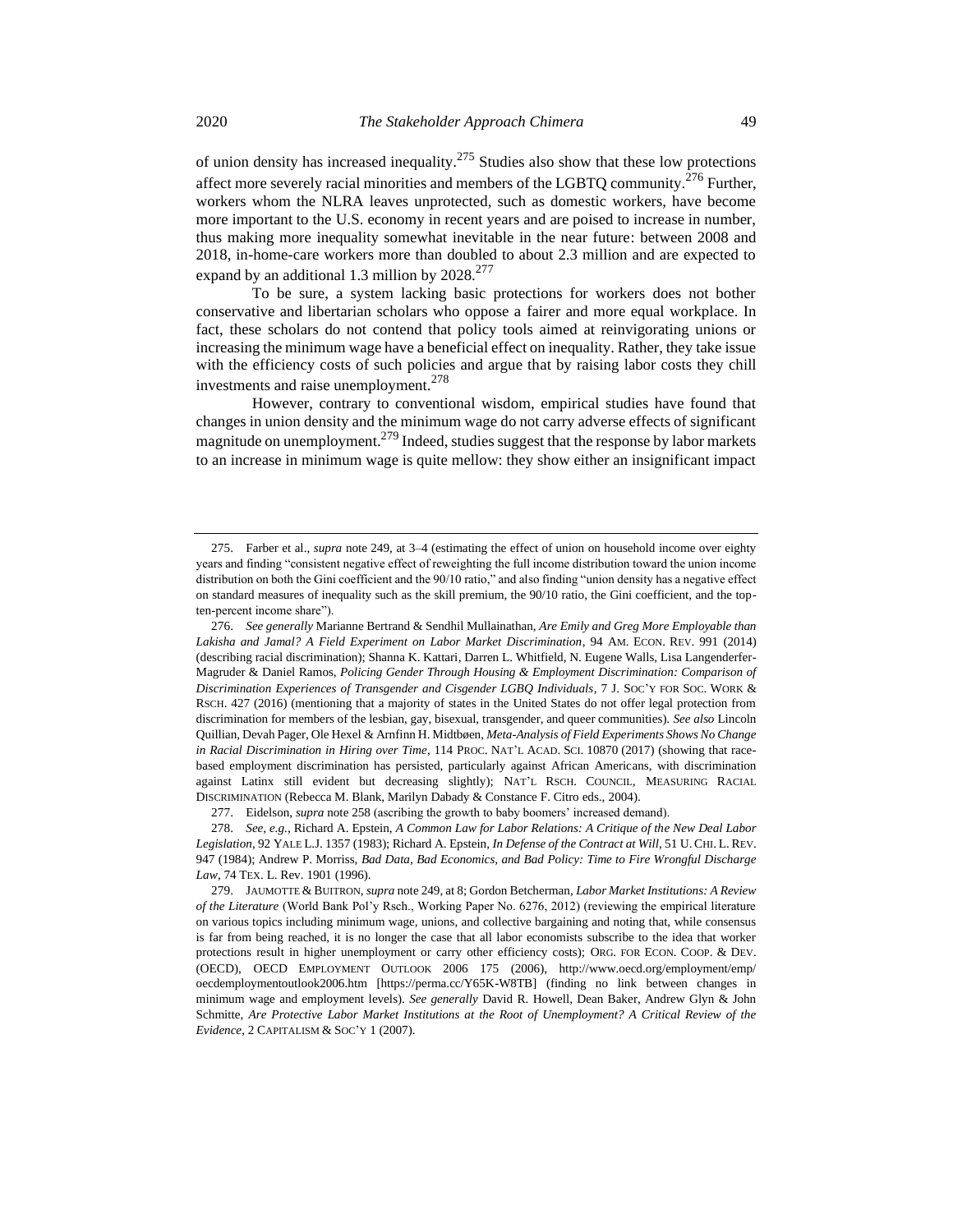<span id="page-48-0"></span>of union density has increased inequality.<sup>275</sup> Studies also show that these low protections affect more severely racial minorities and members of the LGBTO community.<sup>276</sup> Further, workers whom the NLRA leaves unprotected, such as domestic workers, have become more important to the U.S. economy in recent years and are poised to increase in number, thus making more inequality somewhat inevitable in the near future: between 2008 and 2018, in-home-care workers more than doubled to about 2.3 million and are expected to expand by an additional 1.3 million by  $2028.<sup>277</sup>$ 

To be sure, a system lacking basic protections for workers does not bother conservative and libertarian scholars who oppose a fairer and more equal workplace. In fact, these scholars do not contend that policy tools aimed at reinvigorating unions or increasing the minimum wage have a beneficial effect on inequality. Rather, they take issue with the efficiency costs of such policies and argue that by raising labor costs they chill investments and raise unemployment.<sup>278</sup>

However, contrary to conventional wisdom, empirical studies have found that changes in union density and the minimum wage do not carry adverse effects of significant magnitude on unemployment.<sup>279</sup> Indeed, studies suggest that the response by labor markets to an increase in minimum wage is quite mellow: they show either an insignificant impact

277. Eidelson, *supra* not[e 258](#page-46-0) (ascribing the growth to baby boomers' increased demand).

278. *See, e.g.*, Richard A. Epstein, *A Common Law for Labor Relations: A Critique of the New Deal Labor Legislation*, 92 YALE L.J. 1357 (1983); Richard A. Epstein, *In Defense of the Contract at Will*, 51 U. CHI. L. REV. 947 (1984); Andrew P. Morriss, *Bad Data, Bad Economics, and Bad Policy: Time to Fire Wrongful Discharge Law*, 74 TEX. L. Rev. 1901 (1996).

279. JAUMOTTE & BUITRON, *supra* not[e 249,](#page-45-1) at 8; Gordon Betcherman*, Labor Market Institutions: A Review of the Literature* (World Bank Pol'y Rsch., Working Paper No. 6276, 2012) (reviewing the empirical literature on various topics including minimum wage, unions, and collective bargaining and noting that, while consensus is far from being reached, it is no longer the case that all labor economists subscribe to the idea that worker protections result in higher unemployment or carry other efficiency costs); ORG. FOR ECON. COOP. & DEV. (OECD), OECD EMPLOYMENT OUTLOOK 2006 175 (2006), http://www.oecd.org/employment/emp/ oecdemploymentoutlook2006.htm [https://perma.cc/Y65K-W8TB] (finding no link between changes in minimum wage and employment levels). *See generally* David R. Howell, Dean Baker, Andrew Glyn & John Schmitte, *Are Protective Labor Market Institutions at the Root of Unemployment? A Critical Review of the Evidence*, 2 CAPITALISM & SOC'Y 1 (2007).

<sup>275.</sup> Farber et al., *supra* not[e 249,](#page-45-1) at 3–4 (estimating the effect of union on household income over eighty years and finding "consistent negative effect of reweighting the full income distribution toward the union income distribution on both the Gini coefficient and the 90/10 ratio," and also finding "union density has a negative effect on standard measures of inequality such as the skill premium, the 90/10 ratio, the Gini coefficient, and the topten-percent income share").

<sup>276.</sup> *See generally* Marianne Bertrand & Sendhil Mullainathan, *Are Emily and Greg More Employable than Lakisha and Jamal? A Field Experiment on Labor Market Discrimination*, 94 AM. ECON. REV. 991 (2014) (describing racial discrimination); Shanna K. Kattari, Darren L. Whitfield, N. Eugene Walls, Lisa Langenderfer-Magruder & Daniel Ramos, *Policing Gender Through Housing & Employment Discrimination: Comparison of Discrimination Experiences of Transgender and Cisgender LGBQ Individuals*, 7 J. SOC'Y FOR SOC. WORK & RSCH. 427 (2016) (mentioning that a majority of states in the United States do not offer legal protection from discrimination for members of the lesbian, gay, bisexual, transgender, and queer communities). *See also* Lincoln Quillian, Devah Pager, Ole Hexel & Arnfinn H. Midtbøen, *Meta-Analysis of Field Experiments Shows No Change in Racial Discrimination in Hiring over Time*, 114 PROC. NAT'L ACAD. SCI. 10870 (2017) (showing that racebased employment discrimination has persisted, particularly against African Americans, with discrimination against Latinx still evident but decreasing slightly); NAT'L RSCH. COUNCIL, MEASURING RACIAL DISCRIMINATION (Rebecca M. Blank, Marilyn Dabady & Constance F. Citro eds., 2004).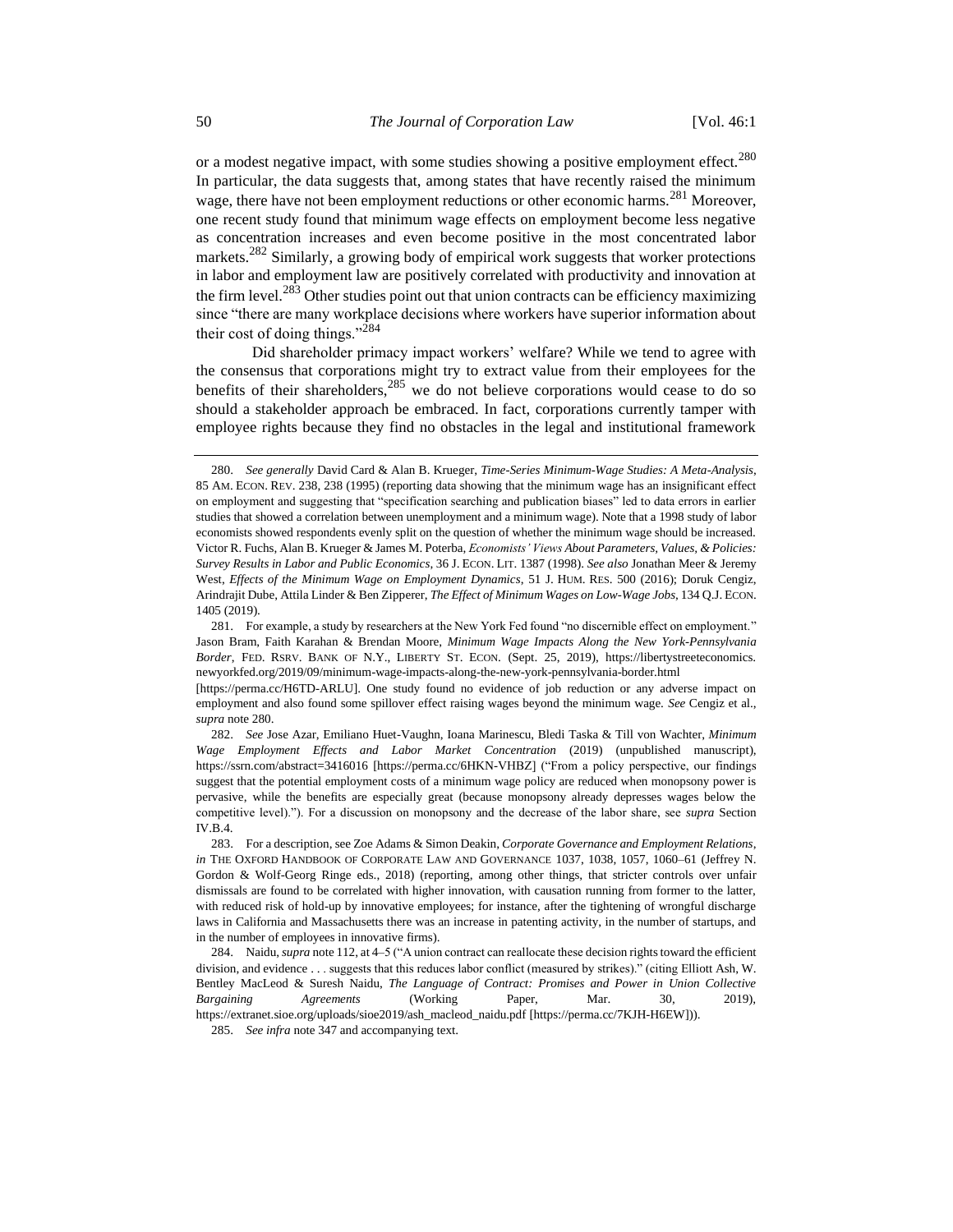<span id="page-49-0"></span>or a modest negative impact, with some studies showing a positive employment effect.<sup>280</sup> In particular, the data suggests that, among states that have recently raised the minimum wage, there have not been employment reductions or other economic harms.<sup>281</sup> Moreover, one recent study found that minimum wage effects on employment become less negative as concentration increases and even become positive in the most concentrated labor markets.<sup>282</sup> Similarly, a growing body of empirical work suggests that worker protections in labor and employment law are positively correlated with productivity and innovation at the firm level.<sup>283</sup> Other studies point out that union contracts can be efficiency maximizing since "there are many workplace decisions where workers have superior information about their cost of doing things."<sup>284</sup>

Did shareholder primacy impact workers' welfare? While we tend to agree with the consensus that corporations might try to extract value from their employees for the benefits of their shareholders,  $285$  we do not believe corporations would cease to do so should a stakeholder approach be embraced. In fact, corporations currently tamper with employee rights because they find no obstacles in the legal and institutional framework

[https://perma.cc/H6TD-ARLU]. One study found no evidence of job reduction or any adverse impact on employment and also found some spillover effect raising wages beyond the minimum wage. *See* Cengiz et al., *supra* not[e 280.](#page-49-0)

282. *See* Jose Azar, Emiliano Huet-Vaughn, Ioana Marinescu, Bledi Taska & Till von Wachter, *Minimum Wage Employment Effects and Labor Market Concentration* (2019) (unpublished manuscript), https://ssrn.com/abstract=3416016 [https://perma.cc/6HKN-VHBZ] ("From a policy perspective, our findings suggest that the potential employment costs of a minimum wage policy are reduced when monopsony power is pervasive, while the benefits are especially great (because monopsony already depresses wages below the competitive level)."). For a discussion on monopsony and the decrease of the labor share, see *supra* Section IV.B.4.

283. For a description, see Zoe Adams & Simon Deakin, *Corporate Governance and Employment Relations*, *in* THE OXFORD HANDBOOK OF CORPORATE LAW AND GOVERNANCE 1037, 1038, 1057, 1060–61 (Jeffrey N. Gordon & Wolf-Georg Ringe eds., 2018) (reporting, among other things, that stricter controls over unfair dismissals are found to be correlated with higher innovation, with causation running from former to the latter, with reduced risk of hold-up by innovative employees; for instance, after the tightening of wrongful discharge laws in California and Massachusetts there was an increase in patenting activity, in the number of startups, and in the number of employees in innovative firms).

<sup>280.</sup> *See generally* David Card & Alan B. Krueger, *Time-Series Minimum-Wage Studies: A Meta-Analysis*, 85 AM. ECON. REV. 238, 238 (1995) (reporting data showing that the minimum wage has an insignificant effect on employment and suggesting that "specification searching and publication biases" led to data errors in earlier studies that showed a correlation between unemployment and a minimum wage). Note that a 1998 study of labor economists showed respondents evenly split on the question of whether the minimum wage should be increased. Victor R. Fuchs, Alan B. Krueger & James M. Poterba, *Economists' Views About Parameters, Values, & Policies: Survey Results in Labor and Public Economics*, 36 J. ECON. LIT. 1387 (1998). *See also* Jonathan Meer & Jeremy West, *Effects of the Minimum Wage on Employment Dynamics*, 51 J. HUM. RES. 500 (2016); Doruk Cengiz, Arindrajit Dube, Attila Linder & Ben Zipperer, *The Effect of Minimum Wages on Low-Wage Jobs*, 134 Q.J. ECON. 1405 (2019).

<sup>281.</sup> For example, a study by researchers at the New York Fed found "no discernible effect on employment." Jason Bram, Faith Karahan & Brendan Moore, *Minimum Wage Impacts Along the New York-Pennsylvania Border*, FED. RSRV. BANK OF N.Y., LIBERTY ST. ECON. (Sept. 25, 2019), https://libertystreeteconomics. newyorkfed.org/2019/09/minimum-wage-impacts-along-the-new-york-pennsylvania-border.html

<sup>284.</sup> Naidu, *supra* not[e 112,](#page-23-0) at 4–5 ("A union contract can reallocate these decision rights toward the efficient division, and evidence . . . suggests that this reduces labor conflict (measured by strikes)." (citing Elliott Ash, W. Bentley MacLeod & Suresh Naidu, *The Language of Contract: Promises and Power in Union Collective Bargaining Agreements* (Working Paper, Mar. 30, 2019), https://extranet.sioe.org/uploads/sioe2019/ash\_macleod\_naidu.pdf [https://perma.cc/7KJH-H6EW])).

<sup>285.</sup> *See infra* not[e 347](#page-58-0) and accompanying text.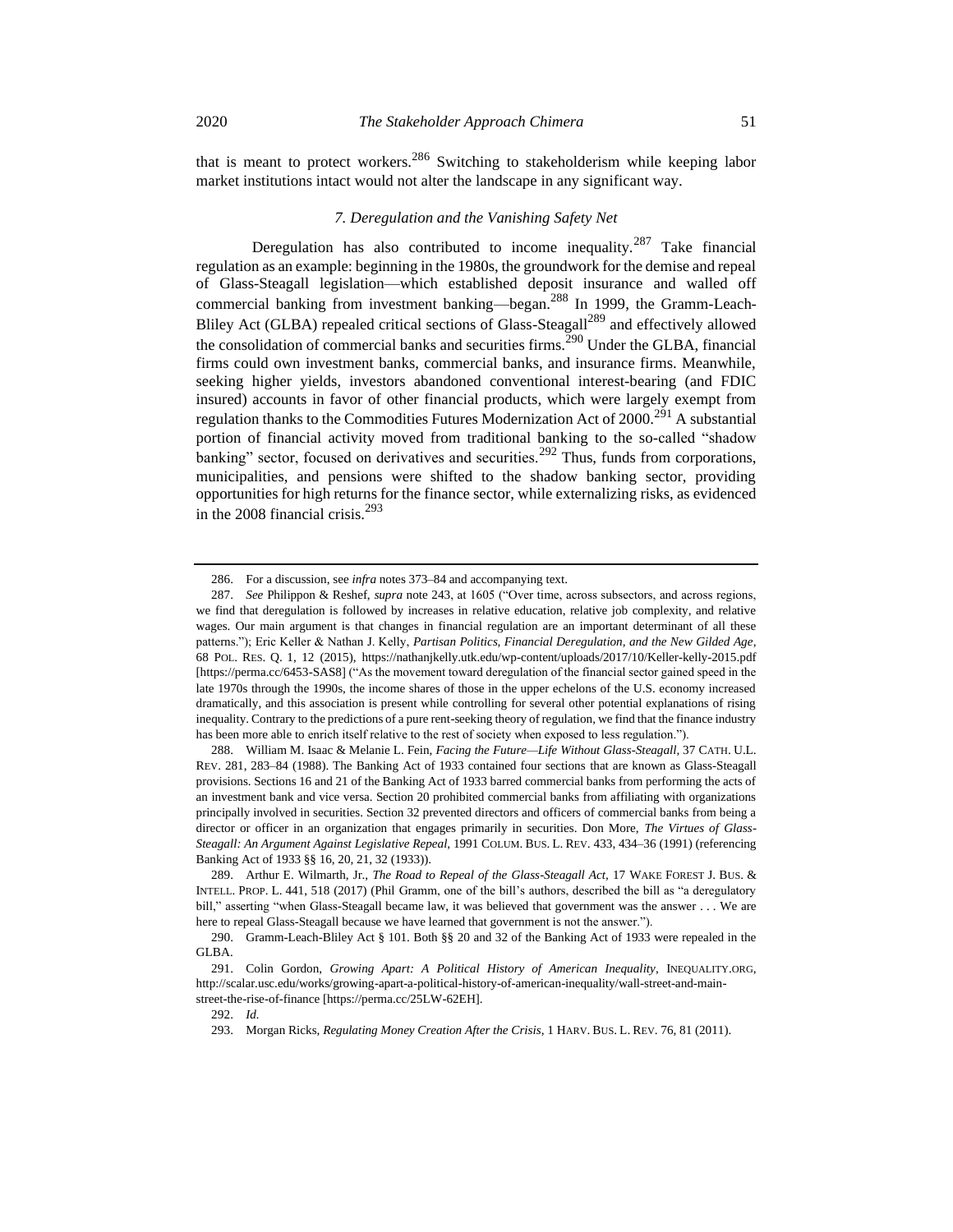that is meant to protect workers.<sup>286</sup> Switching to stakeholderism while keeping labor market institutions intact would not alter the landscape in any significant way.

### <span id="page-50-0"></span>*7. Deregulation and the Vanishing Safety Net*

Deregulation has also contributed to income inequality.<sup>287</sup> Take financial regulation as an example: beginning in the 1980s, the groundwork for the demise and repeal of Glass-Steagall legislation—which established deposit insurance and walled off commercial banking from investment banking—began.<sup>288</sup> In 1999, the Gramm-Leach-Bliley Act (GLBA) repealed critical sections of Glass-Steagall<sup>289</sup> and effectively allowed the consolidation of commercial banks and securities firms.<sup>290</sup> Under the GLBA, financial firms could own investment banks, commercial banks, and insurance firms. Meanwhile, seeking higher yields, investors abandoned conventional interest-bearing (and FDIC insured) accounts in favor of other financial products, which were largely exempt from regulation thanks to the Commodities Futures Modernization Act of 2000.<sup>291</sup> A substantial portion of financial activity moved from traditional banking to the so-called "shadow banking" sector, focused on derivatives and securities.<sup>292</sup> Thus, funds from corporations, municipalities, and pensions were shifted to the shadow banking sector, providing opportunities for high returns for the finance sector, while externalizing risks, as evidenced in the 2008 financial crisis. $293$ 

<sup>286.</sup> For a discussion, see *infra* note[s 373–](#page-63-0)84 and accompanying text.

<sup>287.</sup> *See* Philippon & Reshef, *supra* not[e 243,](#page-44-0) at 1605 ("Over time, across subsectors, and across regions, we find that deregulation is followed by increases in relative education, relative job complexity, and relative wages. Our main argument is that changes in financial regulation are an important determinant of all these patterns."); Eric Keller & Nathan J. Kelly, *Partisan Politics, Financial Deregulation, and the New Gilded Age*, 68 POL. RES. Q. 1, 12 (2015), https://nathanjkelly.utk.edu/wp-content/uploads/2017/10/Keller-kelly-2015.pdf [https://perma.cc/6453-SAS8] ("As the movement toward deregulation of the financial sector gained speed in the late 1970s through the 1990s, the income shares of those in the upper echelons of the U.S. economy increased dramatically, and this association is present while controlling for several other potential explanations of rising inequality. Contrary to the predictions of a pure rent-seeking theory of regulation, we find that the finance industry has been more able to enrich itself relative to the rest of society when exposed to less regulation.").

<sup>288.</sup> William M. Isaac & Melanie L. Fein, *Facing the Future—Life Without Glass-Steagall*, 37 CATH. U.L. REV. 281, 283–84 (1988). The Banking Act of 1933 contained four sections that are known as Glass-Steagall provisions. Sections 16 and 21 of the Banking Act of 1933 barred commercial banks from performing the acts of an investment bank and vice versa. Section 20 prohibited commercial banks from affiliating with organizations principally involved in securities. Section 32 prevented directors and officers of commercial banks from being a director or officer in an organization that engages primarily in securities. Don More, *The Virtues of Glass-Steagall: An Argument Against Legislative Repeal*, 1991 COLUM. BUS. L. REV. 433, 434–36 (1991) (referencing Banking Act of 1933 §§ 16, 20, 21, 32 (1933)).

<sup>289.</sup> Arthur E. Wilmarth, Jr., *The Road to Repeal of the Glass-Steagall Act*, 17 WAKE FOREST J. BUS. & INTELL. PROP. L. 441, 518 (2017) (Phil Gramm, one of the bill's authors, described the bill as "a deregulatory bill," asserting "when Glass-Steagall became law, it was believed that government was the answer . . . We are here to repeal Glass-Steagall because we have learned that government is not the answer.").

<sup>290.</sup> Gramm-Leach-Bliley Act § 101. Both §§ 20 and 32 of the Banking Act of 1933 were repealed in the GLBA.

<sup>291.</sup> Colin Gordon, *Growing Apart: A Political History of American Inequality*, INEQUALITY.ORG, http://scalar.usc.edu/works/growing-apart-a-political-history-of-american-inequality/wall-street-and-mainstreet-the-rise-of-finance [https://perma.cc/25LW-62EH].

<sup>292.</sup> *Id.*

<sup>293.</sup> Morgan Ricks, *Regulating Money Creation After the Crisis*, 1 HARV. BUS. L. REV. 76, 81 (2011).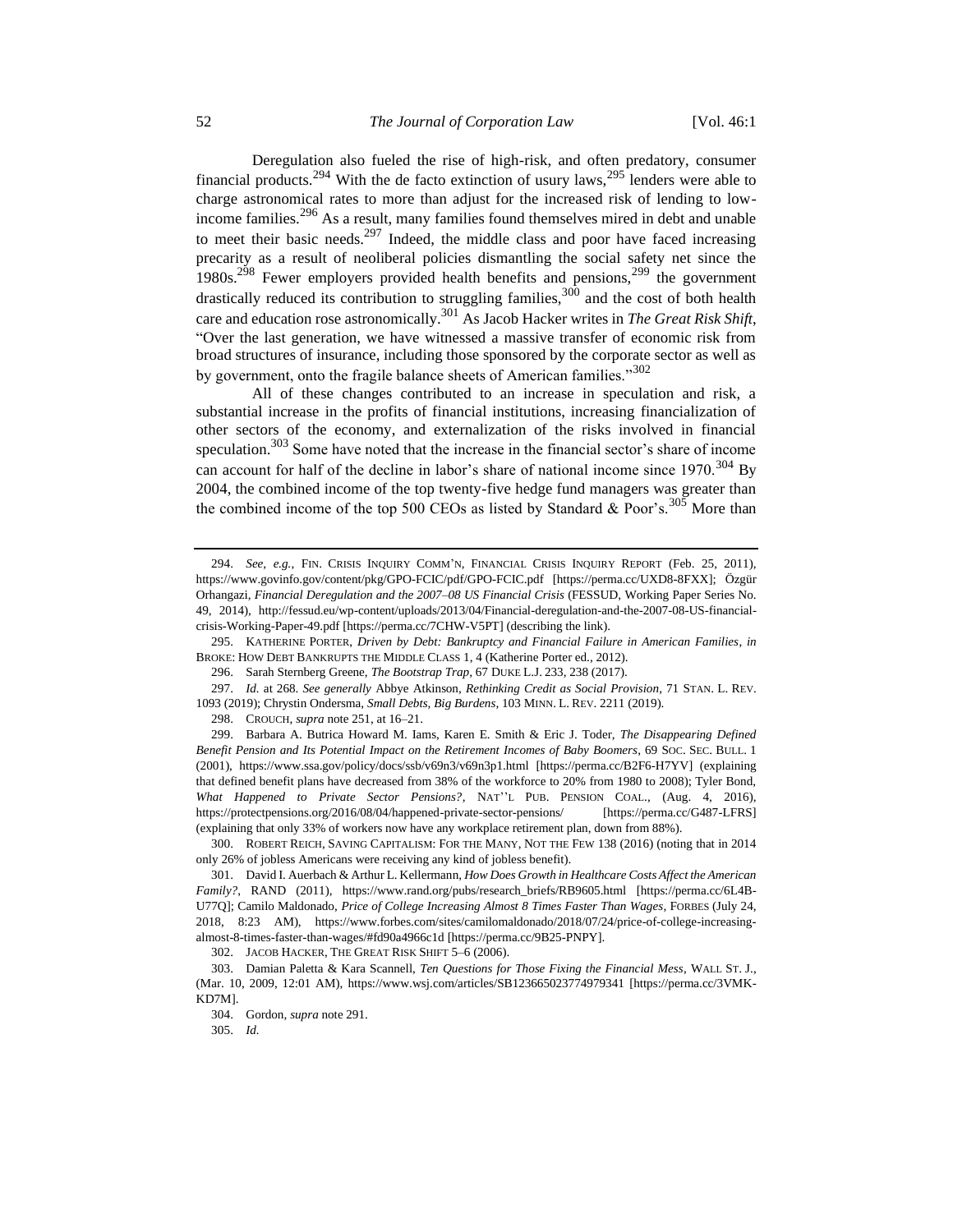Deregulation also fueled the rise of high-risk, and often predatory, consumer financial products.<sup>294</sup> With the de facto extinction of usury laws,<sup>295</sup> lenders were able to charge astronomical rates to more than adjust for the increased risk of lending to lowincome families.<sup>296</sup> As a result, many families found themselves mired in debt and unable to meet their basic needs.<sup>297</sup> Indeed, the middle class and poor have faced increasing precarity as a result of neoliberal policies dismantling the social safety net since the  $1980s^{298}$  Fewer employers provided health benefits and pensions,  $299$  the government drastically reduced its contribution to struggling families,  $300$  and the cost of both health care and education rose astronomically.<sup>301</sup> As Jacob Hacker writes in *The Great Risk Shift*, "Over the last generation, we have witnessed a massive transfer of economic risk from broad structures of insurance, including those sponsored by the corporate sector as well as by government, onto the fragile balance sheets of American families."<sup>302</sup>

All of these changes contributed to an increase in speculation and risk, a substantial increase in the profits of financial institutions, increasing financialization of other sectors of the economy, and externalization of the risks involved in financial speculation.<sup>303</sup> Some have noted that the increase in the financial sector's share of income can account for half of the decline in labor's share of national income since  $1970^{304}$  By 2004, the combined income of the top twenty-five hedge fund managers was greater than the combined income of the top 500 CEOs as listed by Standard & Poor's.<sup>305</sup> More than

297. *Id.* at 268. *See generally* Abbye Atkinson, *Rethinking Credit as Social Provision*, 71 STAN. L. REV. 1093 (2019); Chrystin Ondersma, *Small Debts, Big Burdens*, 103 MINN. L. REV. 2211 (2019).

298. CROUCH, *supra* not[e 251,](#page-45-2) at 16–21.

299. Barbara A. Butrica Howard M. Iams, Karen E. Smith & Eric J. Toder, *The Disappearing Defined Benefit Pension and Its Potential Impact on the Retirement Incomes of Baby Boomers*, 69 SOC. SEC. BULL. 1 (2001), <https://www.ssa.gov/policy/docs/ssb/v69n3/v69n3p1.html> [https://perma.cc/B2F6-H7YV] (explaining that defined benefit plans have decreased from 38% of the workforce to 20% from 1980 to 2008); Tyler Bond, *What Happened to Private Sector Pensions?*, NAT''L PUB. PENSION COAL., (Aug. 4, 2016), https://protectpensions.org/2016/08/04/happened-private-sector-pensions/ [https://perma.cc/G487-LFRS] (explaining that only 33% of workers now have any workplace retirement plan, down from 88%).

300. ROBERT REICH, SAVING CAPITALISM: FOR THE MANY, NOT THE FEW 138 (2016) (noting that in 2014 only 26% of jobless Americans were receiving any kind of jobless benefit).

302. JACOB HACKER, THE GREAT RISK SHIFT 5–6 (2006).

305. *Id.*

<sup>294.</sup> *See*, *e.g.*, FIN. CRISIS INQUIRY COMM'N, FINANCIAL CRISIS INQUIRY REPORT (Feb. 25, 2011), https://www.govinfo.gov/content/pkg/GPO-FCIC/pdf/GPO-FCIC.pdf [https://perma.cc/UXD8-8FXX]; Özgür Orhangazi, *Financial Deregulation and the 2007–08 US Financial Crisis* (FESSUD, Working Paper Series No. 49, 2014), http://fessud.eu/wp-content/uploads/2013/04/Financial-deregulation-and-the-2007-08-US-financialcrisis-Working-Paper-49.pdf [https://perma.cc/7CHW-V5PT] (describing the link).

<sup>295.</sup> KATHERINE PORTER, *Driven by Debt: Bankruptcy and Financial Failure in American Families*, *in*  BROKE: HOW DEBT BANKRUPTS THE MIDDLE CLASS 1, 4 (Katherine Porter ed., 2012).

<sup>296.</sup> Sarah Sternberg Greene, *The Bootstrap Trap*, 67 DUKE L.J. 233, 238 (2017).

<sup>301.</sup> David I. Auerbach & Arthur L. Kellermann, *How Does Growth in Healthcare Costs Affect the American Family?*, RAND (2011), https://www.rand.org/pubs/research\_briefs/RB9605.html [https://perma.cc/6L4B-U77Q]; Camilo Maldonado, *Price of College Increasing Almost 8 Times Faster Than Wages*, FORBES (July 24, 2018, 8:23 AM), https://www.forbes.com/sites/camilomaldonado/2018/07/24/price-of-college-increasingalmost-8-times-faster-than-wages/#fd90a4966c1d [https://perma.cc/9B25-PNPY].

<sup>303.</sup> Damian Paletta & Kara Scannell, *Ten Questions for Those Fixing the Financial Mess*, WALL ST. J., (Mar. 10, 2009, 12:01 AM), https://www.wsj.com/articles/SB123665023774979341 [https://perma.cc/3VMK-KD7M].

<sup>304.</sup> Gordon, *supra* not[e 291.](#page-50-0)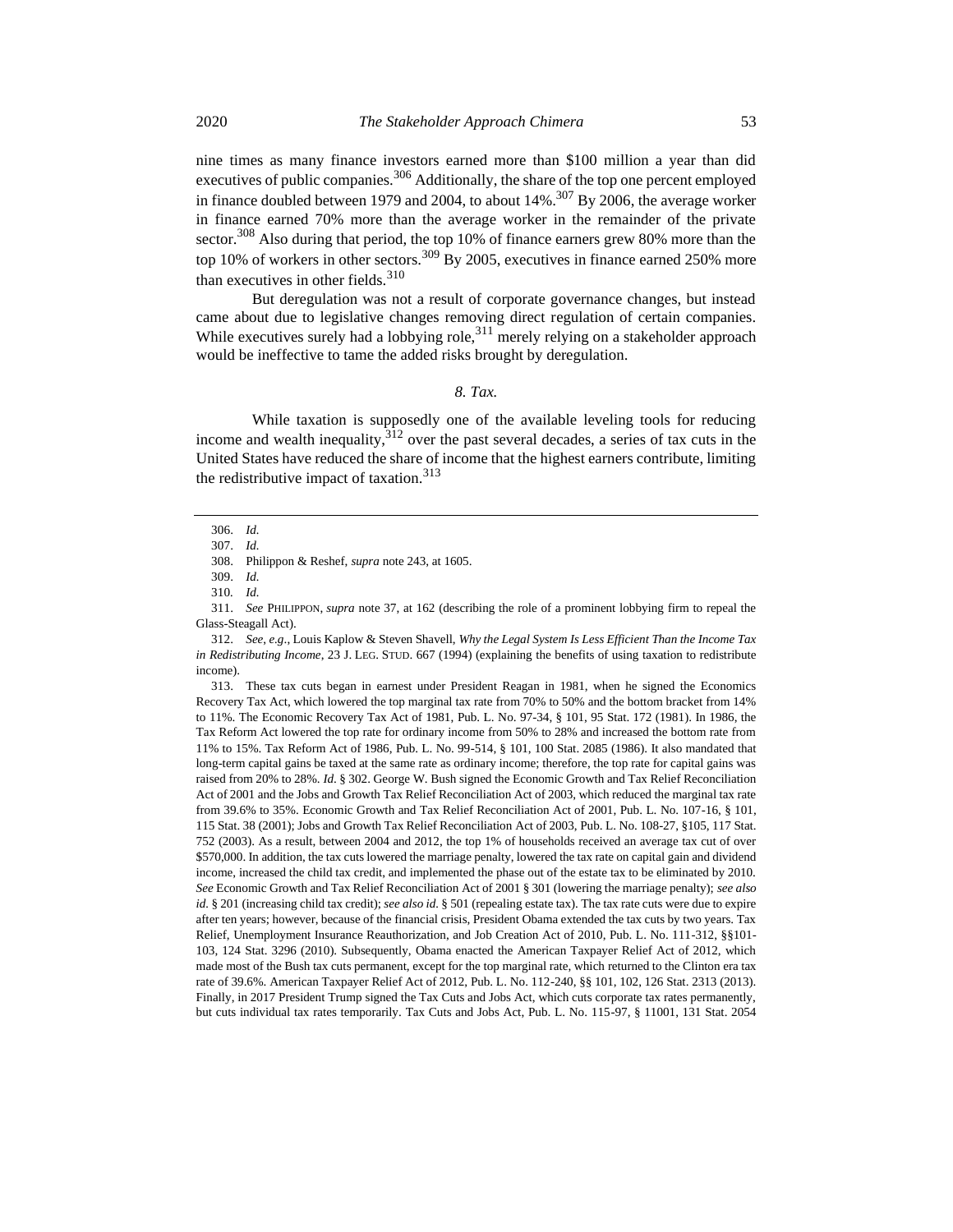nine times as many finance investors earned more than \$100 million a year than did executives of public companies.<sup>306</sup> Additionally, the share of the top one percent employed in finance doubled between 1979 and 2004, to about  $14\%$ .<sup>307</sup> By 2006, the average worker in finance earned 70% more than the average worker in the remainder of the private sector.<sup>308</sup> Also during that period, the top 10% of finance earners grew 80% more than the top 10% of workers in other sectors.<sup>309</sup> By 2005, executives in finance earned 250% more than executives in other fields.  $310$ 

But deregulation was not a result of corporate governance changes, but instead came about due to legislative changes removing direct regulation of certain companies. While executives surely had a lobbying role,<sup>311</sup> merely relying on a stakeholder approach would be ineffective to tame the added risks brought by deregulation.

### *8. Tax.*

While taxation is supposedly one of the available leveling tools for reducing income and wealth inequality,  $312$  over the past several decades, a series of tax cuts in the United States have reduced the share of income that the highest earners contribute, limiting the redistributive impact of taxation. $313$ 

311. *See* PHILIPPON, *supra* not[e 37,](#page-8-0) at 162 (describing the role of a prominent lobbying firm to repeal the Glass-Steagall Act).

312. *See*, *e.g*., Louis Kaplow & Steven Shavell, *Why the Legal System Is Less Efficient Than the Income Tax in Redistributing Income*, 23 J. LEG. STUD. 667 (1994) (explaining the benefits of using taxation to redistribute income).

313. These tax cuts began in earnest under President Reagan in 1981, when he signed the Economics Recovery Tax Act, which lowered the top marginal tax rate from 70% to 50% and the bottom bracket from 14% to 11%. The Economic Recovery Tax Act of 1981, Pub. L. No. 97-34, § 101, 95 Stat. 172 (1981). In 1986, the Tax Reform Act lowered the top rate for ordinary income from 50% to 28% and increased the bottom rate from 11% to 15%. Tax Reform Act of 1986, Pub. L. No. 99-514, § 101, 100 Stat. 2085 (1986). It also mandated that long-term capital gains be taxed at the same rate as ordinary income; therefore, the top rate for capital gains was raised from 20% to 28%. *Id*. § 302. George W. Bush signed the Economic Growth and Tax Relief Reconciliation Act of 2001 and the Jobs and Growth Tax Relief Reconciliation Act of 2003, which reduced the marginal tax rate from 39.6% to 35%. Economic Growth and Tax Relief Reconciliation Act of 2001, Pub. L. No. 107-16, § 101, 115 Stat. 38 (2001); Jobs and Growth Tax Relief Reconciliation Act of 2003, Pub. L. No. 108-27, §105, 117 Stat. 752 (2003). As a result, between 2004 and 2012, the top 1% of households received an average tax cut of over \$570,000. In addition, the tax cuts lowered the marriage penalty, lowered the tax rate on capital gain and dividend income, increased the child tax credit, and implemented the phase out of the estate tax to be eliminated by 2010. *See* Economic Growth and Tax Relief Reconciliation Act of 2001 § 301 (lowering the marriage penalty); *see also id.* § 201 (increasing child tax credit); *see also id.* § 501 (repealing estate tax). The tax rate cuts were due to expire after ten years; however, because of the financial crisis, President Obama extended the tax cuts by two years. Tax Relief, Unemployment Insurance Reauthorization, and Job Creation Act of 2010, Pub. L. No. 111-312, §§101- 103, 124 Stat. 3296 (2010). Subsequently, Obama enacted the American Taxpayer Relief Act of 2012, which made most of the Bush tax cuts permanent, except for the top marginal rate, which returned to the Clinton era tax rate of 39.6%. American Taxpayer Relief Act of 2012, Pub. L. No. 112-240, §§ 101, 102, 126 Stat. 2313 (2013). Finally, in 2017 President Trump signed the Tax Cuts and Jobs Act, which cuts corporate tax rates permanently, but cuts individual tax rates temporarily. Tax Cuts and Jobs Act, Pub. L. No. 115-97, § 11001, 131 Stat. 2054

<sup>306.</sup> *Id.*

<sup>307.</sup> *Id.*

<sup>308.</sup> Philippon & Reshef, *supra* not[e 243,](#page-44-0) at 1605.

<sup>309.</sup> *Id.*

<sup>310</sup>*. Id.*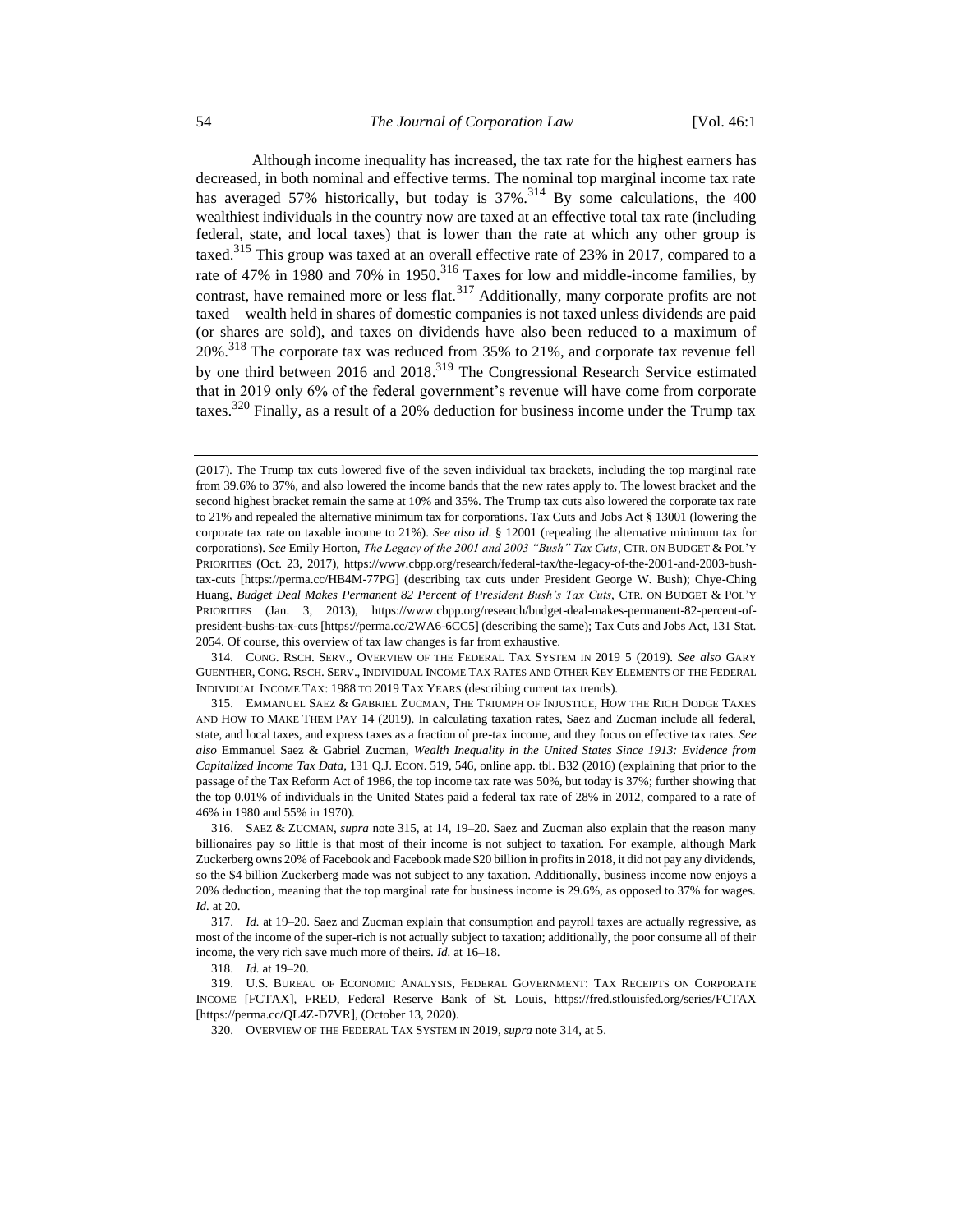<span id="page-53-1"></span><span id="page-53-0"></span>Although income inequality has increased, the tax rate for the highest earners has decreased, in both nominal and effective terms. The nominal top marginal income tax rate has averaged 57% historically, but today is  $37\%$ .<sup>314</sup> By some calculations, the 400 wealthiest individuals in the country now are taxed at an effective total tax rate (including federal, state, and local taxes) that is lower than the rate at which any other group is taxed. <sup>315</sup> This group was taxed at an overall effective rate of 23% in 2017, compared to a rate of 47% in 1980 and 70% in 1950.<sup>316</sup> Taxes for low and middle-income families, by contrast, have remained more or less flat.<sup>317</sup> Additionally, many corporate profits are not taxed—wealth held in shares of domestic companies is not taxed unless dividends are paid (or shares are sold), and taxes on dividends have also been reduced to a maximum of 20%.<sup>318</sup> The corporate tax was reduced from 35% to 21%, and corporate tax revenue fell by one third between 2016 and 2018.<sup>319</sup> The Congressional Research Service estimated that in 2019 only 6% of the federal government's revenue will have come from corporate taxes.<sup>320</sup> Finally, as a result of a 20% deduction for business income under the Trump tax

<sup>(2017).</sup> The Trump tax cuts lowered five of the seven individual tax brackets, including the top marginal rate from 39.6% to 37%, and also lowered the income bands that the new rates apply to. The lowest bracket and the second highest bracket remain the same at 10% and 35%. The Trump tax cuts also lowered the corporate tax rate to 21% and repealed the alternative minimum tax for corporations. Tax Cuts and Jobs Act § 13001 (lowering the corporate tax rate on taxable income to 21%). *See also id*. § 12001 (repealing the alternative minimum tax for corporations). *See* Emily Horton, *The Legacy of the 2001 and 2003 "Bush" Tax Cuts*, CTR. ON BUDGET & POL'Y PRIORITIES (Oct. 23, 2017), https://www.cbpp.org/research/federal-tax/the-legacy-of-the-2001-and-2003-bushtax-cuts [https://perma.cc/HB4M-77PG] (describing tax cuts under President George W. Bush); Chye-Ching Huang, *Budget Deal Makes Permanent 82 Percent of President Bush's Tax Cuts*, CTR. ON BUDGET & POL'Y PRIORITIES (Jan. 3, 2013), https://www.cbpp.org/research/budget-deal-makes-permanent-82-percent-ofpresident-bushs-tax-cuts [https://perma.cc/2WA6-6CC5] (describing the same); Tax Cuts and Jobs Act, 131 Stat. 2054. Of course, this overview of tax law changes is far from exhaustive.

<sup>314.</sup> CONG. RSCH. SERV., OVERVIEW OF THE FEDERAL TAX SYSTEM IN 2019 5 (2019). *See also* GARY GUENTHER, CONG. RSCH. SERV., INDIVIDUAL INCOME TAX RATES AND OTHER KEY ELEMENTS OF THE FEDERAL INDIVIDUAL INCOME TAX: 1988 TO 2019 TAX YEARS (describing current tax trends).

<sup>315.</sup> EMMANUEL SAEZ & GABRIEL ZUCMAN, THE TRIUMPH OF INJUSTICE, HOW THE RICH DODGE TAXES AND HOW TO MAKE THEM PAY 14 (2019). In calculating taxation rates, Saez and Zucman include all federal, state, and local taxes, and express taxes as a fraction of pre-tax income, and they focus on effective tax rates. *See also* Emmanuel Saez & Gabriel Zucman, *Wealth Inequality in the United States Since 1913: Evidence from Capitalized Income Tax Data*, 131 Q.J. ECON. 519, 546, online app. tbl. B32 (2016) (explaining that prior to the passage of the Tax Reform Act of 1986, the top income tax rate was 50%, but today is 37%; further showing that the top 0.01% of individuals in the United States paid a federal tax rate of 28% in 2012, compared to a rate of 46% in 1980 and 55% in 1970)*.*

<sup>316.</sup> SAEZ & ZUCMAN, *supra* not[e 315,](#page-53-0) at 14, 19–20. Saez and Zucman also explain that the reason many billionaires pay so little is that most of their income is not subject to taxation. For example, although Mark Zuckerberg owns 20% of Facebook and Facebook made \$20 billion in profits in 2018, it did not pay any dividends, so the \$4 billion Zuckerberg made was not subject to any taxation. Additionally, business income now enjoys a 20% deduction, meaning that the top marginal rate for business income is 29.6%, as opposed to 37% for wages. *Id.* at 20.

<sup>317.</sup> *Id.* at 19–20. Saez and Zucman explain that consumption and payroll taxes are actually regressive, as most of the income of the super-rich is not actually subject to taxation; additionally, the poor consume all of their income, the very rich save much more of theirs. *Id.* at 16–18.

<sup>318.</sup> *Id.* at 19–20.

<sup>319.</sup> U.S. BUREAU OF ECONOMIC ANALYSIS, FEDERAL GOVERNMENT: TAX RECEIPTS ON CORPORATE INCOME [FCTAX], FRED, Federal Reserve Bank of St. Louis, https://fred.stlouisfed.org/series/FCTAX [https://perma.cc/QL4Z-D7VR], (October 13, 2020).

<sup>320.</sup> OVERVIEW OF THE FEDERAL TAX SYSTEM IN 2019, *supra* note [314,](#page-53-1) at 5.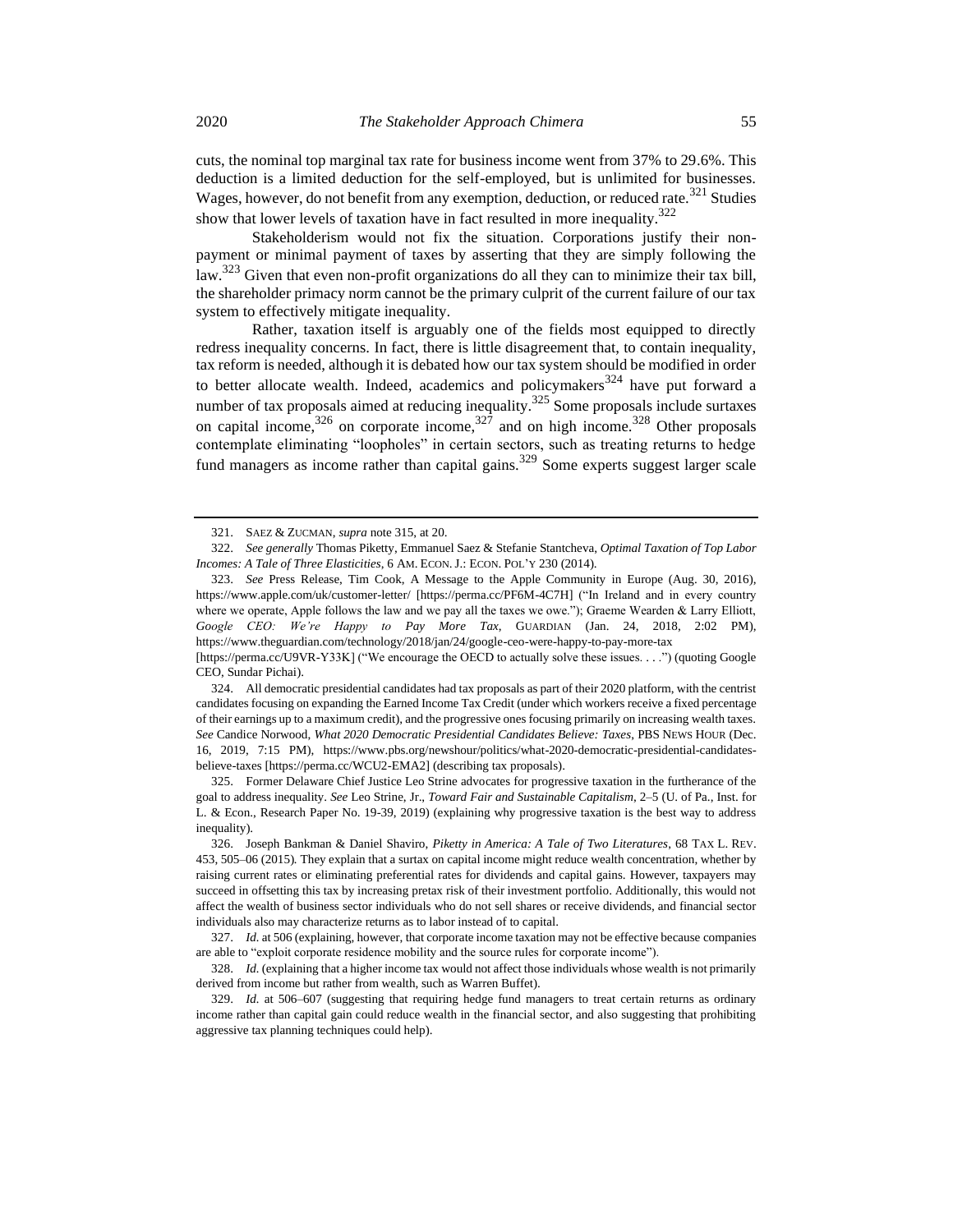cuts, the nominal top marginal tax rate for business income went from 37% to 29.6%. This deduction is a limited deduction for the self-employed, but is unlimited for businesses. Wages, however, do not benefit from any exemption, deduction, or reduced rate.<sup>321</sup> Studies show that lower levels of taxation have in fact resulted in more inequality.<sup>322</sup>

Stakeholderism would not fix the situation. Corporations justify their nonpayment or minimal payment of taxes by asserting that they are simply following the law.<sup>323</sup> Given that even non-profit organizations do all they can to minimize their tax bill, the shareholder primacy norm cannot be the primary culprit of the current failure of our tax system to effectively mitigate inequality.

<span id="page-54-0"></span>Rather, taxation itself is arguably one of the fields most equipped to directly redress inequality concerns. In fact, there is little disagreement that, to contain inequality, tax reform is needed, although it is debated how our tax system should be modified in order to better allocate wealth. Indeed, academics and policymakers $324$  have put forward a number of tax proposals aimed at reducing inequality.<sup>325</sup> Some proposals include surtaxes on capital income, $326$  on corporate income, $327$  and on high income. $328$  Other proposals contemplate eliminating "loopholes" in certain sectors, such as treating returns to hedge fund managers as income rather than capital gains.<sup>329</sup> Some experts suggest larger scale

<sup>321.</sup> SAEZ & ZUCMAN, *supra* not[e 315,](#page-53-0) at 20.

<sup>322.</sup> *See generally* Thomas Piketty, Emmanuel Saez & Stefanie Stantcheva, *Optimal Taxation of Top Labor Incomes: A Tale of Three Elasticities*, 6 AM. ECON. J.: ECON. POL'Y 230 (2014).

<sup>323.</sup> *See* Press Release, Tim Cook, A Message to the Apple Community in Europe (Aug. 30, 2016), https://www.apple.com/uk/customer-letter/ [https://perma.cc/PF6M-4C7H] ("In Ireland and in every country where we operate, Apple follows the law and we pay all the taxes we owe."); Graeme Wearden & Larry Elliott, *Google CEO: We're Happy to Pay More Tax*, GUARDIAN (Jan. 24, 2018, 2:02 PM), https://www.theguardian.com/technology/2018/jan/24/google-ceo-were-happy-to-pay-more-tax

<sup>[</sup>https://perma.cc/U9VR-Y33K] ("We encourage the OECD to actually solve these issues. . . .") (quoting Google CEO, Sundar Pichai).

<sup>324.</sup> All democratic presidential candidates had tax proposals as part of their 2020 platform, with the centrist candidates focusing on expanding the Earned Income Tax Credit (under which workers receive a fixed percentage of their earnings up to a maximum credit), and the progressive ones focusing primarily on increasing wealth taxes. *See* Candice Norwood, *What 2020 Democratic Presidential Candidates Believe: Taxes*, PBS NEWS HOUR (Dec. 16, 2019, 7:15 PM), https://www.pbs.org/newshour/politics/what-2020-democratic-presidential-candidatesbelieve-taxes [https://perma.cc/WCU2-EMA2] (describing tax proposals).

<sup>325.</sup> Former Delaware Chief Justice Leo Strine advocates for progressive taxation in the furtherance of the goal to address inequality. *See* Leo Strine, Jr., *Toward Fair and Sustainable Capitalism*, 2–5 (U. of Pa., Inst. for L. & Econ., Research Paper No. 19-39, 2019) (explaining why progressive taxation is the best way to address inequality).

<sup>326.</sup> Joseph Bankman & Daniel Shaviro, *Piketty in America: A Tale of Two Literatures*, 68 TAX L. REV. 453, 505–06 (2015)*.* They explain that a surtax on capital income might reduce wealth concentration, whether by raising current rates or eliminating preferential rates for dividends and capital gains. However, taxpayers may succeed in offsetting this tax by increasing pretax risk of their investment portfolio. Additionally, this would not affect the wealth of business sector individuals who do not sell shares or receive dividends, and financial sector individuals also may characterize returns as to labor instead of to capital.

<sup>327.</sup> *Id.* at 506 (explaining, however, that corporate income taxation may not be effective because companies are able to "exploit corporate residence mobility and the source rules for corporate income").

<sup>328.</sup> *Id.* (explaining that a higher income tax would not affect those individuals whose wealth is not primarily derived from income but rather from wealth, such as Warren Buffet).

<sup>329.</sup> *Id.* at 506–607 (suggesting that requiring hedge fund managers to treat certain returns as ordinary income rather than capital gain could reduce wealth in the financial sector, and also suggesting that prohibiting aggressive tax planning techniques could help).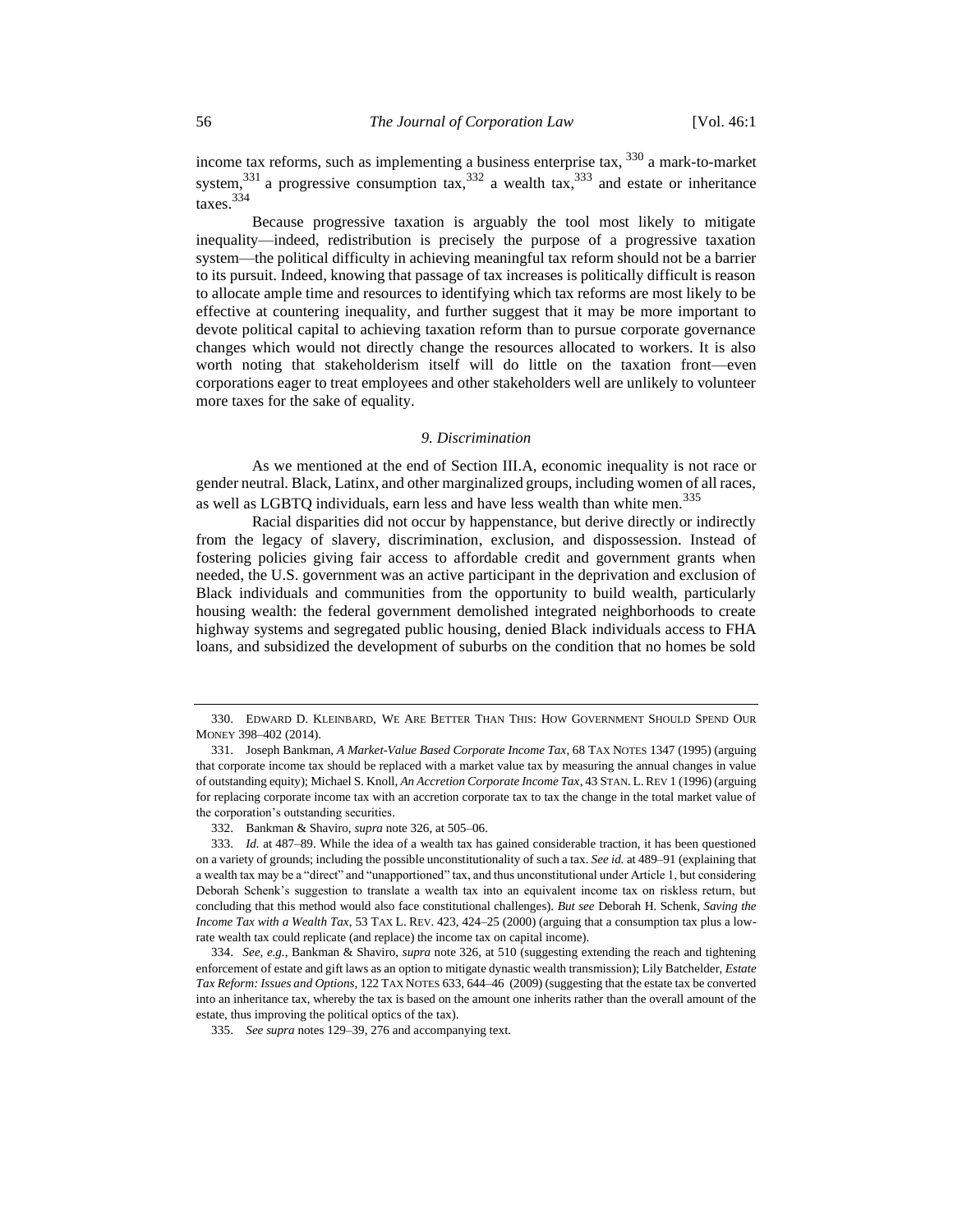income tax reforms, such as implementing a business enterprise tax,  $330$  a mark-to-market system,  $331$  a progressive consumption tax,  $332$  a wealth tax,  $333$  and estate or inheritance taxes.<sup>334</sup>

Because progressive taxation is arguably the tool most likely to mitigate inequality—indeed, redistribution is precisely the purpose of a progressive taxation system—the political difficulty in achieving meaningful tax reform should not be a barrier to its pursuit. Indeed, knowing that passage of tax increases is politically difficult is reason to allocate ample time and resources to identifying which tax reforms are most likely to be effective at countering inequality, and further suggest that it may be more important to devote political capital to achieving taxation reform than to pursue corporate governance changes which would not directly change the resources allocated to workers. It is also worth noting that stakeholderism itself will do little on the taxation front—even corporations eager to treat employees and other stakeholders well are unlikely to volunteer more taxes for the sake of equality.

### *9. Discrimination*

As we mentioned at the end of Section III.A, economic inequality is not race or gender neutral. Black, Latinx, and other marginalized groups, including women of all races, as well as LGBTQ individuals, earn less and have less wealth than white men.<sup>335</sup>

Racial disparities did not occur by happenstance, but derive directly or indirectly from the legacy of slavery, discrimination, exclusion, and dispossession. Instead of fostering policies giving fair access to affordable credit and government grants when needed, the U.S. government was an active participant in the deprivation and exclusion of Black individuals and communities from the opportunity to build wealth, particularly housing wealth: the federal government demolished integrated neighborhoods to create highway systems and segregated public housing, denied Black individuals access to FHA loans, and subsidized the development of suburbs on the condition that no homes be sold

<sup>330.</sup> EDWARD D. KLEINBARD, WE ARE BETTER THAN THIS: HOW GOVERNMENT SHOULD SPEND OUR MONEY 398–402 (2014).

<sup>331.</sup> Joseph Bankman, *A Market-Value Based Corporate Income Tax*, 68 TAX NOTES 1347 (1995) (arguing that corporate income tax should be replaced with a market value tax by measuring the annual changes in value of outstanding equity); Michael S. Knoll, *An Accretion Corporate Income Tax*, 43 STAN. L.REV 1 (1996) (arguing for replacing corporate income tax with an accretion corporate tax to tax the change in the total market value of the corporation's outstanding securities.

<sup>332.</sup> Bankman & Shaviro, *supra* note [326,](#page-54-0) at 505–06.

<sup>333.</sup> *Id.* at 487–89. While the idea of a wealth tax has gained considerable traction, it has been questioned on a variety of grounds; including the possible unconstitutionality of such a tax. *See id.* at 489–91 (explaining that a wealth tax may be a "direct" and "unapportioned" tax, and thus unconstitutional under Article 1, but considering Deborah Schenk's suggestion to translate a wealth tax into an equivalent income tax on riskless return, but concluding that this method would also face constitutional challenges). *But see* Deborah H. Schenk, *Saving the Income Tax with a Wealth Tax*, 53 TAX L. REV. 423, 424–25 (2000) (arguing that a consumption tax plus a lowrate wealth tax could replicate (and replace) the income tax on capital income).

<sup>334.</sup> *See*, *e.g.*, Bankman & Shaviro, *supra* not[e 326,](#page-54-0) at 510 (suggesting extending the reach and tightening enforcement of estate and gift laws as an option to mitigate dynastic wealth transmission); Lily Batchelder, *Estate Tax Reform: Issues and Options*, 122 TAX NOTES 633, 644–46 (2009) (suggesting that the estate tax be converted into an inheritance tax, whereby the tax is based on the amount one inherits rather than the overall amount of the estate, thus improving the political optics of the tax).

<sup>335.</sup> *See supra* note[s 129–](#page-26-1)39[, 276](#page-48-0) and accompanying text.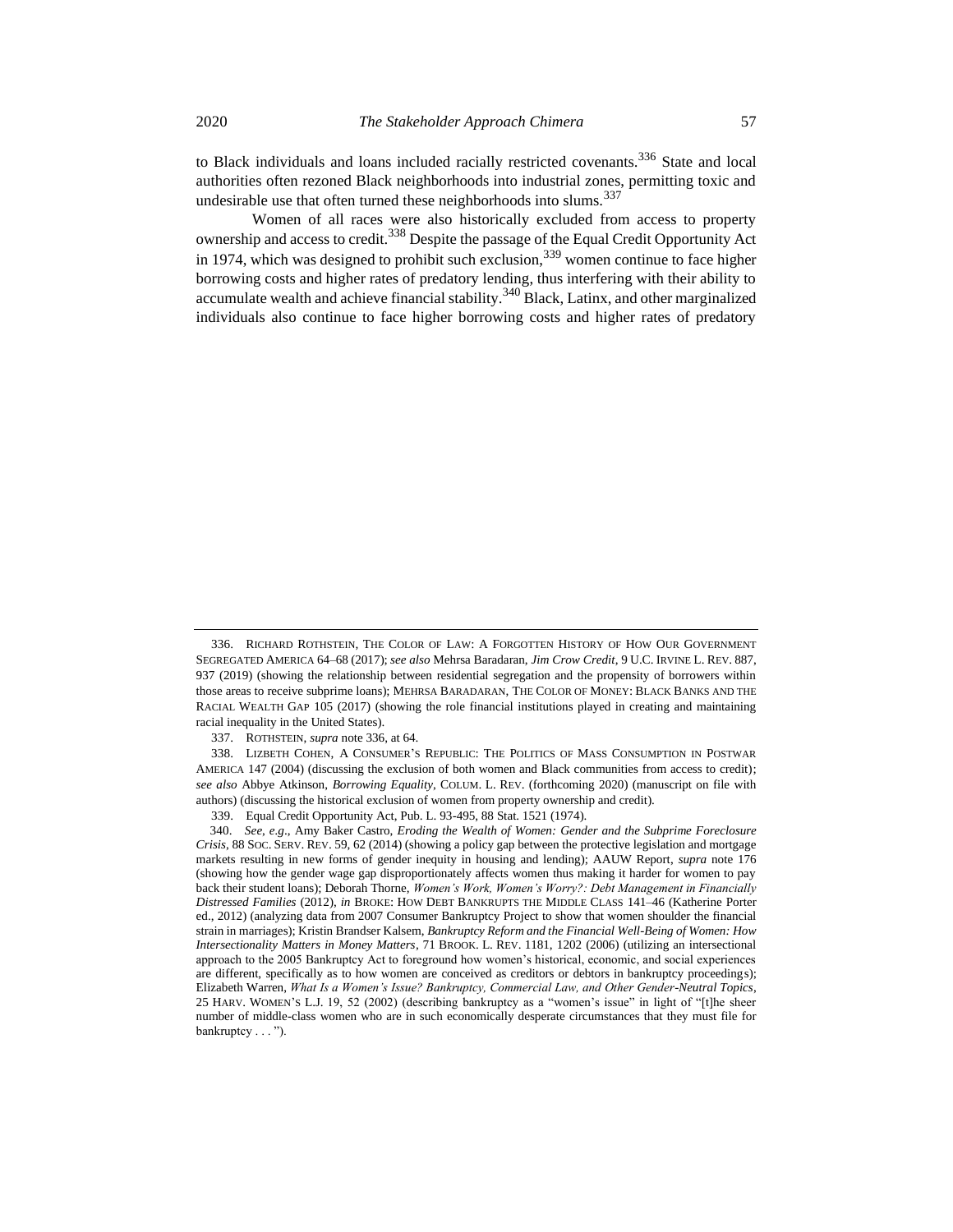<span id="page-56-0"></span>to Black individuals and loans included racially restricted covenants.<sup>336</sup> State and local authorities often rezoned Black neighborhoods into industrial zones, permitting toxic and undesirable use that often turned these neighborhoods into slums.  $337$ 

Women of all races were also historically excluded from access to property ownership and access to credit.<sup>338</sup> Despite the passage of the Equal Credit Opportunity Act in 1974, which was designed to prohibit such exclusion,<sup>339</sup> women continue to face higher borrowing costs and higher rates of predatory lending, thus interfering with their ability to accumulate wealth and achieve financial stability.<sup>340</sup> Black, Latinx, and other marginalized individuals also continue to face higher borrowing costs and higher rates of predatory

337. ROTHSTEIN, *supra* not[e 336,](#page-56-0) at 64.

<sup>336.</sup> RICHARD ROTHSTEIN, THE COLOR OF LAW: A FORGOTTEN HISTORY OF HOW OUR GOVERNMENT SEGREGATED AMERICA 64–68 (2017); *see also* Mehrsa Baradaran, *Jim Crow Credit*, 9 U.C. IRVINE L. REV. 887, 937 (2019) (showing the relationship between residential segregation and the propensity of borrowers within those areas to receive subprime loans); MEHRSA BARADARAN, THE COLOR OF MONEY: BLACK BANKS AND THE RACIAL WEALTH GAP 105 (2017) (showing the role financial institutions played in creating and maintaining racial inequality in the United States).

<sup>338.</sup> LIZBETH COHEN, A CONSUMER'S REPUBLIC: THE POLITICS OF MASS CONSUMPTION IN POSTWAR AMERICA 147 (2004) (discussing the exclusion of both women and Black communities from access to credit); *see also* Abbye Atkinson, *Borrowing Equality*, COLUM. L. REV. (forthcoming 2020) (manuscript on file with authors) (discussing the historical exclusion of women from property ownership and credit).

<sup>339.</sup> Equal Credit Opportunity Act, Pub. L. 93-495, 88 Stat. 1521 (1974).

<sup>340.</sup> *See*, *e.g*., Amy Baker Castro, *Eroding the Wealth of Women: Gender and the Subprime Foreclosure Crisis*, 88 SOC. SERV. REV. 59, 62 (2014) (showing a policy gap between the protective legislation and mortgage markets resulting in new forms of gender inequity in housing and lending); AAUW Report, *supra* note [176](#page-34-1) (showing how the gender wage gap disproportionately affects women thus making it harder for women to pay back their student loans); Deborah Thorne, *Women's Work, Women's Worry?: Debt Management in Financially Distressed Families* (2012), *in* BROKE: HOW DEBT BANKRUPTS THE MIDDLE CLASS 141–46 (Katherine Porter ed., 2012) (analyzing data from 2007 Consumer Bankruptcy Project to show that women shoulder the financial strain in marriages); Kristin Brandser Kalsem, *Bankruptcy Reform and the Financial Well-Being of Women: How Intersectionality Matters in Money Matters*, 71 BROOK. L. REV. 1181, 1202 (2006) (utilizing an intersectional approach to the 2005 Bankruptcy Act to foreground how women's historical, economic, and social experiences are different, specifically as to how women are conceived as creditors or debtors in bankruptcy proceedings); Elizabeth Warren, *What Is a Women's Issue? Bankruptcy, Commercial Law, and Other Gender-Neutral Topics*, 25 HARV. WOMEN'S L.J. 19, 52 (2002) (describing bankruptcy as a "women's issue" in light of "[t]he sheer number of middle-class women who are in such economically desperate circumstances that they must file for bankruptcy . . . ").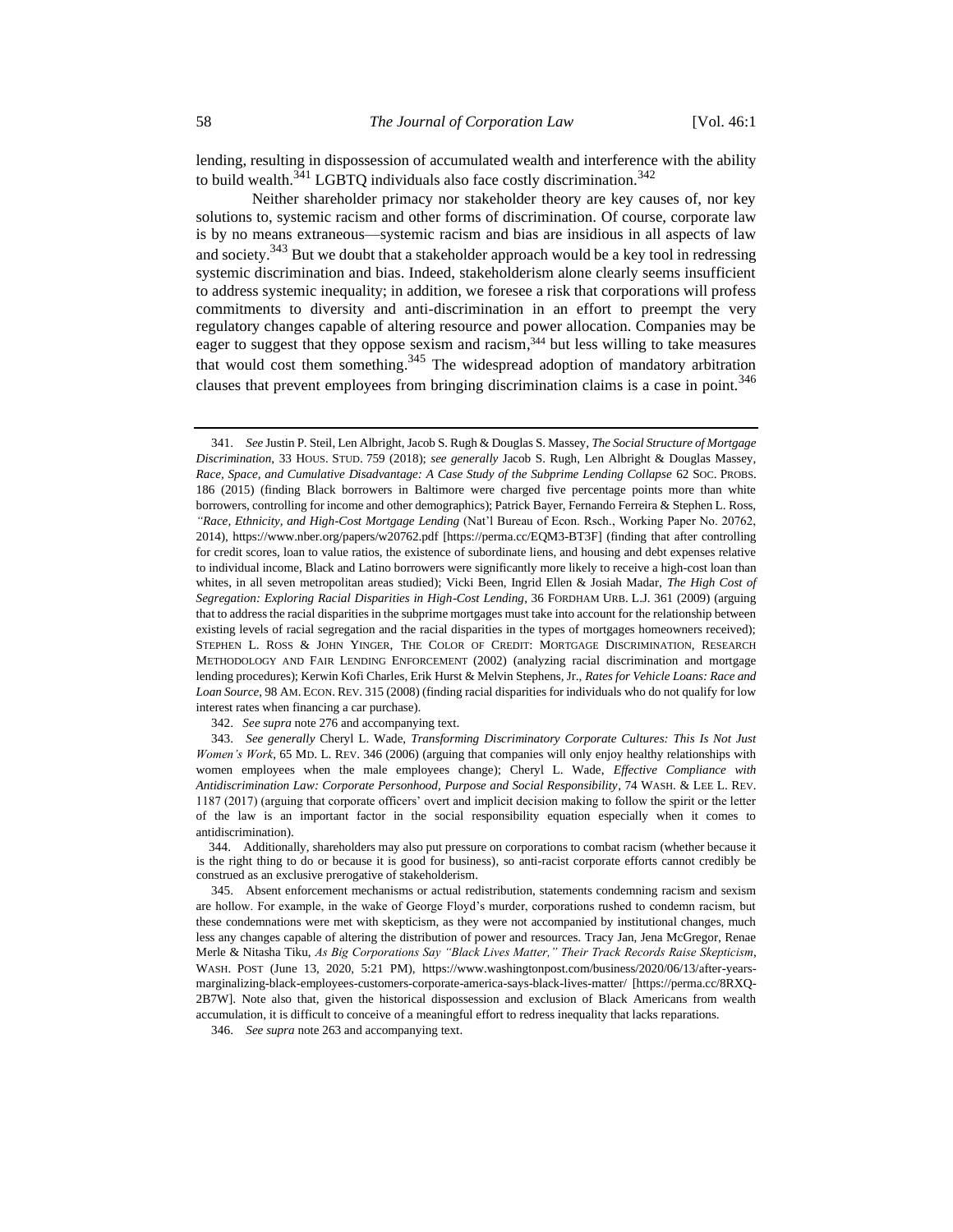lending, resulting in dispossession of accumulated wealth and interference with the ability to build wealth.<sup>341</sup> LGBTQ individuals also face costly discrimination.<sup>342</sup>

Neither shareholder primacy nor stakeholder theory are key causes of, nor key solutions to, systemic racism and other forms of discrimination. Of course, corporate law is by no means extraneous—systemic racism and bias are insidious in all aspects of law and society.<sup>343</sup> But we doubt that a stakeholder approach would be a key tool in redressing systemic discrimination and bias. Indeed, stakeholderism alone clearly seems insufficient to address systemic inequality; in addition, we foresee a risk that corporations will profess commitments to diversity and anti-discrimination in an effort to preempt the very regulatory changes capable of altering resource and power allocation. Companies may be eager to suggest that they oppose sexism and racism,<sup>344</sup> but less willing to take measures that would cost them something.<sup>345</sup> The widespread adoption of mandatory arbitration clauses that prevent employees from bringing discrimination claims is a case in point.<sup>346</sup>

342. *See supra* not[e 276](#page-48-0) and accompanying text.

346. *See supra* not[e 263](#page-46-2) and accompanying text.

<span id="page-57-0"></span><sup>341.</sup> *See* Justin P. Steil, Len Albright, Jacob S. Rugh & Douglas S. Massey, *The Social Structure of Mortgage Discrimination*, 33 HOUS. STUD. 759 (2018); *see generally* Jacob S. Rugh, Len Albright & Douglas Massey, *Race, Space, and Cumulative Disadvantage: A Case Study of the Subprime Lending Collapse* 62 SOC. PROBS. 186 (2015) (finding Black borrowers in Baltimore were charged five percentage points more than white borrowers, controlling for income and other demographics); Patrick Bayer, Fernando Ferreira & Stephen L. Ross, *"Race, Ethnicity, and High-Cost Mortgage Lending* (Nat'l Bureau of Econ. Rsch., Working Paper No. 20762, 2014), https://www.nber.org/papers/w20762.pdf [https://perma.cc/EQM3-BT3F] (finding that after controlling for credit scores, loan to value ratios, the existence of subordinate liens, and housing and debt expenses relative to individual income, Black and Latino borrowers were significantly more likely to receive a high-cost loan than whites, in all seven metropolitan areas studied); Vicki Been, Ingrid Ellen & Josiah Madar, *The High Cost of Segregation: Exploring Racial Disparities in High-Cost Lending*, 36 FORDHAM URB. L.J. 361 (2009) (arguing that to address the racial disparities in the subprime mortgages must take into account for the relationship between existing levels of racial segregation and the racial disparities in the types of mortgages homeowners received); STEPHEN L. ROSS & JOHN YINGER, THE COLOR OF CREDIT: MORTGAGE DISCRIMINATION, RESEARCH METHODOLOGY AND FAIR LENDING ENFORCEMENT (2002) (analyzing racial discrimination and mortgage lending procedures); Kerwin Kofi Charles, Erik Hurst & Melvin Stephens, Jr., *Rates for Vehicle Loans: Race and Loan Source*, 98 AM. ECON. REV. 315 (2008) (finding racial disparities for individuals who do not qualify for low interest rates when financing a car purchase).

<sup>343.</sup> *See generally* Cheryl L. Wade, *Transforming Discriminatory Corporate Cultures: This Is Not Just Women's Work*, 65 MD. L. REV. 346 (2006) (arguing that companies will only enjoy healthy relationships with women employees when the male employees change); Cheryl L. Wade, *Effective Compliance with Antidiscrimination Law: Corporate Personhood, Purpose and Social Responsibility*, 74 WASH. & LEE L. REV. 1187 (2017) (arguing that corporate officers' overt and implicit decision making to follow the spirit or the letter of the law is an important factor in the social responsibility equation especially when it comes to antidiscrimination).

 <sup>344.</sup> Additionally, shareholders may also put pressure on corporations to combat racism (whether because it is the right thing to do or because it is good for business), so anti-racist corporate efforts cannot credibly be construed as an exclusive prerogative of stakeholderism.

<sup>345.</sup> Absent enforcement mechanisms or actual redistribution, statements condemning racism and sexism are hollow. For example, in the wake of George Floyd's murder, corporations rushed to condemn racism, but these condemnations were met with skepticism, as they were not accompanied by institutional changes, much less any changes capable of altering the distribution of power and resources. Tracy Jan, Jena McGregor, Renae Merle & Nitasha Tiku, *As Big Corporations Say "Black Lives Matter," Their Track Records Raise Skepticism*, WASH. POST (June 13, 2020, 5:21 PM), https://www.washingtonpost.com/business/2020/06/13/after-yearsmarginalizing-black-employees-customers-corporate-america-says-black-lives-matter/ [https://perma.cc/8RXQ-2B7W]. Note also that, given the historical dispossession and exclusion of Black Americans from wealth accumulation, it is difficult to conceive of a meaningful effort to redress inequality that lacks reparations.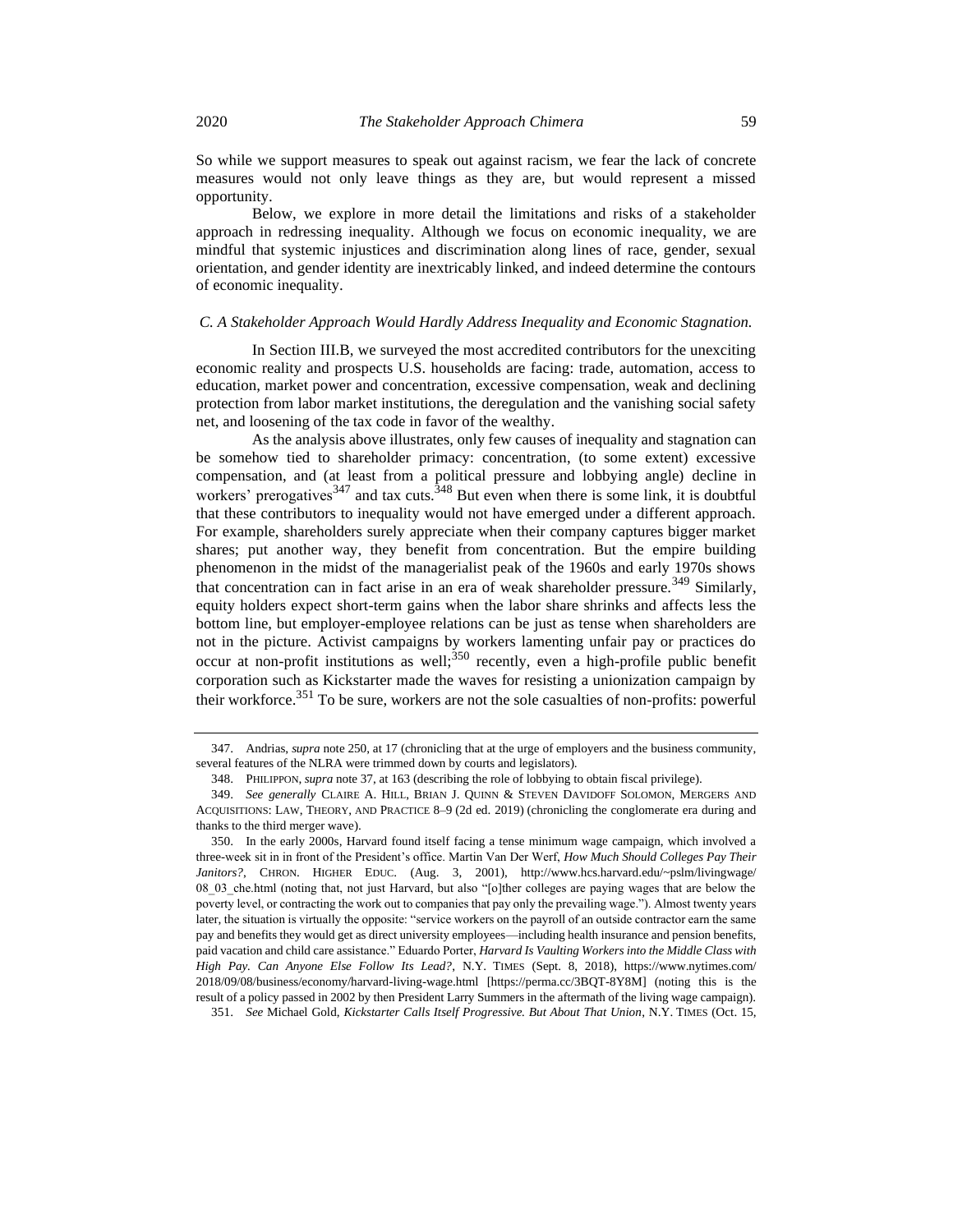So while we support measures to speak out against racism, we fear the lack of concrete measures would not only leave things as they are, but would represent a missed opportunity.

Below, we explore in more detail the limitations and risks of a stakeholder approach in redressing inequality. Although we focus on economic inequality, we are mindful that systemic injustices and discrimination along lines of race, gender, sexual orientation, and gender identity are inextricably linked, and indeed determine the contours of economic inequality.

#### *C. A Stakeholder Approach Would Hardly Address Inequality and Economic Stagnation.*

In Section III.B, we surveyed the most accredited contributors for the unexciting economic reality and prospects U.S. households are facing: trade, automation, access to education, market power and concentration, excessive compensation, weak and declining protection from labor market institutions, the deregulation and the vanishing social safety net, and loosening of the tax code in favor of the wealthy.

<span id="page-58-0"></span>As the analysis above illustrates, only few causes of inequality and stagnation can be somehow tied to shareholder primacy: concentration, (to some extent) excessive compensation, and (at least from a political pressure and lobbying angle) decline in workers' prerogatives<sup>347</sup> and tax cuts.<sup>348</sup> But even when there is some link, it is doubtful that these contributors to inequality would not have emerged under a different approach. For example, shareholders surely appreciate when their company captures bigger market shares; put another way, they benefit from concentration. But the empire building phenomenon in the midst of the managerialist peak of the 1960s and early 1970s shows that concentration can in fact arise in an era of weak shareholder pressure.<sup>349</sup> Similarly, equity holders expect short-term gains when the labor share shrinks and affects less the bottom line, but employer-employee relations can be just as tense when shareholders are not in the picture. Activist campaigns by workers lamenting unfair pay or practices do occur at non-profit institutions as well;<sup>350</sup> recently, even a high-profile public benefit corporation such as Kickstarter made the waves for resisting a unionization campaign by their workforce.<sup>351</sup> To be sure, workers are not the sole casualties of non-profits: powerful

<sup>347.</sup> Andrias, *supra* not[e 250,](#page-45-0) at 17 (chronicling that at the urge of employers and the business community, several features of the NLRA were trimmed down by courts and legislators).

<sup>348.</sup> PHILIPPON, *supra* not[e 37,](#page-8-0) at 163 (describing the role of lobbying to obtain fiscal privilege).

<sup>349.</sup> *See generally* CLAIRE A. HILL, BRIAN J. QUINN & STEVEN DAVIDOFF SOLOMON, MERGERS AND ACQUISITIONS: LAW, THEORY, AND PRACTICE 8–9 (2d ed. 2019) (chronicling the conglomerate era during and thanks to the third merger wave).

<sup>350.</sup> In the early 2000s, Harvard found itself facing a tense minimum wage campaign, which involved a three-week sit in in front of the President's office. Martin Van Der Werf, *How Much Should Colleges Pay Their Janitors?*, CHRON. HIGHER EDUC. (Aug. 3, 2001), http://www.hcs.harvard.edu/~pslm/livingwage/ 08\_03\_che.html (noting that, not just Harvard, but also "[o]ther colleges are paying wages that are below the poverty level, or contracting the work out to companies that pay only the prevailing wage."). Almost twenty years later, the situation is virtually the opposite: "service workers on the payroll of an outside contractor earn the same pay and benefits they would get as direct university employees—including health insurance and pension benefits, paid vacation and child care assistance." Eduardo Porter, *Harvard Is Vaulting Workers into the Middle Class with High Pay. Can Anyone Else Follow Its Lead?*, N.Y. TIMES (Sept. 8, 2018), https://www.nytimes.com/ 2018/09/08/business/economy/harvard-living-wage.html [https://perma.cc/3BQT-8Y8M] (noting this is the result of a policy passed in 2002 by then President Larry Summers in the aftermath of the living wage campaign).

<sup>351.</sup> *See* Michael Gold, *Kickstarter Calls Itself Progressive. But About That Union*, N.Y. TIMES (Oct. 15,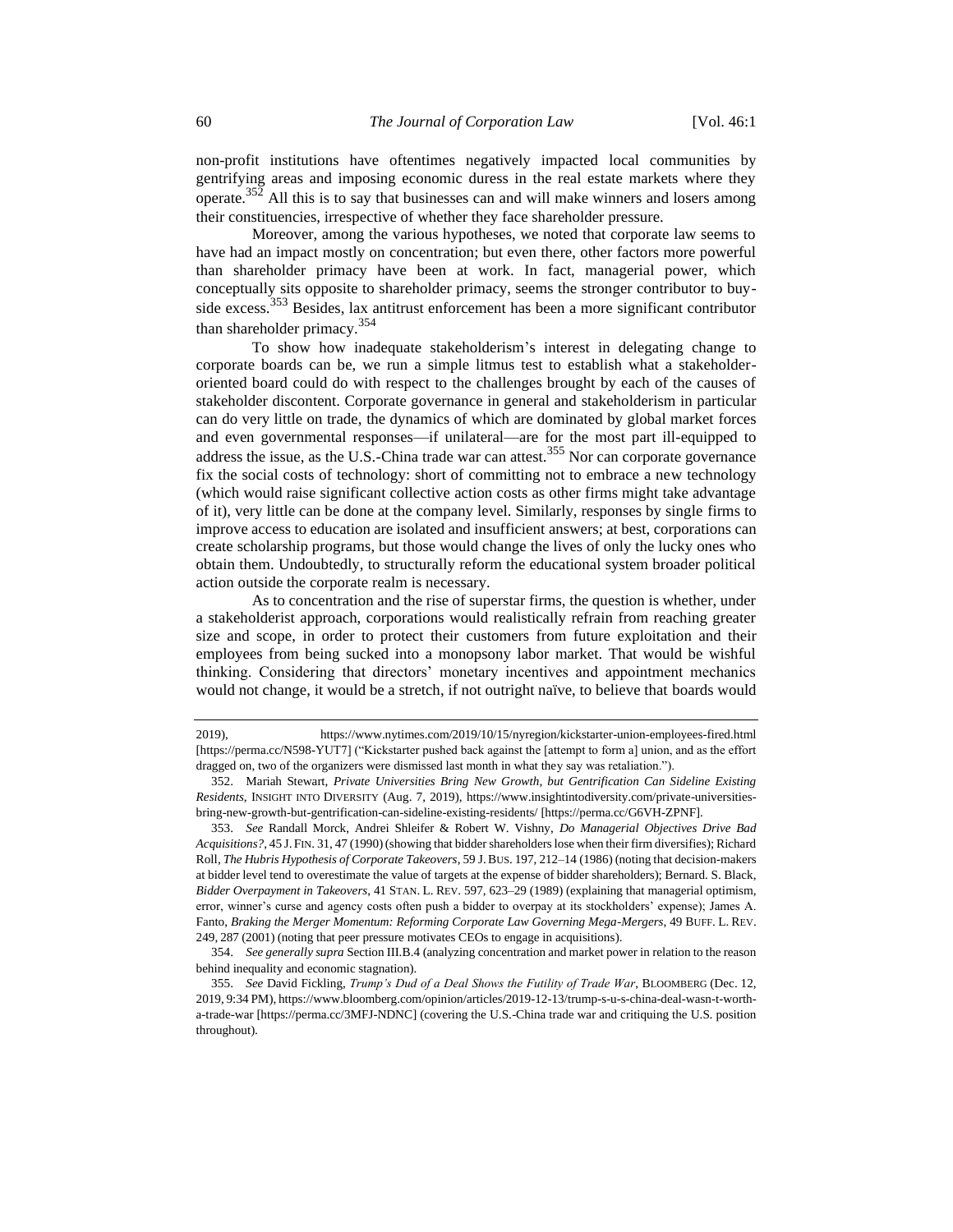non-profit institutions have oftentimes negatively impacted local communities by gentrifying areas and imposing economic duress in the real estate markets where they operate.<sup>352</sup> All this is to say that businesses can and will make winners and losers among their constituencies, irrespective of whether they face shareholder pressure.

Moreover, among the various hypotheses, we noted that corporate law seems to have had an impact mostly on concentration; but even there, other factors more powerful than shareholder primacy have been at work. In fact, managerial power, which conceptually sits opposite to shareholder primacy, seems the stronger contributor to buyside excess.<sup>353</sup> Besides, lax antitrust enforcement has been a more significant contributor than shareholder primacy.<sup>354</sup>

To show how inadequate stakeholderism's interest in delegating change to corporate boards can be, we run a simple litmus test to establish what a stakeholderoriented board could do with respect to the challenges brought by each of the causes of stakeholder discontent. Corporate governance in general and stakeholderism in particular can do very little on trade, the dynamics of which are dominated by global market forces and even governmental responses—if unilateral—are for the most part ill-equipped to address the issue, as the U.S.-China trade war can attest.<sup>355</sup> Nor can corporate governance fix the social costs of technology: short of committing not to embrace a new technology (which would raise significant collective action costs as other firms might take advantage of it), very little can be done at the company level. Similarly, responses by single firms to improve access to education are isolated and insufficient answers; at best, corporations can create scholarship programs, but those would change the lives of only the lucky ones who obtain them. Undoubtedly, to structurally reform the educational system broader political action outside the corporate realm is necessary.

As to concentration and the rise of superstar firms, the question is whether, under a stakeholderist approach, corporations would realistically refrain from reaching greater size and scope, in order to protect their customers from future exploitation and their employees from being sucked into a monopsony labor market. That would be wishful thinking. Considering that directors' monetary incentives and appointment mechanics would not change, it would be a stretch, if not outright naïve, to believe that boards would

<sup>2019),</sup> https://www.nytimes.com/2019/10/15/nyregion/kickstarter-union-employees-fired.html [https://perma.cc/N598-YUT7] ("Kickstarter pushed back against the [attempt to form a] union, and as the effort dragged on, two of the organizers were dismissed last month in what they say was retaliation.").

<sup>352.</sup> Mariah Stewart, *Private Universities Bring New Growth, but Gentrification Can Sideline Existing Residents*, INSIGHT INTO DIVERSITY (Aug. 7, 2019), https://www.insightintodiversity.com/private-universitiesbring-new-growth-but-gentrification-can-sideline-existing-residents/ [https://perma.cc/G6VH-ZPNF].

<sup>353.</sup> *See* Randall Morck, Andrei Shleifer & Robert W. Vishny, *Do Managerial Objectives Drive Bad Acquisitions?*, 45 J. FIN. 31, 47 (1990) (showing that bidder shareholders lose when their firm diversifies); Richard Roll, *The Hubris Hypothesis of Corporate Takeovers*, 59 J.BUS. 197, 212–14 (1986) (noting that decision-makers at bidder level tend to overestimate the value of targets at the expense of bidder shareholders); Bernard. S. Black, *Bidder Overpayment in Takeovers*, 41 STAN. L. REV. 597, 623–29 (1989) (explaining that managerial optimism, error, winner's curse and agency costs often push a bidder to overpay at its stockholders' expense); James A. Fanto, *Braking the Merger Momentum: Reforming Corporate Law Governing Mega-Mergers*, 49 BUFF. L. REV. 249, 287 (2001) (noting that peer pressure motivates CEOs to engage in acquisitions).

<sup>354.</sup> *See generally supra* Section III.B.4 (analyzing concentration and market power in relation to the reason behind inequality and economic stagnation).

<sup>355.</sup> *See* David Fickling, *Trump's Dud of a Deal Shows the Futility of Trade War*, BLOOMBERG (Dec. 12, 2019, 9:34 PM), https://www.bloomberg.com/opinion/articles/2019-12-13/trump-s-u-s-china-deal-wasn-t-wortha-trade-war [https://perma.cc/3MFJ-NDNC] (covering the U.S.-China trade war and critiquing the U.S. position throughout).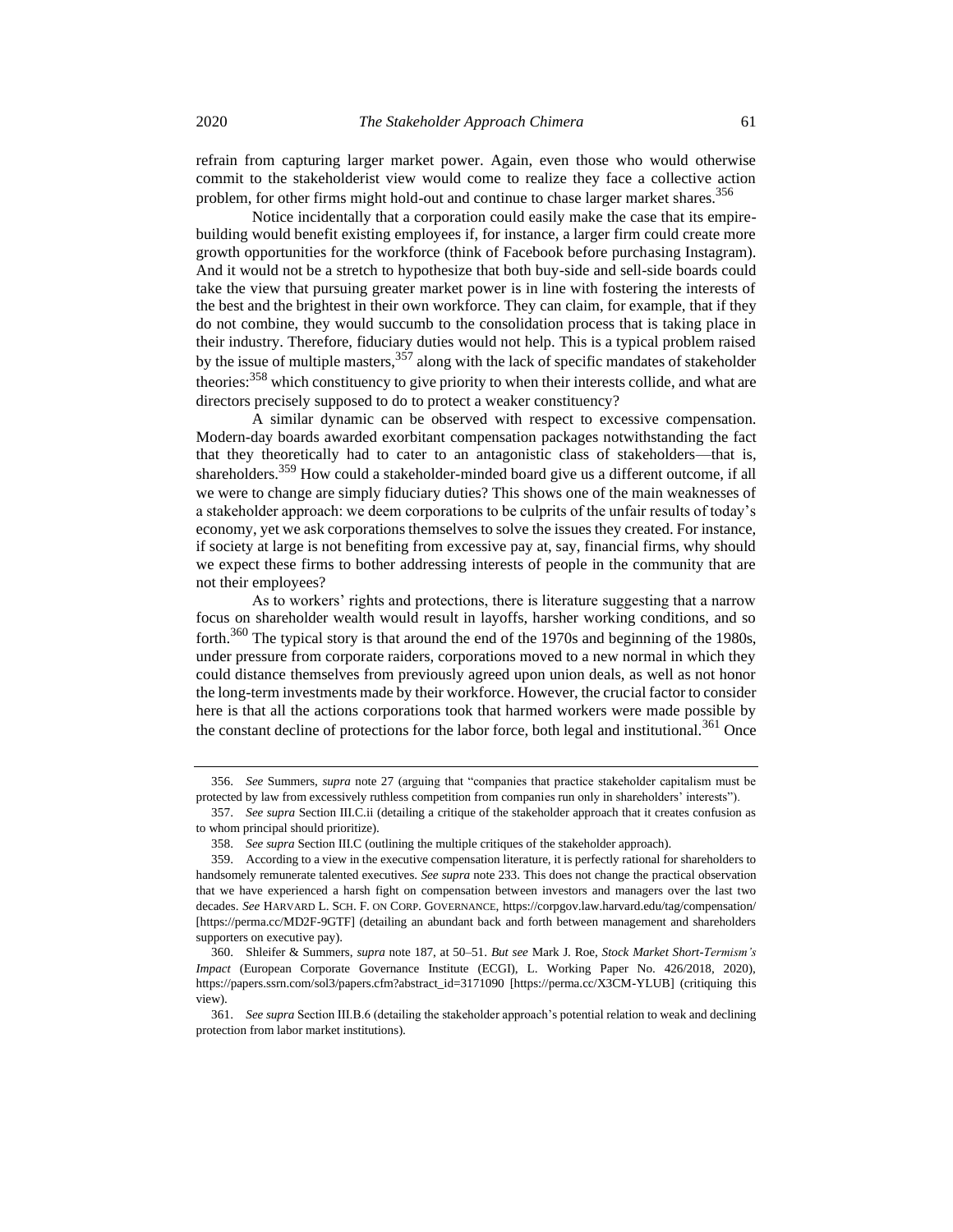refrain from capturing larger market power. Again, even those who would otherwise commit to the stakeholderist view would come to realize they face a collective action problem, for other firms might hold-out and continue to chase larger market shares.<sup>356</sup>

Notice incidentally that a corporation could easily make the case that its empirebuilding would benefit existing employees if, for instance, a larger firm could create more growth opportunities for the workforce (think of Facebook before purchasing Instagram). And it would not be a stretch to hypothesize that both buy-side and sell-side boards could take the view that pursuing greater market power is in line with fostering the interests of the best and the brightest in their own workforce. They can claim, for example, that if they do not combine, they would succumb to the consolidation process that is taking place in their industry. Therefore, fiduciary duties would not help. This is a typical problem raised by the issue of multiple masters,  $357$  along with the lack of specific mandates of stakeholder theories:  $358$  which constituency to give priority to when their interests collide, and what are directors precisely supposed to do to protect a weaker constituency?

A similar dynamic can be observed with respect to excessive compensation. Modern-day boards awarded exorbitant compensation packages notwithstanding the fact that they theoretically had to cater to an antagonistic class of stakeholders—that is, shareholders.<sup>359</sup> How could a stakeholder-minded board give us a different outcome, if all we were to change are simply fiduciary duties? This shows one of the main weaknesses of a stakeholder approach: we deem corporations to be culprits of the unfair results of today's economy, yet we ask corporations themselves to solve the issues they created. For instance, if society at large is not benefiting from excessive pay at, say, financial firms, why should we expect these firms to bother addressing interests of people in the community that are not their employees?

<span id="page-60-0"></span>As to workers' rights and protections, there is literature suggesting that a narrow focus on shareholder wealth would result in layoffs, harsher working conditions, and so forth.<sup>360</sup> The typical story is that around the end of the 1970s and beginning of the 1980s, under pressure from corporate raiders, corporations moved to a new normal in which they could distance themselves from previously agreed upon union deals, as well as not honor the long-term investments made by their workforce. However, the crucial factor to consider here is that all the actions corporations took that harmed workers were made possible by the constant decline of protections for the labor force, both legal and institutional.<sup>361</sup> Once

<sup>356.</sup> *See* Summers, *supra* note [27](#page-6-0) (arguing that "companies that practice stakeholder capitalism must be protected by law from excessively ruthless competition from companies run only in shareholders' interests").

<sup>357.</sup> *See supra* Section III.C.ii (detailing a critique of the stakeholder approach that it creates confusion as to whom principal should prioritize).

<sup>358.</sup> *See supra* Section III.C (outlining the multiple critiques of the stakeholder approach).

<sup>359.</sup> According to a view in the executive compensation literature, it is perfectly rational for shareholders to handsomely remunerate talented executives. *See supra* not[e 233.](#page-42-0) This does not change the practical observation that we have experienced a harsh fight on compensation between investors and managers over the last two decades. *See* HARVARD L. SCH. F. ON CORP. GOVERNANCE, https://corpgov.law.harvard.edu/tag/compensation/ [https://perma.cc/MD2F-9GTF] (detailing an abundant back and forth between management and shareholders supporters on executive pay).

<sup>360.</sup> Shleifer & Summers, *supra* note [187,](#page-36-3) at 50–51. *But see* Mark J. Roe, *Stock Market Short-Termism's Impact* (European Corporate Governance Institute (ECGI), L. Working Paper No. 426/2018, 2020), https://papers.ssrn.com/sol3/papers.cfm?abstract\_id=3171090 [https://perma.cc/X3CM-YLUB] (critiquing this view).

<sup>361.</sup> *See supra* Section III.B.6 (detailing the stakeholder approach's potential relation to weak and declining protection from labor market institutions).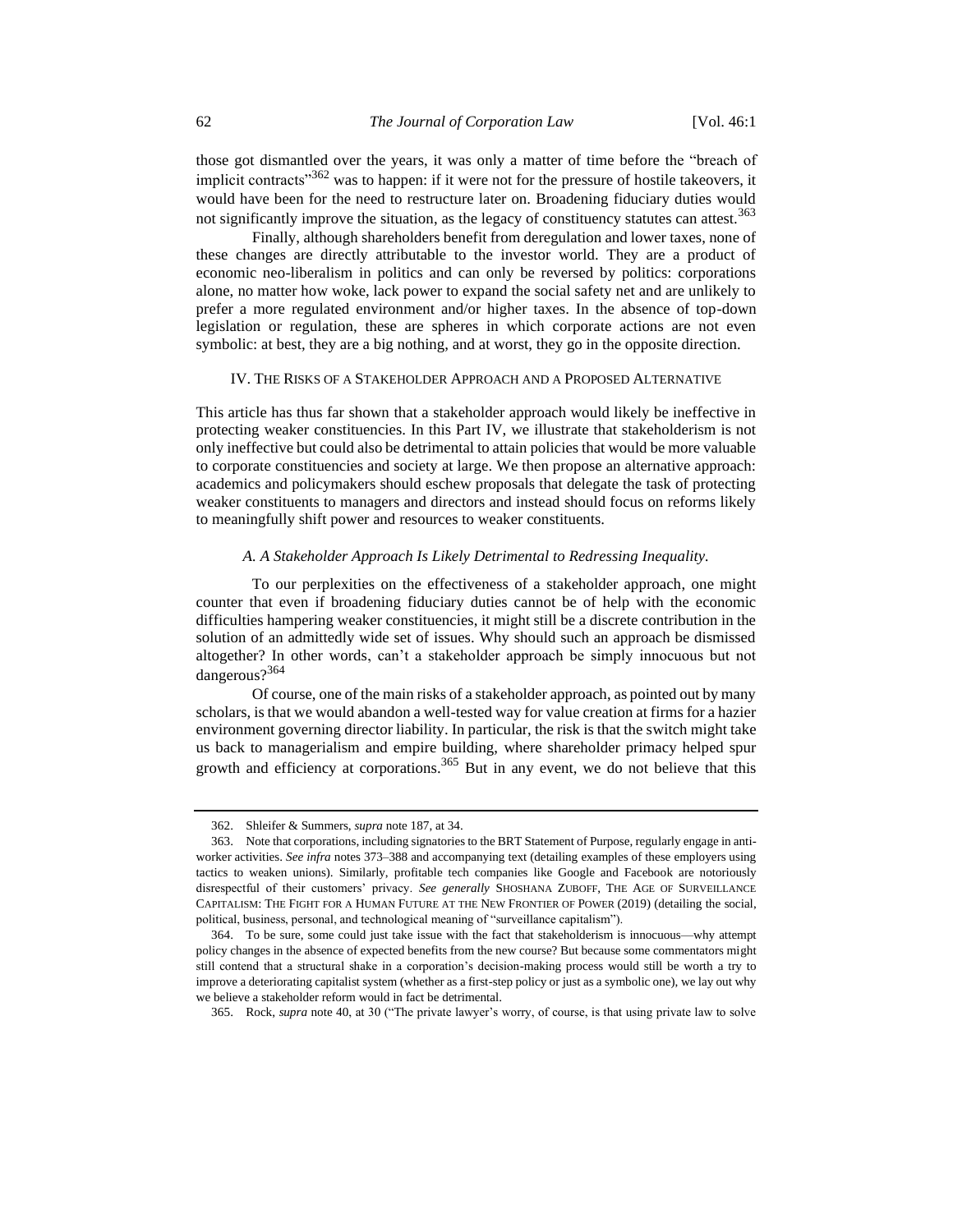those got dismantled over the years, it was only a matter of time before the "breach of implicit contracts<sup> $362$ </sup> was to happen: if it were not for the pressure of hostile takeovers, it would have been for the need to restructure later on. Broadening fiduciary duties would not significantly improve the situation, as the legacy of constituency statutes can attest.<sup>363</sup>

Finally, although shareholders benefit from deregulation and lower taxes, none of these changes are directly attributable to the investor world. They are a product of economic neo-liberalism in politics and can only be reversed by politics: corporations alone, no matter how woke, lack power to expand the social safety net and are unlikely to prefer a more regulated environment and/or higher taxes. In the absence of top-down legislation or regulation, these are spheres in which corporate actions are not even symbolic: at best, they are a big nothing, and at worst, they go in the opposite direction.

#### IV. THE RISKS OF A STAKEHOLDER APPROACH AND A PROPOSED ALTERNATIVE

This article has thus far shown that a stakeholder approach would likely be ineffective in protecting weaker constituencies. In this Part IV, we illustrate that stakeholderism is not only ineffective but could also be detrimental to attain policies that would be more valuable to corporate constituencies and society at large. We then propose an alternative approach: academics and policymakers should eschew proposals that delegate the task of protecting weaker constituents to managers and directors and instead should focus on reforms likely to meaningfully shift power and resources to weaker constituents.

## *A. A Stakeholder Approach Is Likely Detrimental to Redressing Inequality.*

To our perplexities on the effectiveness of a stakeholder approach, one might counter that even if broadening fiduciary duties cannot be of help with the economic difficulties hampering weaker constituencies, it might still be a discrete contribution in the solution of an admittedly wide set of issues. Why should such an approach be dismissed altogether? In other words, can't a stakeholder approach be simply innocuous but not dangerous?<sup>364</sup>

Of course, one of the main risks of a stakeholder approach, as pointed out by many scholars, is that we would abandon a well-tested way for value creation at firms for a hazier environment governing director liability. In particular, the risk is that the switch might take us back to managerialism and empire building, where shareholder primacy helped spur growth and efficiency at corporations.<sup>365</sup> But in any event, we do not believe that this

<span id="page-61-0"></span><sup>362.</sup> Shleifer & Summers, *supra* note [187,](#page-36-3) at 34.

<sup>363.</sup> Note that corporations, including signatories to the BRT Statement of Purpose, regularly engage in antiworker activities. *See infra* notes [373–](#page-63-0)[388](#page-65-0) and accompanying text (detailing examples of these employers using tactics to weaken unions). Similarly, profitable tech companies like Google and Facebook are notoriously disrespectful of their customers' privacy. *See generally* SHOSHANA ZUBOFF, THE AGE OF SURVEILLANCE CAPITALISM: THE FIGHT FOR A HUMAN FUTURE AT THE NEW FRONTIER OF POWER (2019) (detailing the social, political, business, personal, and technological meaning of "surveillance capitalism").

<sup>364.</sup> To be sure, some could just take issue with the fact that stakeholderism is innocuous—why attempt policy changes in the absence of expected benefits from the new course? But because some commentators might still contend that a structural shake in a corporation's decision-making process would still be worth a try to improve a deteriorating capitalist system (whether as a first-step policy or just as a symbolic one), we lay out why we believe a stakeholder reform would in fact be detrimental.

<sup>365.</sup> Rock, *supra* note [40,](#page-10-0) at 30 ("The private lawyer's worry, of course, is that using private law to solve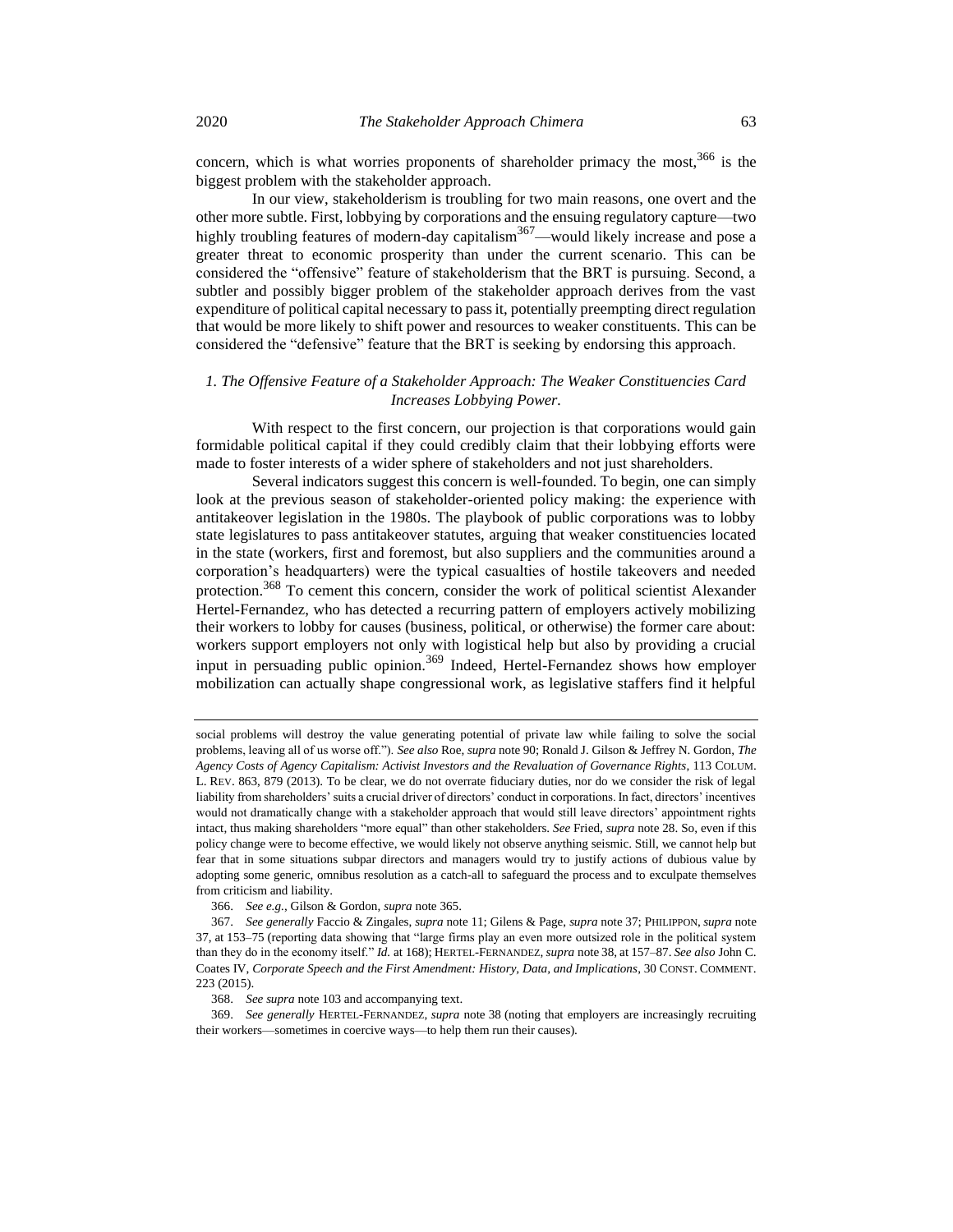concern, which is what worries proponents of shareholder primacy the most,  $366$  is the biggest problem with the stakeholder approach.

In our view, stakeholderism is troubling for two main reasons, one overt and the other more subtle. First, lobbying by corporations and the ensuing regulatory capture—two highly troubling features of modern-day capitalism<sup>367</sup>—would likely increase and pose a greater threat to economic prosperity than under the current scenario. This can be considered the "offensive" feature of stakeholderism that the BRT is pursuing. Second, a subtler and possibly bigger problem of the stakeholder approach derives from the vast expenditure of political capital necessary to pass it, potentially preempting direct regulation that would be more likely to shift power and resources to weaker constituents. This can be considered the "defensive" feature that the BRT is seeking by endorsing this approach.

## *1. The Offensive Feature of a Stakeholder Approach: The Weaker Constituencies Card Increases Lobbying Power.*

With respect to the first concern, our projection is that corporations would gain formidable political capital if they could credibly claim that their lobbying efforts were made to foster interests of a wider sphere of stakeholders and not just shareholders.

<span id="page-62-0"></span>Several indicators suggest this concern is well-founded. To begin, one can simply look at the previous season of stakeholder-oriented policy making: the experience with antitakeover legislation in the 1980s. The playbook of public corporations was to lobby state legislatures to pass antitakeover statutes, arguing that weaker constituencies located in the state (workers, first and foremost, but also suppliers and the communities around a corporation's headquarters) were the typical casualties of hostile takeovers and needed protection.<sup>368</sup> To cement this concern, consider the work of political scientist Alexander Hertel-Fernandez, who has detected a recurring pattern of employers actively mobilizing their workers to lobby for causes (business, political, or otherwise) the former care about: workers support employers not only with logistical help but also by providing a crucial input in persuading public opinion.<sup>369</sup> Indeed, Hertel-Fernandez shows how employer mobilization can actually shape congressional work, as legislative staffers find it helpful

368. *See supra* not[e 103](#page-21-0) and accompanying text.

369. *See generally* HERTEL-FERNANDEZ, *supra* note [38](#page-8-1) (noting that employers are increasingly recruiting their workers—sometimes in coercive ways—to help them run their causes).

social problems will destroy the value generating potential of private law while failing to solve the social problems, leaving all of us worse off."). *See also* Roe, *supra* not[e 90;](#page-19-0) Ronald J. Gilson & Jeffrey N. Gordon, *The Agency Costs of Agency Capitalism: Activist Investors and the Revaluation of Governance Rights*, 113 COLUM. L. REV. 863, 879 (2013). To be clear, we do not overrate fiduciary duties, nor do we consider the risk of legal liability from shareholders' suits a crucial driver of directors' conduct in corporations. In fact, directors' incentives would not dramatically change with a stakeholder approach that would still leave directors' appointment rights intact, thus making shareholders "more equal" than other stakeholders. *See* Fried, *supra* not[e 28.](#page-6-1) So, even if this policy change were to become effective, we would likely not observe anything seismic. Still, we cannot help but fear that in some situations subpar directors and managers would try to justify actions of dubious value by adopting some generic, omnibus resolution as a catch-all to safeguard the process and to exculpate themselves from criticism and liability.

<sup>366.</sup> *See e.g.*, Gilson & Gordon, *supra* not[e 365.](#page-61-0)

<sup>367.</sup> *See generally* Faccio & Zingales, *supra* note [11;](#page-3-0) Gilens & Page, *supra* not[e 37;](#page-8-0) PHILIPPON, *supra* note [37,](#page-8-0) at 153–75 (reporting data showing that "large firms play an even more outsized role in the political system than they do in the economy itself." *Id.* at 168); HERTEL-FERNANDEZ, *supra* note [38,](#page-8-1) at 157–87. *See also* John C. Coates IV, *Corporate Speech and the First Amendment: History, Data, and Implications*, 30 CONST. COMMENT. 223 (2015).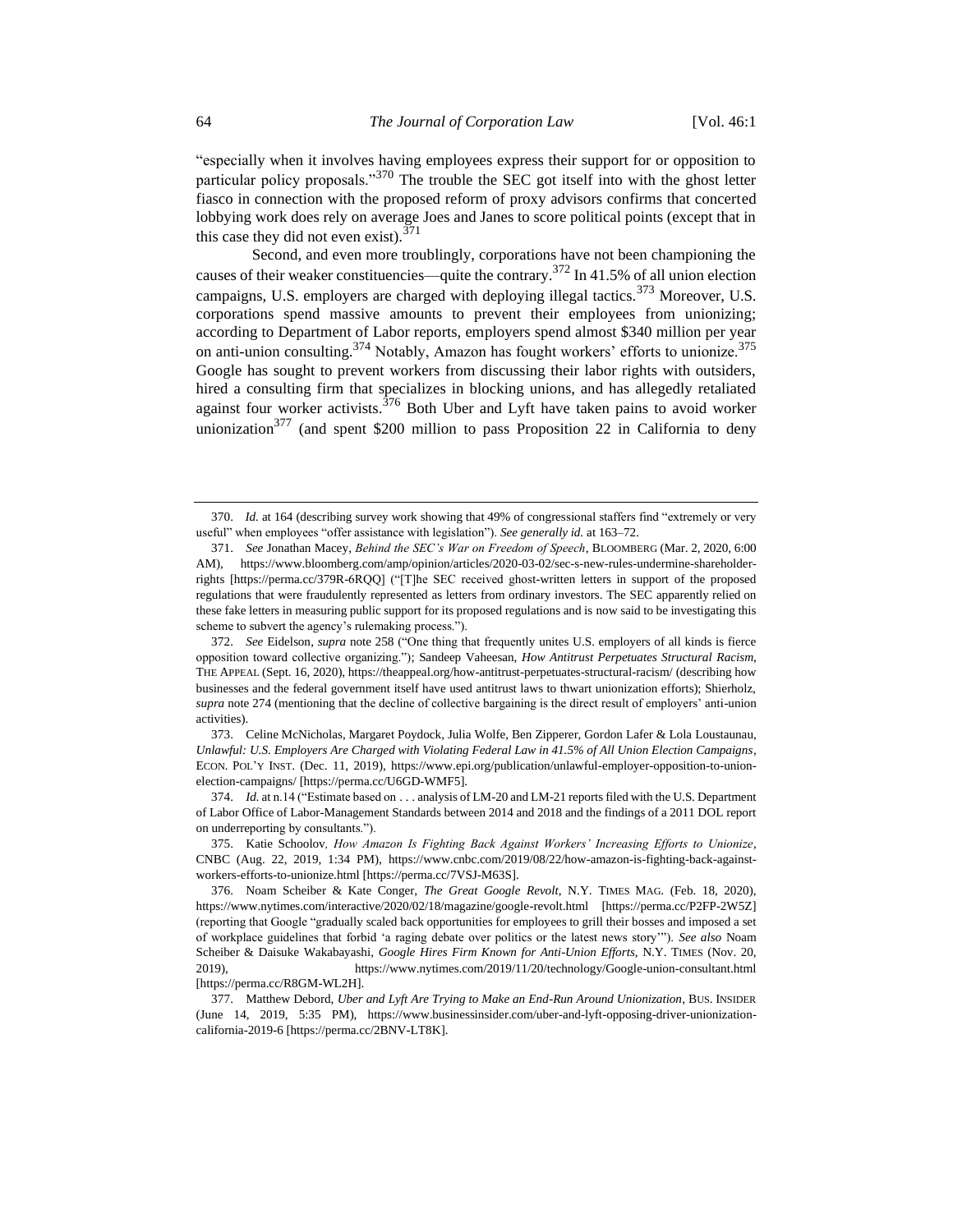"especially when it involves having employees express their support for or opposition to particular policy proposals."<sup>370</sup> The trouble the SEC got itself into with the ghost letter fiasco in connection with the proposed reform of proxy advisors confirms that concerted lobbying work does rely on average Joes and Janes to score political points (except that in this case they did not even exist).  $371$ 

<span id="page-63-0"></span>Second, and even more troublingly, corporations have not been championing the causes of their weaker constituencies—quite the contrary.<sup>372</sup> In 41.5% of all union election campaigns, U.S. employers are charged with deploying illegal tactics.<sup>373</sup> Moreover, U.S. corporations spend massive amounts to prevent their employees from unionizing; according to Department of Labor reports, employers spend almost \$340 million per year on anti-union consulting.<sup>374</sup> Notably, Amazon has fought workers' efforts to unionize.<sup>375</sup> Google has sought to prevent workers from discussing their labor rights with outsiders, hired a consulting firm that specializes in blocking unions, and has allegedly retaliated against four worker activists.<sup>376</sup> Both Uber and Lyft have taken pains to avoid worker unionization<sup>377</sup> (and spent \$200 million to pass Proposition 22 in California to deny

<sup>370.</sup> *Id.* at 164 (describing survey work showing that 49% of congressional staffers find "extremely or very useful" when employees "offer assistance with legislation"). *See generally id.* at 163–72.

<sup>371.</sup> *See* Jonathan Macey, *Behind the SEC's War on Freedom of Speech*, BLOOMBERG (Mar. 2, 2020, 6:00 AM), https://www.bloomberg.com/amp/opinion/articles/2020-03-02/sec-s-new-rules-undermine-shareholderrights [https://perma.cc/379R-6RQQ] ("[T]he SEC received ghost-written letters in support of the proposed regulations that were fraudulently represented as letters from ordinary investors. The SEC apparently [relied](https://www.pionline.com/regulation/sec-probing-letters-backing-proxy-adviser-reforms) on these fake letters in measuring public support for its proposed regulations and is now said to be investigating this scheme to subvert the agency's rulemaking process.").

<sup>372.</sup> *See* Eidelson, *supra* note [258](#page-46-0) ("One thing that frequently unites U.S. employers of all kinds is fierce opposition toward collective organizing."); Sandeep Vaheesan, *How Antitrust Perpetuates Structural Racism*, THE APPEAL (Sept. 16, 2020), https://theappeal.org/how-antitrust-perpetuates-structural-racism/ (describing how businesses and the federal government itself have used antitrust laws to thwart unionization efforts); Shierholz, *supra* not[e 274](#page-47-0) (mentioning that the decline of collective bargaining is the direct result of employers' anti-union activities).

<sup>373.</sup> Celine McNicholas, Margaret Poydock, Julia Wolfe, Ben Zipperer, Gordon Lafer & Lola Loustaunau, *Unlawful: U.S. Employers Are Charged with Violating Federal Law in 41.5% of All Union Election Campaigns*, ECON. POL'Y INST. (Dec. 11, 2019), https://www.epi.org/publication/unlawful-employer-opposition-to-unionelection-campaigns/ [https://perma.cc/U6GD-WMF5].

<sup>374.</sup> *Id.* at n.14 ("Estimate based on . . . analysis of LM-20 and LM-21 reports filed with the U.S. Department of Labor Office of Labor-Management Standards between 2014 and 2018 and the findings of a 2011 DOL report on underreporting by consultants.").

<sup>375.</sup> Katie Schoolov*, How Amazon Is Fighting Back Against Workers' Increasing Efforts to Unionize*, CNBC (Aug. 22, 2019, 1:34 PM), https://www.cnbc.com/2019/08/22/how-amazon-is-fighting-back-againstworkers-efforts-to-unionize.html [https://perma.cc/7VSJ-M63S].

<sup>376.</sup> Noam Scheiber & Kate Conger, *The Great Google Revolt*, N.Y. TIMES MAG. (Feb. 18, 2020), https://www.nytimes.com/interactive/2020/02/18/magazine/google-revolt.html [https://perma.cc/P2FP-2W5Z] (reporting that Google "gradually scaled back opportunities for employees to grill their bosses and imposed a set of workplace guidelines that forbid 'a raging debate over politics or the latest news story'"). *See also* Noam Scheiber & Daisuke Wakabayashi, *Google Hires Firm Known for Anti-Union Efforts*, N.Y. TIMES (Nov. 20, 2019), https://www.nytimes.com/2019/11/20/technology/Google-union-consultant.html [https://perma.cc/R8GM-WL2H].

<sup>377.</sup> Matthew Debord, *Uber and Lyft Are Trying to Make an End-Run Around Unionization*, BUS. INSIDER (June 14, 2019, 5:35 PM), https://www.businessinsider.com/uber-and-lyft-opposing-driver-unionizationcalifornia-2019-6 [https://perma.cc/2BNV-LT8K].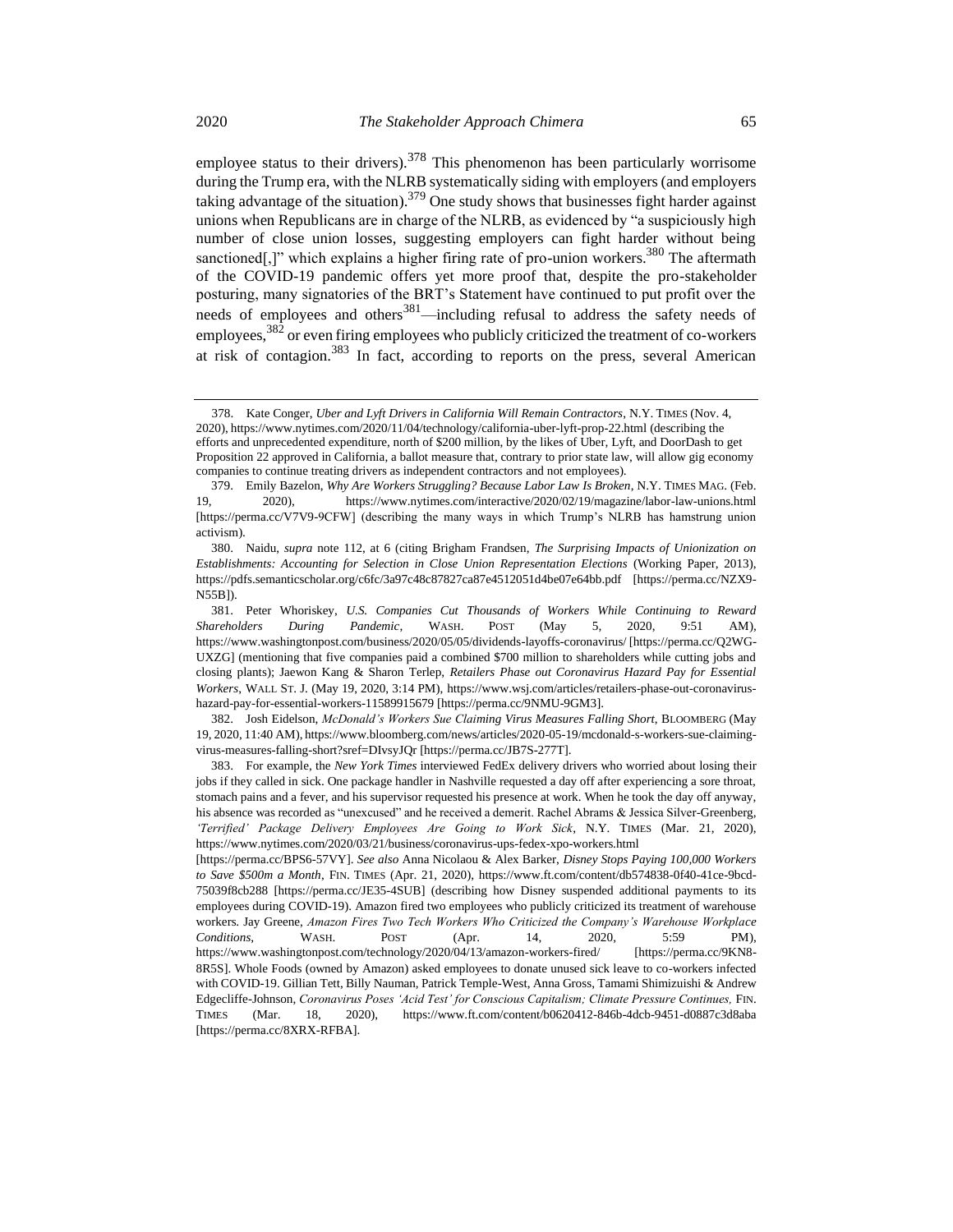employee status to their drivers).<sup>378</sup> This phenomenon has been particularly worrisome during the Trump era, with the NLRB systematically siding with employers (and employers taking advantage of the situation).<sup>379</sup> One study shows that businesses fight harder against unions when Republicans are in charge of the NLRB, as evidenced by "a suspiciously high number of close union losses, suggesting employers can fight harder without being sanctioned[,]" which explains a higher firing rate of pro-union workers.<sup>380</sup> The aftermath of the COVID-19 pandemic offers yet more proof that, despite the pro-stakeholder posturing, many signatories of the BRT's Statement have continued to put profit over the needs of employees and others<sup>381</sup>—including refusal to address the safety needs of employees,<sup>382</sup> or even firing employees who publicly criticized the treatment of co-workers at risk of contagion.<sup>383</sup> In fact, according to reports on the press, several American

382. Josh Eidelson, *McDonald's Workers Sue Claiming Virus Measures Falling Short*, BLOOMBERG (May 19, 2020, 11:40 AM), https://www.bloomberg.com/news/articles/2020-05-19/mcdonald-s-workers-sue-claimingvirus-measures-falling-short?sref=DIvsyJQr [https://perma.cc/JB7S-277T].

383. For example, the *New York Times* interviewed FedEx delivery drivers who worried about losing their jobs if they called in sick. One package handler in Nashville requested a day off after experiencing a sore throat, stomach pains and a fever, and his supervisor requested his presence at work. When he took the day off anyway, his absence was recorded as "unexcused" and he received a demerit. Rachel Abrams & Jessica Silver-Greenberg, *'Terrified' Package Delivery Employees Are Going to Work Sick*, N.Y. TIMES (Mar. 21, 2020), https://www.nytimes.com/2020/03/21/business/coronavirus-ups-fedex-xpo-workers.html

 <sup>378.</sup> Kate Conger, *Uber and Lyft Drivers in California Will Remain Contractors*, N.Y. TIMES (Nov. 4, 2020), https://www.nytimes.com/2020/11/04/technology/california-uber-lyft-prop-22.html (describing the efforts and unprecedented expenditure, north of \$200 million, by the likes of Uber, Lyft, and DoorDash to get Proposition 22 approved in California, a ballot measure that, contrary to prior state law, will allow gig economy companies to continue treating drivers as independent contractors and not employees).

<sup>379.</sup> Emily Bazelon, *Why Are Workers Struggling? Because Labor Law Is Broken*, N.Y. TIMES MAG. (Feb. 19, 2020), https://www.nytimes.com/interactive/2020/02/19/magazine/labor-law-unions.html [https://perma.cc/V7V9-9CFW] (describing the many ways in which Trump's NLRB has hamstrung union activism).

<sup>380.</sup> Naidu, *supra* note [112,](#page-23-0) at 6 (citing Brigham Frandsen, *The Surprising Impacts of Unionization on Establishments: Accounting for Selection in Close Union Representation Elections* (Working Paper, 2013), https://pdfs.semanticscholar.org/c6fc/3a97c48c87827ca87e4512051d4be07e64bb.pdf [https://perma.cc/NZX9- N55B]).

<sup>381.</sup> Peter Whoriskey, *U.S. Companies Cut Thousands of Workers While Continuing to Reward Shareholders During Pandemic*, WASH. POST (May 5, 2020, 9:51 AM), https://www.washingtonpost.com/business/2020/05/05/dividends-layoffs-coronavirus/ [https://perma.cc/Q2WG-UXZG] (mentioning that five companies paid a combined \$700 million to shareholders while cutting jobs and closing plants); Jaewon Kang & Sharon Terlep, *Retailers Phase out Coronavirus Hazard Pay for Essential Workers*, WALL ST. J. (May 19, 2020, 3:14 PM), https://www.wsj.com/articles/retailers-phase-out-coronavirushazard-pay-for-essential-workers-11589915679 [https://perma.cc/9NMU-9GM3].

<sup>[</sup>https://perma.cc/BPS6-57VY]. *See also* Anna Nicolaou & Alex Barker, *Disney Stops Paying 100,000 Workers to Save \$500m a Month*, FIN. TIMES (Apr. 21, 2020), https://www.ft.com/content/db574838-0f40-41ce-9bcd-75039f8cb288 [https://perma.cc/JE35-4SUB] (describing how Disney suspended additional payments to its employees during COVID-19). Amazon fired two employees who publicly criticized its treatment of warehouse workers. Jay Greene, *Amazon Fires Two Tech Workers Who Criticized the Company's Warehouse Workplace Conditions*, WASH. POST (Apr. 14, 2020, 5:59 PM), https://www.washingtonpost.com/technology/2020/04/13/amazon-workers-fired/ [https://perma.cc/9KN8- 8R5S]. Whole Foods (owned by Amazon) asked employees to donate unused sick leave to co-workers infected with COVID-19. Gillian Tett, Billy Nauman, Patrick Temple-West, Anna Gross, Tamami Shimizuishi & Andrew Edgecliffe-Johnson, *Coronavirus Poses 'Acid Test' for Conscious Capitalism; Climate Pressure Continues,* FIN. TIMES (Mar. 18, 2020), https://www.ft.com/content/b0620412-846b-4dcb-9451-d0887c3d8aba [https://perma.cc/8XRX-RFBA].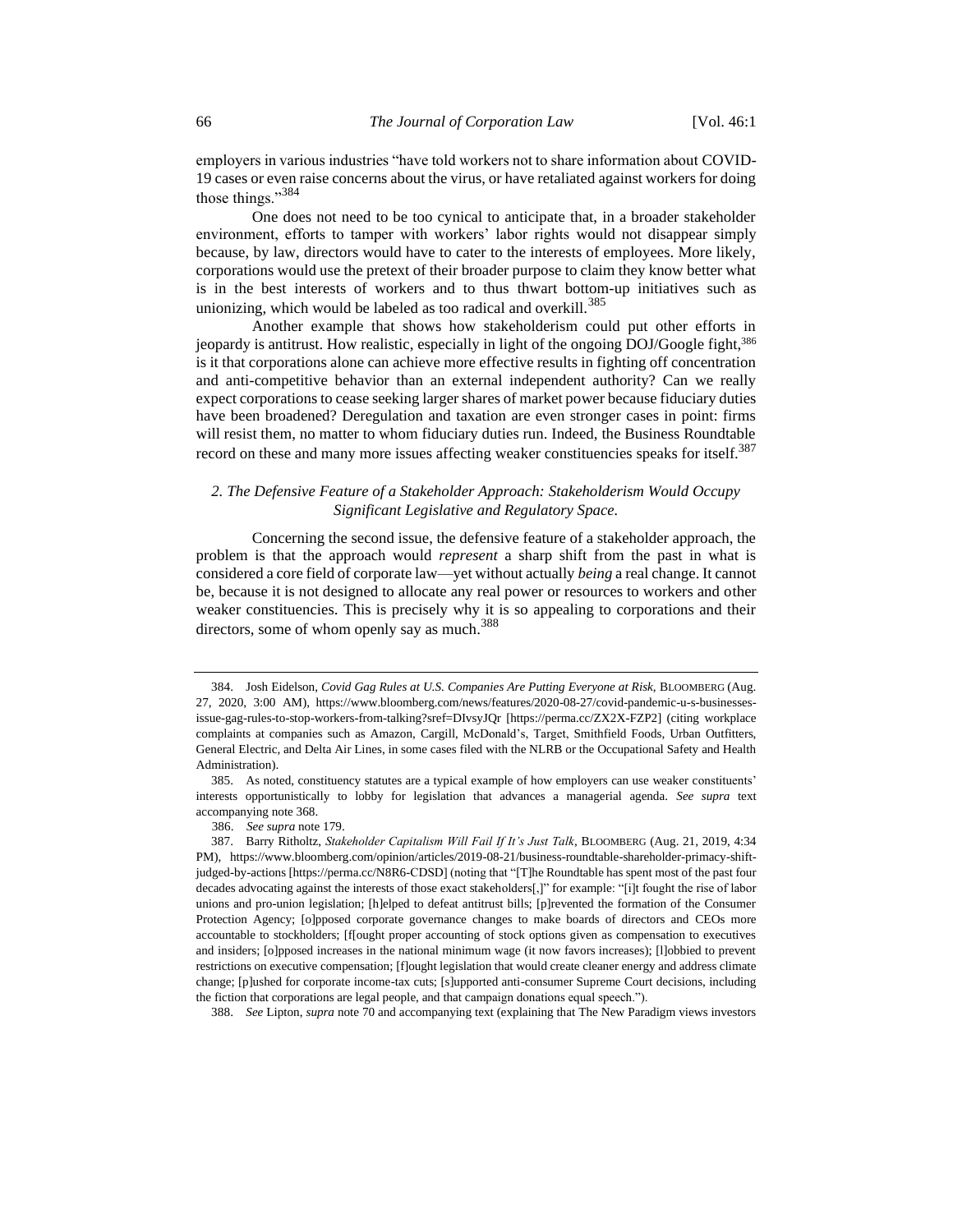employers in various industries "have told workers not to share information about COVID-19 cases or even raise concerns about the virus, or have retaliated against workers for doing those things." $384$ 

One does not need to be too cynical to anticipate that, in a broader stakeholder environment, efforts to tamper with workers' labor rights would not disappear simply because, by law, directors would have to cater to the interests of employees. More likely, corporations would use the pretext of their broader purpose to claim they know better what is in the best interests of workers and to thus thwart bottom-up initiatives such as unionizing, which would be labeled as too radical and overkill.<sup>385</sup>

Another example that shows how stakeholderism could put other efforts in jeopardy is antitrust. How realistic, especially in light of the ongoing DOJ/Google fight,<sup>386</sup> is it that corporations alone can achieve more effective results in fighting off concentration and anti-competitive behavior than an external independent authority? Can we really expect corporations to cease seeking larger shares of market power because fiduciary duties have been broadened? Deregulation and taxation are even stronger cases in point: firms will resist them, no matter to whom fiduciary duties run. Indeed, the Business Roundtable record on these and many more issues affecting weaker constituencies speaks for itself.<sup>387</sup>

# *2. The Defensive Feature of a Stakeholder Approach: Stakeholderism Would Occupy Significant Legislative and Regulatory Space.*

Concerning the second issue, the defensive feature of a stakeholder approach, the problem is that the approach would *represent* a sharp shift from the past in what is considered a core field of corporate law—yet without actually *being* a real change. It cannot be, because it is not designed to allocate any real power or resources to workers and other weaker constituencies. This is precisely why it is so appealing to corporations and their directors, some of whom openly say as much.<sup>388</sup>

388. *See* Lipton, *supra* note [70](#page-15-0) and accompanying text (explaining that The New Paradigm views investors

<span id="page-65-0"></span><sup>384.</sup> Josh Eidelson, *Covid Gag Rules at U.S. Companies Are Putting Everyone at Risk,* BLOOMBERG (Aug. 27, 2020, 3:00 AM), https://www.bloomberg.com/news/features/2020-08-27/covid-pandemic-u-s-businessesissue-gag-rules-to-stop-workers-from-talking?sref=DIvsyJQr [https://perma.cc/ZX2X-FZP2] (citing workplace complaints at companies such as Amazon, Cargill, McDonald's, Target, Smithfield Foods, Urban Outfitters, General Electric, and Delta Air Lines, in some cases filed with the NLRB or the Occupational Safety and Health Administration).

<sup>385.</sup> As noted, constituency statutes are a typical example of how employers can use weaker constituents' interests opportunistically to lobby for legislation that advances a managerial agenda. *See supra* text accompanying not[e 368.](#page-62-0)

 <sup>386.</sup> *See supra* not[e 179.](#page-35-1)

<sup>387.</sup> Barry Ritholtz, *Stakeholder Capitalism Will Fail If It's Just Talk*, BLOOMBERG (Aug. 21, 2019, 4:34 PM), https://www.bloomberg.com/opinion/articles/2019-08-21/business-roundtable-shareholder-primacy-shiftjudged-by-actions [https://perma.cc/N8R6-CDSD] (noting that "[T]he Roundtable has spent most of the past four decades advocating against the interests of those exact stakeholders[,]" for example: "[i]t fought the rise of labor unions and pro-union legislation; [h]elped to defeat antitrust bills; [p]revented the formation of the Consumer Protection Agency; [o]pposed corporate governance changes to make boards of directors and CEOs more accountable to stockholders; [f[ought proper accounting of stock options given as compensation to executives and insiders; [o]pposed increases in the national minimum wage (it now favors increases); [l]obbied to prevent restrictions on executive compensation; [f]ought legislation that would create cleaner energy and address climate change; [p]ushed for corporate income-tax cuts; [s]upported anti-consumer Supreme Court decisions, including the fiction that corporations are legal people, and that campaign donations equal speech.").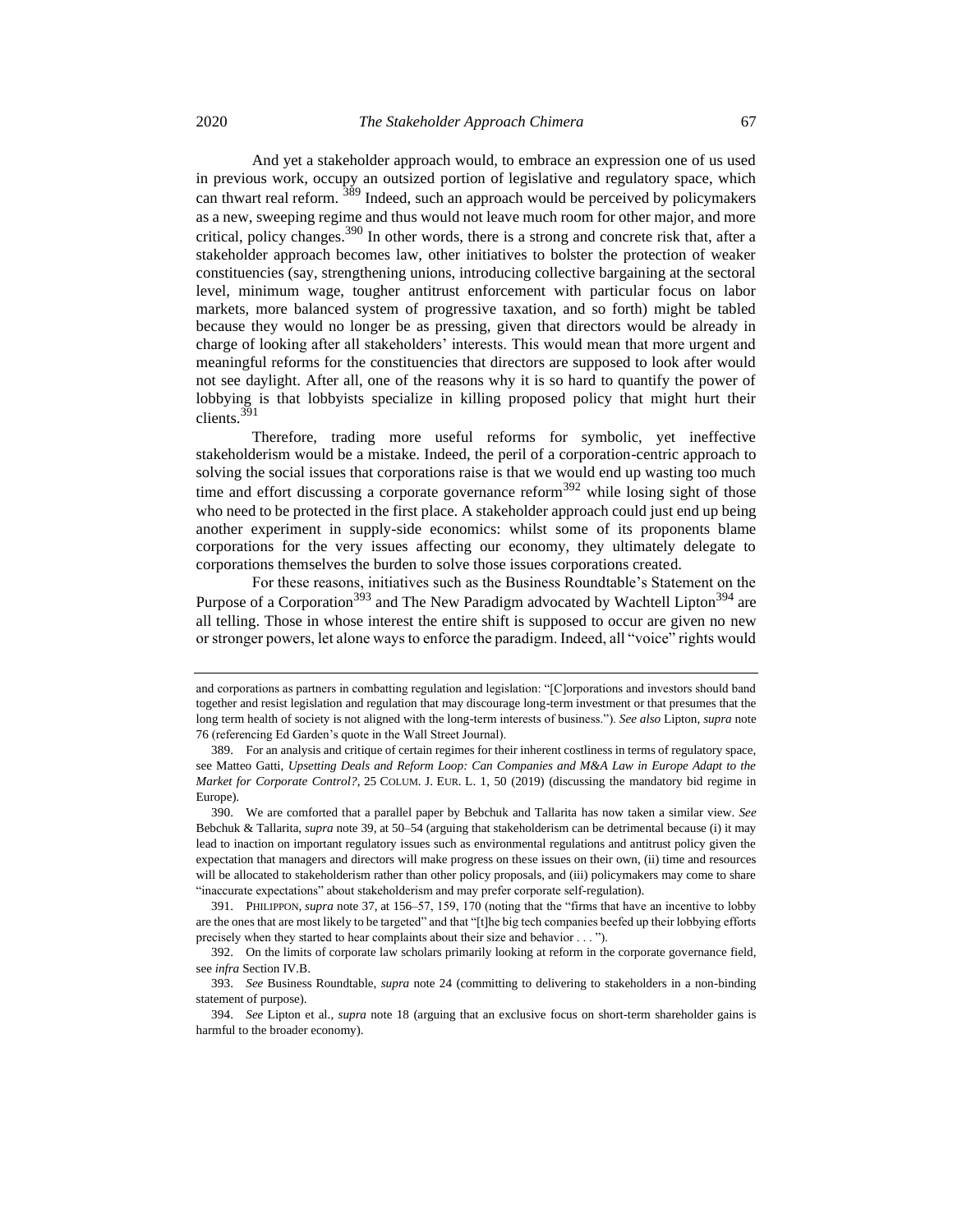And yet a stakeholder approach would, to embrace an expression one of us used in previous work, occupy an outsized portion of legislative and regulatory space, which can thwart real reform. <sup>389</sup> Indeed, such an approach would be perceived by policymakers as a new, sweeping regime and thus would not leave much room for other major, and more critical, policy changes.<sup>390</sup> In other words, there is a strong and concrete risk that, after a stakeholder approach becomes law, other initiatives to bolster the protection of weaker constituencies (say, strengthening unions, introducing collective bargaining at the sectoral level, minimum wage, tougher antitrust enforcement with particular focus on labor markets, more balanced system of progressive taxation, and so forth) might be tabled because they would no longer be as pressing, given that directors would be already in charge of looking after all stakeholders' interests. This would mean that more urgent and meaningful reforms for the constituencies that directors are supposed to look after would not see daylight. After all, one of the reasons why it is so hard to quantify the power of lobbying is that lobbyists specialize in killing proposed policy that might hurt their clients.<sup>391</sup>

Therefore, trading more useful reforms for symbolic, yet ineffective stakeholderism would be a mistake. Indeed, the peril of a corporation-centric approach to solving the social issues that corporations raise is that we would end up wasting too much time and effort discussing a corporate governance reform<sup>392</sup> while losing sight of those who need to be protected in the first place. A stakeholder approach could just end up being another experiment in supply-side economics: whilst some of its proponents blame corporations for the very issues affecting our economy, they ultimately delegate to corporations themselves the burden to solve those issues corporations created.

For these reasons, initiatives such as the Business Roundtable's Statement on the Purpose of a Corporation<sup>393</sup> and The New Paradigm advocated by Wachtell Lipton<sup>394</sup> are all telling. Those in whose interest the entire shift is supposed to occur are given no new or stronger powers, let alone ways to enforce the paradigm. Indeed, all "voice" rights would

and corporations as partners in combatting regulation and legislation: "[C]orporations and investors should band together and resist legislation and regulation that may discourage long-term investment or that presumes that the long term health of society is not aligned with the long-term interests of business."). *See also* Lipton, *supra* note [76](#page-16-0) (referencing Ed Garden's quote in the Wall Street Journal).

<sup>389.</sup> For an analysis and critique of certain regimes for their inherent costliness in terms of regulatory space, see Matteo Gatti, *Upsetting Deals and Reform Loop: Can Companies and M&A Law in Europe Adapt to the Market for Corporate Control?*, 25 COLUM. J. EUR. L. 1, 50 (2019) (discussing the mandatory bid regime in Europe).

<sup>390.</sup> We are comforted that a parallel paper by Bebchuk and Tallarita has now taken a similar view. *See*  Bebchuk & Tallarita, *supra* not[e 39,](#page-9-0) at 50–54 (arguing that stakeholderism can be detrimental because (i) it may lead to inaction on important regulatory issues such as environmental regulations and antitrust policy given the expectation that managers and directors will make progress on these issues on their own, (ii) time and resources will be allocated to stakeholderism rather than other policy proposals, and (iii) policymakers may come to share "inaccurate expectations" about stakeholderism and may prefer corporate self-regulation).

<sup>391.</sup> PHILIPPON, *supra* not[e 37,](#page-8-0) at 156–57, 159, 170 (noting that the "firms that have an incentive to lobby are the ones that are most likely to be targeted" and that "[t]he big tech companies beefed up their lobbying efforts precisely when they started to hear complaints about their size and behavior . . . ").

<sup>392.</sup> On the limits of corporate law scholars primarily looking at reform in the corporate governance field, see *infra* Section IV.B.

<sup>393.</sup> *See* Business Roundtable, *supra* note [24](#page-5-0) (committing to delivering to stakeholders in a non-binding statement of purpose).

<sup>394.</sup> *See* Lipton et al., *supra* note [18](#page-4-0) (arguing that an exclusive focus on short-term shareholder gains is harmful to the broader economy).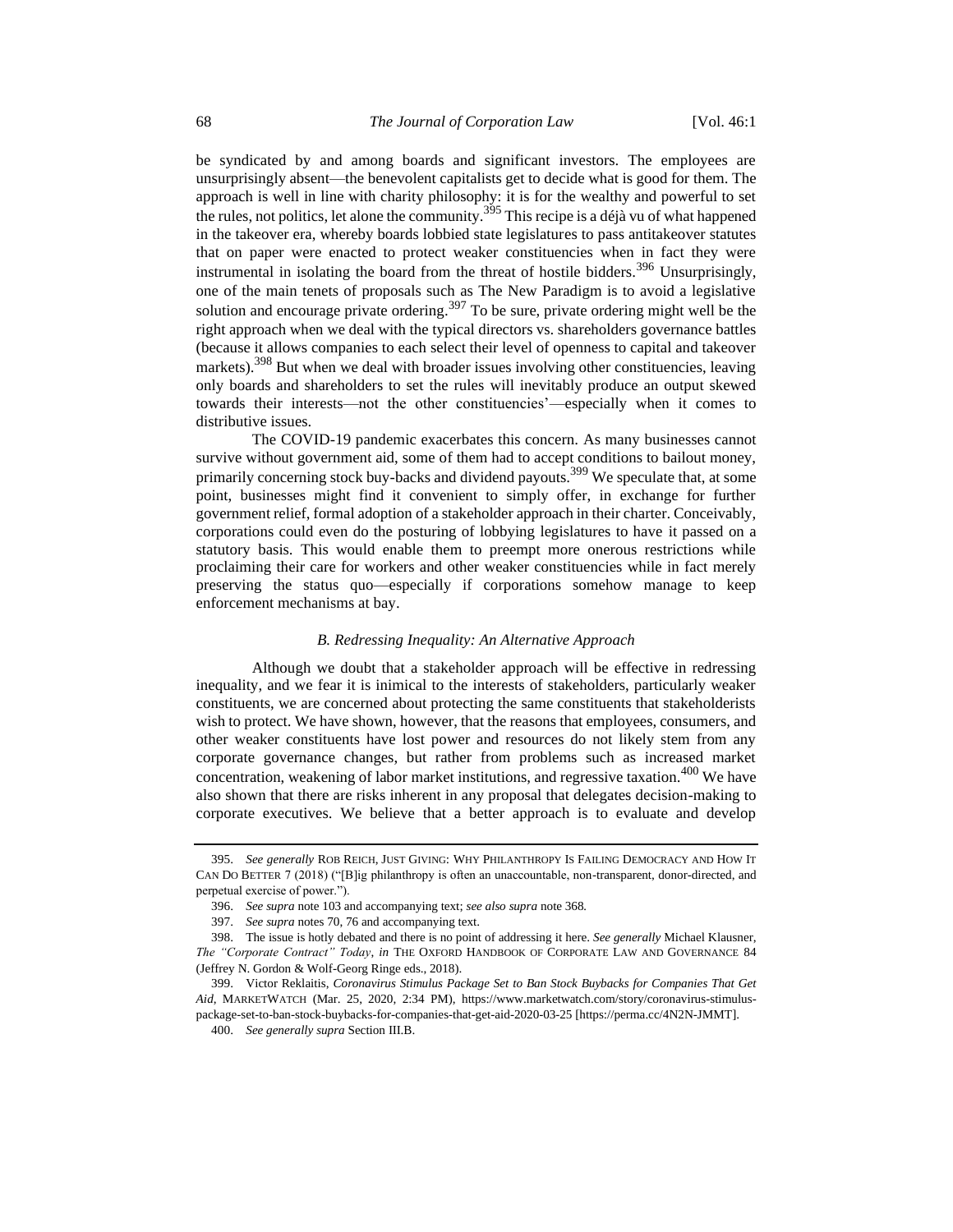be syndicated by and among boards and significant investors. The employees are unsurprisingly absent—the benevolent capitalists get to decide what is good for them. The approach is well in line with charity philosophy: it is for the wealthy and powerful to set the rules, not politics, let alone the community.<sup>395</sup> This recipe is a déjà vu of what happened in the takeover era, whereby boards lobbied state legislatures to pass antitakeover statutes that on paper were enacted to protect weaker constituencies when in fact they were instrumental in isolating the board from the threat of hostile bidders.<sup>396</sup> Unsurprisingly, one of the main tenets of proposals such as The New Paradigm is to avoid a legislative solution and encourage private ordering.<sup>397</sup> To be sure, private ordering might well be the right approach when we deal with the typical directors vs. shareholders governance battles (because it allows companies to each select their level of openness to capital and takeover markets).<sup>398</sup> But when we deal with broader issues involving other constituencies, leaving only boards and shareholders to set the rules will inevitably produce an output skewed towards their interests—not the other constituencies'—especially when it comes to distributive issues.

The COVID-19 pandemic exacerbates this concern. As many businesses cannot survive without government aid, some of them had to accept conditions to bailout money, primarily concerning stock buy-backs and dividend payouts.<sup>399</sup> We speculate that, at some point, businesses might find it convenient to simply offer, in exchange for further government relief, formal adoption of a stakeholder approach in their charter. Conceivably, corporations could even do the posturing of lobbying legislatures to have it passed on a statutory basis. This would enable them to preempt more onerous restrictions while proclaiming their care for workers and other weaker constituencies while in fact merely preserving the status quo—especially if corporations somehow manage to keep enforcement mechanisms at bay.

### *B. Redressing Inequality: An Alternative Approach*

Although we doubt that a stakeholder approach will be effective in redressing inequality, and we fear it is inimical to the interests of stakeholders, particularly weaker constituents, we are concerned about protecting the same constituents that stakeholderists wish to protect. We have shown, however, that the reasons that employees, consumers, and other weaker constituents have lost power and resources do not likely stem from any corporate governance changes, but rather from problems such as increased market concentration, weakening of labor market institutions, and regressive taxation.<sup>400</sup> We have also shown that there are risks inherent in any proposal that delegates decision-making to corporate executives. We believe that a better approach is to evaluate and develop

<sup>395.</sup> *See generally* ROB REICH, JUST GIVING: WHY PHILANTHROPY IS FAILING DEMOCRACY AND HOW IT CAN DO BETTER 7 (2018) ("[B]ig philanthropy is often an unaccountable, non-transparent, donor-directed, and perpetual exercise of power.").

<sup>396.</sup> *See supra* note [103](#page-21-0) and accompanying text; *see also supra* not[e 368](#page-62-0)*.*

<sup>397.</sup> *See supra* note[s 70,](#page-15-0) [76](#page-16-0) and accompanying text.

<sup>398.</sup> The issue is hotly debated and there is no point of addressing it here. *See generally* Michael Klausner, *The "Corporate Contract" Today*, *in* THE OXFORD HANDBOOK OF CORPORATE LAW AND GOVERNANCE 84 (Jeffrey N. Gordon & Wolf-Georg Ringe eds., 2018).

<sup>399.</sup> Victor Reklaitis, *Coronavirus Stimulus Package Set to Ban Stock Buybacks for Companies That Get Aid*, MARKETWATCH (Mar. 25, 2020, 2:34 PM), https://www.marketwatch.com/story/coronavirus-stimuluspackage-set-to-ban-stock-buybacks-for-companies-that-get-aid-2020-03-25 [https://perma.cc/4N2N-JMMT].

<sup>400.</sup> *See generally supra* Section III.B.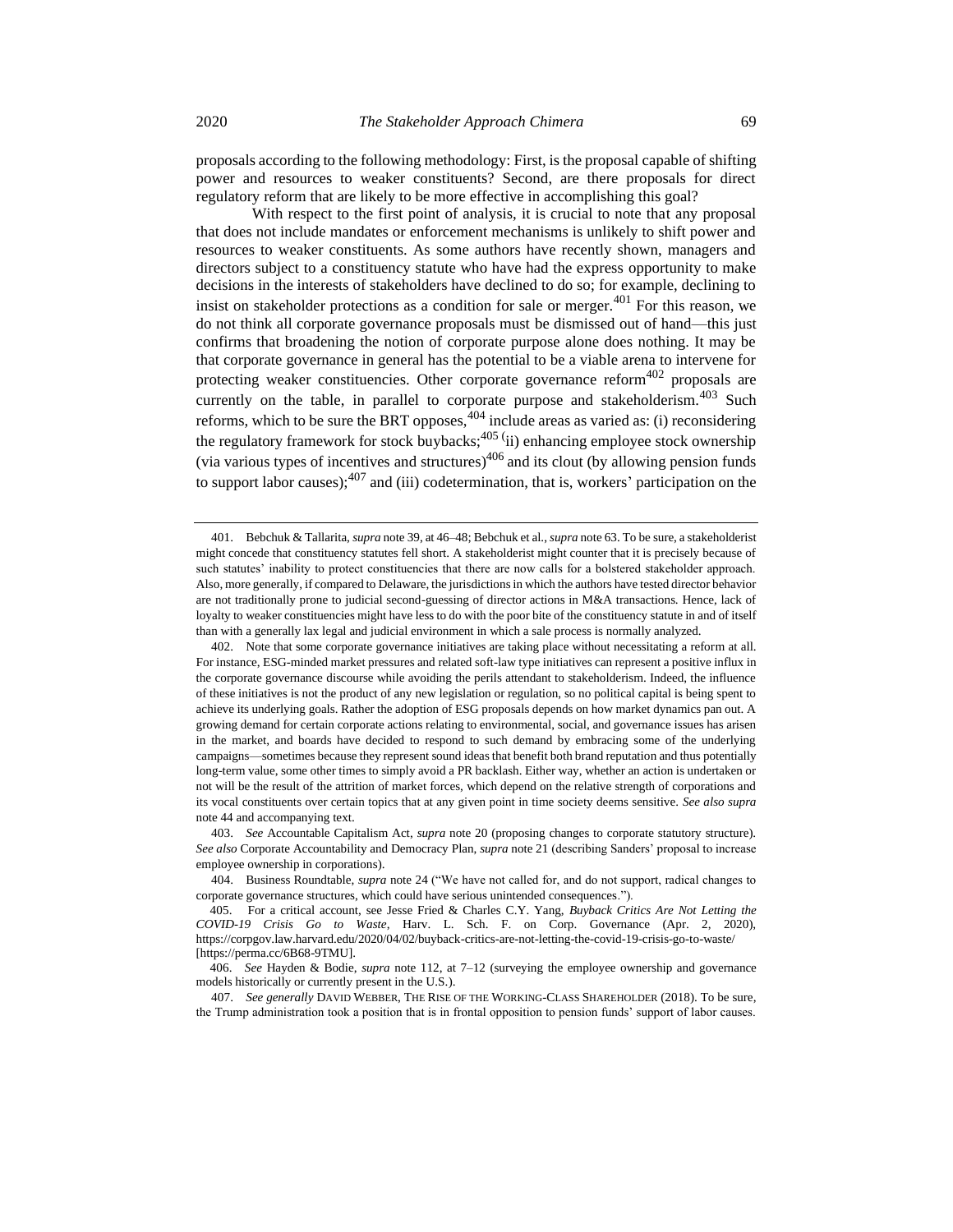proposals according to the following methodology: First, is the proposal capable of shifting power and resources to weaker constituents? Second, are there proposals for direct regulatory reform that are likely to be more effective in accomplishing this goal?

<span id="page-68-0"></span>With respect to the first point of analysis, it is crucial to note that any proposal that does not include mandates or enforcement mechanisms is unlikely to shift power and resources to weaker constituents. As some authors have recently shown, managers and directors subject to a constituency statute who have had the express opportunity to make decisions in the interests of stakeholders have declined to do so; for example, declining to insist on stakeholder protections as a condition for sale or merger.<sup>401</sup> For this reason, we do not think all corporate governance proposals must be dismissed out of hand—this just confirms that broadening the notion of corporate purpose alone does nothing. It may be that corporate governance in general has the potential to be a viable arena to intervene for protecting weaker constituencies. Other corporate governance reform $402$  proposals are currently on the table, in parallel to corporate purpose and stakeholderism.<sup>403</sup> Such reforms, which to be sure the BRT opposes,  $404$  include areas as varied as: (i) reconsidering the regulatory framework for stock buybacks;  $405$  (ii) enhancing employee stock ownership (via various types of incentives and structures)<sup>406</sup> and its clout (by allowing pension funds to support labor causes); $407$  and (iii) codetermination, that is, workers' participation on the

<sup>401.</sup> Bebchuk & Tallarita, *supra* not[e 39,](#page-9-0) at 46–48; Bebchuk et al., *supra* not[e 63.](#page-14-0) To be sure, a stakeholderist might concede that constituency statutes fell short. A stakeholderist might counter that it is precisely because of such statutes' inability to protect constituencies that there are now calls for a bolstered stakeholder approach. Also, more generally, if compared to Delaware, the jurisdictions in which the authors have tested director behavior are not traditionally prone to judicial second-guessing of director actions in M&A transactions. Hence, lack of loyalty to weaker constituencies might have less to do with the poor bite of the constituency statute in and of itself than with a generally lax legal and judicial environment in which a sale process is normally analyzed.

<sup>402.</sup> Note that some corporate governance initiatives are taking place without necessitating a reform at all. For instance, ESG-minded market pressures and related soft-law type initiatives can represent a positive influx in the corporate governance discourse while avoiding the perils attendant to stakeholderism. Indeed, the influence of these initiatives is not the product of any new legislation or regulation, so no political capital is being spent to achieve its underlying goals. Rather the adoption of ESG proposals depends on how market dynamics pan out. A growing demand for certain corporate actions relating to environmental, social, and governance issues has arisen in the market, and boards have decided to respond to such demand by embracing some of the underlying campaigns—sometimes because they represent sound ideas that benefit both brand reputation and thus potentially long-term value, some other times to simply avoid a PR backlash. Either way, whether an action is undertaken or not will be the result of the attrition of market forces, which depend on the relative strength of corporations and its vocal constituents over certain topics that at any given point in time society deems sensitive. *See also supra*  note [44](#page-11-0) and accompanying text.

<sup>403.</sup> *See* Accountable Capitalism Act, *supra* note [20](#page-5-1) (proposing changes to corporate statutory structure). *See also* Corporate Accountability and Democracy Plan, *supra* not[e 21](#page-5-2) (describing Sanders' proposal to increase employee ownership in corporations).

<sup>404.</sup> Business Roundtable, *supra* note [24](#page-5-0) ("We have not called for, and do not support, radical changes to corporate governance structures, which could have serious unintended consequences.").

<sup>405.</sup> For a critical account, see Jesse Fried & Charles C.Y. Yang, *Buyback Critics Are Not Letting the COVID-19 Crisis Go to Waste*, Harv. L. Sch. F. on Corp. Governance (Apr. 2, 2020), https://corpgov.law.harvard.edu/2020/04/02/buyback-critics-are-not-letting-the-covid-19-crisis-go-to-waste/ [https://perma.cc/6B68-9TMU].

<sup>406.</sup> *See* Hayden & Bodie, *supra* note [112,](#page-23-0) at 7–12 (surveying the employee ownership and governance models historically or currently present in the U.S.).

<sup>407.</sup> *See generally* DAVID WEBBER, THE RISE OF THE WORKING-CLASS SHAREHOLDER (2018). To be sure, the Trump administration took a position that is in frontal opposition to pension funds' support of labor causes.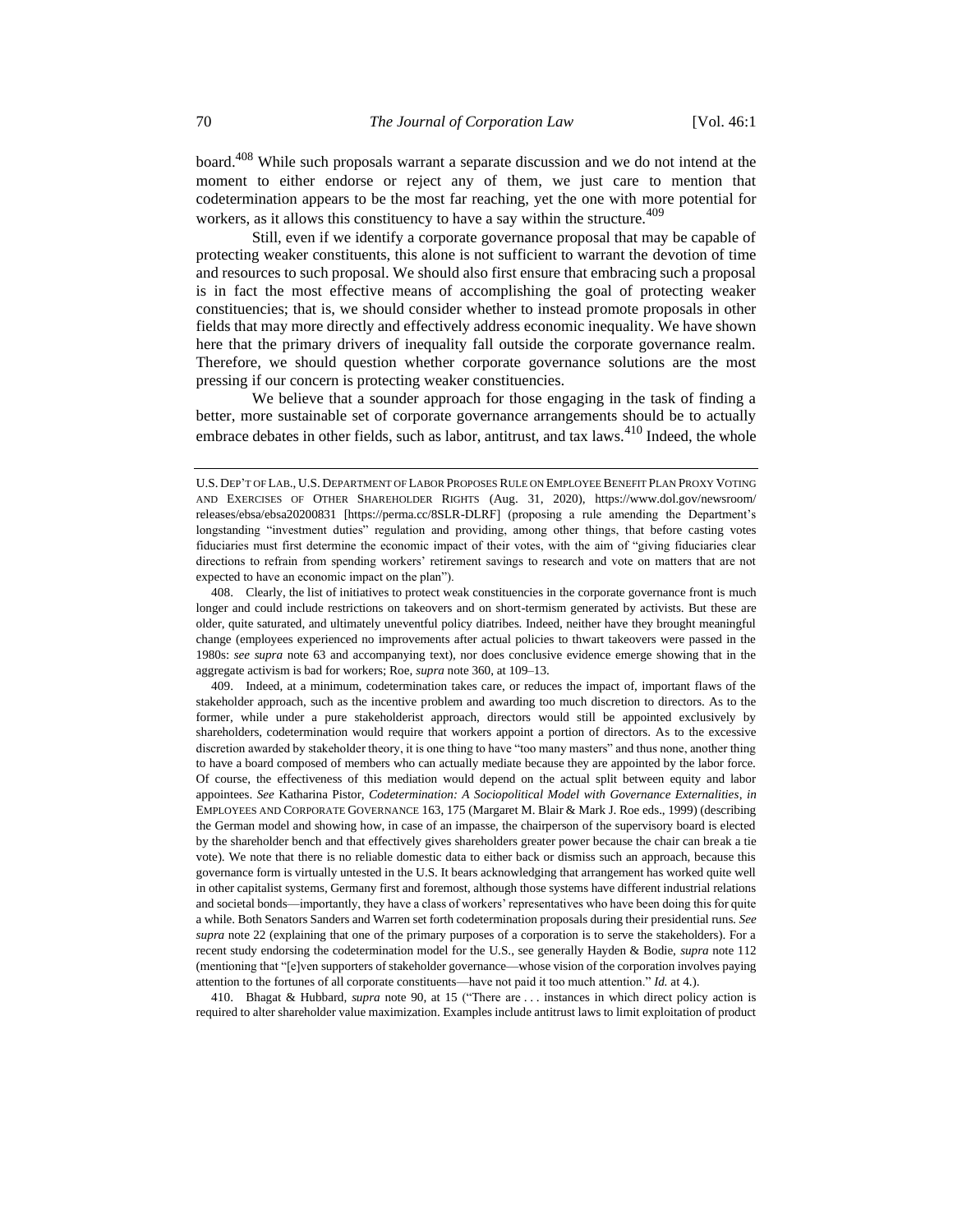board.<sup>408</sup> While such proposals warrant a separate discussion and we do not intend at the moment to either endorse or reject any of them, we just care to mention that codetermination appears to be the most far reaching, yet the one with more potential for workers, as it allows this constituency to have a say within the structure.<sup>409</sup>

<span id="page-69-0"></span>Still, even if we identify a corporate governance proposal that may be capable of protecting weaker constituents, this alone is not sufficient to warrant the devotion of time and resources to such proposal. We should also first ensure that embracing such a proposal is in fact the most effective means of accomplishing the goal of protecting weaker constituencies; that is, we should consider whether to instead promote proposals in other fields that may more directly and effectively address economic inequality. We have shown here that the primary drivers of inequality fall outside the corporate governance realm. Therefore, we should question whether corporate governance solutions are the most pressing if our concern is protecting weaker constituencies.

We believe that a sounder approach for those engaging in the task of finding a better, more sustainable set of corporate governance arrangements should be to actually embrace debates in other fields, such as labor, antitrust, and tax laws.<sup>410</sup> Indeed, the whole

408. Clearly, the list of initiatives to protect weak constituencies in the corporate governance front is much longer and could include restrictions on takeovers and on short-termism generated by activists. But these are older, quite saturated, and ultimately uneventful policy diatribes. Indeed, neither have they brought meaningful change (employees experienced no improvements after actual policies to thwart takeovers were passed in the 1980s: *see supra* note [63](#page-14-0) and accompanying text), nor does conclusive evidence emerge showing that in the aggregate activism is bad for workers; Roe, *supra* not[e 360,](#page-60-0) at 109–13.

409. Indeed, at a minimum, codetermination takes care, or reduces the impact of, important flaws of the stakeholder approach, such as the incentive problem and awarding too much discretion to directors. As to the former, while under a pure stakeholderist approach, directors would still be appointed exclusively by shareholders, codetermination would require that workers appoint a portion of directors. As to the excessive discretion awarded by stakeholder theory, it is one thing to have "too many masters" and thus none, another thing to have a board composed of members who can actually mediate because they are appointed by the labor force. Of course, the effectiveness of this mediation would depend on the actual split between equity and labor appointees. *See* Katharina Pistor, *Codetermination: A Sociopolitical Model with Governance Externalities*, *in*  EMPLOYEES AND CORPORATE GOVERNANCE 163, 175 (Margaret M. Blair & Mark J. Roe eds., 1999) (describing the German model and showing how, in case of an impasse, the chairperson of the supervisory board is elected by the shareholder bench and that effectively gives shareholders greater power because the chair can break a tie vote). We note that there is no reliable domestic data to either back or dismiss such an approach, because this governance form is virtually untested in the U.S. It bears acknowledging that arrangement has worked quite well in other capitalist systems, Germany first and foremost, although those systems have different industrial relations and societal bonds—importantly, they have a class of workers' representatives who have been doing this for quite a while. Both Senators Sanders and Warren set forth codetermination proposals during their presidential runs. *See supra* note [22](#page-5-3) (explaining that one of the primary purposes of a corporation is to serve the stakeholders). For a recent study endorsing the codetermination model for the U.S., see generally Hayden & Bodie, *supra* note [112](#page-23-0) (mentioning that "[e]ven supporters of stakeholder governance—whose vision of the corporation involves paying attention to the fortunes of all corporate constituents—have not paid it too much attention." *Id.* at 4.).

410. Bhagat & Hubbard, *supra* note [90,](#page-19-0) at 15 ("There are . . . instances in which direct policy action is required to alter shareholder value maximization. Examples include antitrust laws to limit exploitation of product

U.S. DEP'T OF LAB., U.S. DEPARTMENT OF LABOR PROPOSES RULE ON EMPLOYEE BENEFIT PLAN PROXY VOTING AND EXERCISES OF OTHER SHAREHOLDER RIGHTS (Aug. 31, 2020), https://www.dol.gov/newsroom/ releases/ebsa/ebsa20200831 [https://perma.cc/8SLR-DLRF] (proposing a rule amending the Department's longstanding "investment duties" regulation and providing, among other things, that before casting votes fiduciaries must first determine the economic impact of their votes, with the aim of "giving fiduciaries clear directions to refrain from spending workers' retirement savings to research and vote on matters that are not expected to have an economic impact on the plan").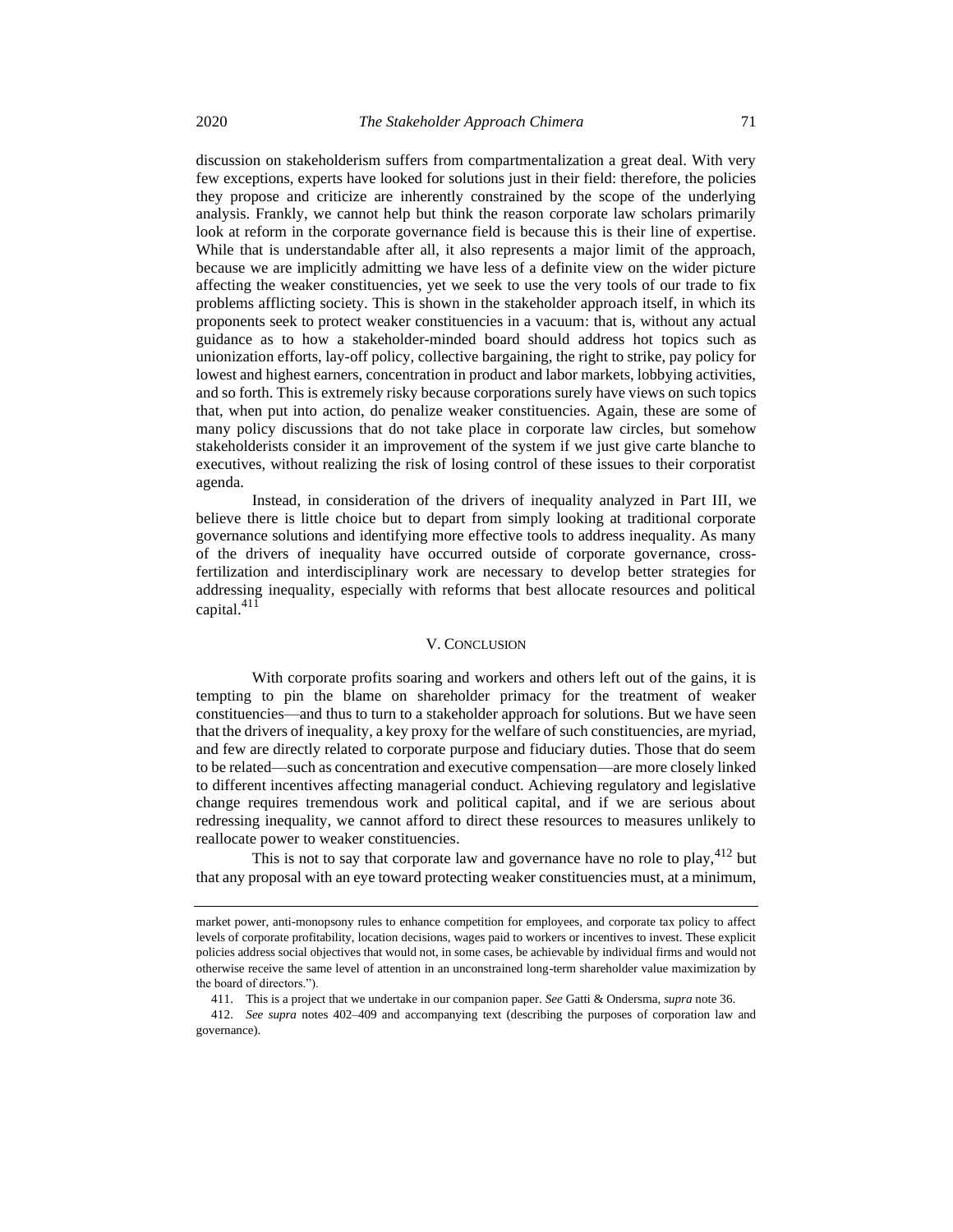discussion on stakeholderism suffers from compartmentalization a great deal. With very few exceptions, experts have looked for solutions just in their field: therefore, the policies they propose and criticize are inherently constrained by the scope of the underlying analysis. Frankly, we cannot help but think the reason corporate law scholars primarily look at reform in the corporate governance field is because this is their line of expertise. While that is understandable after all, it also represents a major limit of the approach, because we are implicitly admitting we have less of a definite view on the wider picture affecting the weaker constituencies, yet we seek to use the very tools of our trade to fix problems afflicting society. This is shown in the stakeholder approach itself, in which its proponents seek to protect weaker constituencies in a vacuum: that is, without any actual guidance as to how a stakeholder-minded board should address hot topics such as unionization efforts, lay-off policy, collective bargaining, the right to strike, pay policy for lowest and highest earners, concentration in product and labor markets, lobbying activities, and so forth. This is extremely risky because corporations surely have views on such topics that, when put into action, do penalize weaker constituencies. Again, these are some of many policy discussions that do not take place in corporate law circles, but somehow stakeholderists consider it an improvement of the system if we just give carte blanche to executives, without realizing the risk of losing control of these issues to their corporatist agenda.

Instead, in consideration of the drivers of inequality analyzed in Part III, we believe there is little choice but to depart from simply looking at traditional corporate governance solutions and identifying more effective tools to address inequality. As many of the drivers of inequality have occurred outside of corporate governance, crossfertilization and interdisciplinary work are necessary to develop better strategies for addressing inequality, especially with reforms that best allocate resources and political capital. $41\bar{1}$ 

#### V. CONCLUSION

With corporate profits soaring and workers and others left out of the gains, it is tempting to pin the blame on shareholder primacy for the treatment of weaker constituencies—and thus to turn to a stakeholder approach for solutions. But we have seen that the drivers of inequality, a key proxy for the welfare of such constituencies, are myriad, and few are directly related to corporate purpose and fiduciary duties. Those that do seem to be related—such as concentration and executive compensation—are more closely linked to different incentives affecting managerial conduct. Achieving regulatory and legislative change requires tremendous work and political capital, and if we are serious about redressing inequality, we cannot afford to direct these resources to measures unlikely to reallocate power to weaker constituencies.

This is not to say that corporate law and governance have no role to play, $4^{12}$  but that any proposal with an eye toward protecting weaker constituencies must, at a minimum,

market power, anti-monopsony rules to enhance competition for employees, and corporate tax policy to affect levels of corporate profitability, location decisions, wages paid to workers or incentives to invest. These explicit policies address social objectives that would not, in some cases, be achievable by individual firms and would not otherwise receive the same level of attention in an unconstrained long-term shareholder value maximization by the board of directors.").

<sup>411.</sup> This is a project that we undertake in our companion paper. *See* Gatti & Ondersma, *supra* not[e 36.](#page-8-2)

<sup>412.</sup> *See supra* notes [402](#page-68-0)[–409](#page-69-0) and accompanying text (describing the purposes of corporation law and governance).